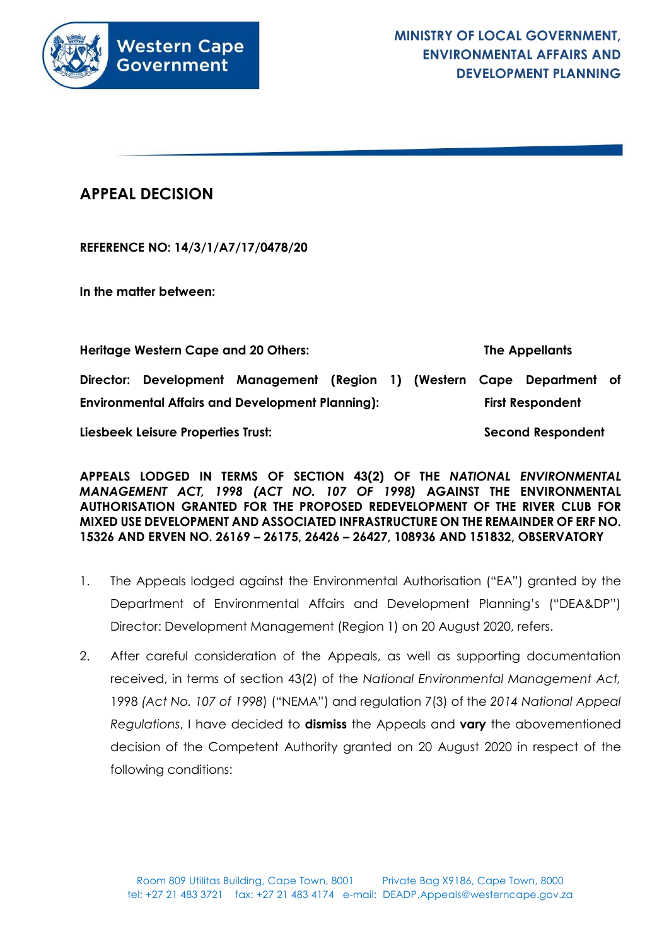

# **APPEAL DECISION**

**REFERENCE NO: 14/3/1/A7/17/0478/20**

**In the matter between:**

**Heritage Western Cape and 20 Others: The Appellants**

**Director: Development Management (Region 1) (Western Cape Department of Environmental Affairs and Development Planning): First Respondent** 

**Liesbeek Leisure Properties Trust: Second Respondent**

**APPEALS LODGED IN TERMS OF SECTION 43(2) OF THE** *NATIONAL ENVIRONMENTAL MANAGEMENT ACT, 1998 (ACT NO. 107 OF 1998)* **AGAINST THE ENVIRONMENTAL AUTHORISATION GRANTED FOR THE PROPOSED REDEVELOPMENT OF THE RIVER CLUB FOR MIXED USE DEVELOPMENT AND ASSOCIATED INFRASTRUCTURE ON THE REMAINDER OF ERF NO. 15326 AND ERVEN NO. 26169 – 26175, 26426 – 26427, 108936 AND 151832, OBSERVATORY**

- 1. The Appeals lodged against the Environmental Authorisation ("EA") granted by the Department of Environmental Affairs and Development Planning's ("DEA&DP") Director: Development Management (Region 1) on 20 August 2020, refers.
- 2. After careful consideration of the Appeals, as well as supporting documentation received, in terms of section 43(2) of the *National Environmental Management Act,*  1998 *(Act No. 107 of 1998*) ("NEMA") and regulation 7(3) of the *2014 National Appeal Regulations*, I have decided to **dismiss** the Appeals and **vary** the abovementioned decision of the Competent Authority granted on 20 August 2020 in respect of the following conditions: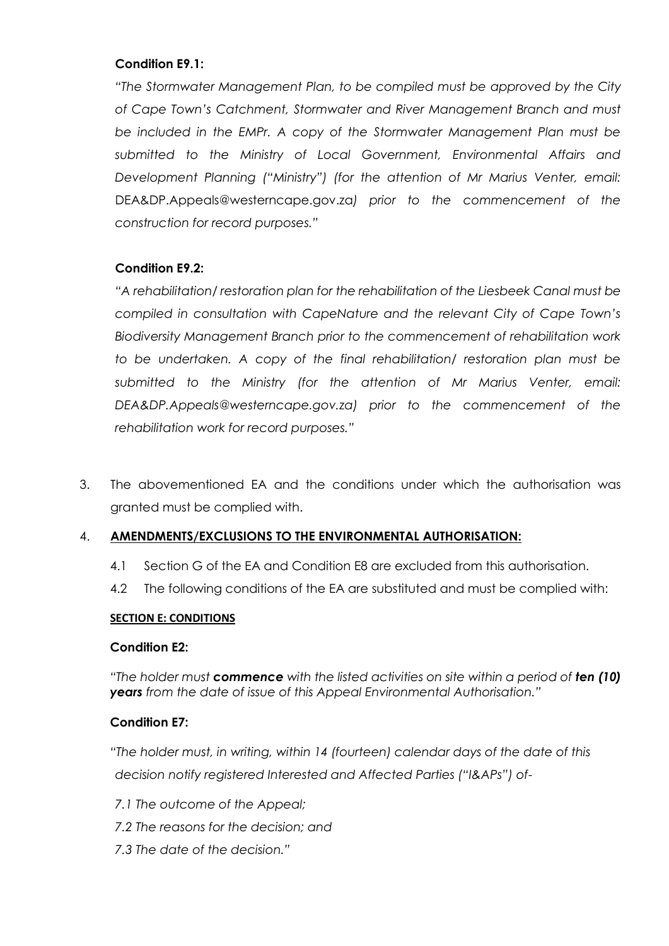### **Condition E9.1:**

*"The Stormwater Management Plan, to be compiled must be approved by the City of Cape Town's Catchment, Stormwater and River Management Branch and must be included in the EMPr. A copy of the Stormwater Management Plan must be submitted to the Ministry of Local Government, Environmental Affairs and Development Planning ("Ministry") (for the attention of Mr Marius Venter, email:*  DEA&DP.Appeals@westerncape.gov.za*) prior to the commencement of the construction for record purposes."*

### **Condition E9.2:**

*"A rehabilitation/ restoration plan for the rehabilitation of the Liesbeek Canal must be compiled in consultation with CapeNature and the relevant City of Cape Town's Biodiversity Management Branch prior to the commencement of rehabilitation work to be undertaken. A copy of the final rehabilitation/ restoration plan must be submitted to the Ministry (for the attention of Mr Marius Venter, email: DEA&DP.Appeals@westerncape.gov.za) prior to the commencement of the rehabilitation work for record purposes."*

3. The abovementioned EA and the conditions under which the authorisation was granted must be complied with.

### 4. **AMENDMENTS/EXCLUSIONS TO THE ENVIRONMENTAL AUTHORISATION:**

- 4.1 Section G of the EA and Condition E8 are excluded from this authorisation.
- 4.2 The following conditions of the EA are substituted and must be complied with:

### **SECTION E: CONDITIONS**

### **Condition E2:**

*"The holder must commence with the listed activities on site within a period of ten (10) years from the date of issue of this Appeal Environmental Authorisation."*

### **Condition E7:**

*"The holder must, in writing, within 14 (fourteen) calendar days of the date of this decision notify registered Interested and Affected Parties ("I&APs") of-*

- *7.1 The outcome of the Appeal;*
- *7.2 The reasons for the decision; and*
- *7.3 The date of the decision."*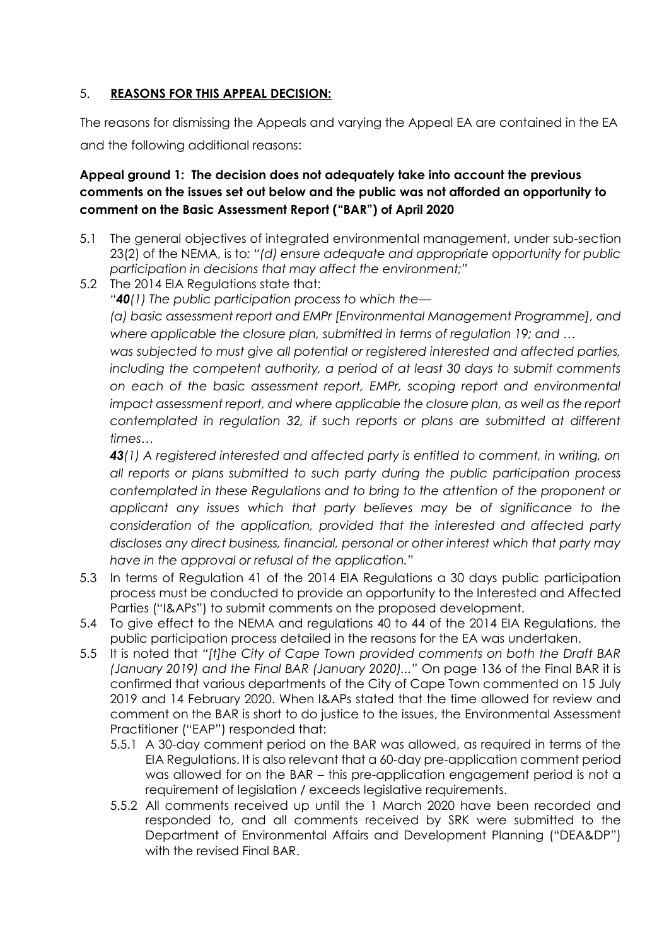### 5. **REASONS FOR THIS APPEAL DECISION:**

The reasons for dismissing the Appeals and varying the Appeal EA are contained in the EA and the following additional reasons:

# **Appeal ground 1: The decision does not adequately take into account the previous comments on the issues set out below and the public was not afforded an opportunity to comment on the Basic Assessment Report ("BAR") of April 2020**

- 5.1 The general objectives of integrated environmental management, under sub-section 23(2) of the NEMA, is to*: "(d) ensure adequate and appropriate opportunity for public participation in decisions that may affect the environment;"*
- 5.2 The 2014 EIA Regulations state that:

*"40(1) The public participation process to which the—*

*(a) basic assessment report and EMPr [Environmental Management Programme], and where applicable the closure plan, submitted in terms of regulation 19; and …*

*was subjected to must give all potential or registered interested and affected parties, including the competent authority, a period of at least 30 days to submit comments on each of the basic assessment report, EMPr, scoping report and environmental impact assessment report, and where applicable the closure plan, as well as the report contemplated in regulation 32, if such reports or plans are submitted at different times…*

*43(1) A registered interested and affected party is entitled to comment, in writing, on all reports or plans submitted to such party during the public participation process contemplated in these Regulations and to bring to the attention of the proponent or applicant any issues which that party believes may be of significance to the consideration of the application, provided that the interested and affected party discloses any direct business, financial, personal or other interest which that party may have in the approval or refusal of the application."*

- 5.3 In terms of Regulation 41 of the 2014 EIA Regulations a 30 days public participation process must be conducted to provide an opportunity to the Interested and Affected Parties ("I&APs") to submit comments on the proposed development.
- 5.4 To give effect to the NEMA and regulations 40 to 44 of the 2014 EIA Regulations, the public participation process detailed in the reasons for the EA was undertaken.
- 5.5 It is noted that *"[t]he City of Cape Town provided comments on both the Draft BAR (January 2019) and the Final BAR (January 2020)..."* On page 136 of the Final BAR it is confirmed that various departments of the City of Cape Town commented on 15 July 2019 and 14 February 2020. When I&APs stated that the time allowed for review and comment on the BAR is short to do justice to the issues, the Environmental Assessment Practitioner ("EAP") responded that:
	- 5.5.1 A 30-day comment period on the BAR was allowed, as required in terms of the EIA Regulations. It is also relevant that a 60-day pre-application comment period was allowed for on the BAR – this pre-application engagement period is not a requirement of legislation / exceeds legislative requirements.
	- 5.5.2 All comments received up until the 1 March 2020 have been recorded and responded to, and all comments received by SRK were submitted to the Department of Environmental Affairs and Development Planning ("DEA&DP") with the revised Final BAR.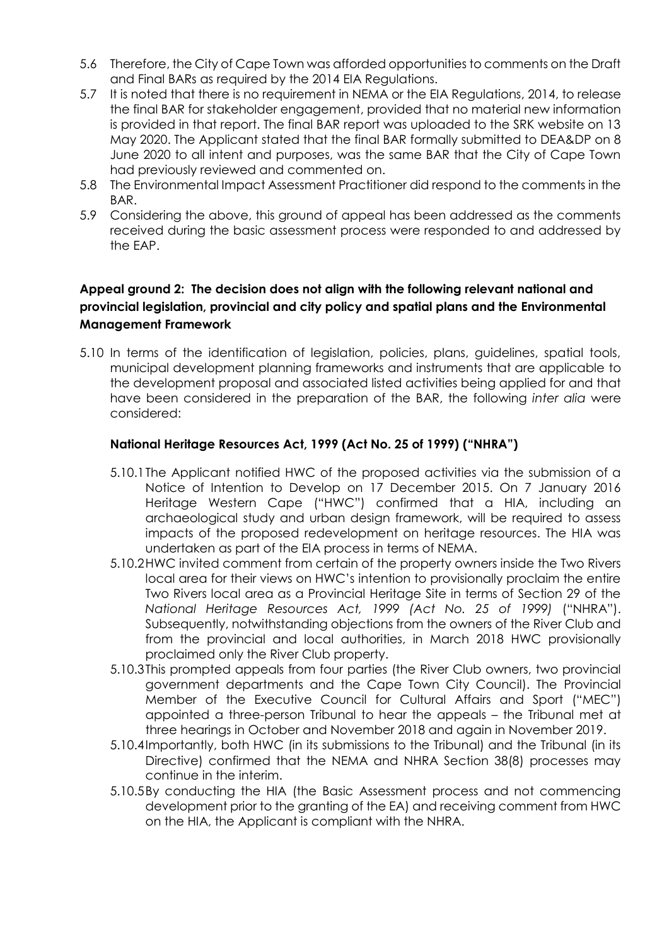- 5.6 Therefore, the City of Cape Town was afforded opportunities to comments on the Draft and Final BARs as required by the 2014 EIA Regulations.
- 5.7 It is noted that there is no requirement in NEMA or the EIA Regulations, 2014, to release the final BAR for stakeholder engagement, provided that no material new information is provided in that report. The final BAR report was uploaded to the SRK website on 13 May 2020. The Applicant stated that the final BAR formally submitted to DEA&DP on 8 June 2020 to all intent and purposes, was the same BAR that the City of Cape Town had previously reviewed and commented on.
- 5.8 The Environmental Impact Assessment Practitioner did respond to the comments in the BAR.
- 5.9 Considering the above, this ground of appeal has been addressed as the comments received during the basic assessment process were responded to and addressed by the EAP.

### **Appeal ground 2: The decision does not align with the following relevant national and provincial legislation, provincial and city policy and spatial plans and the Environmental Management Framework**

5.10 In terms of the identification of legislation, policies, plans, guidelines, spatial tools, municipal development planning frameworks and instruments that are applicable to the development proposal and associated listed activities being applied for and that have been considered in the preparation of the BAR, the following *inter alia* were considered:

### **National Heritage Resources Act, 1999 (Act No. 25 of 1999) ("NHRA")**

- 5.10.1The Applicant notified HWC of the proposed activities via the submission of a Notice of Intention to Develop on 17 December 2015. On 7 January 2016 Heritage Western Cape ("HWC") confirmed that a HIA, including an archaeological study and urban design framework, will be required to assess impacts of the proposed redevelopment on heritage resources. The HIA was undertaken as part of the EIA process in terms of NEMA.
- 5.10.2HWC invited comment from certain of the property owners inside the Two Rivers local area for their views on HWC's intention to provisionally proclaim the entire Two Rivers local area as a Provincial Heritage Site in terms of Section 29 of the *National Heritage Resources Act, 1999 (Act No. 25 of 1999)* ("NHRA"). Subsequently, notwithstanding objections from the owners of the River Club and from the provincial and local authorities, in March 2018 HWC provisionally proclaimed only the River Club property.
- 5.10.3This prompted appeals from four parties (the River Club owners, two provincial government departments and the Cape Town City Council). The Provincial Member of the Executive Council for Cultural Affairs and Sport ("MEC") appointed a three-person Tribunal to hear the appeals – the Tribunal met at three hearings in October and November 2018 and again in November 2019.
- 5.10.4Importantly, both HWC (in its submissions to the Tribunal) and the Tribunal (in its Directive) confirmed that the NEMA and NHRA Section 38(8) processes may continue in the interim.
- 5.10.5By conducting the HIA (the Basic Assessment process and not commencing development prior to the granting of the EA) and receiving comment from HWC on the HIA, the Applicant is compliant with the NHRA.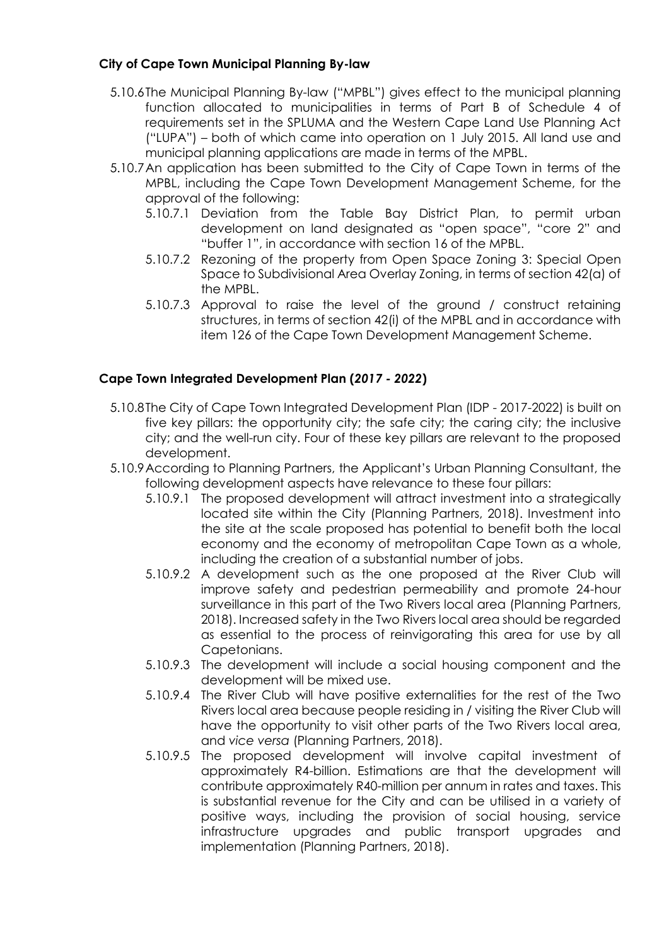### **City of Cape Town Municipal Planning By-law**

- 5.10.6The Municipal Planning By-law ("MPBL") gives effect to the municipal planning function allocated to municipalities in terms of Part B of Schedule 4 of requirements set in the SPLUMA and the Western Cape Land Use Planning Act ("LUPA") – both of which came into operation on 1 July 2015. All land use and municipal planning applications are made in terms of the MPBL.
- 5.10.7An application has been submitted to the City of Cape Town in terms of the MPBL, including the Cape Town Development Management Scheme, for the approval of the following:
	- 5.10.7.1 Deviation from the Table Bay District Plan, to permit urban development on land designated as "open space", "core 2" and "buffer 1", in accordance with section 16 of the MPBL.
	- 5.10.7.2 Rezoning of the property from Open Space Zoning 3: Special Open Space to Subdivisional Area Overlay Zoning, in terms of section 42(a) of the MPBL.
	- 5.10.7.3 Approval to raise the level of the ground / construct retaining structures, in terms of section 42(i) of the MPBL and in accordance with item 126 of the Cape Town Development Management Scheme.

### **Cape Town Integrated Development Plan (***2017 - 2022***)**

- 5.10.8The City of Cape Town Integrated Development Plan (IDP 2017-2022) is built on five key pillars: the opportunity city; the safe city; the caring city; the inclusive city; and the well-run city. Four of these key pillars are relevant to the proposed development.
- 5.10.9According to Planning Partners, the Applicant's Urban Planning Consultant, the following development aspects have relevance to these four pillars:
	- 5.10.9.1 The proposed development will attract investment into a strategically located site within the City (Planning Partners, 2018). Investment into the site at the scale proposed has potential to benefit both the local economy and the economy of metropolitan Cape Town as a whole, including the creation of a substantial number of jobs.
	- 5.10.9.2 A development such as the one proposed at the River Club will improve safety and pedestrian permeability and promote 24-hour surveillance in this part of the Two Rivers local area (Planning Partners, 2018). Increased safety in the Two Rivers local area should be regarded as essential to the process of reinvigorating this area for use by all Capetonians.
	- 5.10.9.3 The development will include a social housing component and the development will be mixed use.
	- 5.10.9.4 The River Club will have positive externalities for the rest of the Two Rivers local area because people residing in / visiting the River Club will have the opportunity to visit other parts of the Two Rivers local area, and *vice versa* (Planning Partners, 2018).
	- 5.10.9.5 The proposed development will involve capital investment of approximately R4-billion. Estimations are that the development will contribute approximately R40-million per annum in rates and taxes. This is substantial revenue for the City and can be utilised in a variety of positive ways, including the provision of social housing, service infrastructure upgrades and public transport upgrades and implementation (Planning Partners, 2018).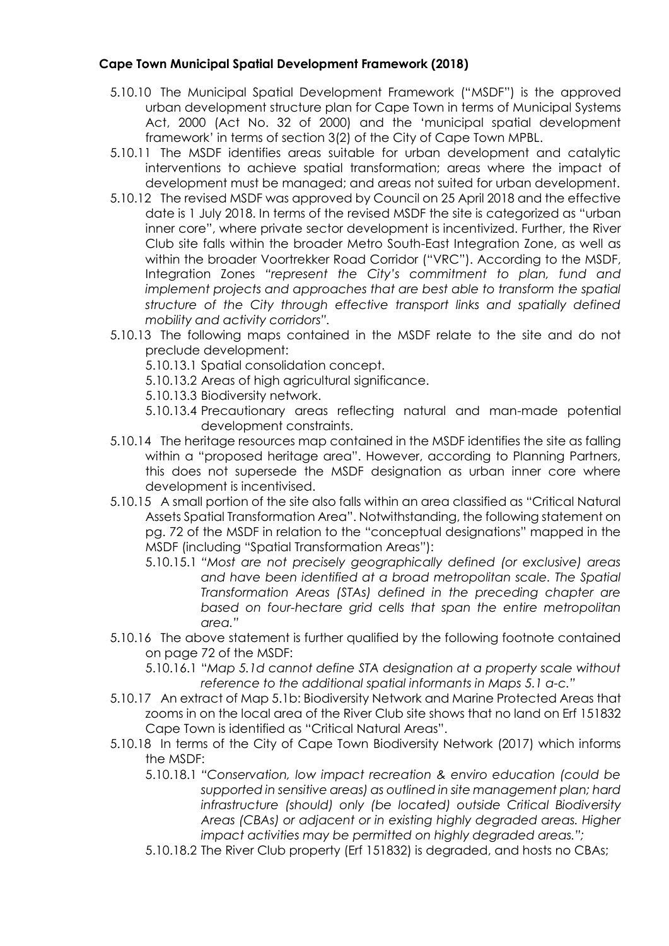### **Cape Town Municipal Spatial Development Framework (2018)**

- 5.10.10 The Municipal Spatial Development Framework ("MSDF") is the approved urban development structure plan for Cape Town in terms of Municipal Systems Act, 2000 (Act No. 32 of 2000) and the 'municipal spatial development framework' in terms of section 3(2) of the City of Cape Town MPBL.
- 5.10.11 The MSDF identifies areas suitable for urban development and catalytic interventions to achieve spatial transformation; areas where the impact of development must be managed; and areas not suited for urban development.
- 5.10.12 The revised MSDF was approved by Council on 25 April 2018 and the effective date is 1 July 2018. In terms of the revised MSDF the site is categorized as "urban inner core", where private sector development is incentivized. Further, the River Club site falls within the broader Metro South-East Integration Zone, as well as within the broader Voortrekker Road Corridor ("VRC"). According to the MSDF, Integration Zones *"represent the City's commitment to plan, fund and implement projects and approaches that are best able to transform the spatial structure of the City through effective transport links and spatially defined mobility and activity corridors".*
- 5.10.13 The following maps contained in the MSDF relate to the site and do not preclude development:
	- 5.10.13.1 Spatial consolidation concept.
	- 5.10.13.2 Areas of high agricultural significance.
	- 5.10.13.3 Biodiversity network.
	- 5.10.13.4 Precautionary areas reflecting natural and man-made potential development constraints.
- 5.10.14 The heritage resources map contained in the MSDF identifies the site as falling within a "proposed heritage area". However, according to Planning Partners, this does not supersede the MSDF designation as urban inner core where development is incentivised.
- 5.10.15 A small portion of the site also falls within an area classified as "Critical Natural Assets Spatial Transformation Area". Notwithstanding, the following statement on pg. 72 of the MSDF in relation to the "conceptual designations" mapped in the MSDF (including "Spatial Transformation Areas"):
	- 5.10.15.1 *"Most are not precisely geographically defined (or exclusive) areas and have been identified at a broad metropolitan scale. The Spatial Transformation Areas (STAs) defined in the preceding chapter are based on four-hectare grid cells that span the entire metropolitan area."*
- 5.10.16 The above statement is further qualified by the following footnote contained on page 72 of the MSDF:
	- 5.10.16.1 "*Map 5.1d cannot define STA designation at a property scale without reference to the additional spatial informants in Maps 5.1 a-c."*
- 5.10.17 An extract of Map 5.1b: Biodiversity Network and Marine Protected Areas that zooms in on the local area of the River Club site shows that no land on Erf 151832 Cape Town is identified as "Critical Natural Areas".
- 5.10.18 In terms of the City of Cape Town Biodiversity Network (2017) which informs the MSDF:
	- 5.10.18.1 *"Conservation, low impact recreation & enviro education (could be supported in sensitive areas) as outlined in site management plan; hard infrastructure (should) only (be located) outside Critical Biodiversity Areas (CBAs) or adjacent or in existing highly degraded areas. Higher impact activities may be permitted on highly degraded areas.";*
	- 5.10.18.2 The River Club property (Erf 151832) is degraded, and hosts no CBAs;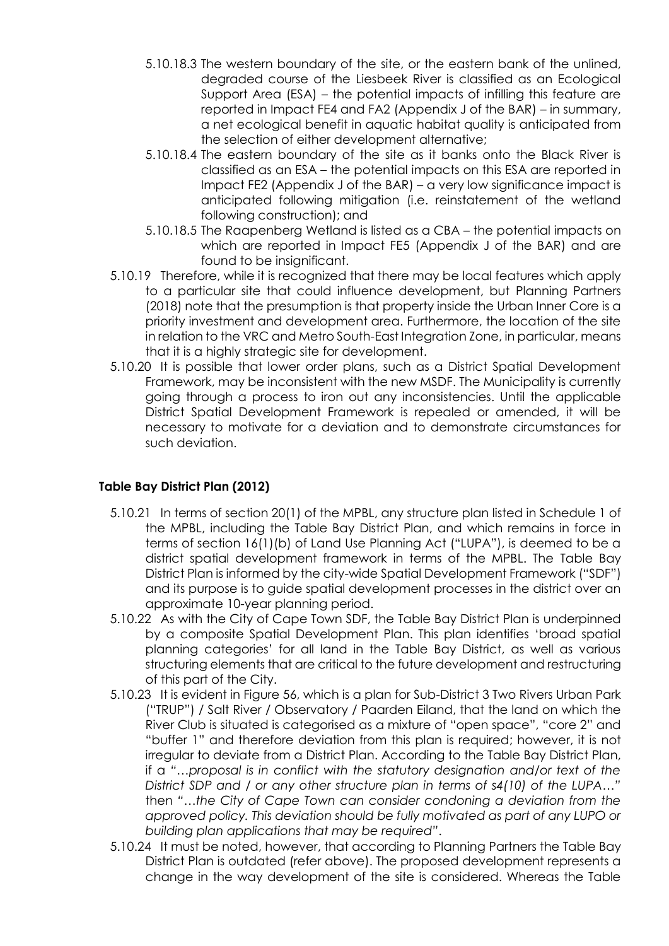- 5.10.18.3 The western boundary of the site, or the eastern bank of the unlined, degraded course of the Liesbeek River is classified as an Ecological Support Area (ESA) – the potential impacts of infilling this feature are reported in Impact FE4 and FA2 (Appendix J of the BAR) – in summary, a net ecological benefit in aquatic habitat quality is anticipated from the selection of either development alternative;
- 5.10.18.4 The eastern boundary of the site as it banks onto the Black River is classified as an ESA – the potential impacts on this ESA are reported in Impact FE2 (Appendix J of the BAR) – a very low significance impact is anticipated following mitigation (i.e. reinstatement of the wetland following construction); and
- 5.10.18.5 The Raapenberg Wetland is listed as a CBA the potential impacts on which are reported in Impact FE5 (Appendix J of the BAR) and are found to be insignificant.
- 5.10.19 Therefore, while it is recognized that there may be local features which apply to a particular site that could influence development, but Planning Partners (2018) note that the presumption is that property inside the Urban Inner Core is a priority investment and development area. Furthermore, the location of the site in relation to the VRC and Metro South-East Integration Zone, in particular, means that it is a highly strategic site for development.
- 5.10.20 It is possible that lower order plans, such as a District Spatial Development Framework, may be inconsistent with the new MSDF. The Municipality is currently going through a process to iron out any inconsistencies. Until the applicable District Spatial Development Framework is repealed or amended, it will be necessary to motivate for a deviation and to demonstrate circumstances for such deviation.

## **Table Bay District Plan (2012)**

- 5.10.21 In terms of section 20(1) of the MPBL, any structure plan listed in Schedule 1 of the MPBL, including the Table Bay District Plan, and which remains in force in terms of section 16(1)(b) of Land Use Planning Act ("LUPA"), is deemed to be a district spatial development framework in terms of the MPBL. The Table Bay District Plan is informed by the city-wide Spatial Development Framework ("SDF") and its purpose is to guide spatial development processes in the district over an approximate 10-year planning period.
- 5.10.22 As with the City of Cape Town SDF, the Table Bay District Plan is underpinned by a composite Spatial Development Plan. This plan identifies 'broad spatial planning categories' for all land in the Table Bay District, as well as various structuring elements that are critical to the future development and restructuring of this part of the City.
- 5.10.23 It is evident in Figure 56, which is a plan for Sub-District 3 Two Rivers Urban Park ("TRUP") / Salt River / Observatory / Paarden Eiland, that the land on which the River Club is situated is categorised as a mixture of "open space", "core 2" and "buffer 1" and therefore deviation from this plan is required; however, it is not irregular to deviate from a District Plan. According to the Table Bay District Plan, if a *"…proposal is in conflict with the statutory designation and/or text of the District SDP and / or any other structure plan in terms of s4(10) of the LUPA…"* then *"…the City of Cape Town can consider condoning a deviation from the approved policy. This deviation should be fully motivated as part of any LUPO or building plan applications that may be required"*.
- 5.10.24 It must be noted, however, that according to Planning Partners the Table Bay District Plan is outdated (refer above). The proposed development represents a change in the way development of the site is considered. Whereas the Table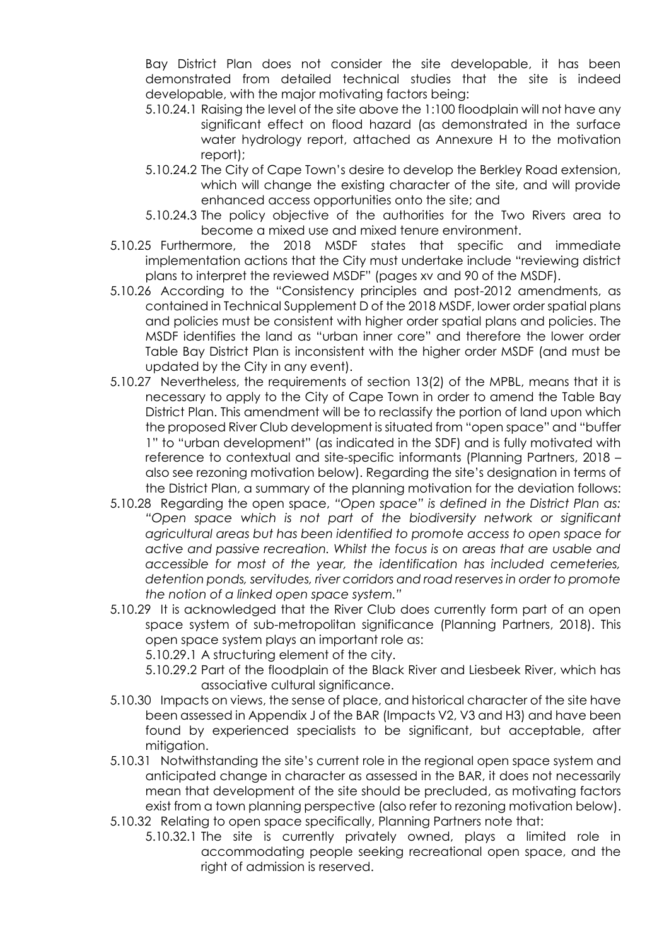Bay District Plan does not consider the site developable, it has been demonstrated from detailed technical studies that the site is indeed developable, with the major motivating factors being:

- 5.10.24.1 Raising the level of the site above the 1:100 floodplain will not have any significant effect on flood hazard (as demonstrated in the surface water hydrology report, attached as Annexure H to the motivation report);
- 5.10.24.2 The City of Cape Town's desire to develop the Berkley Road extension, which will change the existing character of the site, and will provide enhanced access opportunities onto the site; and
- 5.10.24.3 The policy objective of the authorities for the Two Rivers area to become a mixed use and mixed tenure environment.
- 5.10.25 Furthermore, the 2018 MSDF states that specific and immediate implementation actions that the City must undertake include "reviewing district plans to interpret the reviewed MSDF" (pages xv and 90 of the MSDF).
- 5.10.26 According to the "Consistency principles and post-2012 amendments, as contained in Technical Supplement D of the 2018 MSDF, lower order spatial plans and policies must be consistent with higher order spatial plans and policies. The MSDF identifies the land as "urban inner core" and therefore the lower order Table Bay District Plan is inconsistent with the higher order MSDF (and must be updated by the City in any event).
- 5.10.27 Nevertheless, the requirements of section 13(2) of the MPBL, means that it is necessary to apply to the City of Cape Town in order to amend the Table Bay District Plan. This amendment will be to reclassify the portion of land upon which the proposed River Club development is situated from "open space" and "buffer 1" to "urban development" (as indicated in the SDF) and is fully motivated with reference to contextual and site-specific informants (Planning Partners, 2018 – also see rezoning motivation below). Regarding the site's designation in terms of the District Plan, a summary of the planning motivation for the deviation follows:
- 5.10.28 Regarding the open space, *"Open space" is defined in the District Plan as: "Open space which is not part of the biodiversity network or significant agricultural areas but has been identified to promote access to open space for active and passive recreation. Whilst the focus is on areas that are usable and accessible for most of the year, the identification has included cemeteries, detention ponds, servitudes, river corridors and road reserves in order to promote the notion of a linked open space system."*
- 5.10.29 It is acknowledged that the River Club does currently form part of an open space system of sub-metropolitan significance (Planning Partners, 2018). This open space system plays an important role as:
	- 5.10.29.1 A structuring element of the city.
	- 5.10.29.2 Part of the floodplain of the Black River and Liesbeek River, which has associative cultural significance.
- 5.10.30 Impacts on views, the sense of place, and historical character of the site have been assessed in Appendix J of the BAR (Impacts V2, V3 and H3) and have been found by experienced specialists to be significant, but acceptable, after mitiaation.
- 5.10.31 Notwithstanding the site's current role in the regional open space system and anticipated change in character as assessed in the BAR, it does not necessarily mean that development of the site should be precluded, as motivating factors exist from a town planning perspective (also refer to rezoning motivation below).
- 5.10.32 Relating to open space specifically, Planning Partners note that:
	- 5.10.32.1 The site is currently privately owned, plays a limited role in accommodating people seeking recreational open space, and the right of admission is reserved.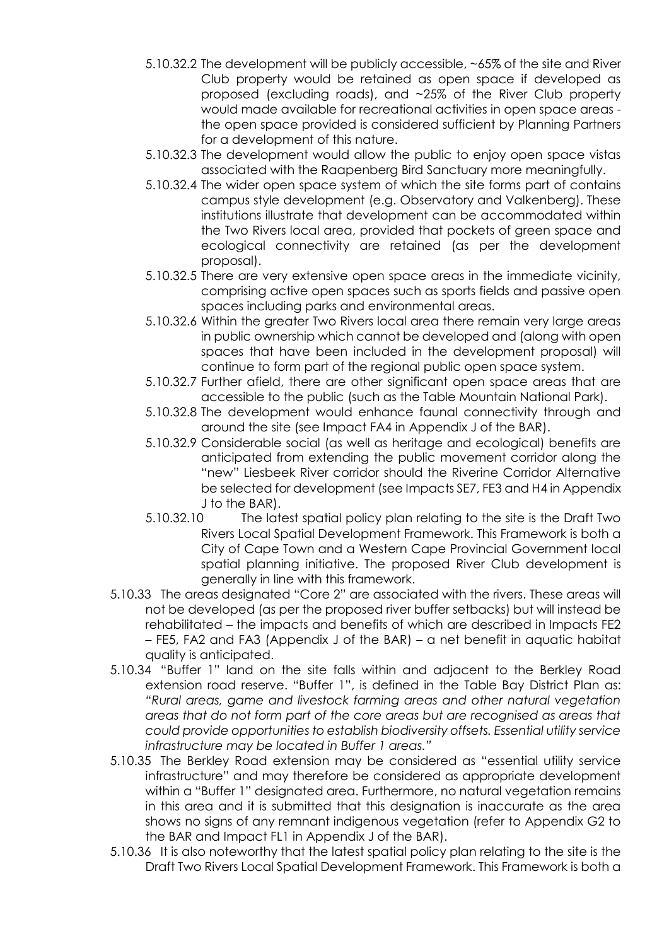- 5.10.32.2 The development will be publicly accessible, ~65% of the site and River Club property would be retained as open space if developed as proposed (excluding roads), and ~25% of the River Club property would made available for recreational activities in open space areas the open space provided is considered sufficient by Planning Partners for a development of this nature.
- 5.10.32.3 The development would allow the public to enjoy open space vistas associated with the Raapenberg Bird Sanctuary more meaningfully.
- 5.10.32.4 The wider open space system of which the site forms part of contains campus style development (e.g. Observatory and Valkenberg). These institutions illustrate that development can be accommodated within the Two Rivers local area, provided that pockets of green space and ecological connectivity are retained (as per the development proposal).
- 5.10.32.5 There are very extensive open space areas in the immediate vicinity, comprising active open spaces such as sports fields and passive open spaces including parks and environmental areas.
- 5.10.32.6 Within the greater Two Rivers local area there remain very large areas in public ownership which cannot be developed and (along with open spaces that have been included in the development proposal) will continue to form part of the regional public open space system.
- 5.10.32.7 Further afield, there are other significant open space areas that are accessible to the public (such as the Table Mountain National Park).
- 5.10.32.8 The development would enhance faunal connectivity through and around the site (see Impact FA4 in Appendix J of the BAR).
- 5.10.32.9 Considerable social (as well as heritage and ecological) benefits are anticipated from extending the public movement corridor along the "new" Liesbeek River corridor should the Riverine Corridor Alternative be selected for development (see Impacts SE7, FE3 and H4 in Appendix J to the BAR).
- 5.10.32.10 The latest spatial policy plan relating to the site is the Draft Two Rivers Local Spatial Development Framework. This Framework is both a City of Cape Town and a Western Cape Provincial Government local spatial planning initiative. The proposed River Club development is generally in line with this framework.
- 5.10.33 The areas designated "Core 2" are associated with the rivers. These areas will not be developed (as per the proposed river buffer setbacks) but will instead be rehabilitated – the impacts and benefits of which are described in Impacts FE2 – FE5, FA2 and FA3 (Appendix J of the BAR) – a net benefit in aquatic habitat quality is anticipated.
- 5.10.34 "Buffer 1" land on the site falls within and adjacent to the Berkley Road extension road reserve. "Buffer 1", is defined in the Table Bay District Plan as: *"Rural areas, game and livestock farming areas and other natural vegetation areas that do not form part of the core areas but are recognised as areas that could provide opportunities to establish biodiversity offsets. Essential utility service infrastructure may be located in Buffer 1 areas."*
- 5.10.35 The Berkley Road extension may be considered as "essential utility service infrastructure" and may therefore be considered as appropriate development within a "Buffer 1" designated area. Furthermore, no natural vegetation remains in this area and it is submitted that this designation is inaccurate as the area shows no signs of any remnant indigenous vegetation (refer to Appendix G2 to the BAR and Impact FL1 in Appendix J of the BAR).
- 5.10.36 It is also noteworthy that the latest spatial policy plan relating to the site is the Draft Two Rivers Local Spatial Development Framework. This Framework is both a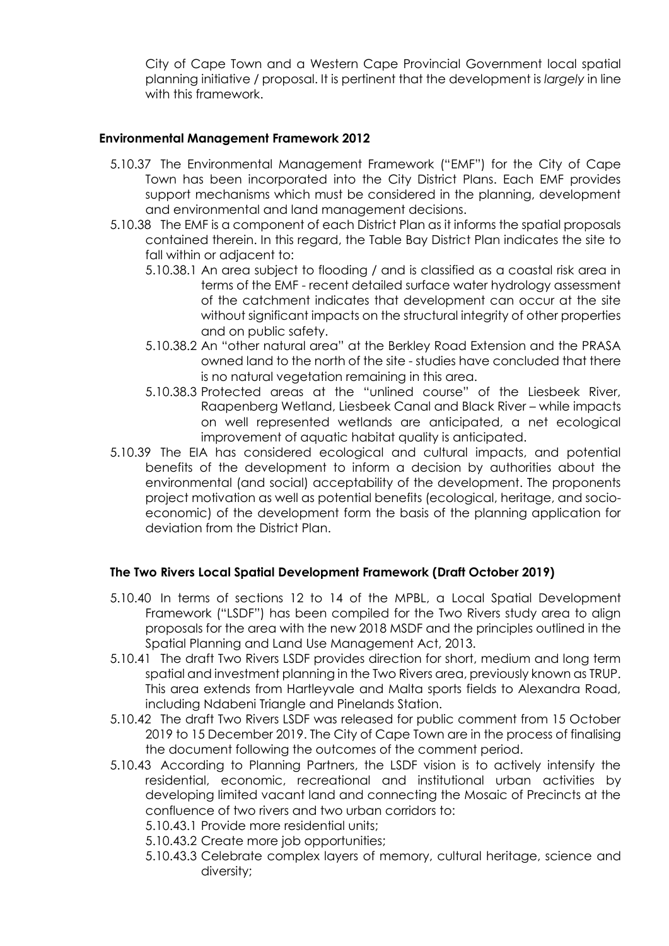City of Cape Town and a Western Cape Provincial Government local spatial planning initiative / proposal. It is pertinent that the development is *largely* in line with this framework.

#### **Environmental Management Framework 2012**

- 5.10.37 The Environmental Management Framework ("EMF") for the City of Cape Town has been incorporated into the City District Plans. Each EMF provides support mechanisms which must be considered in the planning, development and environmental and land management decisions.
- 5.10.38 The EMF is a component of each District Plan as it informs the spatial proposals contained therein. In this regard, the Table Bay District Plan indicates the site to fall within or adjacent to:
	- 5.10.38.1 An area subject to flooding / and is classified as a coastal risk area in terms of the EMF - recent detailed surface water hydrology assessment of the catchment indicates that development can occur at the site without significant impacts on the structural integrity of other properties and on public safety.
	- 5.10.38.2 An "other natural area" at the Berkley Road Extension and the PRASA owned land to the north of the site - studies have concluded that there is no natural vegetation remaining in this area.
	- 5.10.38.3 Protected areas at the "unlined course" of the Liesbeek River, Raapenberg Wetland, Liesbeek Canal and Black River – while impacts on well represented wetlands are anticipated, a net ecological improvement of aquatic habitat quality is anticipated.
- 5.10.39 The EIA has considered ecological and cultural impacts, and potential benefits of the development to inform a decision by authorities about the environmental (and social) acceptability of the development. The proponents project motivation as well as potential benefits (ecological, heritage, and socioeconomic) of the development form the basis of the planning application for deviation from the District Plan.

#### **The Two Rivers Local Spatial Development Framework (Draft October 2019)**

- 5.10.40 In terms of sections 12 to 14 of the MPBL, a Local Spatial Development Framework ("LSDF") has been compiled for the Two Rivers study area to align proposals for the area with the new 2018 MSDF and the principles outlined in the Spatial Planning and Land Use Management Act, 2013.
- 5.10.41 The draft Two Rivers LSDF provides direction for short, medium and long term spatial and investment planning in the Two Rivers area, previously known as TRUP. This area extends from Hartleyvale and Malta sports fields to Alexandra Road, including Ndabeni Triangle and Pinelands Station.
- 5.10.42 The draft Two Rivers LSDF was released for public comment from 15 October 2019 to 15 December 2019. The City of Cape Town are in the process of finalising the document following the outcomes of the comment period.
- 5.10.43 According to Planning Partners, the LSDF vision is to actively intensify the residential, economic, recreational and institutional urban activities by developing limited vacant land and connecting the Mosaic of Precincts at the confluence of two rivers and two urban corridors to:
	- 5.10.43.1 Provide more residential units;
	- 5.10.43.2 Create more job opportunities;
	- 5.10.43.3 Celebrate complex layers of memory, cultural heritage, science and diversity;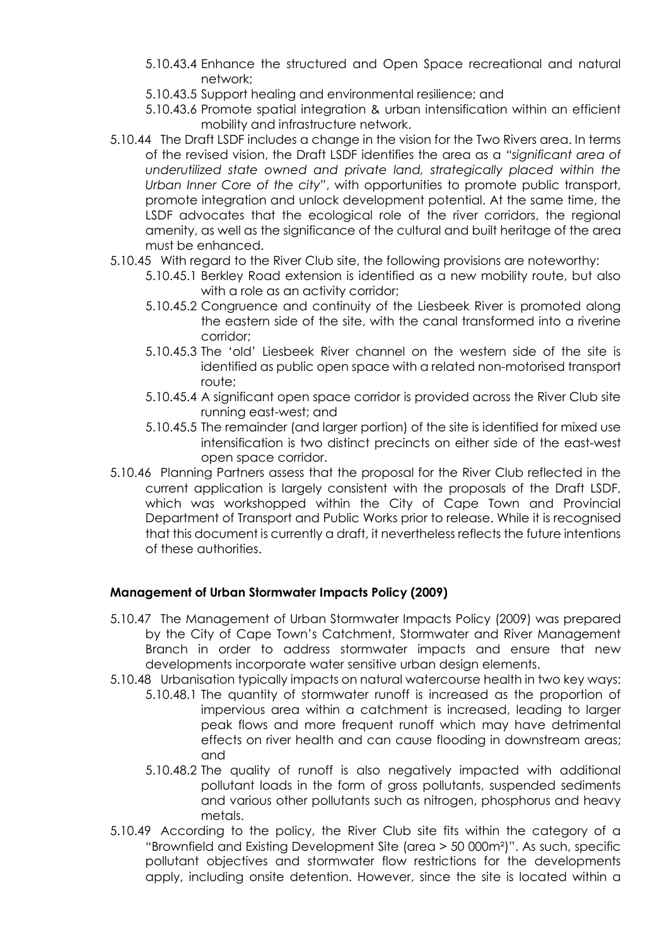- 5.10.43.4 Enhance the structured and Open Space recreational and natural network;
- 5.10.43.5 Support healing and environmental resilience; and
- 5.10.43.6 Promote spatial integration & urban intensification within an efficient mobility and infrastructure network.
- 5.10.44 The Draft LSDF includes a change in the vision for the Two Rivers area. In terms of the revised vision, the Draft LSDF identifies the area as a *"significant area of*  underutilized state owned and private land, strategically placed within the *Urban Inner Core of the city"*, with opportunities to promote public transport, promote integration and unlock development potential. At the same time, the LSDF advocates that the ecological role of the river corridors, the regional amenity, as well as the significance of the cultural and built heritage of the area must be enhanced.
- 5.10.45 With regard to the River Club site, the following provisions are noteworthy:
	- 5.10.45.1 Berkley Road extension is identified as a new mobility route, but also with a role as an activity corridor;
	- 5.10.45.2 Congruence and continuity of the Liesbeek River is promoted along the eastern side of the site, with the canal transformed into a riverine corridor;
	- 5.10.45.3 The 'old' Liesbeek River channel on the western side of the site is identified as public open space with a related non-motorised transport route;
	- 5.10.45.4 A significant open space corridor is provided across the River Club site running east-west; and
	- 5.10.45.5 The remainder (and larger portion) of the site is identified for mixed use intensification is two distinct precincts on either side of the east-west open space corridor.
- 5.10.46 Planning Partners assess that the proposal for the River Club reflected in the current application is largely consistent with the proposals of the Draft LSDF, which was workshopped within the City of Cape Town and Provincial Department of Transport and Public Works prior to release. While it is recognised that this document is currently a draft, it nevertheless reflects the future intentions of these authorities.

## **Management of Urban Stormwater Impacts Policy (2009)**

- 5.10.47 The Management of Urban Stormwater Impacts Policy (2009) was prepared by the City of Cape Town's Catchment, Stormwater and River Management Branch in order to address stormwater impacts and ensure that new developments incorporate water sensitive urban design elements.
- 5.10.48 Urbanisation typically impacts on natural watercourse health in two key ways:
	- 5.10.48.1 The quantity of stormwater runoff is increased as the proportion of impervious area within a catchment is increased, leading to larger peak flows and more frequent runoff which may have detrimental effects on river health and can cause flooding in downstream areas; and
	- 5.10.48.2 The quality of runoff is also negatively impacted with additional pollutant loads in the form of gross pollutants, suspended sediments and various other pollutants such as nitrogen, phosphorus and heavy metals.
- 5.10.49 According to the policy, the River Club site fits within the category of a "Brownfield and Existing Development Site (area > 50 000m²)". As such, specific pollutant objectives and stormwater flow restrictions for the developments apply, including onsite detention. However, since the site is located within a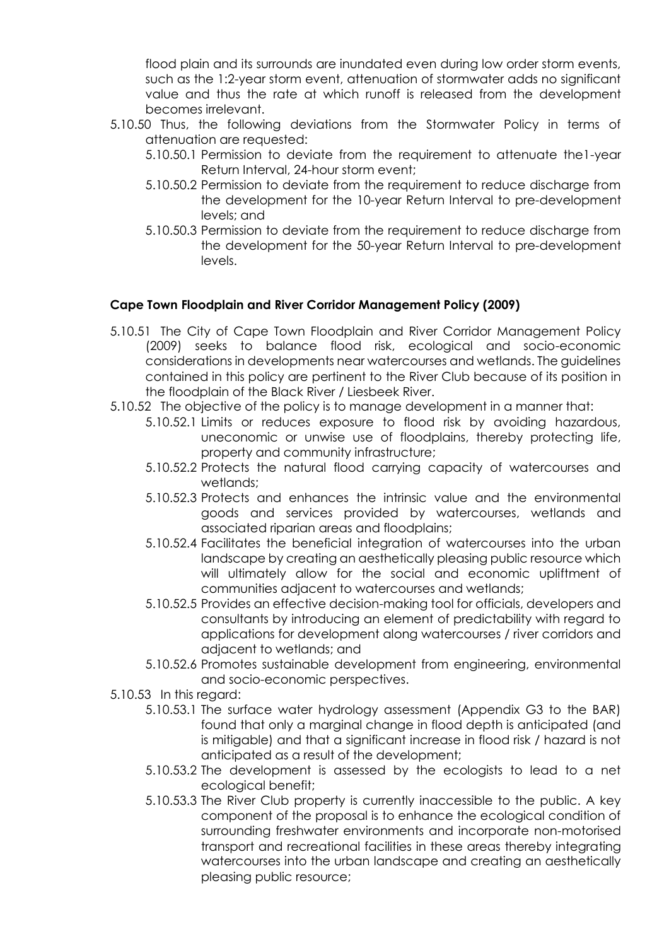flood plain and its surrounds are inundated even during low order storm events, such as the 1:2-year storm event, attenuation of stormwater adds no significant value and thus the rate at which runoff is released from the development becomes irrelevant.

- 5.10.50 Thus, the following deviations from the Stormwater Policy in terms of attenuation are requested:
	- 5.10.50.1 Permission to deviate from the requirement to attenuate the1-year Return Interval, 24-hour storm event;
	- 5.10.50.2 Permission to deviate from the requirement to reduce discharge from the development for the 10-year Return Interval to pre-development levels; and
	- 5.10.50.3 Permission to deviate from the requirement to reduce discharge from the development for the 50-year Return Interval to pre-development levels.

### **Cape Town Floodplain and River Corridor Management Policy (2009)**

- 5.10.51 The City of Cape Town Floodplain and River Corridor Management Policy (2009) seeks to balance flood risk, ecological and socio-economic considerations in developments near watercourses and wetlands. The guidelines contained in this policy are pertinent to the River Club because of its position in the floodplain of the Black River / Liesbeek River.
- 5.10.52 The objective of the policy is to manage development in a manner that:
	- 5.10.52.1 Limits or reduces exposure to flood risk by avoiding hazardous, uneconomic or unwise use of floodplains, thereby protecting life, property and community infrastructure;
	- 5.10.52.2 Protects the natural flood carrying capacity of watercourses and wetlands;
	- 5.10.52.3 Protects and enhances the intrinsic value and the environmental goods and services provided by watercourses, wetlands and associated riparian areas and floodplains;
	- 5.10.52.4 Facilitates the beneficial integration of watercourses into the urban landscape by creating an aesthetically pleasing public resource which will ultimately allow for the social and economic upliftment of communities adjacent to watercourses and wetlands;
	- 5.10.52.5 Provides an effective decision-making tool for officials, developers and consultants by introducing an element of predictability with regard to applications for development along watercourses / river corridors and adjacent to wetlands; and
	- 5.10.52.6 Promotes sustainable development from engineering, environmental and socio-economic perspectives.
- 5.10.53 In this regard:
	- 5.10.53.1 The surface water hydrology assessment (Appendix G3 to the BAR) found that only a marginal change in flood depth is anticipated (and is mitigable) and that a significant increase in flood risk / hazard is not anticipated as a result of the development;
	- 5.10.53.2 The development is assessed by the ecologists to lead to a net ecological benefit;
	- 5.10.53.3 The River Club property is currently inaccessible to the public. A key component of the proposal is to enhance the ecological condition of surrounding freshwater environments and incorporate non-motorised transport and recreational facilities in these areas thereby integrating watercourses into the urban landscape and creating an aesthetically pleasing public resource;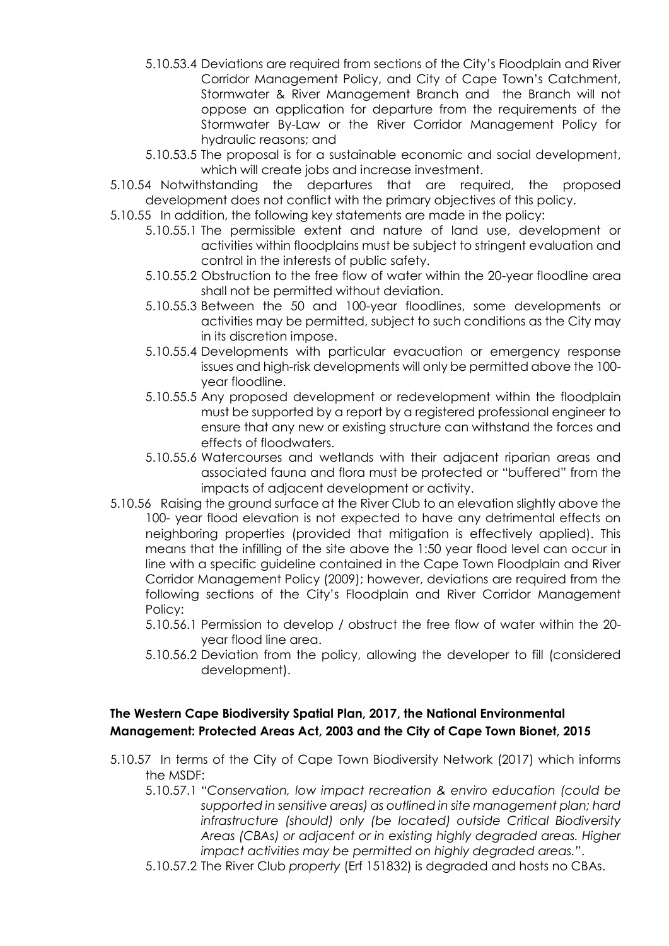- 5.10.53.4 Deviations are required from sections of the City's Floodplain and River Corridor Management Policy, and City of Cape Town's Catchment, Stormwater & River Management Branch and the Branch will not oppose an application for departure from the requirements of the Stormwater By-Law or the River Corridor Management Policy for hydraulic reasons; and
- 5.10.53.5 The proposal is for a sustainable economic and social development, which will create jobs and increase investment.
- 5.10.54 Notwithstanding the departures that are required, the proposed development does not conflict with the primary objectives of this policy.
- 5.10.55 In addition, the following key statements are made in the policy:
	- 5.10.55.1 The permissible extent and nature of land use, development or activities within floodplains must be subject to stringent evaluation and control in the interests of public safety.
	- 5.10.55.2 Obstruction to the free flow of water within the 20-year floodline area shall not be permitted without deviation.
	- 5.10.55.3 Between the 50 and 100-year floodlines, some developments or activities may be permitted, subject to such conditions as the City may in its discretion impose.
	- 5.10.55.4 Developments with particular evacuation or emergency response issues and high-risk developments will only be permitted above the 100 year floodline.
	- 5.10.55.5 Any proposed development or redevelopment within the floodplain must be supported by a report by a registered professional engineer to ensure that any new or existing structure can withstand the forces and effects of floodwaters.
	- 5.10.55.6 Watercourses and wetlands with their adjacent riparian areas and associated fauna and flora must be protected or "buffered" from the impacts of adjacent development or activity.
- 5.10.56 Raising the ground surface at the River Club to an elevation slightly above the 100- year flood elevation is not expected to have any detrimental effects on neighboring properties (provided that mitigation is effectively applied). This means that the infilling of the site above the 1:50 year flood level can occur in line with a specific guideline contained in the Cape Town Floodplain and River Corridor Management Policy (2009); however, deviations are required from the following sections of the City's Floodplain and River Corridor Management Policy:
	- 5.10.56.1 Permission to develop / obstruct the free flow of water within the 20 year flood line area.
	- 5.10.56.2 Deviation from the policy, allowing the developer to fill (considered development).

## **The Western Cape Biodiversity Spatial Plan, 2017, the National Environmental Management: Protected Areas Act, 2003 and the City of Cape Town Bionet, 2015**

- 5.10.57 In terms of the City of Cape Town Biodiversity Network (2017) which informs the MSDF:
	- 5.10.57.1 *"Conservation, low impact recreation & enviro education (could be supported in sensitive areas) as outlined in site management plan; hard infrastructure (should) only (be located) outside Critical Biodiversity Areas (CBAs) or adjacent or in existing highly degraded areas. Higher impact activities may be permitted on highly degraded areas."*.
	- 5.10.57.2 The River Club *property* (Erf 151832) is degraded and hosts no CBAs.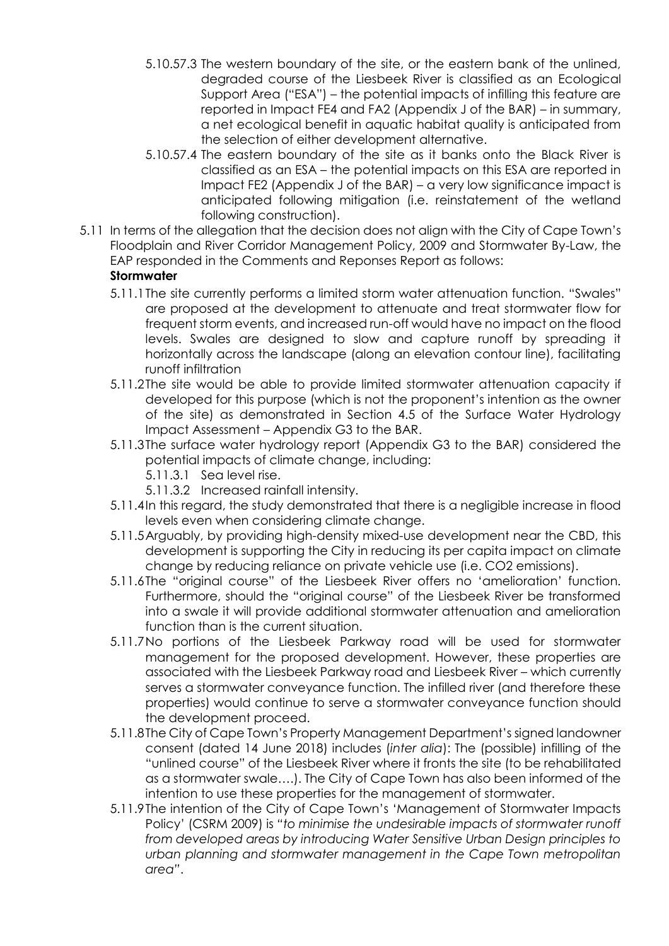- 5.10.57.3 The western boundary of the site, or the eastern bank of the unlined, degraded course of the Liesbeek River is classified as an Ecological Support Area ("ESA") – the potential impacts of infilling this feature are reported in Impact FE4 and FA2 (Appendix J of the BAR) – in summary, a net ecological benefit in aquatic habitat quality is anticipated from the selection of either development alternative.
- 5.10.57.4 The eastern boundary of the site as it banks onto the Black River is classified as an ESA – the potential impacts on this ESA are reported in Impact FE2 (Appendix J of the BAR) – a very low significance impact is anticipated following mitigation (i.e. reinstatement of the wetland following construction).
- 5.11 In terms of the allegation that the decision does not align with the City of Cape Town's Floodplain and River Corridor Management Policy, 2009 and Stormwater By-Law, the EAP responded in the Comments and Reponses Report as follows:

# **Stormwater**

- 5.11.1The site currently performs a limited storm water attenuation function. "Swales" are proposed at the development to attenuate and treat stormwater flow for frequent storm events, and increased run-off would have no impact on the flood levels. Swales are designed to slow and capture runoff by spreading it horizontally across the landscape (along an elevation contour line), facilitating runoff infiltration
- 5.11.2The site would be able to provide limited stormwater attenuation capacity if developed for this purpose (which is not the proponent's intention as the owner of the site) as demonstrated in Section 4.5 of the Surface Water Hydrology Impact Assessment – Appendix G3 to the BAR.
- 5.11.3The surface water hydrology report (Appendix G3 to the BAR) considered the potential impacts of climate change, including:
	- 5.11.3.1 Sea level rise.
	- 5.11.3.2 Increased rainfall intensity.
- 5.11.4In this regard, the study demonstrated that there is a negligible increase in flood levels even when considering climate change.
- 5.11.5Arguably, by providing high-density mixed-use development near the CBD, this development is supporting the City in reducing its per capita impact on climate change by reducing reliance on private vehicle use (i.e. CO2 emissions).
- 5.11.6The "original course" of the Liesbeek River offers no 'amelioration' function. Furthermore, should the "original course" of the Liesbeek River be transformed into a swale it will provide additional stormwater attenuation and amelioration function than is the current situation.
- 5.11.7No portions of the Liesbeek Parkway road will be used for stormwater management for the proposed development. However, these properties are associated with the Liesbeek Parkway road and Liesbeek River – which currently serves a stormwater conveyance function. The infilled river (and therefore these properties) would continue to serve a stormwater conveyance function should the development proceed.
- 5.11.8The City of Cape Town's Property Management Department's signed landowner consent (dated 14 June 2018) includes (*inter alia*): The (possible) infilling of the "unlined course" of the Liesbeek River where it fronts the site (to be rehabilitated as a stormwater swale….). The City of Cape Town has also been informed of the intention to use these properties for the management of stormwater.
- 5.11.9The intention of the City of Cape Town's 'Management of Stormwater Impacts Policy' (CSRM 2009) is *"to minimise the undesirable impacts of stormwater runoff from developed areas by introducing Water Sensitive Urban Design principles to urban planning and stormwater management in the Cape Town metropolitan area"*.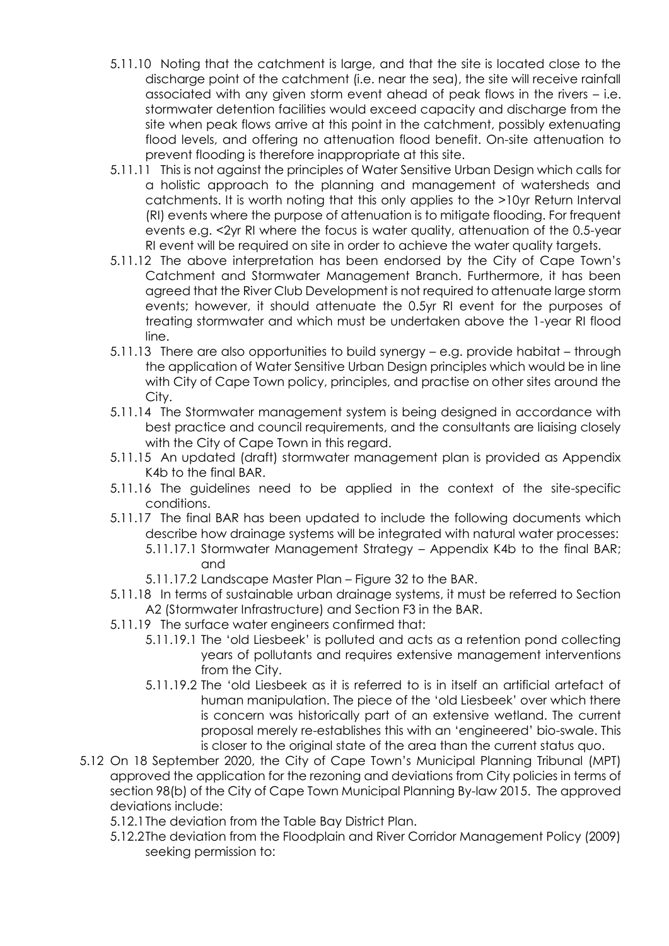- 5.11.10 Noting that the catchment is large, and that the site is located close to the discharge point of the catchment (i.e. near the sea), the site will receive rainfall associated with any given storm event ahead of peak flows in the rivers – i.e. stormwater detention facilities would exceed capacity and discharge from the site when peak flows arrive at this point in the catchment, possibly extenuating flood levels, and offering no attenuation flood benefit. On-site attenuation to prevent flooding is therefore inappropriate at this site.
- 5.11.11 This is not against the principles of Water Sensitive Urban Design which calls for a holistic approach to the planning and management of watersheds and catchments. It is worth noting that this only applies to the >10yr Return Interval (RI) events where the purpose of attenuation is to mitigate flooding. For frequent events e.g. <2yr RI where the focus is water quality, attenuation of the 0.5-year RI event will be required on site in order to achieve the water quality targets.
- 5.11.12 The above interpretation has been endorsed by the City of Cape Town's Catchment and Stormwater Management Branch. Furthermore, it has been agreed that the River Club Development is not required to attenuate large storm events; however, it should attenuate the 0.5yr RI event for the purposes of treating stormwater and which must be undertaken above the 1-year RI flood line.
- 5.11.13 There are also opportunities to build synergy e.g. provide habitat through the application of Water Sensitive Urban Design principles which would be in line with City of Cape Town policy, principles, and practise on other sites around the City.
- 5.11.14 The Stormwater management system is being designed in accordance with best practice and council requirements, and the consultants are liaising closely with the City of Cape Town in this regard.
- 5.11.15 An updated (draft) stormwater management plan is provided as Appendix K4b to the final BAR.
- 5.11.16 The guidelines need to be applied in the context of the site-specific conditions.
- 5.11.17 The final BAR has been updated to include the following documents which describe how drainage systems will be integrated with natural water processes:
	- 5.11.17.1 Stormwater Management Strategy Appendix K4b to the final BAR; and
	- 5.11.17.2 Landscape Master Plan Figure 32 to the BAR.
- 5.11.18 In terms of sustainable urban drainage systems, it must be referred to Section A2 (Stormwater Infrastructure) and Section F3 in the BAR.
- 5.11.19 The surface water engineers confirmed that:
	- 5.11.19.1 The 'old Liesbeek' is polluted and acts as a retention pond collecting years of pollutants and requires extensive management interventions from the City.
	- 5.11.19.2 The 'old Liesbeek as it is referred to is in itself an artificial artefact of human manipulation. The piece of the 'old Liesbeek' over which there is concern was historically part of an extensive wetland. The current proposal merely re-establishes this with an 'engineered' bio-swale. This is closer to the original state of the area than the current status quo.
- 5.12 On 18 September 2020, the City of Cape Town's Municipal Planning Tribunal (MPT) approved the application for the rezoning and deviations from City policies in terms of section 98(b) of the City of Cape Town Municipal Planning By-law 2015. The approved deviations include:
	- 5.12.1The deviation from the Table Bay District Plan.
	- 5.12.2The deviation from the Floodplain and River Corridor Management Policy (2009) seeking permission to: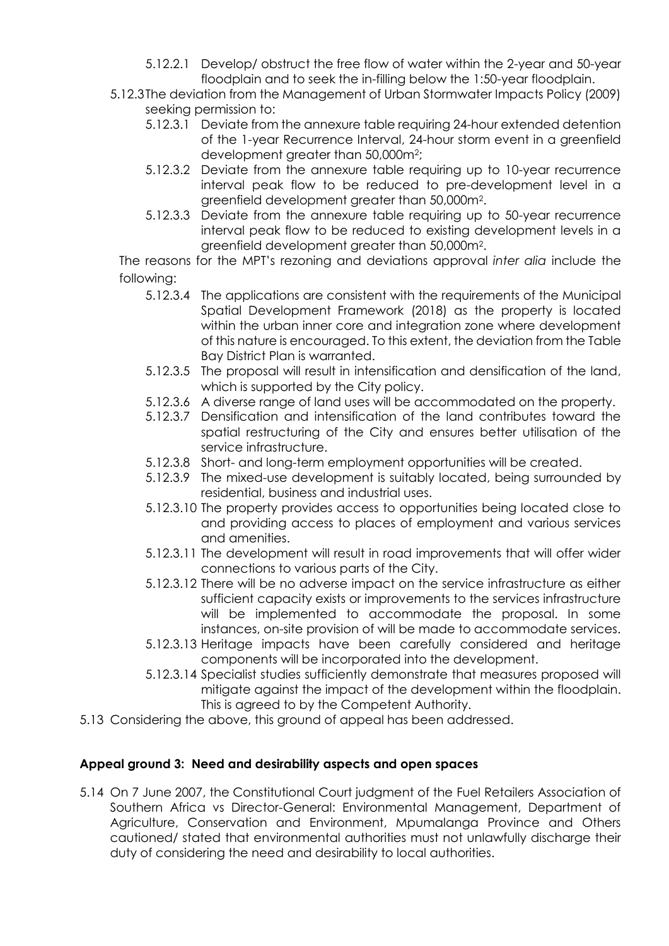- 5.12.2.1 Develop/ obstruct the free flow of water within the 2-year and 50-year floodplain and to seek the in-filling below the 1:50-year floodplain.
- 5.12.3The deviation from the Management of Urban Stormwater Impacts Policy (2009) seeking permission to:
	- 5.12.3.1 Deviate from the annexure table requiring 24-hour extended detention of the 1-year Recurrence Interval, 24-hour storm event in a greenfield development greater than 50,000m<sup>2</sup>;
	- 5.12.3.2 Deviate from the annexure table requiring up to 10-year recurrence interval peak flow to be reduced to pre-development level in a greenfield development greater than 50,000m<sup>2</sup> .
	- 5.12.3.3 Deviate from the annexure table requiring up to 50-year recurrence interval peak flow to be reduced to existing development levels in a greenfield development greater than 50,000m<sup>2</sup> .

The reasons for the MPT's rezoning and deviations approval *inter alia* include the following:

- 5.12.3.4 The applications are consistent with the requirements of the Municipal Spatial Development Framework (2018) as the property is located within the urban inner core and integration zone where development of this nature is encouraged. To this extent, the deviation from the Table Bay District Plan is warranted.
- 5.12.3.5 The proposal will result in intensification and densification of the land, which is supported by the City policy.
- 5.12.3.6 A diverse range of land uses will be accommodated on the property.
- 5.12.3.7 Densification and intensification of the land contributes toward the spatial restructuring of the City and ensures better utilisation of the service infrastructure.
- 5.12.3.8 Short- and long-term employment opportunities will be created.
- 5.12.3.9 The mixed-use development is suitably located, being surrounded by residential, business and industrial uses.
- 5.12.3.10 The property provides access to opportunities being located close to and providing access to places of employment and various services and amenities.
- 5.12.3.11 The development will result in road improvements that will offer wider connections to various parts of the City.
- 5.12.3.12 There will be no adverse impact on the service infrastructure as either sufficient capacity exists or improvements to the services infrastructure will be implemented to accommodate the proposal. In some instances, on-site provision of will be made to accommodate services.
- 5.12.3.13 Heritage impacts have been carefully considered and heritage components will be incorporated into the development.
- 5.12.3.14 Specialist studies sufficiently demonstrate that measures proposed will mitigate against the impact of the development within the floodplain. This is agreed to by the Competent Authority.
- 5.13 Considering the above, this ground of appeal has been addressed.

## **Appeal ground 3: Need and desirability aspects and open spaces**

5.14 On 7 June 2007, the Constitutional Court judgment of the Fuel Retailers Association of Southern Africa vs Director-General: Environmental Management, Department of Agriculture, Conservation and Environment, Mpumalanga Province and Others cautioned/ stated that environmental authorities must not unlawfully discharge their duty of considering the need and desirability to local authorities.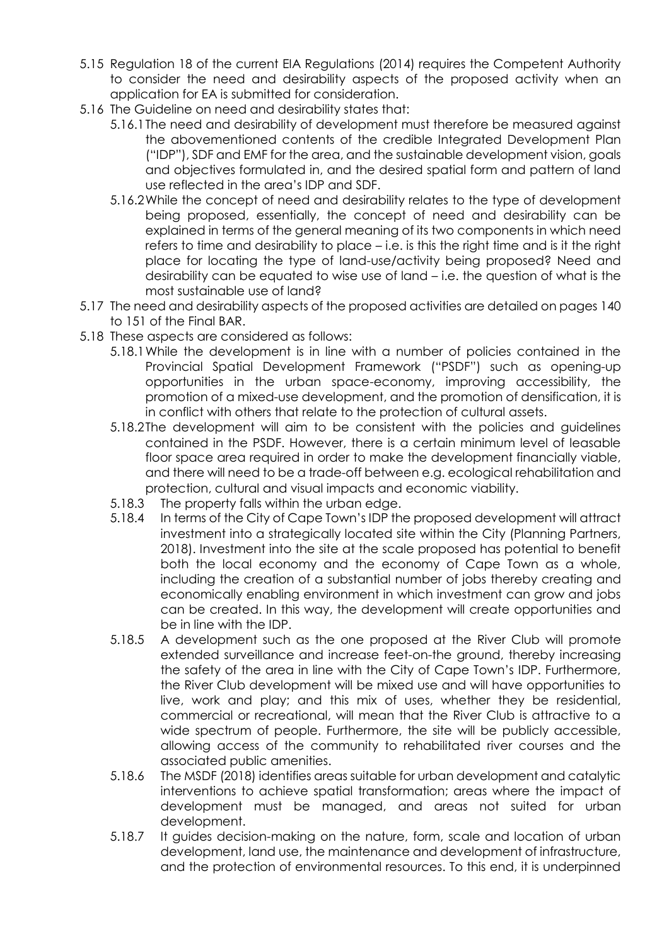- 5.15 Regulation 18 of the current EIA Regulations (2014) requires the Competent Authority to consider the need and desirability aspects of the proposed activity when an application for EA is submitted for consideration.
- 5.16 The Guideline on need and desirability states that:
	- 5.16.1The need and desirability of development must therefore be measured against the abovementioned contents of the credible Integrated Development Plan ("IDP"), SDF and EMF for the area, and the sustainable development vision, goals and objectives formulated in, and the desired spatial form and pattern of land use reflected in the area's IDP and SDF.
	- 5.16.2While the concept of need and desirability relates to the type of development being proposed, essentially, the concept of need and desirability can be explained in terms of the general meaning of its two components in which need refers to time and desirability to place – i.e. is this the right time and is it the right place for locating the type of land-use/activity being proposed? Need and desirability can be equated to wise use of land – i.e. the question of what is the most sustainable use of land?
- 5.17 The need and desirability aspects of the proposed activities are detailed on pages 140 to 151 of the Final BAR.
- 5.18 These aspects are considered as follows:
	- 5.18.1While the development is in line with a number of policies contained in the Provincial Spatial Development Framework ("PSDF") such as opening-up opportunities in the urban space-economy, improving accessibility, the promotion of a mixed-use development, and the promotion of densification, it is in conflict with others that relate to the protection of cultural assets.
	- 5.18.2The development will aim to be consistent with the policies and guidelines contained in the PSDF. However, there is a certain minimum level of leasable floor space area required in order to make the development financially viable, and there will need to be a trade-off between e.g. ecological rehabilitation and protection, cultural and visual impacts and economic viability.
	- 5.18.3 The property falls within the urban edge.
	- 5.18.4 In terms of the City of Cape Town's IDP the proposed development will attract investment into a strategically located site within the City (Planning Partners, 2018). Investment into the site at the scale proposed has potential to benefit both the local economy and the economy of Cape Town as a whole, including the creation of a substantial number of jobs thereby creating and economically enabling environment in which investment can grow and jobs can be created. In this way, the development will create opportunities and be in line with the IDP.
	- 5.18.5 A development such as the one proposed at the River Club will promote extended surveillance and increase feet-on-the ground, thereby increasing the safety of the area in line with the City of Cape Town's IDP. Furthermore, the River Club development will be mixed use and will have opportunities to live, work and play; and this mix of uses, whether they be residential, commercial or recreational, will mean that the River Club is attractive to a wide spectrum of people. Furthermore, the site will be publicly accessible, allowing access of the community to rehabilitated river courses and the associated public amenities.
	- 5.18.6 The MSDF (2018) identifies areas suitable for urban development and catalytic interventions to achieve spatial transformation; areas where the impact of development must be managed, and areas not suited for urban development.
	- 5.18.7 It guides decision-making on the nature, form, scale and location of urban development, land use, the maintenance and development of infrastructure, and the protection of environmental resources. To this end, it is underpinned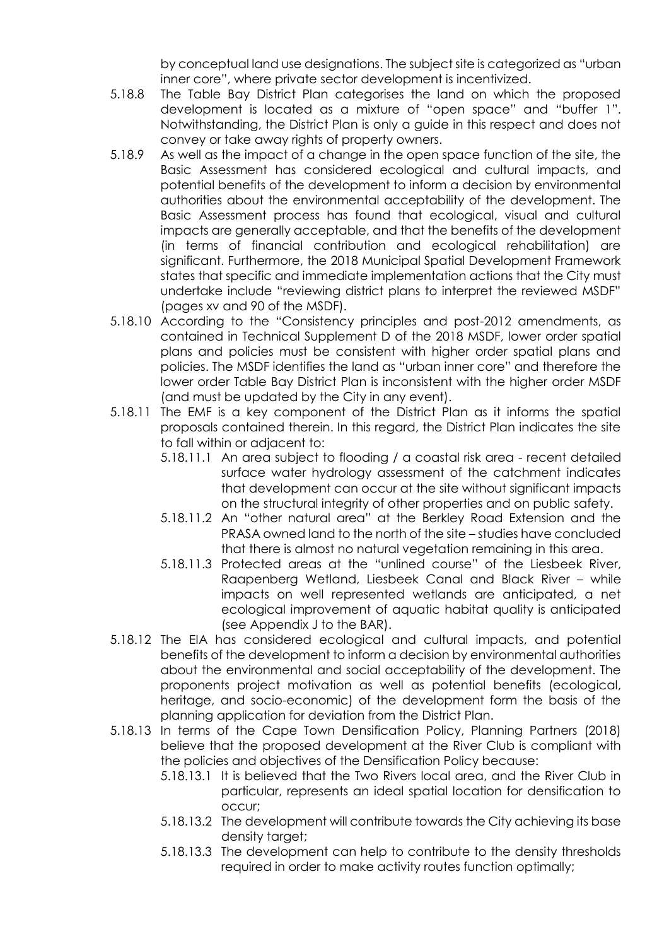by conceptual land use designations. The subject site is categorized as "urban inner core", where private sector development is incentivized.

- 5.18.8 The Table Bay District Plan categorises the land on which the proposed development is located as a mixture of "open space" and "buffer 1". Notwithstanding, the District Plan is only a guide in this respect and does not convey or take away rights of property owners.
- 5.18.9 As well as the impact of a change in the open space function of the site, the Basic Assessment has considered ecological and cultural impacts, and potential benefits of the development to inform a decision by environmental authorities about the environmental acceptability of the development. The Basic Assessment process has found that ecological, visual and cultural impacts are generally acceptable, and that the benefits of the development (in terms of financial contribution and ecological rehabilitation) are significant. Furthermore, the 2018 Municipal Spatial Development Framework states that specific and immediate implementation actions that the City must undertake include "reviewing district plans to interpret the reviewed MSDF" (pages xv and 90 of the MSDF).
- 5.18.10 According to the "Consistency principles and post-2012 amendments, as contained in Technical Supplement D of the 2018 MSDF, lower order spatial plans and policies must be consistent with higher order spatial plans and policies. The MSDF identifies the land as "urban inner core" and therefore the lower order Table Bay District Plan is inconsistent with the higher order MSDF (and must be updated by the City in any event).
- 5.18.11 The EMF is a key component of the District Plan as it informs the spatial proposals contained therein. In this regard, the District Plan indicates the site to fall within or adjacent to:
	- 5.18.11.1 An area subject to flooding / a coastal risk area recent detailed surface water hydrology assessment of the catchment indicates that development can occur at the site without significant impacts on the structural integrity of other properties and on public safety.
	- 5.18.11.2 An "other natural area" at the Berkley Road Extension and the PRASA owned land to the north of the site – studies have concluded that there is almost no natural vegetation remaining in this area.
	- 5.18.11.3 Protected areas at the "unlined course" of the Liesbeek River, Raapenberg Wetland, Liesbeek Canal and Black River – while impacts on well represented wetlands are anticipated, a net ecological improvement of aquatic habitat quality is anticipated (see Appendix J to the BAR).
- 5.18.12 The EIA has considered ecological and cultural impacts, and potential benefits of the development to inform a decision by environmental authorities about the environmental and social acceptability of the development. The proponents project motivation as well as potential benefits (ecological, heritage, and socio-economic) of the development form the basis of the planning application for deviation from the District Plan.
- 5.18.13 In terms of the Cape Town Densification Policy, Planning Partners (2018) believe that the proposed development at the River Club is compliant with the policies and objectives of the Densification Policy because:
	- 5.18.13.1 It is believed that the Two Rivers local area, and the River Club in particular, represents an ideal spatial location for densification to occur;
	- 5.18.13.2 The development will contribute towards the City achieving its base density target;
	- 5.18.13.3 The development can help to contribute to the density thresholds required in order to make activity routes function optimally;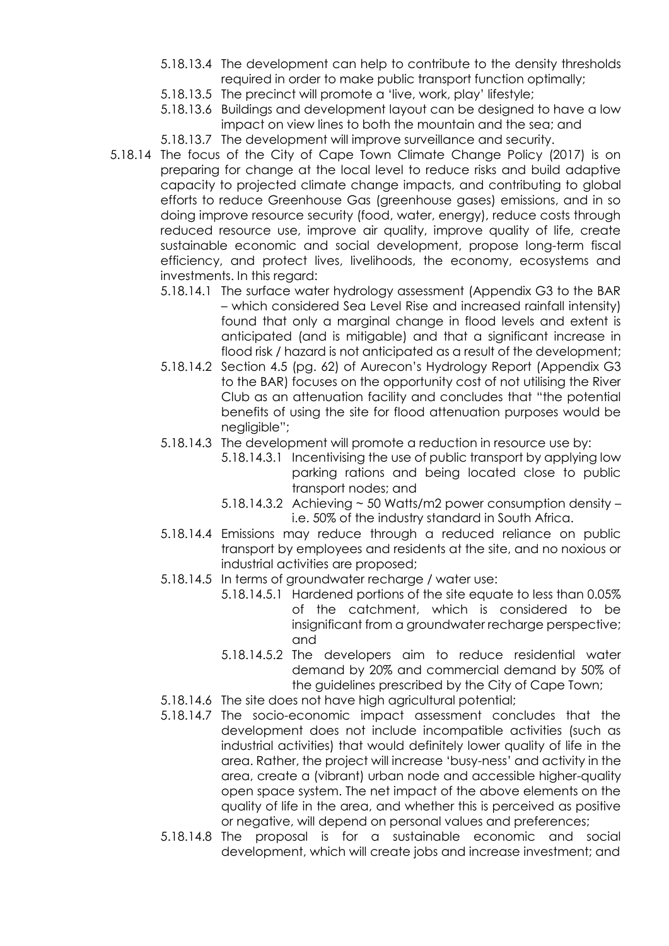- 5.18.13.4 The development can help to contribute to the density thresholds required in order to make public transport function optimally;
- 5.18.13.5 The precinct will promote a 'live, work, play' lifestyle;
- 5.18.13.6 Buildings and development layout can be designed to have a low impact on view lines to both the mountain and the sea; and
- 5.18.13.7 The development will improve surveillance and security.
- 5.18.14 The focus of the City of Cape Town Climate Change Policy (2017) is on preparing for change at the local level to reduce risks and build adaptive capacity to projected climate change impacts, and contributing to global efforts to reduce Greenhouse Gas (greenhouse gases) emissions, and in so doing improve resource security (food, water, energy), reduce costs through reduced resource use, improve air quality, improve quality of life, create sustainable economic and social development, propose long-term fiscal efficiency, and protect lives, livelihoods, the economy, ecosystems and investments. In this regard:
	- 5.18.14.1 The surface water hydrology assessment (Appendix G3 to the BAR – which considered Sea Level Rise and increased rainfall intensity) found that only a marginal change in flood levels and extent is anticipated (and is mitigable) and that a significant increase in flood risk / hazard is not anticipated as a result of the development;
	- 5.18.14.2 Section 4.5 (pg. 62) of Aurecon's Hydrology Report (Appendix G3 to the BAR) focuses on the opportunity cost of not utilising the River Club as an attenuation facility and concludes that "the potential benefits of using the site for flood attenuation purposes would be negligible";
	- 5.18.14.3 The development will promote a reduction in resource use by:
		- 5.18.14.3.1 Incentivising the use of public transport by applying low parking rations and being located close to public transport nodes; and
		- 5.18.14.3.2 Achieving ~ 50 Watts/m2 power consumption density i.e. 50% of the industry standard in South Africa.
	- 5.18.14.4 Emissions may reduce through a reduced reliance on public transport by employees and residents at the site, and no noxious or industrial activities are proposed;
	- 5.18.14.5 In terms of groundwater recharge / water use:
		- 5.18.14.5.1 Hardened portions of the site equate to less than 0.05% of the catchment, which is considered to be insignificant from a groundwater recharge perspective; and
		- 5.18.14.5.2 The developers aim to reduce residential water demand by 20% and commercial demand by 50% of the guidelines prescribed by the City of Cape Town;
	- 5.18.14.6 The site does not have high agricultural potential;
	- 5.18.14.7 The socio-economic impact assessment concludes that the development does not include incompatible activities (such as industrial activities) that would definitely lower quality of life in the area. Rather, the project will increase 'busy-ness' and activity in the area, create a (vibrant) urban node and accessible higher-quality open space system. The net impact of the above elements on the quality of life in the area, and whether this is perceived as positive or negative, will depend on personal values and preferences;
	- 5.18.14.8 The proposal is for a sustainable economic and social development, which will create jobs and increase investment; and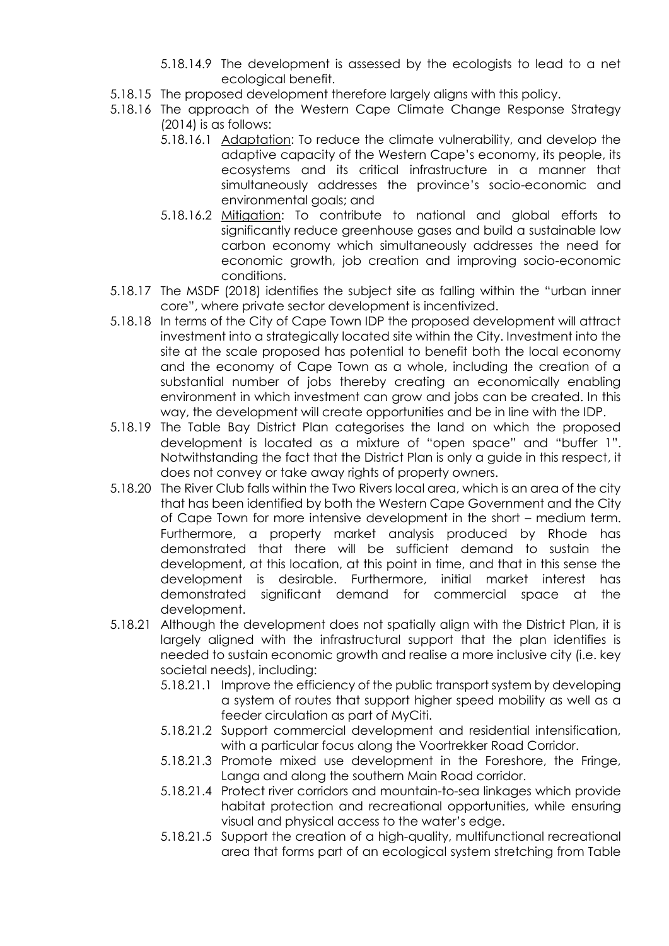- 5.18.14.9 The development is assessed by the ecologists to lead to a net ecological benefit.
- 5.18.15 The proposed development therefore largely aligns with this policy.
- 5.18.16 The approach of the Western Cape Climate Change Response Strategy (2014) is as follows:
	- 5.18.16.1 Adaptation: To reduce the climate vulnerability, and develop the adaptive capacity of the Western Cape's economy, its people, its ecosystems and its critical infrastructure in a manner that simultaneously addresses the province's socio-economic and environmental goals; and
	- 5.18.16.2 Mitigation: To contribute to national and global efforts to significantly reduce greenhouse gases and build a sustainable low carbon economy which simultaneously addresses the need for economic growth, job creation and improving socio-economic conditions.
- 5.18.17 The MSDF (2018) identifies the subject site as falling within the "urban inner core", where private sector development is incentivized.
- 5.18.18 In terms of the City of Cape Town IDP the proposed development will attract investment into a strategically located site within the City. Investment into the site at the scale proposed has potential to benefit both the local economy and the economy of Cape Town as a whole, including the creation of a substantial number of jobs thereby creating an economically enabling environment in which investment can grow and jobs can be created. In this way, the development will create opportunities and be in line with the IDP.
- 5.18.19 The Table Bay District Plan categorises the land on which the proposed development is located as a mixture of "open space" and "buffer 1". Notwithstanding the fact that the District Plan is only a guide in this respect, it does not convey or take away rights of property owners.
- 5.18.20 The River Club falls within the Two Rivers local area, which is an area of the city that has been identified by both the Western Cape Government and the City of Cape Town for more intensive development in the short – medium term. Furthermore, a property market analysis produced by Rhode has demonstrated that there will be sufficient demand to sustain the development, at this location, at this point in time, and that in this sense the development is desirable. Furthermore, initial market interest has demonstrated significant demand for commercial space at the development.
- 5.18.21 Although the development does not spatially align with the District Plan, it is largely aligned with the infrastructural support that the plan identifies is needed to sustain economic growth and realise a more inclusive city (i.e. key societal needs), including:
	- 5.18.21.1 Improve the efficiency of the public transport system by developing a system of routes that support higher speed mobility as well as a feeder circulation as part of MyCiti.
	- 5.18.21.2 Support commercial development and residential intensification, with a particular focus along the Voortrekker Road Corridor.
	- 5.18.21.3 Promote mixed use development in the Foreshore, the Fringe, Langa and along the southern Main Road corridor.
	- 5.18.21.4 Protect river corridors and mountain-to-sea linkages which provide habitat protection and recreational opportunities, while ensuring visual and physical access to the water's edge.
	- 5.18.21.5 Support the creation of a high-quality, multifunctional recreational area that forms part of an ecological system stretching from Table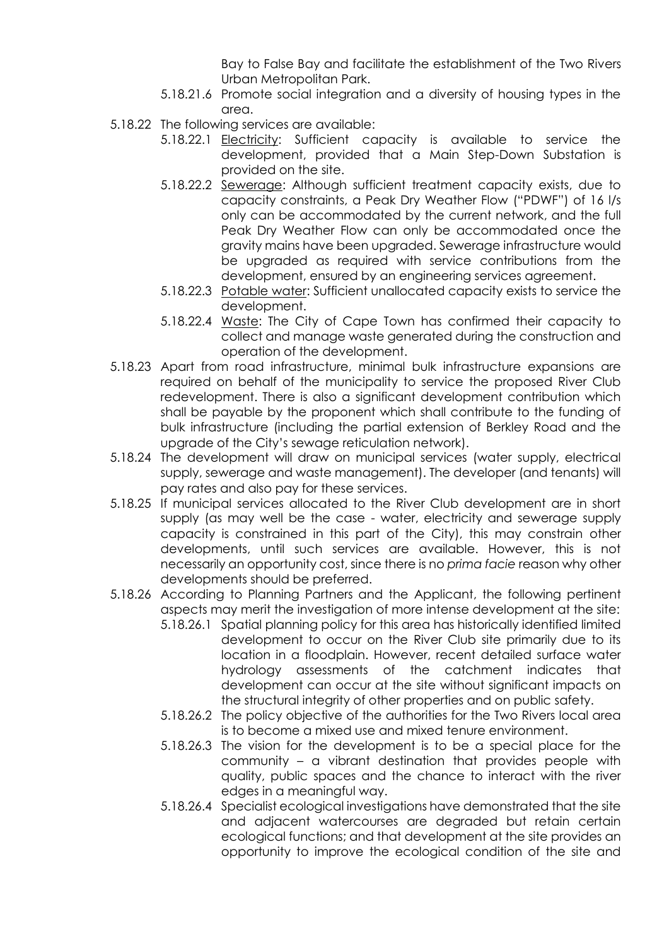Bay to False Bay and facilitate the establishment of the Two Rivers Urban Metropolitan Park.

- 5.18.21.6 Promote social integration and a diversity of housing types in the area.
- 5.18.22 The following services are available:
	- 5.18.22.1 **Electricity:** Sufficient capacity is available to service the development, provided that a Main Step-Down Substation is provided on the site.
	- 5.18.22.2 Sewerage: Although sufficient treatment capacity exists, due to capacity constraints, a Peak Dry Weather Flow ("PDWF") of 16 l/s only can be accommodated by the current network, and the full Peak Dry Weather Flow can only be accommodated once the gravity mains have been upgraded. Sewerage infrastructure would be upgraded as required with service contributions from the development, ensured by an engineering services agreement.
	- 5.18.22.3 Potable water: Sufficient unallocated capacity exists to service the development.
	- 5.18.22.4 Waste: The City of Cape Town has confirmed their capacity to collect and manage waste generated during the construction and operation of the development.
- 5.18.23 Apart from road infrastructure, minimal bulk infrastructure expansions are required on behalf of the municipality to service the proposed River Club redevelopment. There is also a significant development contribution which shall be payable by the proponent which shall contribute to the funding of bulk infrastructure (including the partial extension of Berkley Road and the upgrade of the City's sewage reticulation network).
- 5.18.24 The development will draw on municipal services (water supply, electrical supply, sewerage and waste management). The developer (and tenants) will pay rates and also pay for these services.
- 5.18.25 If municipal services allocated to the River Club development are in short supply (as may well be the case - water, electricity and sewerage supply capacity is constrained in this part of the City), this may constrain other developments, until such services are available. However, this is not necessarily an opportunity cost, since there is no *prima facie* reason why other developments should be preferred.
- 5.18.26 According to Planning Partners and the Applicant, the following pertinent aspects may merit the investigation of more intense development at the site:
	- 5.18.26.1 Spatial planning policy for this area has historically identified limited development to occur on the River Club site primarily due to its location in a floodplain. However, recent detailed surface water hydrology assessments of the catchment indicates that development can occur at the site without significant impacts on the structural integrity of other properties and on public safety.
	- 5.18.26.2 The policy objective of the authorities for the Two Rivers local area is to become a mixed use and mixed tenure environment.
	- 5.18.26.3 The vision for the development is to be a special place for the community – a vibrant destination that provides people with quality, public spaces and the chance to interact with the river edges in a meaningful way.
	- 5.18.26.4 Specialist ecological investigations have demonstrated that the site and adjacent watercourses are degraded but retain certain ecological functions; and that development at the site provides an opportunity to improve the ecological condition of the site and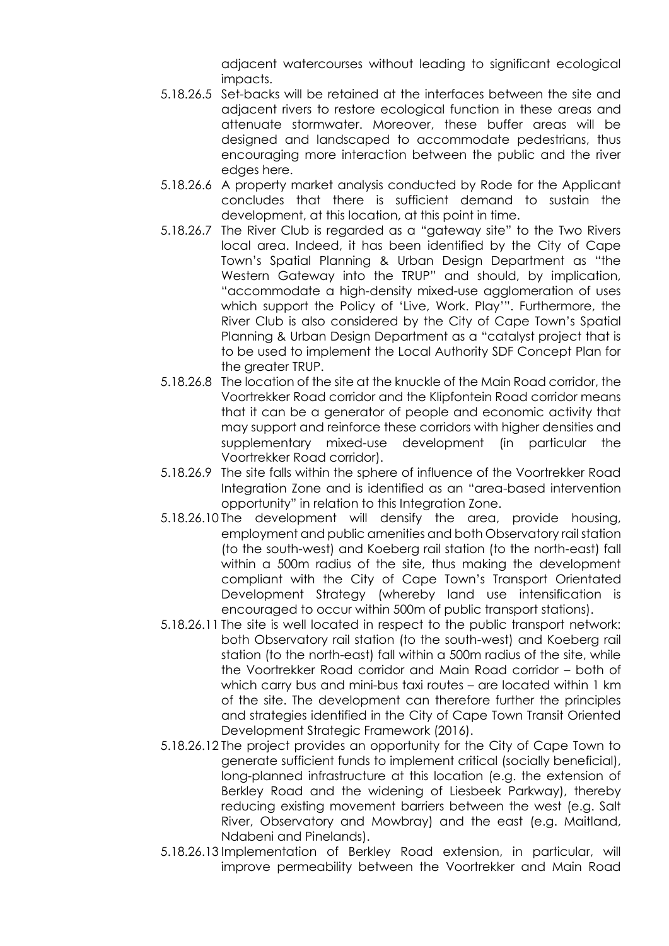adjacent watercourses without leading to significant ecological impacts.

- 5.18.26.5 Set-backs will be retained at the interfaces between the site and adjacent rivers to restore ecological function in these areas and attenuate stormwater. Moreover, these buffer areas will be designed and landscaped to accommodate pedestrians, thus encouraging more interaction between the public and the river edges here.
- 5.18.26.6 A property market analysis conducted by Rode for the Applicant concludes that there is sufficient demand to sustain the development, at this location, at this point in time.
- 5.18.26.7 The River Club is regarded as a "gateway site" to the Two Rivers local area. Indeed, it has been identified by the City of Cape Town's Spatial Planning & Urban Design Department as "the Western Gateway into the TRUP" and should, by implication, "accommodate a high-density mixed-use agglomeration of uses which support the Policy of 'Live, Work. Play'". Furthermore, the River Club is also considered by the City of Cape Town's Spatial Planning & Urban Design Department as a "catalyst project that is to be used to implement the Local Authority SDF Concept Plan for the greater TRUP.
- 5.18.26.8 The location of the site at the knuckle of the Main Road corridor, the Voortrekker Road corridor and the Klipfontein Road corridor means that it can be a generator of people and economic activity that may support and reinforce these corridors with higher densities and supplementary mixed-use development (in particular the Voortrekker Road corridor).
- 5.18.26.9 The site falls within the sphere of influence of the Voortrekker Road Integration Zone and is identified as an "area-based intervention opportunity" in relation to this Integration Zone.
- 5.18.26.10 The development will densify the area, provide housing, employment and public amenities and both Observatory rail station (to the south-west) and Koeberg rail station (to the north-east) fall within a 500m radius of the site, thus making the development compliant with the City of Cape Town's Transport Orientated Development Strategy (whereby land use intensification is encouraged to occur within 500m of public transport stations).
- 5.18.26.11 The site is well located in respect to the public transport network: both Observatory rail station (to the south-west) and Koeberg rail station (to the north-east) fall within a 500m radius of the site, while the Voortrekker Road corridor and Main Road corridor – both of which carry bus and mini-bus taxi routes – are located within 1 km of the site. The development can therefore further the principles and strategies identified in the City of Cape Town Transit Oriented Development Strategic Framework (2016).
- 5.18.26.12 The project provides an opportunity for the City of Cape Town to generate sufficient funds to implement critical (socially beneficial), long-planned infrastructure at this location (e.g. the extension of Berkley Road and the widening of Liesbeek Parkway), thereby reducing existing movement barriers between the west (e.g. Salt River, Observatory and Mowbray) and the east (e.g. Maitland, Ndabeni and Pinelands).
- 5.18.26.13 Implementation of Berkley Road extension, in particular, will improve permeability between the Voortrekker and Main Road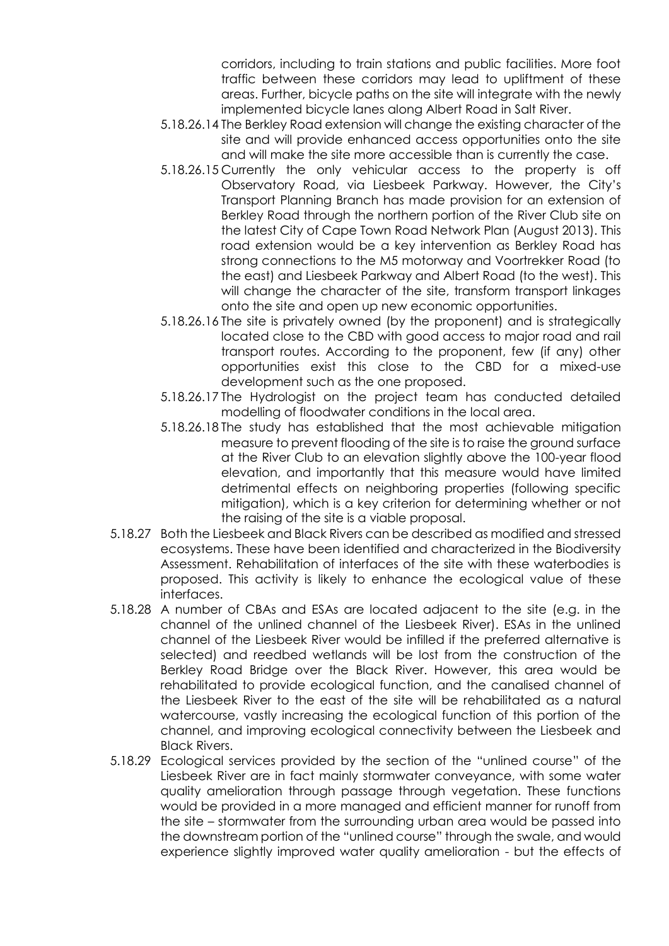corridors, including to train stations and public facilities. More foot traffic between these corridors may lead to upliftment of these areas. Further, bicycle paths on the site will integrate with the newly implemented bicycle lanes along Albert Road in Salt River.

- 5.18.26.14 The Berkley Road extension will change the existing character of the site and will provide enhanced access opportunities onto the site and will make the site more accessible than is currently the case.
- 5.18.26.15 Currently the only vehicular access to the property is off Observatory Road, via Liesbeek Parkway. However, the City's Transport Planning Branch has made provision for an extension of Berkley Road through the northern portion of the River Club site on the latest City of Cape Town Road Network Plan (August 2013). This road extension would be a key intervention as Berkley Road has strong connections to the M5 motorway and Voortrekker Road (to the east) and Liesbeek Parkway and Albert Road (to the west). This will change the character of the site, transform transport linkages onto the site and open up new economic opportunities.
- 5.18.26.16 The site is privately owned (by the proponent) and is strategically located close to the CBD with good access to major road and rail transport routes. According to the proponent, few (if any) other opportunities exist this close to the CBD for a mixed-use development such as the one proposed.
- 5.18.26.17 The Hydrologist on the project team has conducted detailed modelling of floodwater conditions in the local area.
- 5.18.26.18 The study has established that the most achievable mitigation measure to prevent flooding of the site is to raise the ground surface at the River Club to an elevation slightly above the 100-year flood elevation, and importantly that this measure would have limited detrimental effects on neighboring properties (following specific mitigation), which is a key criterion for determining whether or not the raising of the site is a viable proposal.
- 5.18.27 Both the Liesbeek and Black Rivers can be described as modified and stressed ecosystems. These have been identified and characterized in the Biodiversity Assessment. Rehabilitation of interfaces of the site with these waterbodies is proposed. This activity is likely to enhance the ecological value of these interfaces.
- 5.18.28 A number of CBAs and ESAs are located adjacent to the site (e.g. in the channel of the unlined channel of the Liesbeek River). ESAs in the unlined channel of the Liesbeek River would be infilled if the preferred alternative is selected) and reedbed wetlands will be lost from the construction of the Berkley Road Bridge over the Black River. However, this area would be rehabilitated to provide ecological function, and the canalised channel of the Liesbeek River to the east of the site will be rehabilitated as a natural watercourse, vastly increasing the ecological function of this portion of the channel, and improving ecological connectivity between the Liesbeek and Black Rivers.
- 5.18.29 Ecological services provided by the section of the "unlined course" of the Liesbeek River are in fact mainly stormwater conveyance, with some water quality amelioration through passage through vegetation. These functions would be provided in a more managed and efficient manner for runoff from the site – stormwater from the surrounding urban area would be passed into the downstream portion of the "unlined course" through the swale, and would experience slightly improved water quality amelioration - but the effects of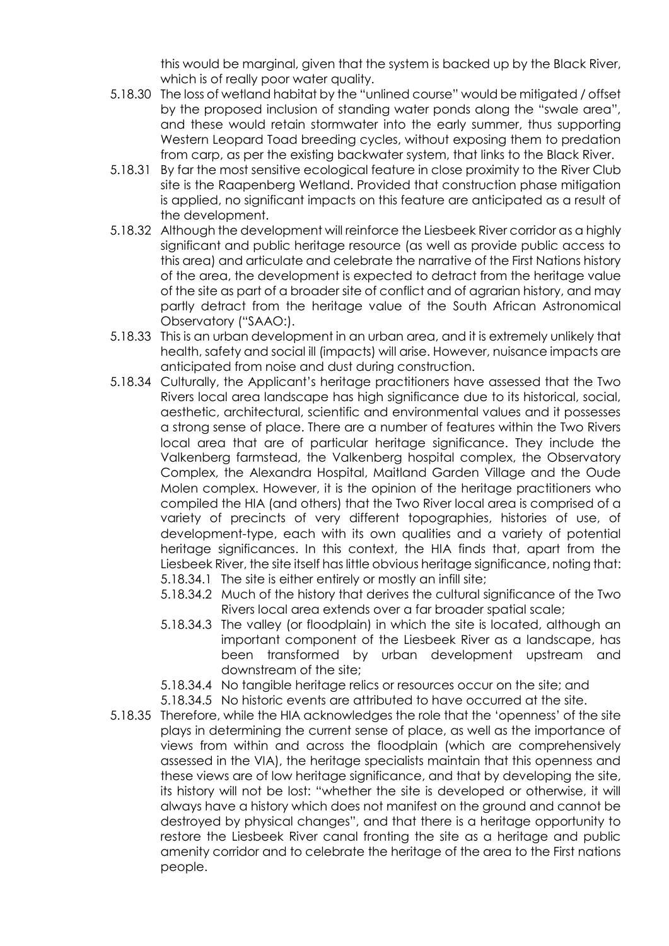this would be marginal, given that the system is backed up by the Black River, which is of really poor water quality.

- 5.18.30 The loss of wetland habitat by the "unlined course" would be mitigated / offset by the proposed inclusion of standing water ponds along the "swale area", and these would retain stormwater into the early summer, thus supporting Western Leopard Toad breeding cycles, without exposing them to predation from carp, as per the existing backwater system, that links to the Black River.
- 5.18.31 By far the most sensitive ecological feature in close proximity to the River Club site is the Raapenberg Wetland. Provided that construction phase mitigation is applied, no significant impacts on this feature are anticipated as a result of the development.
- 5.18.32 Although the development will reinforce the Liesbeek River corridor as a highly significant and public heritage resource (as well as provide public access to this area) and articulate and celebrate the narrative of the First Nations history of the area, the development is expected to detract from the heritage value of the site as part of a broader site of conflict and of agrarian history, and may partly detract from the heritage value of the South African Astronomical Observatory ("SAAO:).
- 5.18.33 This is an urban development in an urban area, and it is extremely unlikely that health, safety and social ill (impacts) will arise. However, nuisance impacts are anticipated from noise and dust during construction.
- 5.18.34 Culturally, the Applicant's heritage practitioners have assessed that the Two Rivers local area landscape has high significance due to its historical, social, aesthetic, architectural, scientific and environmental values and it possesses a strong sense of place. There are a number of features within the Two Rivers local area that are of particular heritage significance. They include the Valkenberg farmstead, the Valkenberg hospital complex, the Observatory Complex, the Alexandra Hospital, Maitland Garden Village and the Oude Molen complex. However, it is the opinion of the heritage practitioners who compiled the HIA (and others) that the Two River local area is comprised of a variety of precincts of very different topographies, histories of use, of development-type, each with its own qualities and a variety of potential heritage significances. In this context, the HIA finds that, apart from the Liesbeek River, the site itself has little obvious heritage significance, noting that:
	- 5.18.34.1 The site is either entirely or mostly an infill site;
	- 5.18.34.2 Much of the history that derives the cultural significance of the Two Rivers local area extends over a far broader spatial scale;
	- 5.18.34.3 The valley (or floodplain) in which the site is located, although an important component of the Liesbeek River as a landscape, has been transformed by urban development upstream and downstream of the site;
	- 5.18.34.4 No tangible heritage relics or resources occur on the site; and
	- 5.18.34.5 No historic events are attributed to have occurred at the site.
- 5.18.35 Therefore, while the HIA acknowledges the role that the 'openness' of the site plays in determining the current sense of place, as well as the importance of views from within and across the floodplain (which are comprehensively assessed in the VIA), the heritage specialists maintain that this openness and these views are of low heritage significance, and that by developing the site, its history will not be lost: "whether the site is developed or otherwise, it will always have a history which does not manifest on the ground and cannot be destroyed by physical changes", and that there is a heritage opportunity to restore the Liesbeek River canal fronting the site as a heritage and public amenity corridor and to celebrate the heritage of the area to the First nations people.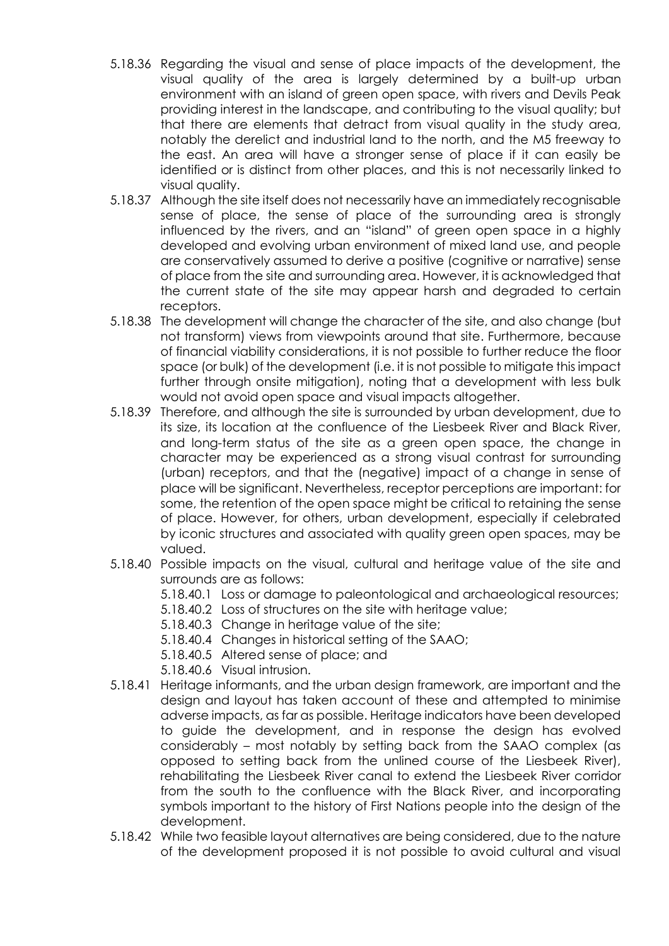- 5.18.36 Regarding the visual and sense of place impacts of the development, the visual quality of the area is largely determined by a built-up urban environment with an island of green open space, with rivers and Devils Peak providing interest in the landscape, and contributing to the visual quality; but that there are elements that detract from visual quality in the study area, notably the derelict and industrial land to the north, and the M5 freeway to the east. An area will have a stronger sense of place if it can easily be identified or is distinct from other places, and this is not necessarily linked to visual quality.
- 5.18.37 Although the site itself does not necessarily have an immediately recognisable sense of place, the sense of place of the surrounding area is strongly influenced by the rivers, and an "island" of green open space in a highly developed and evolving urban environment of mixed land use, and people are conservatively assumed to derive a positive (cognitive or narrative) sense of place from the site and surrounding area. However, it is acknowledged that the current state of the site may appear harsh and degraded to certain receptors.
- 5.18.38 The development will change the character of the site, and also change (but not transform) views from viewpoints around that site. Furthermore, because of financial viability considerations, it is not possible to further reduce the floor space (or bulk) of the development (i.e. it is not possible to mitigate this impact further through onsite mitigation), noting that a development with less bulk would not avoid open space and visual impacts altogether.
- 5.18.39 Therefore, and although the site is surrounded by urban development, due to its size, its location at the confluence of the Liesbeek River and Black River, and long-term status of the site as a green open space, the change in character may be experienced as a strong visual contrast for surrounding (urban) receptors, and that the (negative) impact of a change in sense of place will be significant. Nevertheless, receptor perceptions are important: for some, the retention of the open space might be critical to retaining the sense of place. However, for others, urban development, especially if celebrated by iconic structures and associated with quality green open spaces, may be valued.
- 5.18.40 Possible impacts on the visual, cultural and heritage value of the site and surrounds are as follows:
	- 5.18.40.1 Loss or damage to paleontological and archaeological resources;
	- 5.18.40.2 Loss of structures on the site with heritage value;
	- 5.18.40.3 Change in heritage value of the site;
	- 5.18.40.4 Changes in historical setting of the SAAO;
	- 5.18.40.5 Altered sense of place; and
	- 5.18.40.6 Visual intrusion.
- 5.18.41 Heritage informants, and the urban design framework, are important and the design and layout has taken account of these and attempted to minimise adverse impacts, as far as possible. Heritage indicators have been developed to guide the development, and in response the design has evolved considerably – most notably by setting back from the SAAO complex (as opposed to setting back from the unlined course of the Liesbeek River), rehabilitating the Liesbeek River canal to extend the Liesbeek River corridor from the south to the confluence with the Black River, and incorporating symbols important to the history of First Nations people into the design of the development.
- 5.18.42 While two feasible layout alternatives are being considered, due to the nature of the development proposed it is not possible to avoid cultural and visual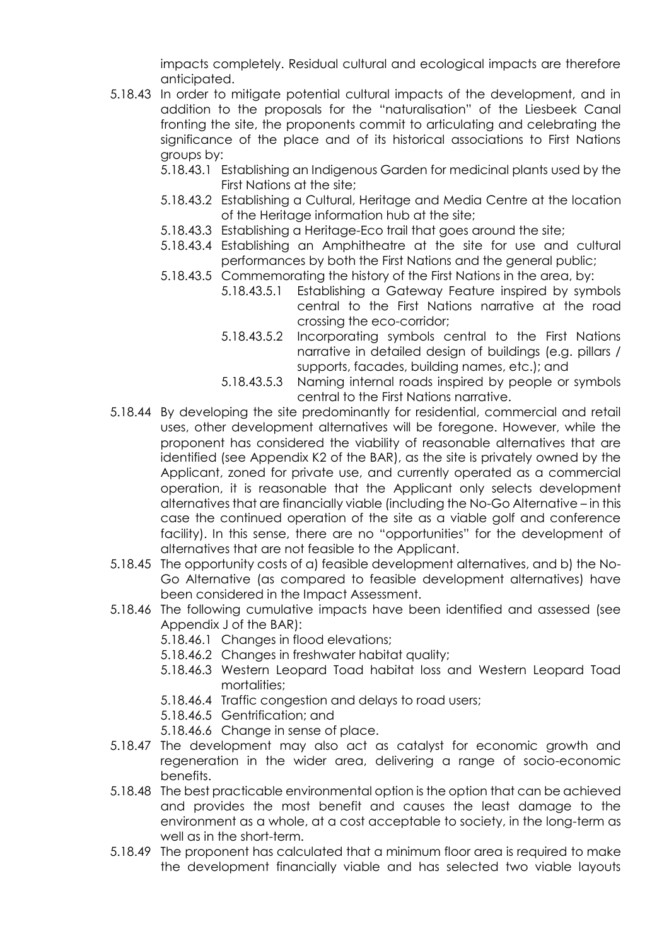impacts completely. Residual cultural and ecological impacts are therefore anticipated.

- 5.18.43 In order to mitigate potential cultural impacts of the development, and in addition to the proposals for the "naturalisation" of the Liesbeek Canal fronting the site, the proponents commit to articulating and celebrating the significance of the place and of its historical associations to First Nations groups by:
	- 5.18.43.1 Establishing an Indigenous Garden for medicinal plants used by the First Nations at the site;
	- 5.18.43.2 Establishing a Cultural, Heritage and Media Centre at the location of the Heritage information hub at the site;
	- 5.18.43.3 Establishing a Heritage-Eco trail that goes around the site;
	- 5.18.43.4 Establishing an Amphitheatre at the site for use and cultural performances by both the First Nations and the general public;
	- 5.18.43.5 Commemorating the history of the First Nations in the area, by:
		- 5.18.43.5.1 Establishing a Gateway Feature inspired by symbols central to the First Nations narrative at the road crossing the eco-corridor;
		- 5.18.43.5.2 Incorporating symbols central to the First Nations narrative in detailed design of buildings (e.g. pillars / supports, facades, building names, etc.); and
		- 5.18.43.5.3 Naming internal roads inspired by people or symbols central to the First Nations narrative.
- 5.18.44 By developing the site predominantly for residential, commercial and retail uses, other development alternatives will be foregone. However, while the proponent has considered the viability of reasonable alternatives that are identified (see Appendix K2 of the BAR), as the site is privately owned by the Applicant, zoned for private use, and currently operated as a commercial operation, it is reasonable that the Applicant only selects development alternatives that are financially viable (including the No-Go Alternative – in this case the continued operation of the site as a viable golf and conference facility). In this sense, there are no "opportunities" for the development of alternatives that are not feasible to the Applicant.
- 5.18.45 The opportunity costs of a) feasible development alternatives, and b) the No-Go Alternative (as compared to feasible development alternatives) have been considered in the Impact Assessment.
- 5.18.46 The following cumulative impacts have been identified and assessed (see Appendix J of the BAR):
	- 5.18.46.1 Changes in flood elevations;
	- 5.18.46.2 Changes in freshwater habitat quality;
	- 5.18.46.3 Western Leopard Toad habitat loss and Western Leopard Toad mortalities;
	- 5.18.46.4 Traffic congestion and delays to road users;
	- 5.18.46.5 Gentrification; and
	- 5.18.46.6 Change in sense of place.
- 5.18.47 The development may also act as catalyst for economic growth and regeneration in the wider area, delivering a range of socio-economic benefits.
- 5.18.48 The best practicable environmental option is the option that can be achieved and provides the most benefit and causes the least damage to the environment as a whole, at a cost acceptable to society, in the long-term as well as in the short-term.
- 5.18.49 The proponent has calculated that a minimum floor area is required to make the development financially viable and has selected two viable layouts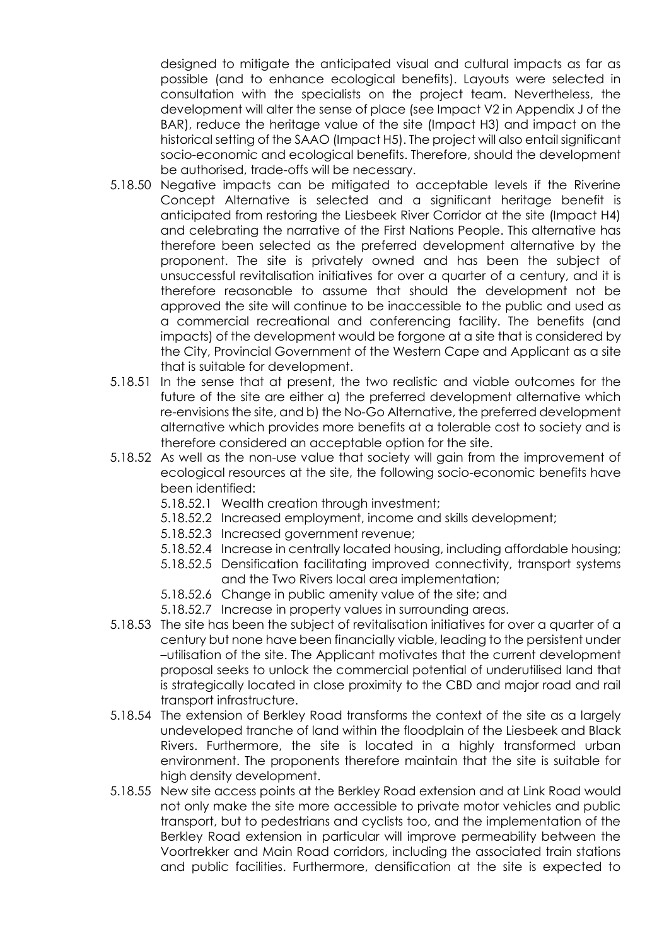designed to mitigate the anticipated visual and cultural impacts as far as possible (and to enhance ecological benefits). Layouts were selected in consultation with the specialists on the project team. Nevertheless, the development will alter the sense of place (see Impact V2 in Appendix J of the BAR), reduce the heritage value of the site (Impact H3) and impact on the historical setting of the SAAO (Impact H5). The project will also entail significant socio-economic and ecological benefits. Therefore, should the development be authorised, trade-offs will be necessary.

- 5.18.50 Negative impacts can be mitigated to acceptable levels if the Riverine Concept Alternative is selected and a significant heritage benefit is anticipated from restoring the Liesbeek River Corridor at the site (Impact H4) and celebrating the narrative of the First Nations People. This alternative has therefore been selected as the preferred development alternative by the proponent. The site is privately owned and has been the subject of unsuccessful revitalisation initiatives for over a quarter of a century, and it is therefore reasonable to assume that should the development not be approved the site will continue to be inaccessible to the public and used as a commercial recreational and conferencing facility. The benefits (and impacts) of the development would be forgone at a site that is considered by the City, Provincial Government of the Western Cape and Applicant as a site that is suitable for development.
- 5.18.51 In the sense that at present, the two realistic and viable outcomes for the future of the site are either a) the preferred development alternative which re-envisions the site, and b) the No-Go Alternative, the preferred development alternative which provides more benefits at a tolerable cost to society and is therefore considered an acceptable option for the site.
- 5.18.52 As well as the non-use value that society will gain from the improvement of ecological resources at the site, the following socio-economic benefits have been identified:
	- 5.18.52.1 Wealth creation through investment;
	- 5.18.52.2 Increased employment, income and skills development;
	- 5.18.52.3 Increased government revenue;
	- 5.18.52.4 Increase in centrally located housing, including affordable housing;
	- 5.18.52.5 Densification facilitating improved connectivity, transport systems and the Two Rivers local area implementation;
	- 5.18.52.6 Change in public amenity value of the site; and
	- 5.18.52.7 Increase in property values in surrounding areas.
- 5.18.53 The site has been the subject of revitalisation initiatives for over a quarter of a century but none have been financially viable, leading to the persistent under –utilisation of the site. The Applicant motivates that the current development proposal seeks to unlock the commercial potential of underutilised land that is strategically located in close proximity to the CBD and major road and rail transport infrastructure.
- 5.18.54 The extension of Berkley Road transforms the context of the site as a largely undeveloped tranche of land within the floodplain of the Liesbeek and Black Rivers. Furthermore, the site is located in a highly transformed urban environment. The proponents therefore maintain that the site is suitable for high density development.
- 5.18.55 New site access points at the Berkley Road extension and at Link Road would not only make the site more accessible to private motor vehicles and public transport, but to pedestrians and cyclists too, and the implementation of the Berkley Road extension in particular will improve permeability between the Voortrekker and Main Road corridors, including the associated train stations and public facilities. Furthermore, densification at the site is expected to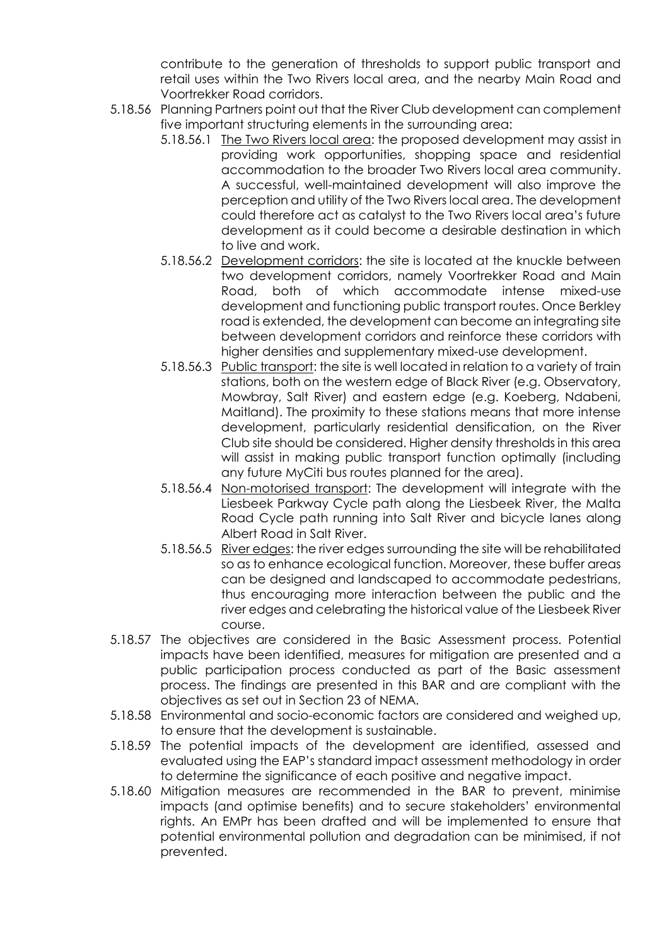contribute to the generation of thresholds to support public transport and retail uses within the Two Rivers local area, and the nearby Main Road and Voortrekker Road corridors.

- 5.18.56 Planning Partners point out that the River Club development can complement five important structuring elements in the surrounding area:
	- 5.18.56.1 The Two Rivers local area: the proposed development may assist in providing work opportunities, shopping space and residential accommodation to the broader Two Rivers local area community. A successful, well-maintained development will also improve the perception and utility of the Two Rivers local area. The development could therefore act as catalyst to the Two Rivers local area's future development as it could become a desirable destination in which to live and work.
	- 5.18.56.2 Development corridors: the site is located at the knuckle between two development corridors, namely Voortrekker Road and Main Road, both of which accommodate intense mixed-use development and functioning public transport routes. Once Berkley road is extended, the development can become an integrating site between development corridors and reinforce these corridors with higher densities and supplementary mixed-use development.
	- 5.18.56.3 Public transport: the site is well located in relation to a variety of train stations, both on the western edge of Black River (e.g. Observatory, Mowbray, Salt River) and eastern edge (e.g. Koeberg, Ndabeni, Maitland). The proximity to these stations means that more intense development, particularly residential densification, on the River Club site should be considered. Higher density thresholds in this area will assist in making public transport function optimally (including any future MyCiti bus routes planned for the area).
	- 5.18.56.4 Non-motorised transport: The development will integrate with the Liesbeek Parkway Cycle path along the Liesbeek River, the Malta Road Cycle path running into Salt River and bicycle lanes along Albert Road in Salt River.
	- 5.18.56.5 River edges: the river edges surrounding the site will be rehabilitated so as to enhance ecological function. Moreover, these buffer areas can be designed and landscaped to accommodate pedestrians, thus encouraging more interaction between the public and the river edges and celebrating the historical value of the Liesbeek River course.
- 5.18.57 The objectives are considered in the Basic Assessment process. Potential impacts have been identified, measures for mitigation are presented and a public participation process conducted as part of the Basic assessment process. The findings are presented in this BAR and are compliant with the objectives as set out in Section 23 of NEMA.
- 5.18.58 Environmental and socio-economic factors are considered and weighed up, to ensure that the development is sustainable.
- 5.18.59 The potential impacts of the development are identified, assessed and evaluated using the EAP's standard impact assessment methodology in order to determine the significance of each positive and negative impact.
- 5.18.60 Mitigation measures are recommended in the BAR to prevent, minimise impacts (and optimise benefits) and to secure stakeholders' environmental rights. An EMPr has been drafted and will be implemented to ensure that potential environmental pollution and degradation can be minimised, if not prevented.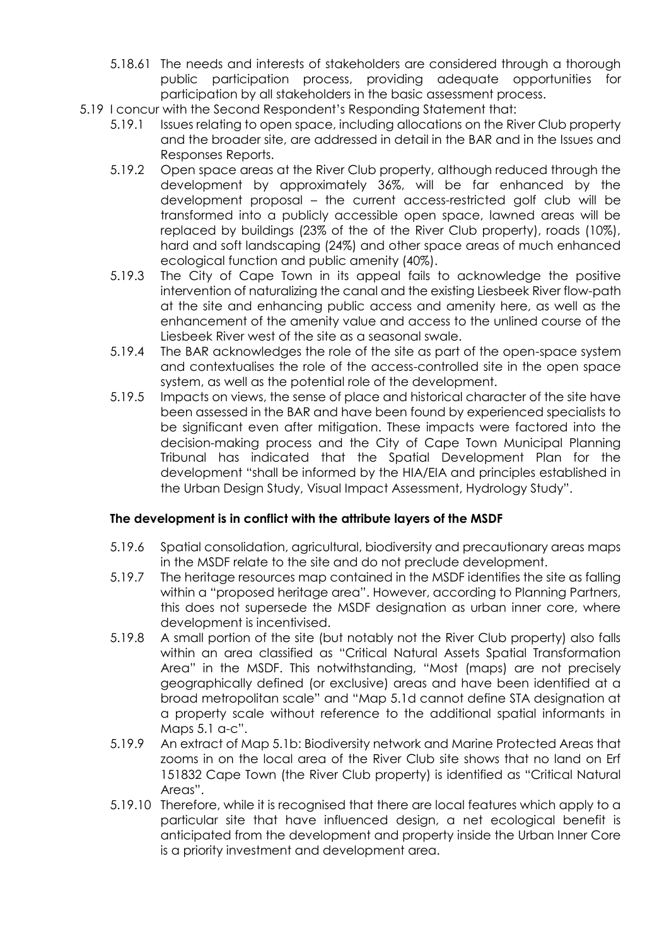- 5.18.61 The needs and interests of stakeholders are considered through a thorough public participation process, providing adequate opportunities for participation by all stakeholders in the basic assessment process.
- 5.19 I concur with the Second Respondent's Responding Statement that:
	- 5.19.1 Issues relating to open space, including allocations on the River Club property and the broader site, are addressed in detail in the BAR and in the Issues and Responses Reports.
	- 5.19.2 Open space areas at the River Club property, although reduced through the development by approximately 36%, will be far enhanced by the development proposal – the current access-restricted golf club will be transformed into a publicly accessible open space, lawned areas will be replaced by buildings (23% of the of the River Club property), roads (10%), hard and soft landscaping (24%) and other space areas of much enhanced ecological function and public amenity (40%).
	- 5.19.3 The City of Cape Town in its appeal fails to acknowledge the positive intervention of naturalizing the canal and the existing Liesbeek River flow-path at the site and enhancing public access and amenity here, as well as the enhancement of the amenity value and access to the unlined course of the Liesbeek River west of the site as a seasonal swale.
	- 5.19.4 The BAR acknowledges the role of the site as part of the open-space system and contextualises the role of the access-controlled site in the open space system, as well as the potential role of the development.
	- 5.19.5 Impacts on views, the sense of place and historical character of the site have been assessed in the BAR and have been found by experienced specialists to be significant even after mitigation. These impacts were factored into the decision-making process and the City of Cape Town Municipal Planning Tribunal has indicated that the Spatial Development Plan for the development "shall be informed by the HIA/EIA and principles established in the Urban Design Study, Visual Impact Assessment, Hydrology Study".

### **The development is in conflict with the attribute layers of the MSDF**

- 5.19.6 Spatial consolidation, agricultural, biodiversity and precautionary areas maps in the MSDF relate to the site and do not preclude development.
- 5.19.7 The heritage resources map contained in the MSDF identifies the site as falling within a "proposed heritage area". However, according to Planning Partners, this does not supersede the MSDF designation as urban inner core, where development is incentivised.
- 5.19.8 A small portion of the site (but notably not the River Club property) also falls within an area classified as "Critical Natural Assets Spatial Transformation Area" in the MSDF. This notwithstanding, "Most (maps) are not precisely geographically defined (or exclusive) areas and have been identified at a broad metropolitan scale" and "Map 5.1d cannot define STA designation at a property scale without reference to the additional spatial informants in Maps 5.1 a-c".
- 5.19.9 An extract of Map 5.1b: Biodiversity network and Marine Protected Areas that zooms in on the local area of the River Club site shows that no land on Erf 151832 Cape Town (the River Club property) is identified as "Critical Natural Areas".
- 5.19.10 Therefore, while it is recognised that there are local features which apply to a particular site that have influenced design, a net ecological benefit is anticipated from the development and property inside the Urban Inner Core is a priority investment and development area.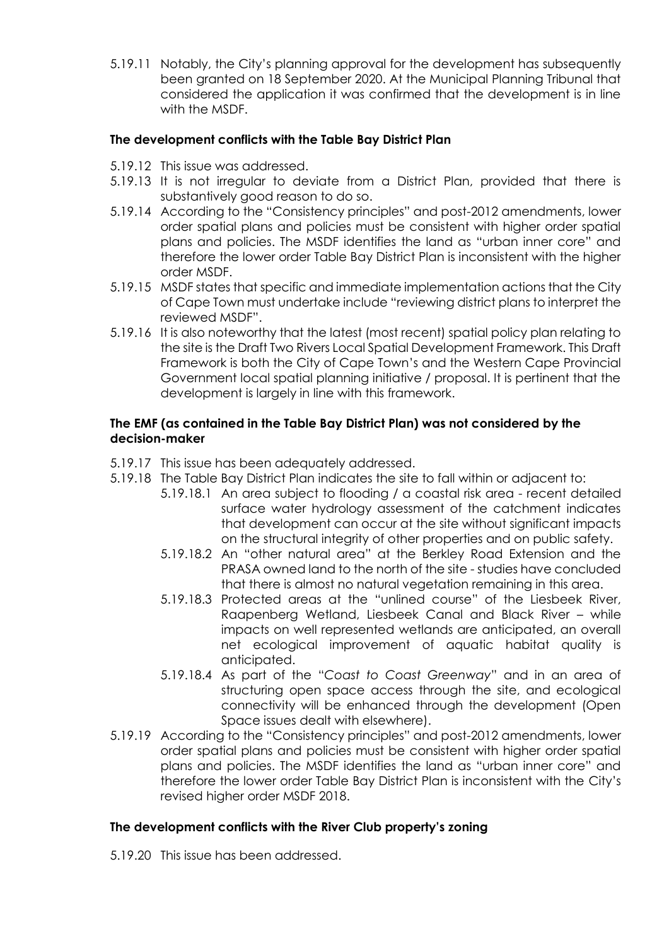5.19.11 Notably, the City's planning approval for the development has subsequently been granted on 18 September 2020. At the Municipal Planning Tribunal that considered the application it was confirmed that the development is in line with the MSDF.

### **The development conflicts with the Table Bay District Plan**

- 5.19.12 This issue was addressed.
- 5.19.13 It is not irregular to deviate from a District Plan, provided that there is substantively good reason to do so.
- 5.19.14 According to the "Consistency principles" and post-2012 amendments, lower order spatial plans and policies must be consistent with higher order spatial plans and policies. The MSDF identifies the land as "urban inner core" and therefore the lower order Table Bay District Plan is inconsistent with the higher order MSDF.
- 5.19.15 MSDF states that specific and immediate implementation actions that the City of Cape Town must undertake include "reviewing district plans to interpret the reviewed MSDF".
- 5.19.16 It is also noteworthy that the latest (most recent) spatial policy plan relating to the site is the Draft Two Rivers Local Spatial Development Framework. This Draft Framework is both the City of Cape Town's and the Western Cape Provincial Government local spatial planning initiative / proposal. It is pertinent that the development is largely in line with this framework.

### **The EMF (as contained in the Table Bay District Plan) was not considered by the decision-maker**

- 5.19.17 This issue has been adequately addressed.
- 5.19.18 The Table Bay District Plan indicates the site to fall within or adjacent to:
	- 5.19.18.1 An area subject to flooding / a coastal risk area recent detailed surface water hydrology assessment of the catchment indicates that development can occur at the site without significant impacts on the structural integrity of other properties and on public safety.
	- 5.19.18.2 An "other natural area" at the Berkley Road Extension and the PRASA owned land to the north of the site - studies have concluded that there is almost no natural vegetation remaining in this area.
	- 5.19.18.3 Protected areas at the "unlined course" of the Liesbeek River, Raapenberg Wetland, Liesbeek Canal and Black River – while impacts on well represented wetlands are anticipated, an overall net ecological improvement of aquatic habitat quality is anticipated.
	- 5.19.18.4 As part of the "*Coast to Coast Greenway*" and in an area of structuring open space access through the site, and ecological connectivity will be enhanced through the development (Open Space issues dealt with elsewhere).
- 5.19.19 According to the "Consistency principles" and post-2012 amendments, lower order spatial plans and policies must be consistent with higher order spatial plans and policies. The MSDF identifies the land as "urban inner core" and therefore the lower order Table Bay District Plan is inconsistent with the City's revised higher order MSDF 2018.

## **The development conflicts with the River Club property's zoning**

5.19.20 This issue has been addressed.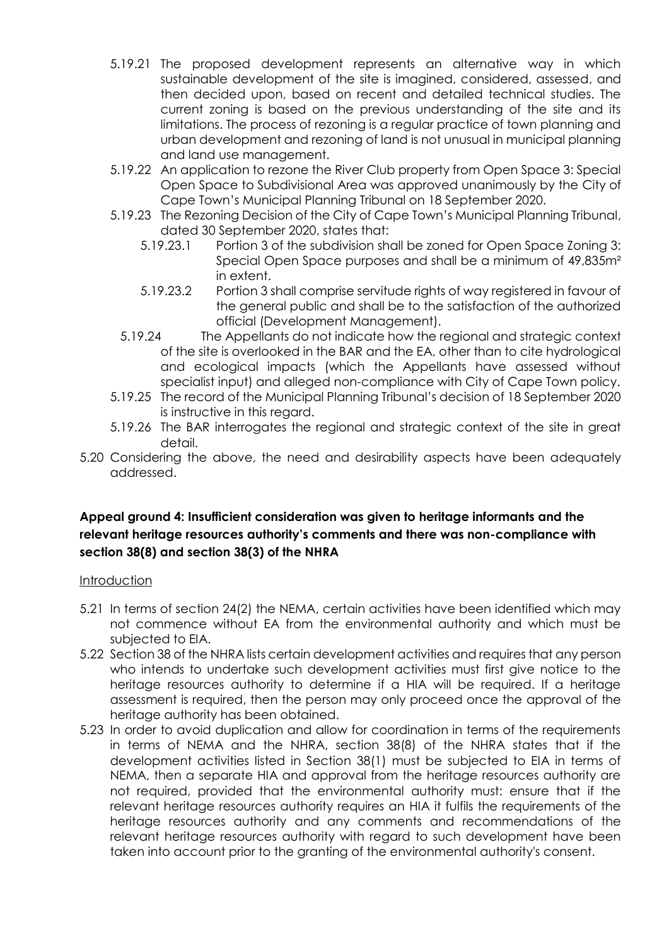- 5.19.21 The proposed development represents an alternative way in which sustainable development of the site is imagined, considered, assessed, and then decided upon, based on recent and detailed technical studies. The current zoning is based on the previous understanding of the site and its limitations. The process of rezoning is a regular practice of town planning and urban development and rezoning of land is not unusual in municipal planning and land use management.
- 5.19.22 An application to rezone the River Club property from Open Space 3: Special Open Space to Subdivisional Area was approved unanimously by the City of Cape Town's Municipal Planning Tribunal on 18 September 2020.
- 5.19.23 The Rezoning Decision of the City of Cape Town's Municipal Planning Tribunal, dated 30 September 2020, states that:
	- 5.19.23.1 Portion 3 of the subdivision shall be zoned for Open Space Zoning 3: Special Open Space purposes and shall be a minimum of 49,835m² in extent.
	- 5.19.23.2 Portion 3 shall comprise servitude rights of way registered in favour of the general public and shall be to the satisfaction of the authorized official (Development Management).
	- 5.19.24 The Appellants do not indicate how the regional and strategic context of the site is overlooked in the BAR and the EA, other than to cite hydrological and ecological impacts (which the Appellants have assessed without specialist input) and alleged non-compliance with City of Cape Town policy.
- 5.19.25 The record of the Municipal Planning Tribunal's decision of 18 September 2020 is instructive in this regard.
- 5.19.26 The BAR interrogates the regional and strategic context of the site in great detail.
- 5.20 Considering the above, the need and desirability aspects have been adequately addressed.

## **Appeal ground 4: Insufficient consideration was given to heritage informants and the relevant heritage resources authority's comments and there was non-compliance with section 38(8) and section 38(3) of the NHRA**

### **Introduction**

- 5.21 In terms of section 24(2) the NEMA, certain activities have been identified which may not commence without EA from the environmental authority and which must be subjected to EIA.
- 5.22 Section 38 of the NHRA lists certain development activities and requires that any person who intends to undertake such development activities must first give notice to the heritage resources authority to determine if a HIA will be required. If a heritage assessment is required, then the person may only proceed once the approval of the heritage authority has been obtained.
- 5.23 In order to avoid duplication and allow for coordination in terms of the requirements in terms of NEMA and the NHRA, section 38(8) of the NHRA states that if the development activities listed in Section 38(1) must be subjected to EIA in terms of NEMA, then a separate HIA and approval from the heritage resources authority are not required, provided that the environmental authority must: ensure that if the relevant heritage resources authority requires an HIA it fulfils the requirements of the heritage resources authority and any comments and recommendations of the relevant heritage resources authority with regard to such development have been taken into account prior to the granting of the environmental authority's consent.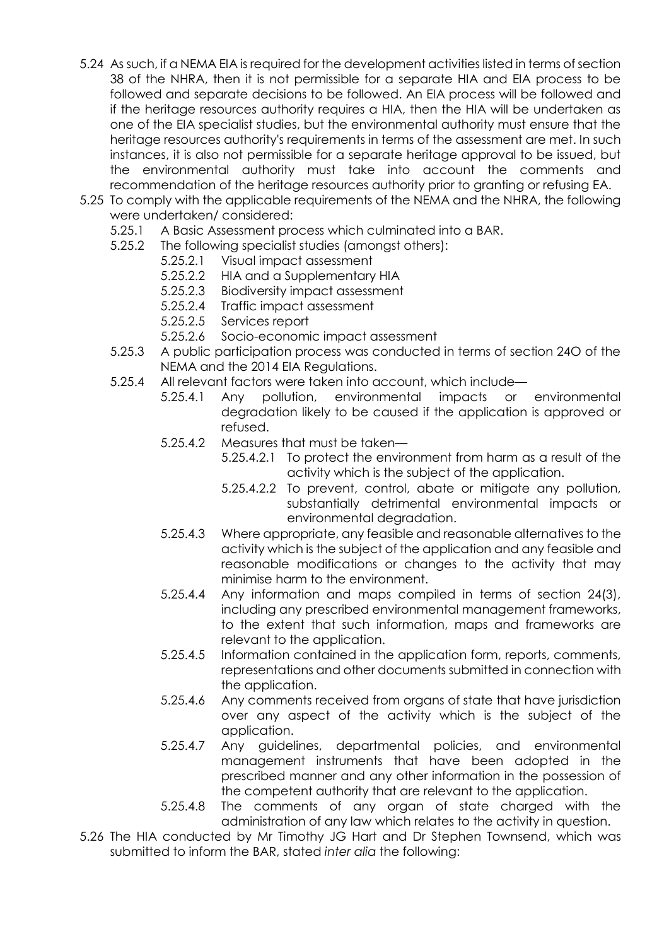- 5.24 As such, if a NEMA EIA is required for the development activities listed in terms of section 38 of the NHRA, then it is not permissible for a separate HIA and EIA process to be followed and separate decisions to be followed. An EIA process will be followed and if the heritage resources authority requires a HIA, then the HIA will be undertaken as one of the EIA specialist studies, but the environmental authority must ensure that the heritage resources authority's requirements in terms of the assessment are met. In such instances, it is also not permissible for a separate heritage approval to be issued, but the environmental authority must take into account the comments and recommendation of the heritage resources authority prior to granting or refusing EA.
- 5.25 To comply with the applicable requirements of the NEMA and the NHRA, the following were undertaken/ considered:
	- 5.25.1 A Basic Assessment process which culminated into a BAR.
	- 5.25.2 The following specialist studies (amongst others):
		- 5.25.2.1 Visual impact assessment
		- 5.25.2.2 HIA and a Supplementary HIA
		- 5.25.2.3 Biodiversity impact assessment
		- 5.25.2.4 Traffic impact assessment
		- 5.25.2.5 Services report
		- 5.25.2.6 Socio-economic impact assessment
	- 5.25.3 A public participation process was conducted in terms of section 24O of the NEMA and the 2014 EIA Regulations.
	- 5.25.4 All relevant factors were taken into account, which include—
		- 5.25.4.1 Any pollution, environmental impacts or environmental degradation likely to be caused if the application is approved or refused.
		- 5.25.4.2 Measures that must be taken—
			- 5.25.4.2.1 To protect the environment from harm as a result of the activity which is the subject of the application.
			- 5.25.4.2.2 To prevent, control, abate or mitigate any pollution, substantially detrimental environmental impacts or environmental degradation.
		- 5.25.4.3 Where appropriate, any feasible and reasonable alternatives to the activity which is the subject of the application and any feasible and reasonable modifications or changes to the activity that may minimise harm to the environment.
		- 5.25.4.4 Any information and maps compiled in terms of section 24(3), including any prescribed environmental management frameworks, to the extent that such information, maps and frameworks are relevant to the application.
		- 5.25.4.5 Information contained in the application form, reports, comments, representations and other documents submitted in connection with the application.
		- 5.25.4.6 Any comments received from organs of state that have jurisdiction over any aspect of the activity which is the subject of the application.
		- 5.25.4.7 Any guidelines, departmental policies, and environmental management instruments that have been adopted in the prescribed manner and any other information in the possession of the competent authority that are relevant to the application.
		- 5.25.4.8 The comments of any organ of state charged with the administration of any law which relates to the activity in question.
- 5.26 The HIA conducted by Mr Timothy JG Hart and Dr Stephen Townsend, which was submitted to inform the BAR, stated *inter alia* the following: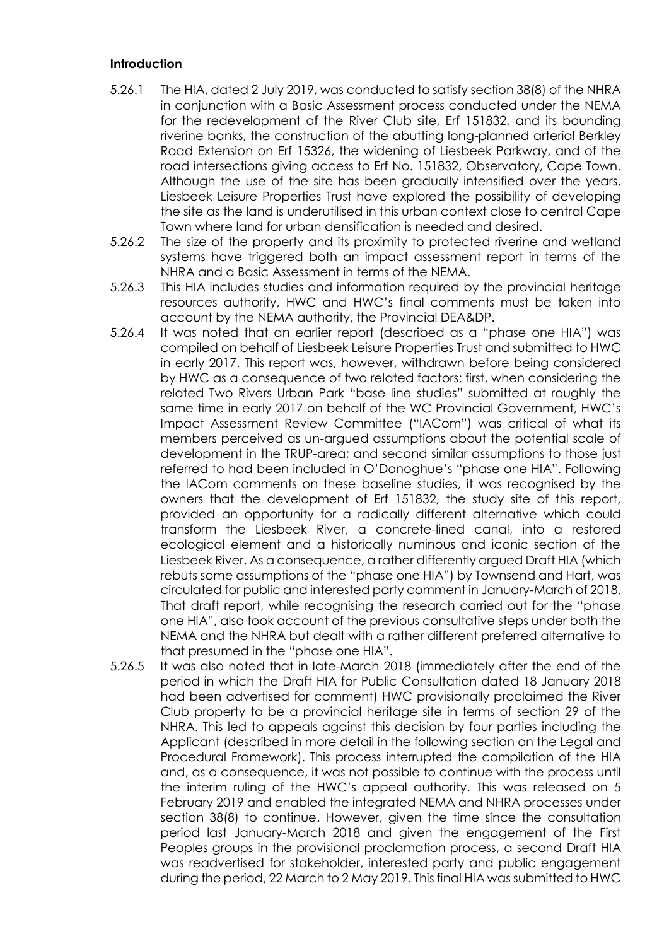#### **Introduction**

- 5.26.1 The HIA, dated 2 July 2019, was conducted to satisfy section 38(8) of the NHRA in conjunction with a Basic Assessment process conducted under the NEMA for the redevelopment of the River Club site, Erf 151832, and its bounding riverine banks, the construction of the abutting long-planned arterial Berkley Road Extension on Erf 15326, the widening of Liesbeek Parkway, and of the road intersections giving access to Erf No. 151832, Observatory, Cape Town. Although the use of the site has been gradually intensified over the years, Liesbeek Leisure Properties Trust have explored the possibility of developing the site as the land is underutilised in this urban context close to central Cape Town where land for urban densification is needed and desired.
- 5.26.2 The size of the property and its proximity to protected riverine and wetland systems have triggered both an impact assessment report in terms of the NHRA and a Basic Assessment in terms of the NEMA.
- 5.26.3 This HIA includes studies and information required by the provincial heritage resources authority, HWC and HWC's final comments must be taken into account by the NEMA authority, the Provincial DEA&DP.
- 5.26.4 It was noted that an earlier report (described as a "phase one HIA") was compiled on behalf of Liesbeek Leisure Properties Trust and submitted to HWC in early 2017. This report was, however, withdrawn before being considered by HWC as a consequence of two related factors: first, when considering the related Two Rivers Urban Park "base line studies" submitted at roughly the same time in early 2017 on behalf of the WC Provincial Government, HWC's Impact Assessment Review Committee ("IACom") was critical of what its members perceived as un-argued assumptions about the potential scale of development in the TRUP-area; and second similar assumptions to those just referred to had been included in O'Donoghue's "phase one HIA". Following the IACom comments on these baseline studies, it was recognised by the owners that the development of Erf 151832, the study site of this report, provided an opportunity for a radically different alternative which could transform the Liesbeek River, a concrete-lined canal, into a restored ecological element and a historically numinous and iconic section of the Liesbeek River. As a consequence, a rather differently argued Draft HIA (which rebuts some assumptions of the "phase one HIA") by Townsend and Hart, was circulated for public and interested party comment in January-March of 2018. That draft report, while recognising the research carried out for the "phase one HIA", also took account of the previous consultative steps under both the NEMA and the NHRA but dealt with a rather different preferred alternative to that presumed in the "phase one HIA".
- 5.26.5 It was also noted that in late-March 2018 (immediately after the end of the period in which the Draft HIA for Public Consultation dated 18 January 2018 had been advertised for comment) HWC provisionally proclaimed the River Club property to be a provincial heritage site in terms of section 29 of the NHRA. This led to appeals against this decision by four parties including the Applicant (described in more detail in the following section on the Legal and Procedural Framework). This process interrupted the compilation of the HIA and, as a consequence, it was not possible to continue with the process until the interim ruling of the HWC's appeal authority. This was released on 5 February 2019 and enabled the integrated NEMA and NHRA processes under section 38(8) to continue. However, given the time since the consultation period last January-March 2018 and given the engagement of the First Peoples groups in the provisional proclamation process, a second Draft HIA was readvertised for stakeholder, interested party and public engagement during the period, 22 March to 2 May 2019. This final HIA was submitted to HWC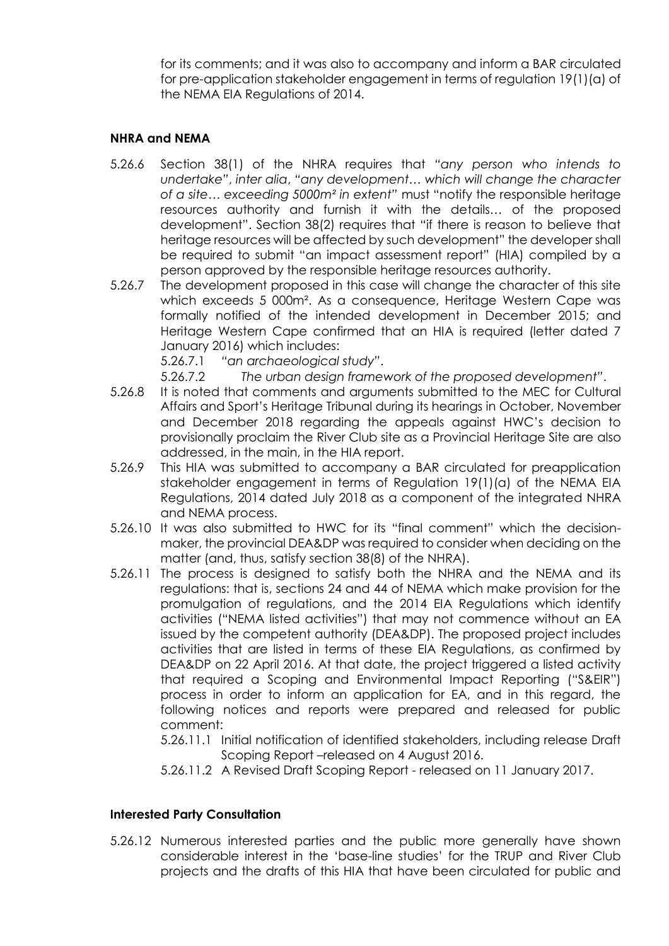for its comments; and it was also to accompany and inform a BAR circulated for pre-application stakeholder engagement in terms of regulation 19(1)(a) of the NEMA EIA Regulations of 2014.

### **NHRA and NEMA**

- 5.26.6 Section 38(1) of the NHRA requires that *"any person who intends to undertake"*, *inter alia*, *"any development… which will change the character of a site… exceeding 5000m² in extent"* must "notify the responsible heritage resources authority and furnish it with the details… of the proposed development". Section 38(2) requires that "if there is reason to believe that heritage resources will be affected by such development" the developer shall be required to submit "an impact assessment report" (HIA) compiled by a person approved by the responsible heritage resources authority.
- 5.26.7 The development proposed in this case will change the character of this site which exceeds 5 000m². As a consequence, Heritage Western Cape was formally notified of the intended development in December 2015; and Heritage Western Cape confirmed that an HIA is required (letter dated 7 January 2016) which includes:

5.26.7.1 *"an archaeological study"*.

5.26.7.2 *The urban design framework of the proposed development"*.

- 5.26.8 It is noted that comments and arguments submitted to the MEC for Cultural Affairs and Sport's Heritage Tribunal during its hearings in October, November and December 2018 regarding the appeals against HWC's decision to provisionally proclaim the River Club site as a Provincial Heritage Site are also addressed, in the main, in the HIA report.
- 5.26.9 This HIA was submitted to accompany a BAR circulated for preapplication stakeholder engagement in terms of Regulation 19(1)(a) of the NEMA EIA Regulations, 2014 dated July 2018 as a component of the integrated NHRA and NEMA process.
- 5.26.10 It was also submitted to HWC for its "final comment" which the decisionmaker, the provincial DEA&DP was required to consider when deciding on the matter (and, thus, satisfy section 38(8) of the NHRA).
- 5.26.11 The process is designed to satisfy both the NHRA and the NEMA and its regulations: that is, sections 24 and 44 of NEMA which make provision for the promulgation of regulations, and the 2014 EIA Regulations which identify activities ("NEMA listed activities") that may not commence without an EA issued by the competent authority (DEA&DP). The proposed project includes activities that are listed in terms of these EIA Regulations, as confirmed by DEA&DP on 22 April 2016. At that date, the project triggered a listed activity that required a Scoping and Environmental Impact Reporting ("S&EIR") process in order to inform an application for EA, and in this regard, the following notices and reports were prepared and released for public comment:
	- 5.26.11.1 Initial notification of identified stakeholders, including release Draft Scoping Report –released on 4 August 2016.
	- 5.26.11.2 A Revised Draft Scoping Report released on 11 January 2017.

### **Interested Party Consultation**

5.26.12 Numerous interested parties and the public more generally have shown considerable interest in the 'base-line studies' for the TRUP and River Club projects and the drafts of this HIA that have been circulated for public and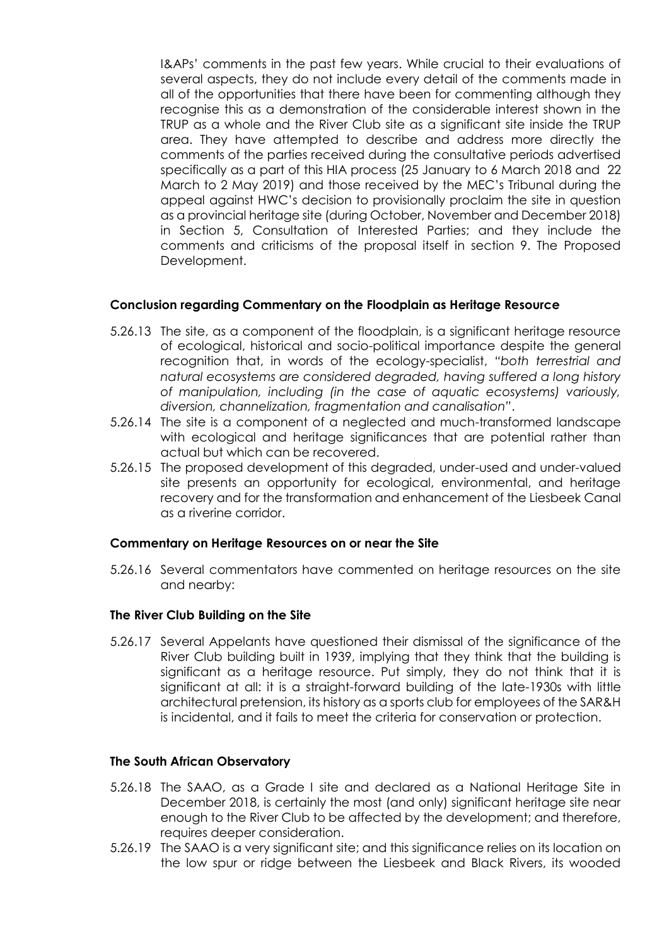I&APs' comments in the past few years. While crucial to their evaluations of several aspects, they do not include every detail of the comments made in all of the opportunities that there have been for commenting although they recognise this as a demonstration of the considerable interest shown in the TRUP as a whole and the River Club site as a significant site inside the TRUP area. They have attempted to describe and address more directly the comments of the parties received during the consultative periods advertised specifically as a part of this HIA process (25 January to 6 March 2018 and 22 March to 2 May 2019) and those received by the MEC's Tribunal during the appeal against HWC's decision to provisionally proclaim the site in question as a provincial heritage site (during October, November and December 2018) in Section 5, Consultation of Interested Parties; and they include the comments and criticisms of the proposal itself in section 9. The Proposed Development.

### **Conclusion regarding Commentary on the Floodplain as Heritage Resource**

- 5.26.13 The site, as a component of the floodplain, is a significant heritage resource of ecological, historical and socio-political importance despite the general recognition that, in words of the ecology-specialist, *"both terrestrial and natural ecosystems are considered degraded, having suffered a long history of manipulation, including (in the case of aquatic ecosystems) variously, diversion, channelization, fragmentation and canalisation"*.
- 5.26.14 The site is a component of a neglected and much-transformed landscape with ecological and heritage significances that are potential rather than actual but which can be recovered.
- 5.26.15 The proposed development of this degraded, under-used and under-valued site presents an opportunity for ecological, environmental, and heritage recovery and for the transformation and enhancement of the Liesbeek Canal as a riverine corridor.

### **Commentary on Heritage Resources on or near the Site**

5.26.16 Several commentators have commented on heritage resources on the site and nearby:

### **The River Club Building on the Site**

5.26.17 Several Appelants have questioned their dismissal of the significance of the River Club building built in 1939, implying that they think that the building is significant as a heritage resource. Put simply, they do not think that it is significant at all: it is a straight-forward building of the late-1930s with little architectural pretension, its history as a sports club for employees of the SAR&H is incidental, and it fails to meet the criteria for conservation or protection.

### **The South African Observatory**

- 5.26.18 The SAAO, as a Grade I site and declared as a National Heritage Site in December 2018, is certainly the most (and only) significant heritage site near enough to the River Club to be affected by the development; and therefore, requires deeper consideration.
- 5.26.19 The SAAO is a very significant site; and this significance relies on its location on the low spur or ridge between the Liesbeek and Black Rivers, its wooded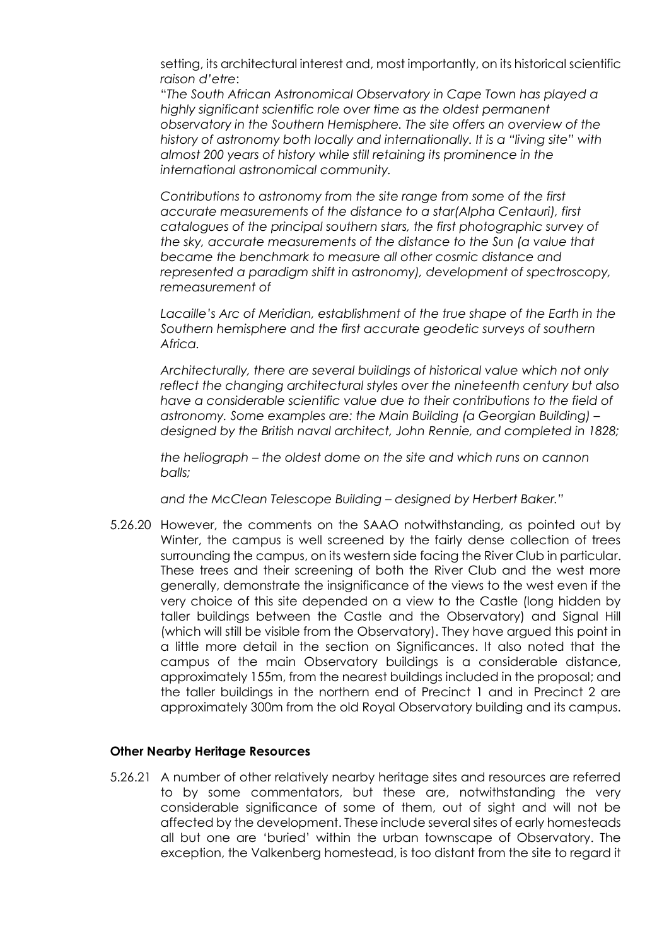setting, its architectural interest and, most importantly, on its historical scientific *raison d'etre*:

"*The South African Astronomical Observatory in Cape Town has played a highly significant scientific role over time as the oldest permanent observatory in the Southern Hemisphere. The site offers an overview of the history of astronomy both locally and internationally. It is a "living site" with almost 200 years of history while still retaining its prominence in the international astronomical community.*

*Contributions to astronomy from the site range from some of the first accurate measurements of the distance to a star(Alpha Centauri), first catalogues of the principal southern stars, the first photographic survey of the sky, accurate measurements of the distance to the Sun (a value that became the benchmark to measure all other cosmic distance and represented a paradigm shift in astronomy), development of spectroscopy, remeasurement of*

Lacaille's Arc of Meridian, establishment of the true shape of the Earth in the *Southern hemisphere and the first accurate geodetic surveys of southern Africa.*

*Architecturally, there are several buildings of historical value which not only reflect the changing architectural styles over the nineteenth century but also have a considerable scientific value due to their contributions to the field of astronomy. Some examples are: the Main Building (a Georgian Building) – designed by the British naval architect, John Rennie, and completed in 1828;*

*the heliograph – the oldest dome on the site and which runs on cannon balls;*

*and the McClean Telescope Building – designed by Herbert Baker."*

5.26.20 However, the comments on the SAAO notwithstanding, as pointed out by Winter, the campus is well screened by the fairly dense collection of trees surrounding the campus, on its western side facing the River Club in particular. These trees and their screening of both the River Club and the west more generally, demonstrate the insignificance of the views to the west even if the very choice of this site depended on a view to the Castle (long hidden by taller buildings between the Castle and the Observatory) and Signal Hill (which will still be visible from the Observatory). They have argued this point in a little more detail in the section on Significances. It also noted that the campus of the main Observatory buildings is a considerable distance, approximately 155m, from the nearest buildings included in the proposal; and the taller buildings in the northern end of Precinct 1 and in Precinct 2 are approximately 300m from the old Royal Observatory building and its campus.

#### **Other Nearby Heritage Resources**

5.26.21 A number of other relatively nearby heritage sites and resources are referred to by some commentators, but these are, notwithstanding the very considerable significance of some of them, out of sight and will not be affected by the development. These include several sites of early homesteads all but one are 'buried' within the urban townscape of Observatory. The exception, the Valkenberg homestead, is too distant from the site to regard it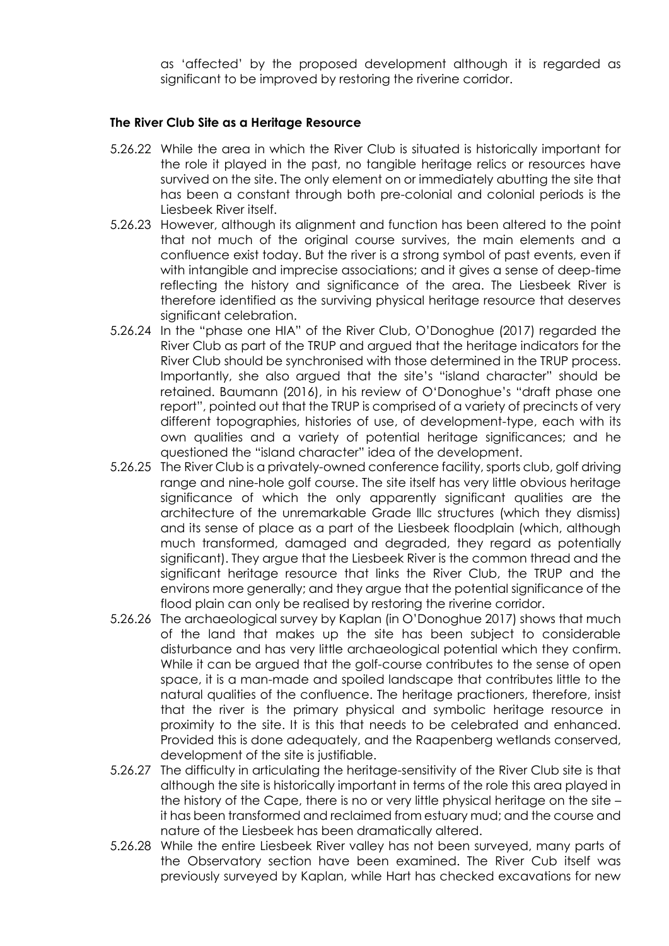as 'affected' by the proposed development although it is regarded as significant to be improved by restoring the riverine corridor.

### **The River Club Site as a Heritage Resource**

- 5.26.22 While the area in which the River Club is situated is historically important for the role it played in the past, no tangible heritage relics or resources have survived on the site. The only element on or immediately abutting the site that has been a constant through both pre-colonial and colonial periods is the Liesbeek River itself.
- 5.26.23 However, although its alignment and function has been altered to the point that not much of the original course survives, the main elements and a confluence exist today. But the river is a strong symbol of past events, even if with intangible and imprecise associations; and it gives a sense of deep-time reflecting the history and significance of the area. The Liesbeek River is therefore identified as the surviving physical heritage resource that deserves significant celebration.
- 5.26.24 In the "phase one HIA" of the River Club, O'Donoghue (2017) regarded the River Club as part of the TRUP and argued that the heritage indicators for the River Club should be synchronised with those determined in the TRUP process. Importantly, she also argued that the site's "island character" should be retained. Baumann (2016), in his review of O'Donoghue's "draft phase one report", pointed out that the TRUP is comprised of a variety of precincts of very different topographies, histories of use, of development-type, each with its own qualities and a variety of potential heritage significances; and he questioned the "island character" idea of the development.
- 5.26.25 The River Club is a privately-owned conference facility, sports club, golf driving range and nine-hole golf course. The site itself has very little obvious heritage significance of which the only apparently significant qualities are the architecture of the unremarkable Grade lllc structures (which they dismiss) and its sense of place as a part of the Liesbeek floodplain (which, although much transformed, damaged and degraded, they regard as potentially significant). They argue that the Liesbeek River is the common thread and the significant heritage resource that links the River Club, the TRUP and the environs more generally; and they argue that the potential significance of the flood plain can only be realised by restoring the riverine corridor.
- 5.26.26 The archaeological survey by Kaplan (in O'Donoghue 2017) shows that much of the land that makes up the site has been subject to considerable disturbance and has very little archaeological potential which they confirm. While it can be argued that the golf-course contributes to the sense of open space, it is a man-made and spoiled landscape that contributes little to the natural qualities of the confluence. The heritage practioners, therefore, insist that the river is the primary physical and symbolic heritage resource in proximity to the site. It is this that needs to be celebrated and enhanced. Provided this is done adequately, and the Raapenberg wetlands conserved, development of the site is justifiable.
- 5.26.27 The difficulty in articulating the heritage-sensitivity of the River Club site is that although the site is historically important in terms of the role this area played in the history of the Cape, there is no or very little physical heritage on the site – it has been transformed and reclaimed from estuary mud; and the course and nature of the Liesbeek has been dramatically altered.
- 5.26.28 While the entire Liesbeek River valley has not been surveyed, many parts of the Observatory section have been examined. The River Cub itself was previously surveyed by Kaplan, while Hart has checked excavations for new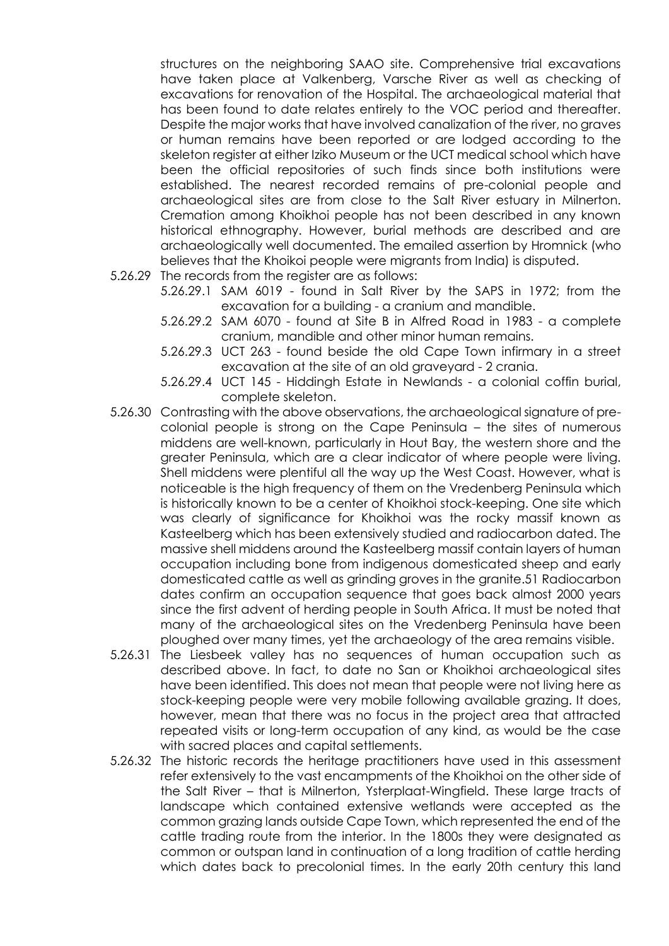structures on the neighboring SAAO site. Comprehensive trial excavations have taken place at Valkenberg, Varsche River as well as checking of excavations for renovation of the Hospital. The archaeological material that has been found to date relates entirely to the VOC period and thereafter. Despite the major works that have involved canalization of the river, no graves or human remains have been reported or are lodged according to the skeleton register at either Iziko Museum or the UCT medical school which have been the official repositories of such finds since both institutions were established. The nearest recorded remains of pre-colonial people and archaeological sites are from close to the Salt River estuary in Milnerton. Cremation among Khoikhoi people has not been described in any known historical ethnography. However, burial methods are described and are archaeologically well documented. The emailed assertion by Hromnick (who believes that the Khoikoi people were migrants from India) is disputed.

- 5.26.29 The records from the register are as follows:
	- 5.26.29.1 SAM 6019 found in Salt River by the SAPS in 1972; from the excavation for a building - a cranium and mandible.
	- 5.26.29.2 SAM 6070 found at Site B in Alfred Road in 1983 a complete cranium, mandible and other minor human remains.
	- 5.26.29.3 UCT 263 found beside the old Cape Town infirmary in a street excavation at the site of an old graveyard - 2 crania.
	- 5.26.29.4 UCT 145 Hiddingh Estate in Newlands a colonial coffin burial, complete skeleton.
- 5.26.30 Contrasting with the above observations, the archaeological signature of precolonial people is strong on the Cape Peninsula – the sites of numerous middens are well-known, particularly in Hout Bay, the western shore and the greater Peninsula, which are a clear indicator of where people were living. Shell middens were plentiful all the way up the West Coast. However, what is noticeable is the high frequency of them on the Vredenberg Peninsula which is historically known to be a center of Khoikhoi stock-keeping. One site which was clearly of significance for Khoikhoi was the rocky massif known as Kasteelberg which has been extensively studied and radiocarbon dated. The massive shell middens around the Kasteelberg massif contain layers of human occupation including bone from indigenous domesticated sheep and early domesticated cattle as well as grinding groves in the granite.51 Radiocarbon dates confirm an occupation sequence that goes back almost 2000 years since the first advent of herding people in South Africa. It must be noted that many of the archaeological sites on the Vredenberg Peninsula have been ploughed over many times, yet the archaeology of the area remains visible.
- 5.26.31 The Liesbeek valley has no sequences of human occupation such as described above. In fact, to date no San or Khoikhoi archaeological sites have been identified. This does not mean that people were not living here as stock-keeping people were very mobile following available grazing. It does, however, mean that there was no focus in the project area that attracted repeated visits or long-term occupation of any kind, as would be the case with sacred places and capital settlements.
- 5.26.32 The historic records the heritage practitioners have used in this assessment refer extensively to the vast encampments of the Khoikhoi on the other side of the Salt River – that is Milnerton, Ysterplaat-Wingfield. These large tracts of landscape which contained extensive wetlands were accepted as the common grazing lands outside Cape Town, which represented the end of the cattle trading route from the interior. In the 1800s they were designated as common or outspan land in continuation of a long tradition of cattle herding which dates back to precolonial times. In the early 20th century this land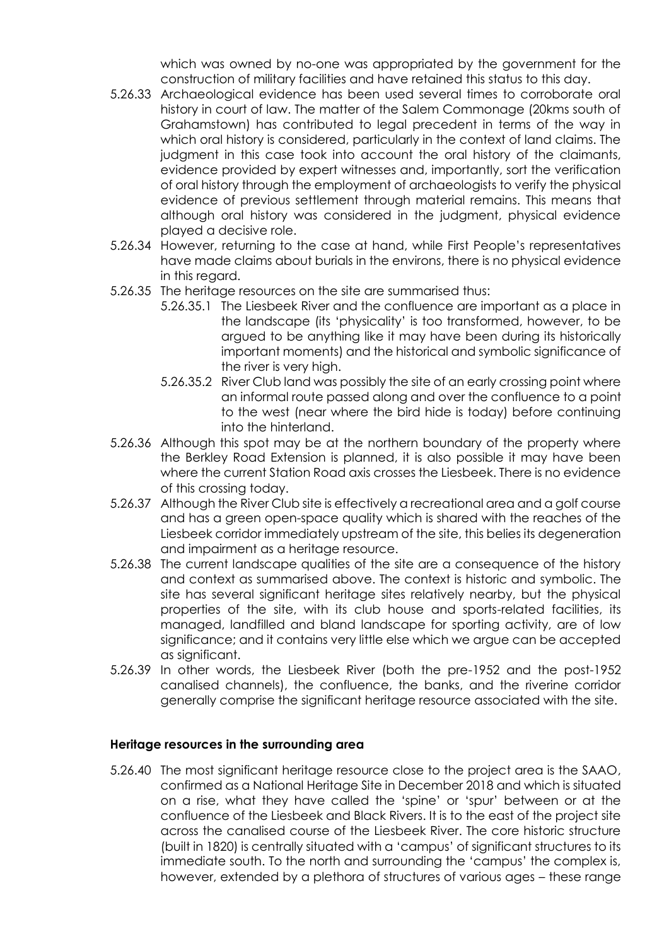which was owned by no-one was appropriated by the government for the construction of military facilities and have retained this status to this day.

- 5.26.33 Archaeological evidence has been used several times to corroborate oral history in court of law. The matter of the Salem Commonage (20kms south of Grahamstown) has contributed to legal precedent in terms of the way in which oral history is considered, particularly in the context of land claims. The judgment in this case took into account the oral history of the claimants, evidence provided by expert witnesses and, importantly, sort the verification of oral history through the employment of archaeologists to verify the physical evidence of previous settlement through material remains. This means that although oral history was considered in the judgment, physical evidence played a decisive role.
- 5.26.34 However, returning to the case at hand, while First People's representatives have made claims about burials in the environs, there is no physical evidence in this regard.
- 5.26.35 The heritage resources on the site are summarised thus:
	- 5.26.35.1 The Liesbeek River and the confluence are important as a place in the landscape (its 'physicality' is too transformed, however, to be argued to be anything like it may have been during its historically important moments) and the historical and symbolic significance of the river is very high.
	- 5.26.35.2 River Club land was possibly the site of an early crossing point where an informal route passed along and over the confluence to a point to the west (near where the bird hide is today) before continuing into the hinterland.
- 5.26.36 Although this spot may be at the northern boundary of the property where the Berkley Road Extension is planned, it is also possible it may have been where the current Station Road axis crosses the Liesbeek. There is no evidence of this crossing today.
- 5.26.37 Although the River Club site is effectively a recreational area and a golf course and has a green open-space quality which is shared with the reaches of the Liesbeek corridor immediately upstream of the site, this belies its degeneration and impairment as a heritage resource.
- 5.26.38 The current landscape qualities of the site are a consequence of the history and context as summarised above. The context is historic and symbolic. The site has several significant heritage sites relatively nearby, but the physical properties of the site, with its club house and sports-related facilities, its managed, landfilled and bland landscape for sporting activity, are of low significance; and it contains very little else which we argue can be accepted as significant.
- 5.26.39 In other words, the Liesbeek River (both the pre-1952 and the post-1952 canalised channels), the confluence, the banks, and the riverine corridor generally comprise the significant heritage resource associated with the site.

## **Heritage resources in the surrounding area**

5.26.40 The most significant heritage resource close to the project area is the SAAO, confirmed as a National Heritage Site in December 2018 and which is situated on a rise, what they have called the 'spine' or 'spur' between or at the confluence of the Liesbeek and Black Rivers. It is to the east of the project site across the canalised course of the Liesbeek River. The core historic structure (built in 1820) is centrally situated with a 'campus' of significant structures to its immediate south. To the north and surrounding the 'campus' the complex is, however, extended by a plethora of structures of various ages – these range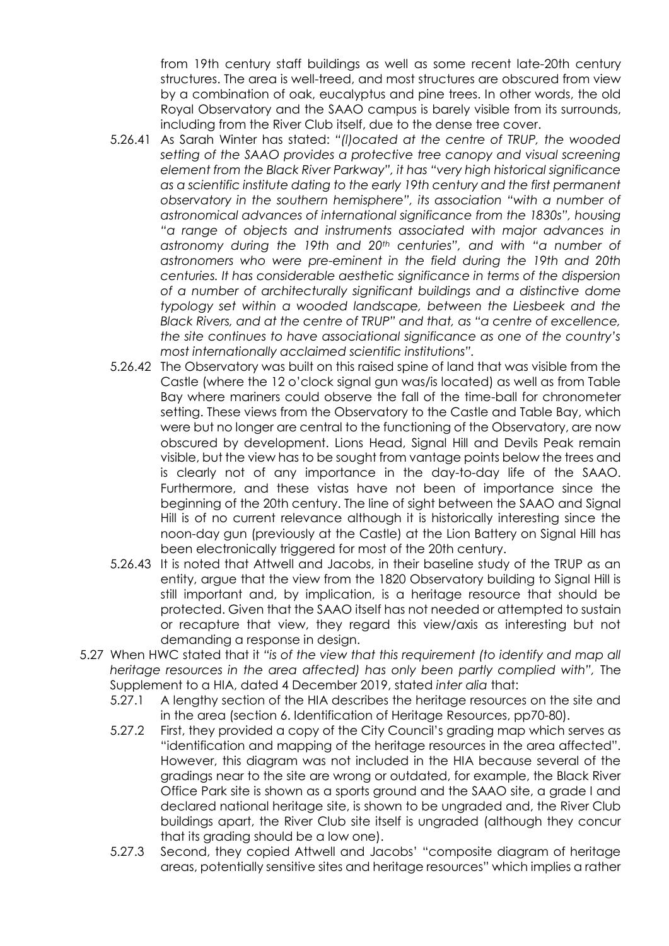from 19th century staff buildings as well as some recent late-20th century structures. The area is well-treed, and most structures are obscured from view by a combination of oak, eucalyptus and pine trees. In other words, the old Royal Observatory and the SAAO campus is barely visible from its surrounds, including from the River Club itself, due to the dense tree cover.

- 5.26.41 As Sarah Winter has stated: *"(l)ocated at the centre of TRUP, the wooded setting of the SAAO provides a protective tree canopy and visual screening element from the Black River Parkway", it has "very high historical significance as a scientific institute dating to the early 19th century and the first permanent observatory in the southern hemisphere", its association "with a number of astronomical advances of international significance from the 1830s", housing "a range of objects and instruments associated with major advances in astronomy during the 19th and 20th centuries", and with "a number of astronomers who were pre-eminent in the field during the 19th and 20th centuries. It has considerable aesthetic significance in terms of the dispersion of a number of architecturally significant buildings and a distinctive dome typology set within a wooded landscape, between the Liesbeek and the Black Rivers, and at the centre of TRUP" and that, as "a centre of excellence, the site continues to have associational significance as one of the country's most internationally acclaimed scientific institutions".*
- 5.26.42 The Observatory was built on this raised spine of land that was visible from the Castle (where the 12 o'clock signal gun was/is located) as well as from Table Bay where mariners could observe the fall of the time-ball for chronometer setting. These views from the Observatory to the Castle and Table Bay, which were but no longer are central to the functioning of the Observatory, are now obscured by development. Lions Head, Signal Hill and Devils Peak remain visible, but the view has to be sought from vantage points below the trees and is clearly not of any importance in the day-to-day life of the SAAO. Furthermore, and these vistas have not been of importance since the beginning of the 20th century. The line of sight between the SAAO and Signal Hill is of no current relevance although it is historically interesting since the noon-day gun (previously at the Castle) at the Lion Battery on Signal Hill has been electronically triggered for most of the 20th century.
- 5.26.43 It is noted that Attwell and Jacobs, in their baseline study of the TRUP as an entity, argue that the view from the 1820 Observatory building to Signal Hill is still important and, by implication, is a heritage resource that should be protected. Given that the SAAO itself has not needed or attempted to sustain or recapture that view, they regard this view/axis as interesting but not demanding a response in design.
- 5.27 When HWC stated that it *"is of the view that this requirement (to identify and map all heritage resources in the area affected) has only been partly complied with",* The Supplement to a HIA, dated 4 December 2019, stated *inter alia* that:
	- 5.27.1 A lengthy section of the HIA describes the heritage resources on the site and in the area (section 6. Identification of Heritage Resources, pp70-80).
	- 5.27.2 First, they provided a copy of the City Council's grading map which serves as "identification and mapping of the heritage resources in the area affected". However, this diagram was not included in the HIA because several of the gradings near to the site are wrong or outdated, for example, the Black River Office Park site is shown as a sports ground and the SAAO site, a grade I and declared national heritage site, is shown to be ungraded and, the River Club buildings apart, the River Club site itself is ungraded (although they concur that its grading should be a low one).
	- 5.27.3 Second, they copied Attwell and Jacobs' "composite diagram of heritage areas, potentially sensitive sites and heritage resources" which implies a rather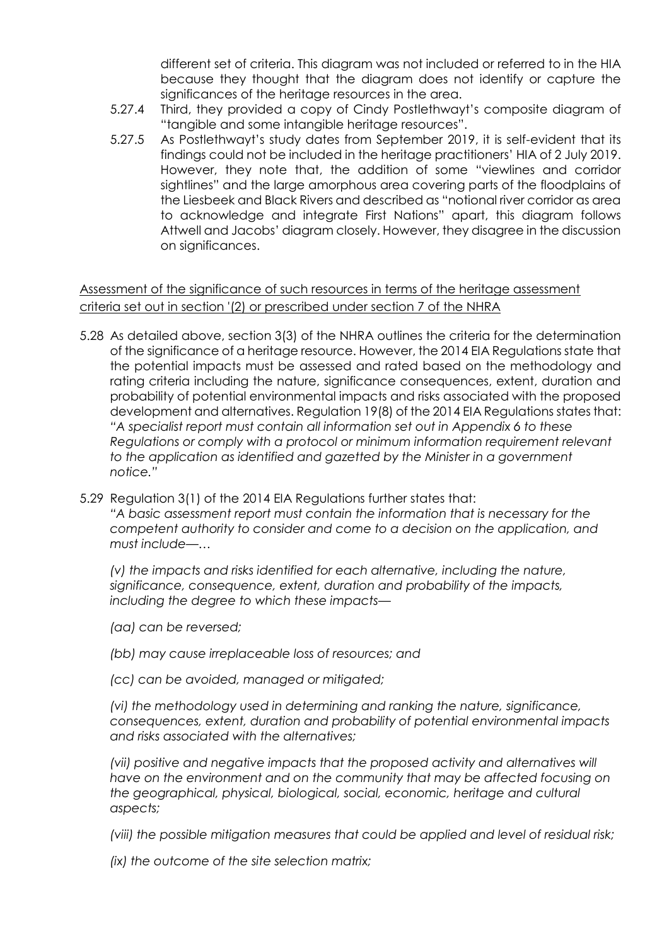different set of criteria. This diagram was not included or referred to in the HIA because they thought that the diagram does not identify or capture the significances of the heritage resources in the area.

- 5.27.4 Third, they provided a copy of Cindy Postlethwayt's composite diagram of "tangible and some intangible heritage resources".
- 5.27.5 As Postlethwayt's study dates from September 2019, it is self-evident that its findings could not be included in the heritage practitioners' HIA of 2 July 2019. However, they note that, the addition of some "viewlines and corridor sightlines" and the large amorphous area covering parts of the floodplains of the Liesbeek and Black Rivers and described as "notional river corridor as area to acknowledge and integrate First Nations" apart, this diagram follows Attwell and Jacobs' diagram closely. However, they disagree in the discussion on significances.

# Assessment of the significance of such resources in terms of the heritage assessment criteria set out in section '(2) or prescribed under section 7 of the NHRA

- 5.28 As detailed above, section 3(3) of the NHRA outlines the criteria for the determination of the significance of a heritage resource. However, the 2014 EIA Regulations state that the potential impacts must be assessed and rated based on the methodology and rating criteria including the nature, significance consequences, extent, duration and probability of potential environmental impacts and risks associated with the proposed development and alternatives. Regulation 19(8) of the 2014 EIA Regulations states that: *"A specialist report must contain all information set out in Appendix 6 to these Regulations or comply with a protocol or minimum information requirement relevant to the application as identified and gazetted by the Minister in a government notice."*
- 5.29 Regulation 3(1) of the 2014 EIA Regulations further states that: *"A basic assessment report must contain the information that is necessary for the competent authority to consider and come to a decision on the application, and must include—…*

*(v) the impacts and risks identified for each alternative, including the nature, significance, consequence, extent, duration and probability of the impacts, including the degree to which these impacts—*

- *(aa) can be reversed;*
- *(bb) may cause irreplaceable loss of resources; and*
- *(cc) can be avoided, managed or mitigated;*

*(vi) the methodology used in determining and ranking the nature, significance, consequences, extent, duration and probability of potential environmental impacts and risks associated with the alternatives;*

*(vii) positive and negative impacts that the proposed activity and alternatives will have on the environment and on the community that may be affected focusing on the geographical, physical, biological, social, economic, heritage and cultural aspects;*

*(viii) the possible mitigation measures that could be applied and level of residual risk;*

*(ix) the outcome of the site selection matrix;*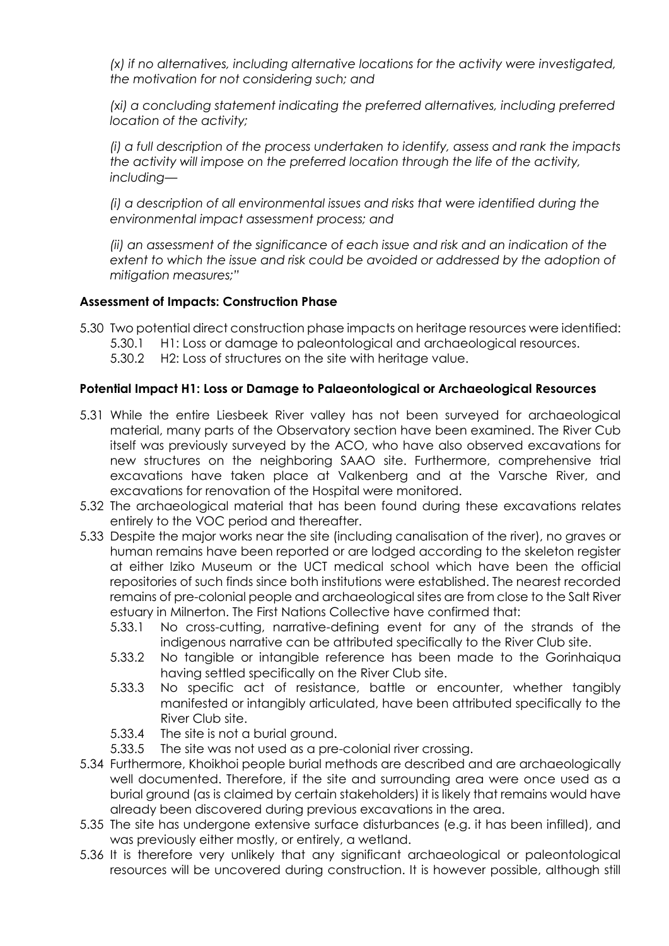*(x) if no alternatives, including alternative locations for the activity were investigated, the motivation for not considering such; and*

*(xi) a concluding statement indicating the preferred alternatives, including preferred location of the activity;*

*(i) a full description of the process undertaken to identify, assess and rank the impacts the activity will impose on the preferred location through the life of the activity, including—*

*(i) a description of all environmental issues and risks that were identified during the environmental impact assessment process; and*

*(ii) an assessment of the significance of each issue and risk and an indication of the extent to which the issue and risk could be avoided or addressed by the adoption of mitigation measures;"*

# **Assessment of Impacts: Construction Phase**

- 5.30 Two potential direct construction phase impacts on heritage resources were identified:
	- 5.30.1 H1: Loss or damage to paleontological and archaeological resources.
	- 5.30.2 H2: Loss of structures on the site with heritage value.

# **Potential Impact H1: Loss or Damage to Palaeontological or Archaeological Resources**

- 5.31 While the entire Liesbeek River valley has not been surveyed for archaeological material, many parts of the Observatory section have been examined. The River Cub itself was previously surveyed by the ACO, who have also observed excavations for new structures on the neighboring SAAO site. Furthermore, comprehensive trial excavations have taken place at Valkenberg and at the Varsche River, and excavations for renovation of the Hospital were monitored.
- 5.32 The archaeological material that has been found during these excavations relates entirely to the VOC period and thereafter.
- 5.33 Despite the major works near the site (including canalisation of the river), no graves or human remains have been reported or are lodged according to the skeleton register at either Iziko Museum or the UCT medical school which have been the official repositories of such finds since both institutions were established. The nearest recorded remains of pre-colonial people and archaeological sites are from close to the Salt River estuary in Milnerton. The First Nations Collective have confirmed that:
	- 5.33.1 No cross-cutting, narrative-defining event for any of the strands of the indigenous narrative can be attributed specifically to the River Club site.
	- 5.33.2 No tangible or intangible reference has been made to the Gorinhaiqua having settled specifically on the River Club site.
	- 5.33.3 No specific act of resistance, battle or encounter, whether tangibly manifested or intangibly articulated, have been attributed specifically to the River Club site.
	- 5.33.4 The site is not a burial ground.
	- 5.33.5 The site was not used as a pre-colonial river crossing.
- 5.34 Furthermore, Khoikhoi people burial methods are described and are archaeologically well documented. Therefore, if the site and surrounding area were once used as a burial ground (as is claimed by certain stakeholders) it is likely that remains would have already been discovered during previous excavations in the area.
- 5.35 The site has undergone extensive surface disturbances (e.g. it has been infilled), and was previously either mostly, or entirely, a wetland.
- 5.36 It is therefore very unlikely that any significant archaeological or paleontological resources will be uncovered during construction. It is however possible, although still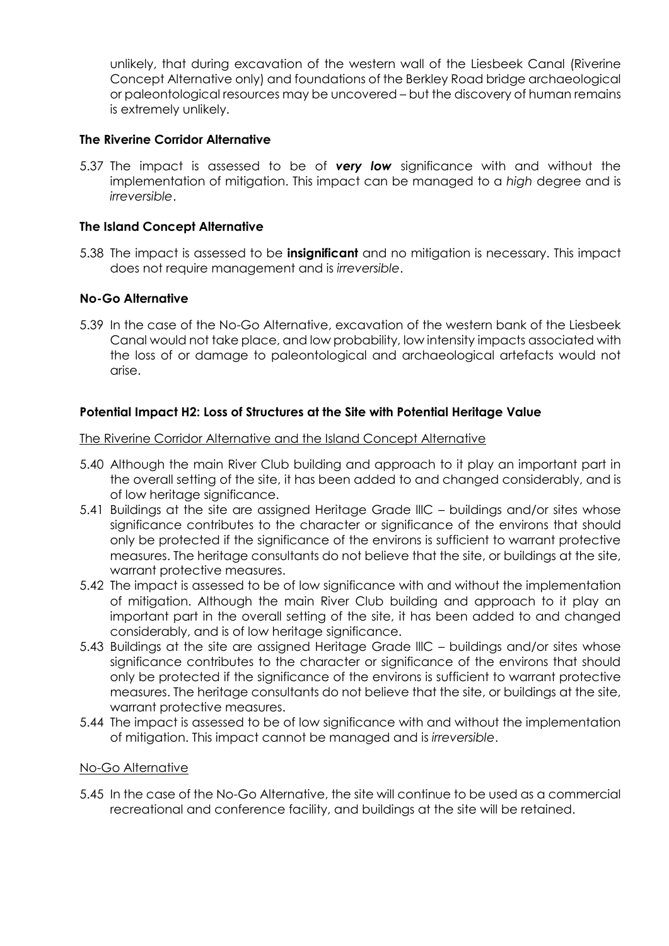unlikely, that during excavation of the western wall of the Liesbeek Canal (Riverine Concept Alternative only) and foundations of the Berkley Road bridge archaeological or paleontological resources may be uncovered – but the discovery of human remains is extremely unlikely.

### **The Riverine Corridor Alternative**

5.37 The impact is assessed to be of *very low* significance with and without the implementation of mitigation. This impact can be managed to a *high* degree and is *irreversible*.

### **The Island Concept Alternative**

5.38 The impact is assessed to be **insignificant** and no mitigation is necessary. This impact does not require management and is *irreversible*.

### **No-Go Alternative**

5.39 In the case of the No-Go Alternative, excavation of the western bank of the Liesbeek Canal would not take place, and low probability, low intensity impacts associated with the loss of or damage to paleontological and archaeological artefacts would not arise.

### **Potential Impact H2: Loss of Structures at the Site with Potential Heritage Value**

The Riverine Corridor Alternative and the Island Concept Alternative

- 5.40 Although the main River Club building and approach to it play an important part in the overall setting of the site, it has been added to and changed considerably, and is of low heritage significance.
- 5.41 Buildings at the site are assigned Heritage Grade lllC buildings and/or sites whose significance contributes to the character or significance of the environs that should only be protected if the significance of the environs is sufficient to warrant protective measures. The heritage consultants do not believe that the site, or buildings at the site, warrant protective measures.
- 5.42 The impact is assessed to be of low significance with and without the implementation of mitigation. Although the main River Club building and approach to it play an important part in the overall setting of the site, it has been added to and changed considerably, and is of low heritage significance.
- 5.43 Buildings at the site are assigned Heritage Grade lllC buildings and/or sites whose significance contributes to the character or significance of the environs that should only be protected if the significance of the environs is sufficient to warrant protective measures. The heritage consultants do not believe that the site, or buildings at the site, warrant protective measures.
- 5.44 The impact is assessed to be of low significance with and without the implementation of mitigation. This impact cannot be managed and is *irreversible*.

### No-Go Alternative

5.45 In the case of the No-Go Alternative, the site will continue to be used as a commercial recreational and conference facility, and buildings at the site will be retained.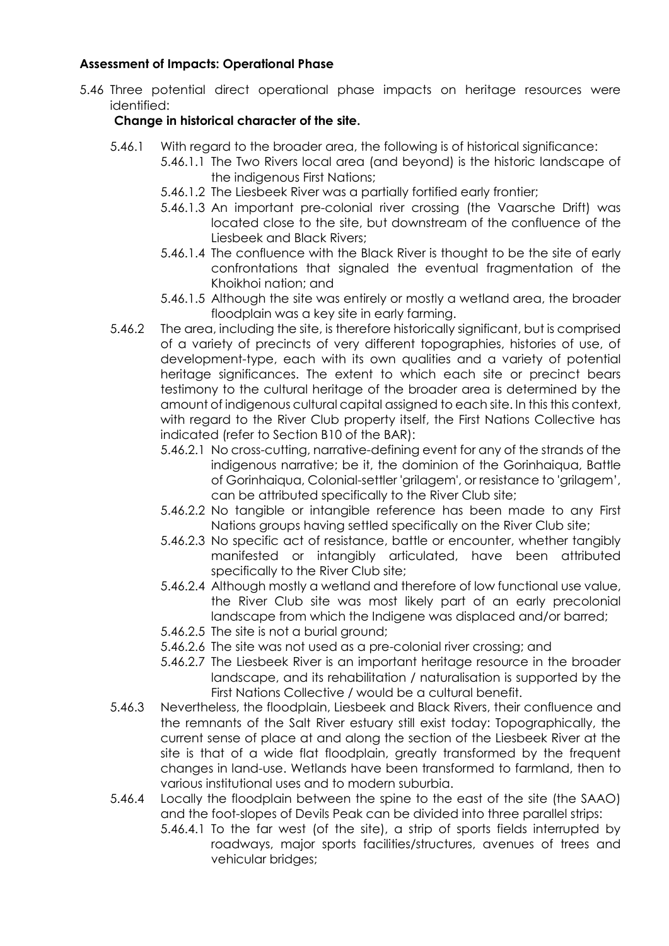## **Assessment of Impacts: Operational Phase**

5.46 Three potential direct operational phase impacts on heritage resources were identified:

# **Change in historical character of the site.**

- 5.46.1 With regard to the broader area, the following is of historical significance:
	- 5.46.1.1 The Two Rivers local area (and beyond) is the historic landscape of the indigenous First Nations;
		- 5.46.1.2 The Liesbeek River was a partially fortified early frontier;
		- 5.46.1.3 An important pre-colonial river crossing (the Vaarsche Drift) was located close to the site, but downstream of the confluence of the Liesbeek and Black Rivers;
		- 5.46.1.4 The confluence with the Black River is thought to be the site of early confrontations that signaled the eventual fragmentation of the Khoikhoi nation; and
		- 5.46.1.5 Although the site was entirely or mostly a wetland area, the broader floodplain was a key site in early farming.
- 5.46.2 The area, including the site, is therefore historically significant, but is comprised of a variety of precincts of very different topographies, histories of use, of development-type, each with its own qualities and a variety of potential heritage significances. The extent to which each site or precinct bears testimony to the cultural heritage of the broader area is determined by the amount of indigenous cultural capital assigned to each site. In this this context, with regard to the River Club property itself, the First Nations Collective has indicated (refer to Section B10 of the BAR):
	- 5.46.2.1 No cross-cutting, narrative-defining event for any of the strands of the indigenous narrative; be it, the dominion of the Gorinhaiqua, Battle of Gorinhaiqua, Colonial-settler 'grilagem', or resistance to 'grilagem', can be attributed specifically to the River Club site;
	- 5.46.2.2 No tangible or intangible reference has been made to any First Nations groups having settled specifically on the River Club site;
	- 5.46.2.3 No specific act of resistance, battle or encounter, whether tangibly manifested or intangibly articulated, have been attributed specifically to the River Club site;
	- 5.46.2.4 Although mostly a wetland and therefore of low functional use value, the River Club site was most likely part of an early precolonial landscape from which the Indigene was displaced and/or barred;
	- 5.46.2.5 The site is not a burial ground;
	- 5.46.2.6 The site was not used as a pre-colonial river crossing; and
	- 5.46.2.7 The Liesbeek River is an important heritage resource in the broader landscape, and its rehabilitation / naturalisation is supported by the First Nations Collective / would be a cultural benefit.
- 5.46.3 Nevertheless, the floodplain, Liesbeek and Black Rivers, their confluence and the remnants of the Salt River estuary still exist today: Topographically, the current sense of place at and along the section of the Liesbeek River at the site is that of a wide flat floodplain, greatly transformed by the frequent changes in land-use. Wetlands have been transformed to farmland, then to various institutional uses and to modern suburbia.
- 5.46.4 Locally the floodplain between the spine to the east of the site (the SAAO) and the foot-slopes of Devils Peak can be divided into three parallel strips:
	- 5.46.4.1 To the far west (of the site), a strip of sports fields interrupted by roadways, major sports facilities/structures, avenues of trees and vehicular bridges;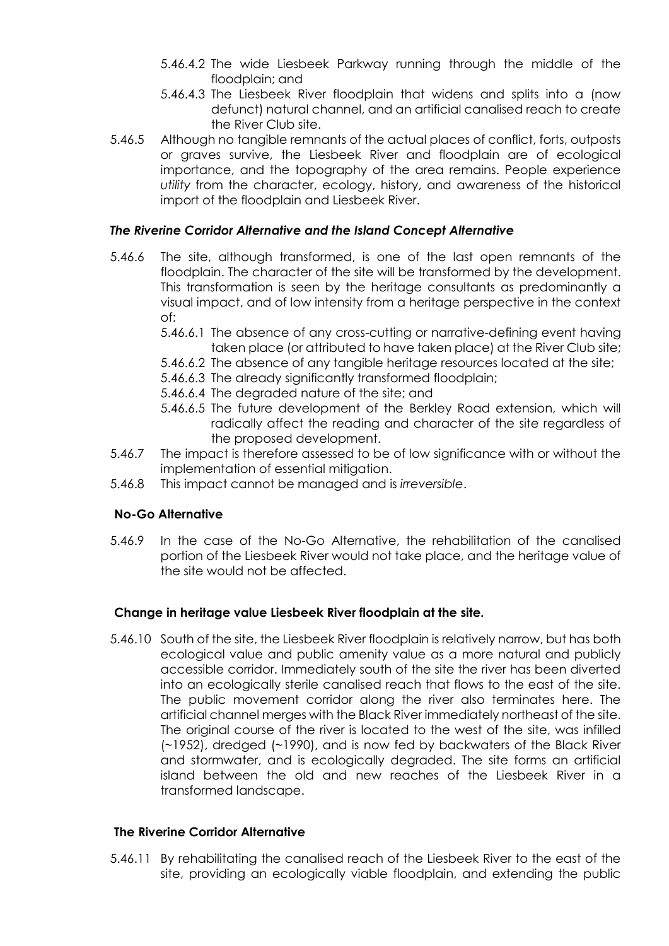- 5.46.4.2 The wide Liesbeek Parkway running through the middle of the floodplain; and
- 5.46.4.3 The Liesbeek River floodplain that widens and splits into a (now defunct) natural channel, and an artificial canalised reach to create the River Club site.
- 5.46.5 Although no tangible remnants of the actual places of conflict, forts, outposts or graves survive, the Liesbeek River and floodplain are of ecological importance, and the topography of the area remains. People experience *utility* from the character, ecology, history, and awareness of the historical import of the floodplain and Liesbeek River.

# *The Riverine Corridor Alternative and the Island Concept Alternative*

- 5.46.6 The site, although transformed, is one of the last open remnants of the floodplain. The character of the site will be transformed by the development. This transformation is seen by the heritage consultants as predominantly a visual impact, and of low intensity from a heritage perspective in the context of:
	- 5.46.6.1 The absence of any cross-cutting or narrative-defining event having taken place (or attributed to have taken place) at the River Club site;
	- 5.46.6.2 The absence of any tangible heritage resources located at the site;
	- 5.46.6.3 The already significantly transformed floodplain;
	- 5.46.6.4 The degraded nature of the site; and
	- 5.46.6.5 The future development of the Berkley Road extension, which will radically affect the reading and character of the site regardless of the proposed development.
- 5.46.7 The impact is therefore assessed to be of low significance with or without the implementation of essential mitigation.
- 5.46.8 This impact cannot be managed and is *irreversible*.

# **No-Go Alternative**

5.46.9 In the case of the No-Go Alternative, the rehabilitation of the canalised portion of the Liesbeek River would not take place, and the heritage value of the site would not be affected.

## **Change in heritage value Liesbeek River floodplain at the site.**

5.46.10 South of the site, the Liesbeek River floodplain is relatively narrow, but has both ecological value and public amenity value as a more natural and publicly accessible corridor. Immediately south of the site the river has been diverted into an ecologically sterile canalised reach that flows to the east of the site. The public movement corridor along the river also terminates here. The artificial channel merges with the Black River immediately northeast of the site. The original course of the river is located to the west of the site, was infilled (~1952), dredged (~1990), and is now fed by backwaters of the Black River and stormwater, and is ecologically degraded. The site forms an artificial island between the old and new reaches of the Liesbeek River in a transformed landscape.

## **The Riverine Corridor Alternative**

5.46.11 By rehabilitating the canalised reach of the Liesbeek River to the east of the site, providing an ecologically viable floodplain, and extending the public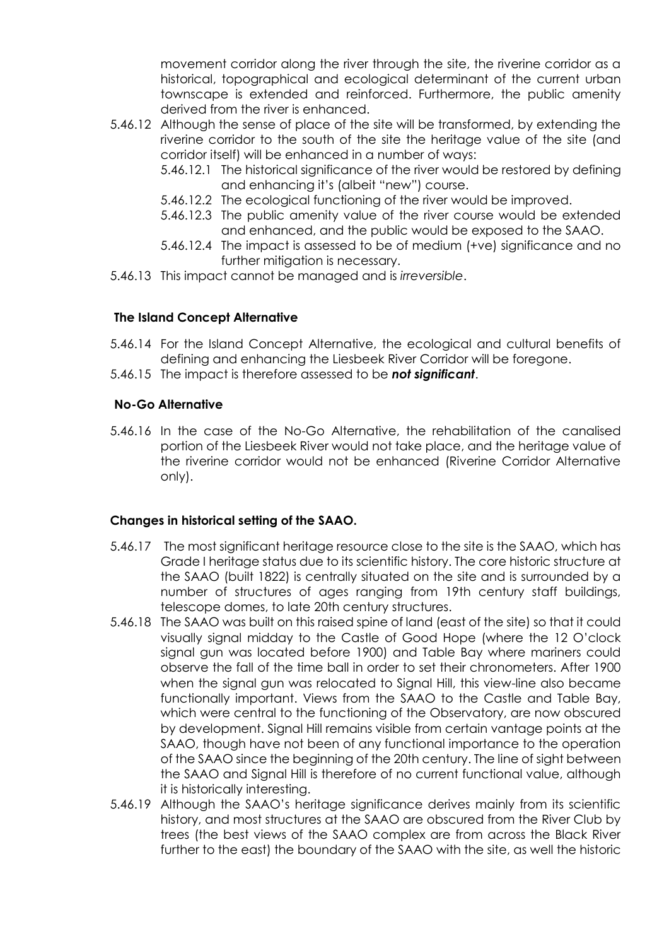movement corridor along the river through the site, the riverine corridor as a historical, topographical and ecological determinant of the current urban townscape is extended and reinforced. Furthermore, the public amenity derived from the river is enhanced.

- 5.46.12 Although the sense of place of the site will be transformed, by extending the riverine corridor to the south of the site the heritage value of the site (and corridor itself) will be enhanced in a number of ways:
	- 5.46.12.1 The historical significance of the river would be restored by defining and enhancing it's (albeit "new") course.
	- 5.46.12.2 The ecological functioning of the river would be improved.
	- 5.46.12.3 The public amenity value of the river course would be extended and enhanced, and the public would be exposed to the SAAO.
	- 5.46.12.4 The impact is assessed to be of medium (+ve) significance and no further mitigation is necessary.
- 5.46.13 This impact cannot be managed and is *irreversible*.

### **The Island Concept Alternative**

- 5.46.14 For the Island Concept Alternative, the ecological and cultural benefits of defining and enhancing the Liesbeek River Corridor will be foregone.
- 5.46.15 The impact is therefore assessed to be *not significant*.

### **No-Go Alternative**

5.46.16 In the case of the No-Go Alternative, the rehabilitation of the canalised portion of the Liesbeek River would not take place, and the heritage value of the riverine corridor would not be enhanced (Riverine Corridor Alternative only).

### **Changes in historical setting of the SAAO.**

- 5.46.17 The most significant heritage resource close to the site is the SAAO, which has Grade I heritage status due to its scientific history. The core historic structure at the SAAO (built 1822) is centrally situated on the site and is surrounded by a number of structures of ages ranging from 19th century staff buildings, telescope domes, to late 20th century structures.
- 5.46.18 The SAAO was built on this raised spine of land (east of the site) so that it could visually signal midday to the Castle of Good Hope (where the 12 O'clock signal gun was located before 1900) and Table Bay where mariners could observe the fall of the time ball in order to set their chronometers. After 1900 when the signal gun was relocated to Signal Hill, this view-line also became functionally important. Views from the SAAO to the Castle and Table Bay, which were central to the functioning of the Observatory, are now obscured by development. Signal Hill remains visible from certain vantage points at the SAAO, though have not been of any functional importance to the operation of the SAAO since the beginning of the 20th century. The line of sight between the SAAO and Signal Hill is therefore of no current functional value, although it is historically interesting.
- 5.46.19 Although the SAAO's heritage significance derives mainly from its scientific history, and most structures at the SAAO are obscured from the River Club by trees (the best views of the SAAO complex are from across the Black River further to the east) the boundary of the SAAO with the site, as well the historic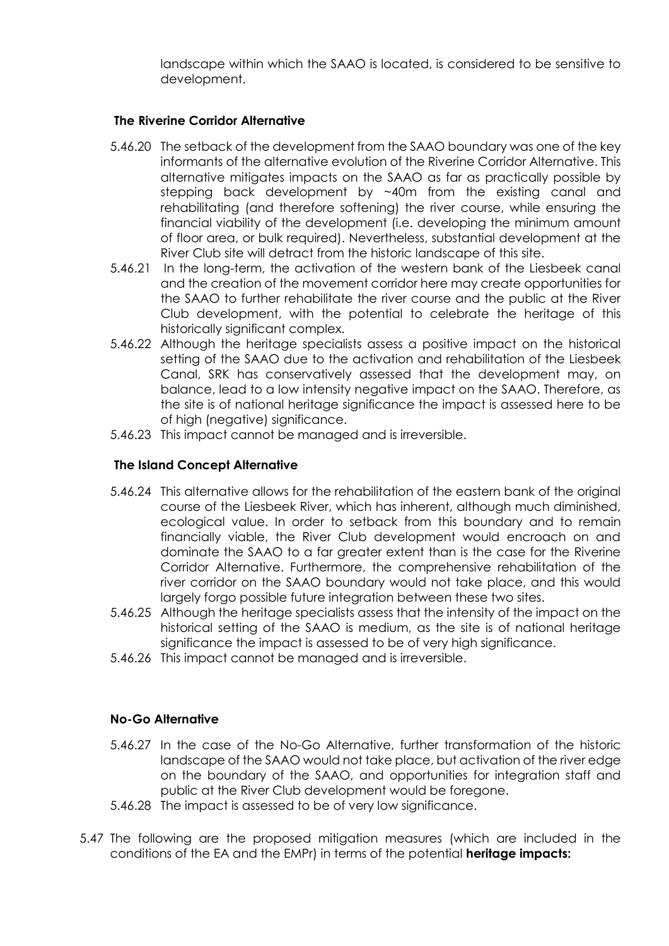landscape within which the SAAO is located, is considered to be sensitive to development.

### **The Riverine Corridor Alternative**

- 5.46.20 The setback of the development from the SAAO boundary was one of the key informants of the alternative evolution of the Riverine Corridor Alternative. This alternative mitigates impacts on the SAAO as far as practically possible by stepping back development by ~40m from the existing canal and rehabilitating (and therefore softening) the river course, while ensuring the financial viability of the development (i.e. developing the minimum amount of floor area, or bulk required). Nevertheless, substantial development at the River Club site will detract from the historic landscape of this site.
- 5.46.21 In the long-term, the activation of the western bank of the Liesbeek canal and the creation of the movement corridor here may create opportunities for the SAAO to further rehabilitate the river course and the public at the River Club development, with the potential to celebrate the heritage of this historically significant complex.
- 5.46.22 Although the heritage specialists assess a positive impact on the historical setting of the SAAO due to the activation and rehabilitation of the Liesbeek Canal, SRK has conservatively assessed that the development may, on balance, lead to a low intensity negative impact on the SAAO. Therefore, as the site is of national heritage significance the impact is assessed here to be of high (negative) significance.
- 5.46.23 This impact cannot be managed and is irreversible.

# **The Island Concept Alternative**

- 5.46.24 This alternative allows for the rehabilitation of the eastern bank of the original course of the Liesbeek River, which has inherent, although much diminished, ecological value. In order to setback from this boundary and to remain financially viable, the River Club development would encroach on and dominate the SAAO to a far greater extent than is the case for the Riverine Corridor Alternative. Furthermore, the comprehensive rehabilitation of the river corridor on the SAAO boundary would not take place, and this would largely forgo possible future integration between these two sites.
- 5.46.25 Although the heritage specialists assess that the intensity of the impact on the historical setting of the SAAO is medium, as the site is of national heritage significance the impact is assessed to be of very high significance.
- 5.46.26 This impact cannot be managed and is irreversible.

### **No-Go Alternative**

- 5.46.27 In the case of the No-Go Alternative, further transformation of the historic landscape of the SAAO would not take place, but activation of the river edge on the boundary of the SAAO, and opportunities for integration staff and public at the River Club development would be foregone.
- 5.46.28 The impact is assessed to be of very low significance.
- 5.47 The following are the proposed mitigation measures (which are included in the conditions of the EA and the EMPr) in terms of the potential **heritage impacts:**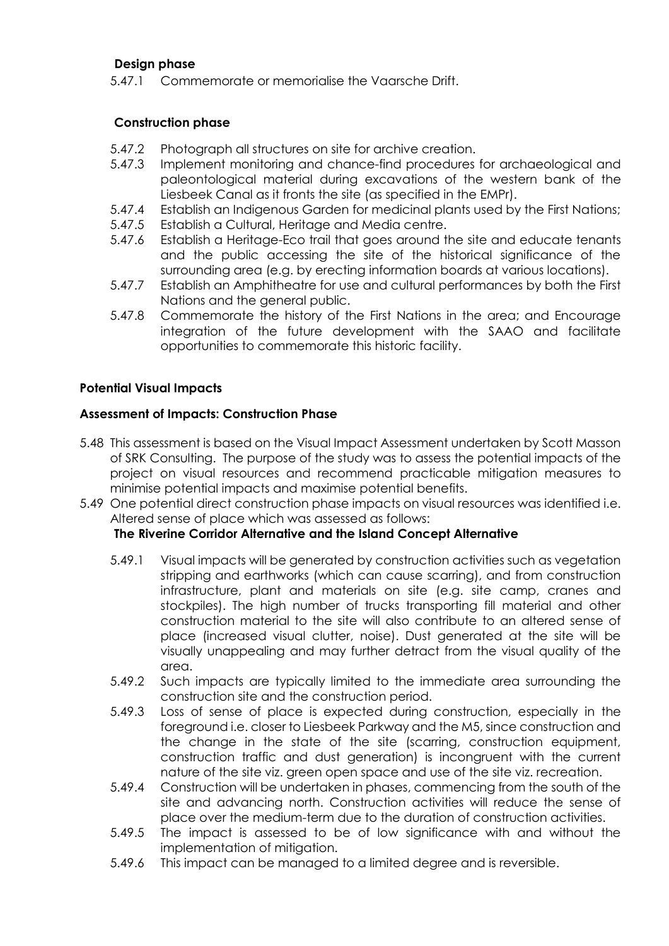## **Design phase**

5.47.1 Commemorate or memorialise the Vaarsche Drift.

# **Construction phase**

- 5.47.2 Photograph all structures on site for archive creation.
- 5.47.3 Implement monitoring and chance-find procedures for archaeological and paleontological material during excavations of the western bank of the Liesbeek Canal as it fronts the site (as specified in the EMPr).
- 5.47.4 Establish an Indigenous Garden for medicinal plants used by the First Nations;
- 5.47.5 Establish a Cultural, Heritage and Media centre.
- 5.47.6 Establish a Heritage-Eco trail that goes around the site and educate tenants and the public accessing the site of the historical significance of the surrounding area (e.g. by erecting information boards at various locations).
- 5.47.7 Establish an Amphitheatre for use and cultural performances by both the First Nations and the general public.
- 5.47.8 Commemorate the history of the First Nations in the area; and Encourage integration of the future development with the SAAO and facilitate opportunities to commemorate this historic facility.

# **Potential Visual Impacts**

# **Assessment of Impacts: Construction Phase**

- 5.48 This assessment is based on the Visual Impact Assessment undertaken by Scott Masson of SRK Consulting. The purpose of the study was to assess the potential impacts of the project on visual resources and recommend practicable mitigation measures to minimise potential impacts and maximise potential benefits.
- 5.49 One potential direct construction phase impacts on visual resources was identified i.e. Altered sense of place which was assessed as follows:

# **The Riverine Corridor Alternative and the Island Concept Alternative**

- 5.49.1 Visual impacts will be generated by construction activities such as vegetation stripping and earthworks (which can cause scarring), and from construction infrastructure, plant and materials on site (e.g. site camp, cranes and stockpiles). The high number of trucks transporting fill material and other construction material to the site will also contribute to an altered sense of place (increased visual clutter, noise). Dust generated at the site will be visually unappealing and may further detract from the visual quality of the area.
- 5.49.2 Such impacts are typically limited to the immediate area surrounding the construction site and the construction period.
- 5.49.3 Loss of sense of place is expected during construction, especially in the foreground i.e. closer to Liesbeek Parkway and the M5, since construction and the change in the state of the site (scarring, construction equipment, construction traffic and dust generation) is incongruent with the current nature of the site viz. green open space and use of the site viz. recreation.
- 5.49.4 Construction will be undertaken in phases, commencing from the south of the site and advancing north. Construction activities will reduce the sense of place over the medium-term due to the duration of construction activities.
- 5.49.5 The impact is assessed to be of low significance with and without the implementation of mitigation.
- 5.49.6 This impact can be managed to a limited degree and is reversible.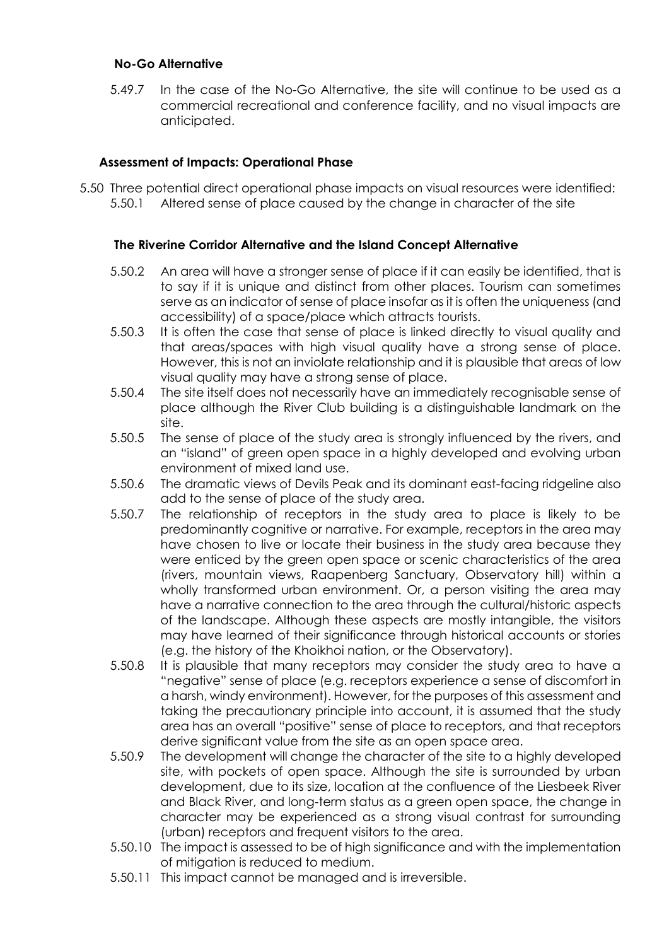### **No-Go Alternative**

5.49.7 In the case of the No-Go Alternative, the site will continue to be used as a commercial recreational and conference facility, and no visual impacts are anticipated.

## **Assessment of Impacts: Operational Phase**

5.50 Three potential direct operational phase impacts on visual resources were identified: 5.50.1 Altered sense of place caused by the change in character of the site

## **The Riverine Corridor Alternative and the Island Concept Alternative**

- 5.50.2 An area will have a stronger sense of place if it can easily be identified, that is to say if it is unique and distinct from other places. Tourism can sometimes serve as an indicator of sense of place insofar as it is often the uniqueness (and accessibility) of a space/place which attracts tourists.
- 5.50.3 It is often the case that sense of place is linked directly to visual quality and that areas/spaces with high visual quality have a strong sense of place. However, this is not an inviolate relationship and it is plausible that areas of low visual quality may have a strong sense of place.
- 5.50.4 The site itself does not necessarily have an immediately recognisable sense of place although the River Club building is a distinguishable landmark on the site.
- 5.50.5 The sense of place of the study area is strongly influenced by the rivers, and an "island" of green open space in a highly developed and evolving urban environment of mixed land use.
- 5.50.6 The dramatic views of Devils Peak and its dominant east-facing ridgeline also add to the sense of place of the study area.
- 5.50.7 The relationship of receptors in the study area to place is likely to be predominantly cognitive or narrative. For example, receptors in the area may have chosen to live or locate their business in the study area because they were enticed by the green open space or scenic characteristics of the area (rivers, mountain views, Raapenberg Sanctuary, Observatory hill) within a wholly transformed urban environment. Or, a person visiting the area may have a narrative connection to the area through the cultural/historic aspects of the landscape. Although these aspects are mostly intangible, the visitors may have learned of their significance through historical accounts or stories (e.g. the history of the Khoikhoi nation, or the Observatory).
- 5.50.8 It is plausible that many receptors may consider the study area to have a "negative" sense of place (e.g. receptors experience a sense of discomfort in a harsh, windy environment). However, for the purposes of this assessment and taking the precautionary principle into account, it is assumed that the study area has an overall "positive" sense of place to receptors, and that receptors derive significant value from the site as an open space area.
- 5.50.9 The development will change the character of the site to a highly developed site, with pockets of open space. Although the site is surrounded by urban development, due to its size, location at the confluence of the Liesbeek River and Black River, and long-term status as a green open space, the change in character may be experienced as a strong visual contrast for surrounding (urban) receptors and frequent visitors to the area.
- 5.50.10 The impact is assessed to be of high significance and with the implementation of mitigation is reduced to medium.
- 5.50.11 This impact cannot be managed and is irreversible.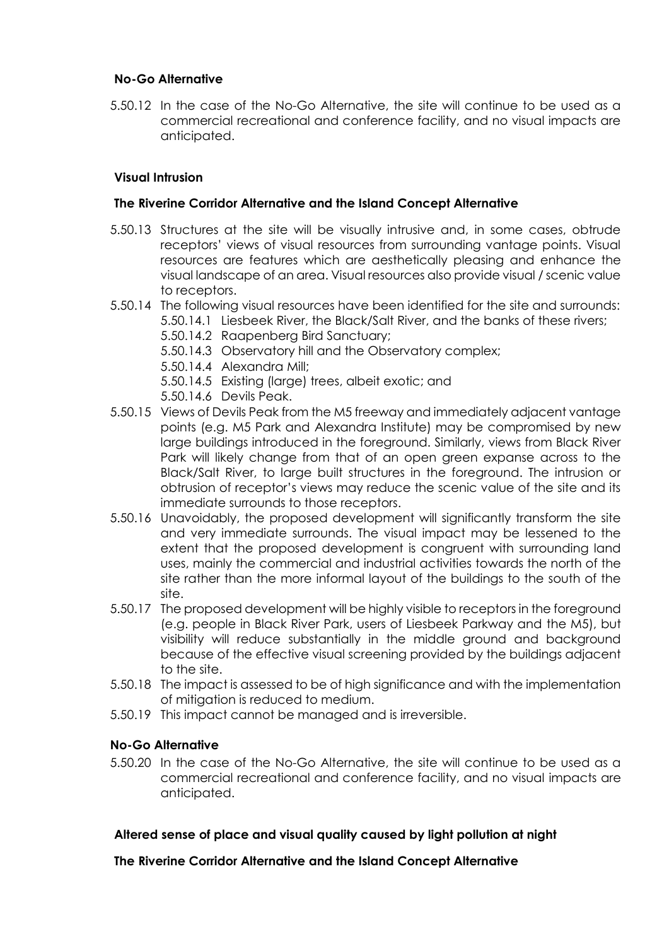## **No-Go Alternative**

5.50.12 In the case of the No-Go Alternative, the site will continue to be used as a commercial recreational and conference facility, and no visual impacts are anticipated.

# **Visual Intrusion**

## **The Riverine Corridor Alternative and the Island Concept Alternative**

- 5.50.13 Structures at the site will be visually intrusive and, in some cases, obtrude receptors' views of visual resources from surrounding vantage points. Visual resources are features which are aesthetically pleasing and enhance the visual landscape of an area. Visual resources also provide visual / scenic value to receptors.
- 5.50.14 The following visual resources have been identified for the site and surrounds:
	- 5.50.14.1 Liesbeek River, the Black/Salt River, and the banks of these rivers;
	- 5.50.14.2 Raapenberg Bird Sanctuary;
	- 5.50.14.3 Observatory hill and the Observatory complex;
	- 5.50.14.4 Alexandra Mill;
	- 5.50.14.5 Existing (large) trees, albeit exotic; and
	- 5.50.14.6 Devils Peak.
- 5.50.15 Views of Devils Peak from the M5 freeway and immediately adjacent vantage points (e.g. M5 Park and Alexandra Institute) may be compromised by new large buildings introduced in the foreground. Similarly, views from Black River Park will likely change from that of an open green expanse across to the Black/Salt River, to large built structures in the foreground. The intrusion or obtrusion of receptor's views may reduce the scenic value of the site and its immediate surrounds to those receptors.
- 5.50.16 Unavoidably, the proposed development will significantly transform the site and very immediate surrounds. The visual impact may be lessened to the extent that the proposed development is congruent with surrounding land uses, mainly the commercial and industrial activities towards the north of the site rather than the more informal layout of the buildings to the south of the site.
- 5.50.17 The proposed development will be highly visible to receptors in the foreground (e.g. people in Black River Park, users of Liesbeek Parkway and the M5), but visibility will reduce substantially in the middle ground and background because of the effective visual screening provided by the buildings adjacent to the site.
- 5.50.18 The impact is assessed to be of high significance and with the implementation of mitigation is reduced to medium.
- 5.50.19 This impact cannot be managed and is irreversible.

## **No-Go Alternative**

5.50.20 In the case of the No-Go Alternative, the site will continue to be used as a commercial recreational and conference facility, and no visual impacts are anticipated.

## **Altered sense of place and visual quality caused by light pollution at night**

## **The Riverine Corridor Alternative and the Island Concept Alternative**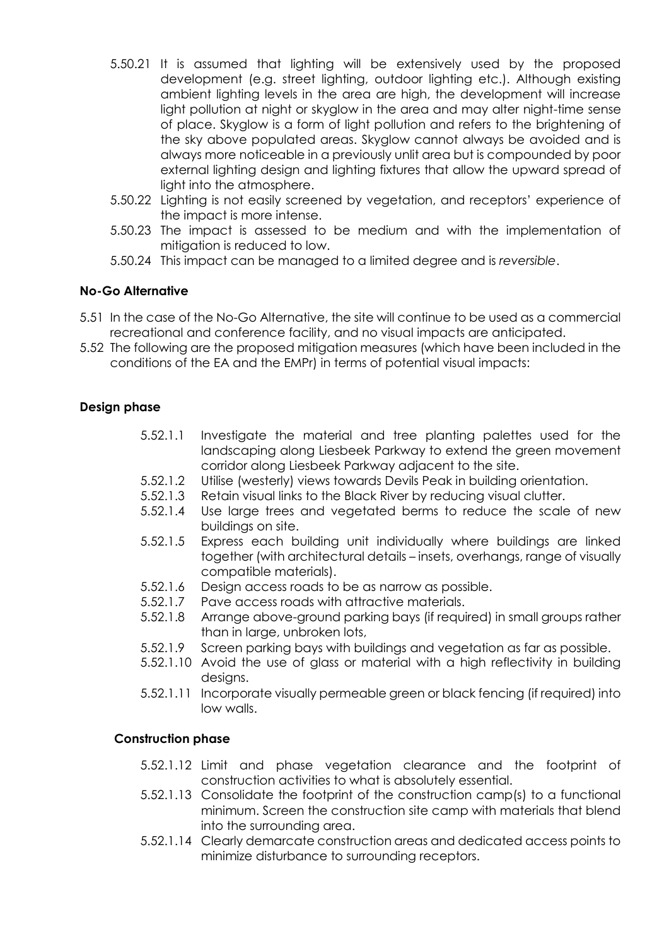- 5.50.21 It is assumed that lighting will be extensively used by the proposed development (e.g. street lighting, outdoor lighting etc.). Although existing ambient lighting levels in the area are high, the development will increase light pollution at night or skyglow in the area and may alter night-time sense of place. Skyglow is a form of light pollution and refers to the brightening of the sky above populated areas. Skyglow cannot always be avoided and is always more noticeable in a previously unlit area but is compounded by poor external lighting design and lighting fixtures that allow the upward spread of light into the atmosphere.
- 5.50.22 Lighting is not easily screened by vegetation, and receptors' experience of the impact is more intense.
- 5.50.23 The impact is assessed to be medium and with the implementation of mitigation is reduced to low.
- 5.50.24 This impact can be managed to a limited degree and is *reversible*.

# **No-Go Alternative**

- 5.51 In the case of the No-Go Alternative, the site will continue to be used as a commercial recreational and conference facility, and no visual impacts are anticipated.
- 5.52 The following are the proposed mitigation measures (which have been included in the conditions of the EA and the EMPr) in terms of potential visual impacts:

# **Design phase**

- 5.52.1.1 Investigate the material and tree planting palettes used for the landscaping along Liesbeek Parkway to extend the green movement corridor along Liesbeek Parkway adjacent to the site.
- 5.52.1.2 Utilise (westerly) views towards Devils Peak in building orientation.
- 5.52.1.3 Retain visual links to the Black River by reducing visual clutter.
- 5.52.1.4 Use large trees and vegetated berms to reduce the scale of new buildings on site.
- 5.52.1.5 Express each building unit individually where buildings are linked together (with architectural details – insets, overhangs, range of visually compatible materials).
- 5.52.1.6 Design access roads to be as narrow as possible.
- 5.52.1.7 Pave access roads with attractive materials.
- 5.52.1.8 Arrange above-ground parking bays (if required) in small groups rather than in large, unbroken lots,
- 5.52.1.9 Screen parking bays with buildings and vegetation as far as possible.
- 5.52.1.10 Avoid the use of glass or material with a high reflectivity in building designs.
- 5.52.1.11 Incorporate visually permeable green or black fencing (if required) into low walls.

## **Construction phase**

- 5.52.1.12 Limit and phase vegetation clearance and the footprint of construction activities to what is absolutely essential.
- 5.52.1.13 Consolidate the footprint of the construction camp(s) to a functional minimum. Screen the construction site camp with materials that blend into the surrounding area.
- 5.52.1.14 Clearly demarcate construction areas and dedicated access points to minimize disturbance to surrounding receptors.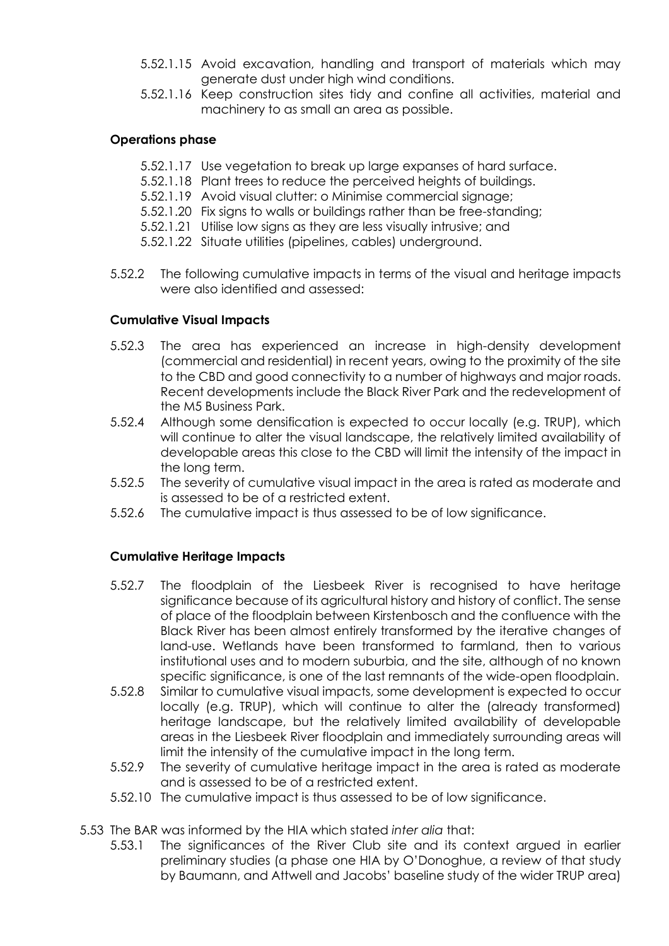- 5.52.1.15 Avoid excavation, handling and transport of materials which may generate dust under high wind conditions.
- 5.52.1.16 Keep construction sites tidy and confine all activities, material and machinery to as small an area as possible.

# **Operations phase**

- 5.52.1.17 Use vegetation to break up large expanses of hard surface.
- 5.52.1.18 Plant trees to reduce the perceived heights of buildings.
- 5.52.1.19 Avoid visual clutter: o Minimise commercial signage;
- 5.52.1.20 Fix signs to walls or buildings rather than be free-standing;
- 5.52.1.21 Utilise low signs as they are less visually intrusive; and
- 5.52.1.22 Situate utilities (pipelines, cables) underground.
- 5.52.2 The following cumulative impacts in terms of the visual and heritage impacts were also identified and assessed:

## **Cumulative Visual Impacts**

- 5.52.3 The area has experienced an increase in high-density development (commercial and residential) in recent years, owing to the proximity of the site to the CBD and good connectivity to a number of highways and major roads. Recent developments include the Black River Park and the redevelopment of the M5 Business Park.
- 5.52.4 Although some densification is expected to occur locally (e.g. TRUP), which will continue to alter the visual landscape, the relatively limited availability of developable areas this close to the CBD will limit the intensity of the impact in the long term.
- 5.52.5 The severity of cumulative visual impact in the area is rated as moderate and is assessed to be of a restricted extent.
- 5.52.6 The cumulative impact is thus assessed to be of low significance.

## **Cumulative Heritage Impacts**

- 5.52.7 The floodplain of the Liesbeek River is recognised to have heritage significance because of its agricultural history and history of conflict. The sense of place of the floodplain between Kirstenbosch and the confluence with the Black River has been almost entirely transformed by the iterative changes of land-use. Wetlands have been transformed to farmland, then to various institutional uses and to modern suburbia, and the site, although of no known specific significance, is one of the last remnants of the wide-open floodplain.
- 5.52.8 Similar to cumulative visual impacts, some development is expected to occur locally (e.g. TRUP), which will continue to alter the (already transformed) heritage landscape, but the relatively limited availability of developable areas in the Liesbeek River floodplain and immediately surrounding areas will limit the intensity of the cumulative impact in the long term.
- 5.52.9 The severity of cumulative heritage impact in the area is rated as moderate and is assessed to be of a restricted extent.
- 5.52.10 The cumulative impact is thus assessed to be of low significance.
- 5.53 The BAR was informed by the HIA which stated *inter alia* that:
	- 5.53.1 The significances of the River Club site and its context argued in earlier preliminary studies (a phase one HIA by O'Donoghue, a review of that study by Baumann, and Attwell and Jacobs' baseline study of the wider TRUP area)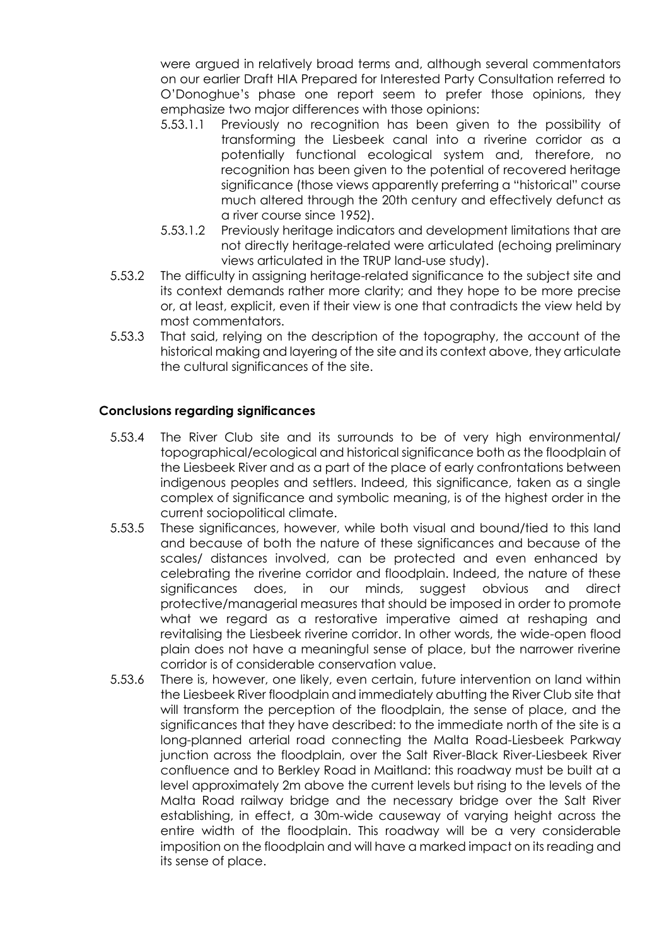were argued in relatively broad terms and, although several commentators on our earlier Draft HIA Prepared for Interested Party Consultation referred to O'Donoghue's phase one report seem to prefer those opinions, they emphasize two major differences with those opinions:

- 5.53.1.1 Previously no recognition has been given to the possibility of transforming the Liesbeek canal into a riverine corridor as a potentially functional ecological system and, therefore, no recognition has been given to the potential of recovered heritage significance (those views apparently preferring a "historical" course much altered through the 20th century and effectively defunct as a river course since 1952).
- 5.53.1.2 Previously heritage indicators and development limitations that are not directly heritage-related were articulated (echoing preliminary views articulated in the TRUP land-use study).
- 5.53.2 The difficulty in assigning heritage-related significance to the subject site and its context demands rather more clarity; and they hope to be more precise or, at least, explicit, even if their view is one that contradicts the view held by most commentators.
- 5.53.3 That said, relying on the description of the topography, the account of the historical making and layering of the site and its context above, they articulate the cultural significances of the site.

# **Conclusions regarding significances**

- 5.53.4 The River Club site and its surrounds to be of very high environmental/ topographical/ecological and historical significance both as the floodplain of the Liesbeek River and as a part of the place of early confrontations between indigenous peoples and settlers. Indeed, this significance, taken as a single complex of significance and symbolic meaning, is of the highest order in the current sociopolitical climate.
- 5.53.5 These significances, however, while both visual and bound/tied to this land and because of both the nature of these significances and because of the scales/ distances involved, can be protected and even enhanced by celebrating the riverine corridor and floodplain. Indeed, the nature of these significances does, in our minds, suggest obvious and direct protective/managerial measures that should be imposed in order to promote what we regard as a restorative imperative aimed at reshaping and revitalising the Liesbeek riverine corridor. In other words, the wide-open flood plain does not have a meaningful sense of place, but the narrower riverine corridor is of considerable conservation value.
- 5.53.6 There is, however, one likely, even certain, future intervention on land within the Liesbeek River floodplain and immediately abutting the River Club site that will transform the perception of the floodplain, the sense of place, and the significances that they have described: to the immediate north of the site is a long-planned arterial road connecting the Malta Road-Liesbeek Parkway junction across the floodplain, over the Salt River-Black River-Liesbeek River confluence and to Berkley Road in Maitland: this roadway must be built at a level approximately 2m above the current levels but rising to the levels of the Malta Road railway bridge and the necessary bridge over the Salt River establishing, in effect, a 30m-wide causeway of varying height across the entire width of the floodplain. This roadway will be a very considerable imposition on the floodplain and will have a marked impact on its reading and its sense of place.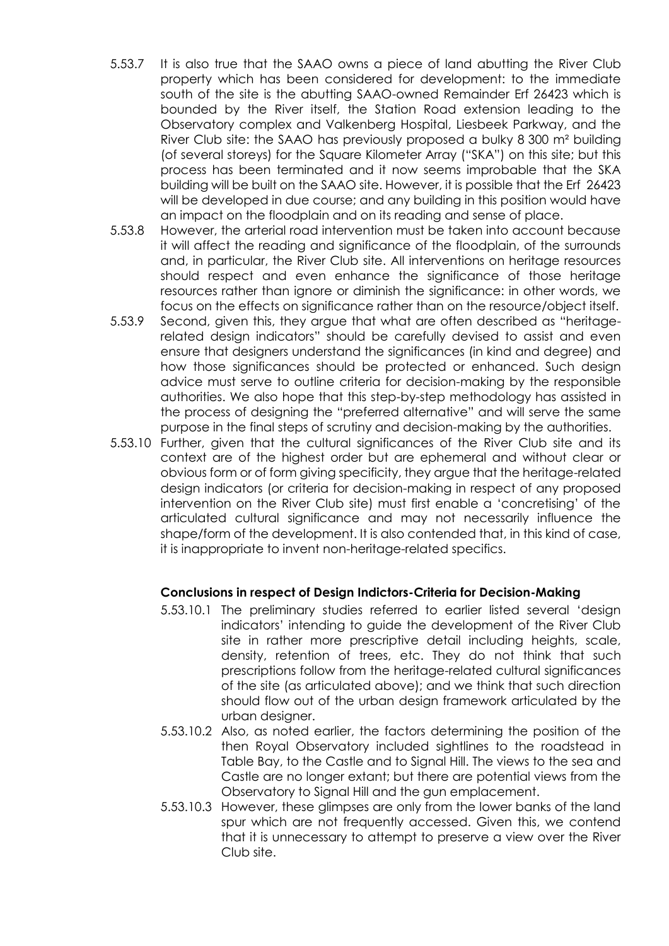- 5.53.7 It is also true that the SAAO owns a piece of land abutting the River Club property which has been considered for development: to the immediate south of the site is the abutting SAAO-owned Remainder Erf 26423 which is bounded by the River itself, the Station Road extension leading to the Observatory complex and Valkenberg Hospital, Liesbeek Parkway, and the River Club site: the SAAO has previously proposed a bulky 8 300 m² building (of several storeys) for the Square Kilometer Array ("SKA") on this site; but this process has been terminated and it now seems improbable that the SKA building will be built on the SAAO site. However, it is possible that the Erf 26423 will be developed in due course; and any building in this position would have an impact on the floodplain and on its reading and sense of place.
- 5.53.8 However, the arterial road intervention must be taken into account because it will affect the reading and significance of the floodplain, of the surrounds and, in particular, the River Club site. All interventions on heritage resources should respect and even enhance the significance of those heritage resources rather than ignore or diminish the significance: in other words, we focus on the effects on significance rather than on the resource/object itself.
- 5.53.9 Second, given this, they argue that what are often described as "heritagerelated design indicators" should be carefully devised to assist and even ensure that designers understand the significances (in kind and degree) and how those significances should be protected or enhanced. Such design advice must serve to outline criteria for decision-making by the responsible authorities. We also hope that this step-by-step methodology has assisted in the process of designing the "preferred alternative" and will serve the same purpose in the final steps of scrutiny and decision-making by the authorities.
- 5.53.10 Further, given that the cultural significances of the River Club site and its context are of the highest order but are ephemeral and without clear or obvious form or of form giving specificity, they argue that the heritage-related design indicators (or criteria for decision-making in respect of any proposed intervention on the River Club site) must first enable a 'concretising' of the articulated cultural significance and may not necessarily influence the shape/form of the development. It is also contended that, in this kind of case, it is inappropriate to invent non-heritage-related specifics.

### **Conclusions in respect of Design Indictors-Criteria for Decision-Making**

- 5.53.10.1 The preliminary studies referred to earlier listed several 'design indicators' intending to guide the development of the River Club site in rather more prescriptive detail including heights, scale, density, retention of trees, etc. They do not think that such prescriptions follow from the heritage-related cultural significances of the site (as articulated above); and we think that such direction should flow out of the urban design framework articulated by the urban designer.
- 5.53.10.2 Also, as noted earlier, the factors determining the position of the then Royal Observatory included sightlines to the roadstead in Table Bay, to the Castle and to Signal Hill. The views to the sea and Castle are no longer extant; but there are potential views from the Observatory to Signal Hill and the gun emplacement.
- 5.53.10.3 However, these glimpses are only from the lower banks of the land spur which are not frequently accessed. Given this, we contend that it is unnecessary to attempt to preserve a view over the River Club site.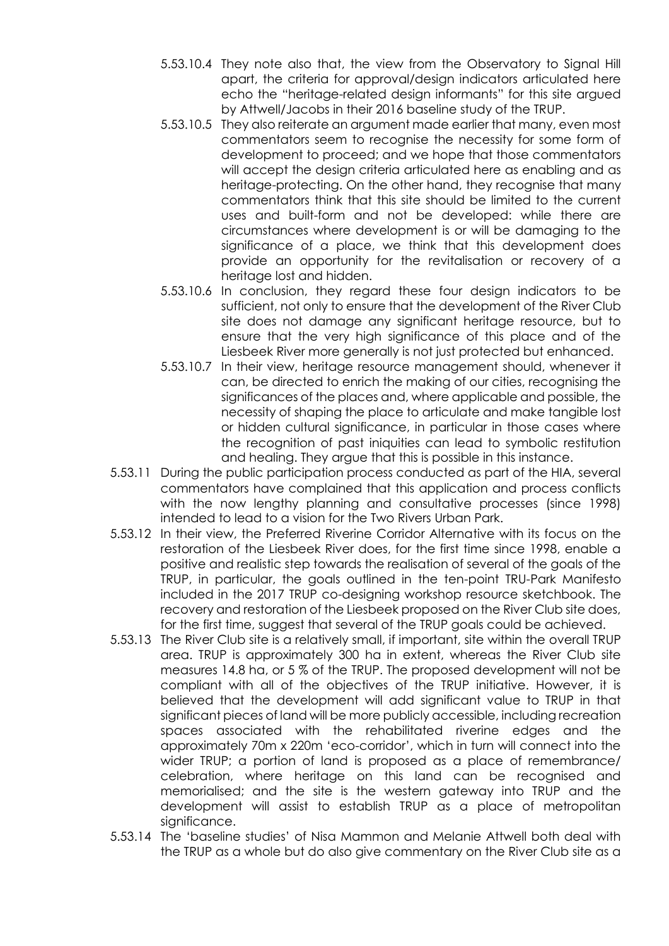- 5.53.10.4 They note also that, the view from the Observatory to Signal Hill apart, the criteria for approval/design indicators articulated here echo the "heritage-related design informants" for this site argued by Attwell/Jacobs in their 2016 baseline study of the TRUP.
- 5.53.10.5 They also reiterate an argument made earlier that many, even most commentators seem to recognise the necessity for some form of development to proceed; and we hope that those commentators will accept the design criteria articulated here as enabling and as heritage-protecting. On the other hand, they recognise that many commentators think that this site should be limited to the current uses and built-form and not be developed: while there are circumstances where development is or will be damaging to the significance of a place, we think that this development does provide an opportunity for the revitalisation or recovery of a heritage lost and hidden.
- 5.53.10.6 In conclusion, they regard these four design indicators to be sufficient, not only to ensure that the development of the River Club site does not damage any significant heritage resource, but to ensure that the very high significance of this place and of the Liesbeek River more generally is not just protected but enhanced.
- 5.53.10.7 In their view, heritage resource management should, whenever it can, be directed to enrich the making of our cities, recognising the significances of the places and, where applicable and possible, the necessity of shaping the place to articulate and make tangible lost or hidden cultural significance, in particular in those cases where the recognition of past iniquities can lead to symbolic restitution and healing. They argue that this is possible in this instance.
- 5.53.11 During the public participation process conducted as part of the HIA, several commentators have complained that this application and process conflicts with the now lengthy planning and consultative processes (since 1998) intended to lead to a vision for the Two Rivers Urban Park.
- 5.53.12 In their view, the Preferred Riverine Corridor Alternative with its focus on the restoration of the Liesbeek River does, for the first time since 1998, enable a positive and realistic step towards the realisation of several of the goals of the TRUP, in particular, the goals outlined in the ten-point TRU-Park Manifesto included in the 2017 TRUP co-designing workshop resource sketchbook. The recovery and restoration of the Liesbeek proposed on the River Club site does, for the first time, suggest that several of the TRUP goals could be achieved.
- 5.53.13 The River Club site is a relatively small, if important, site within the overall TRUP area. TRUP is approximately 300 ha in extent, whereas the River Club site measures 14.8 ha, or 5 % of the TRUP. The proposed development will not be compliant with all of the objectives of the TRUP initiative. However, it is believed that the development will add significant value to TRUP in that significant pieces of land will be more publicly accessible, including recreation spaces associated with the rehabilitated riverine edges and the approximately 70m x 220m 'eco-corridor', which in turn will connect into the wider TRUP; a portion of land is proposed as a place of remembrance/ celebration, where heritage on this land can be recognised and memorialised; and the site is the western gateway into TRUP and the development will assist to establish TRUP as a place of metropolitan sianificance.
- 5.53.14 The 'baseline studies' of Nisa Mammon and Melanie Attwell both deal with the TRUP as a whole but do also give commentary on the River Club site as a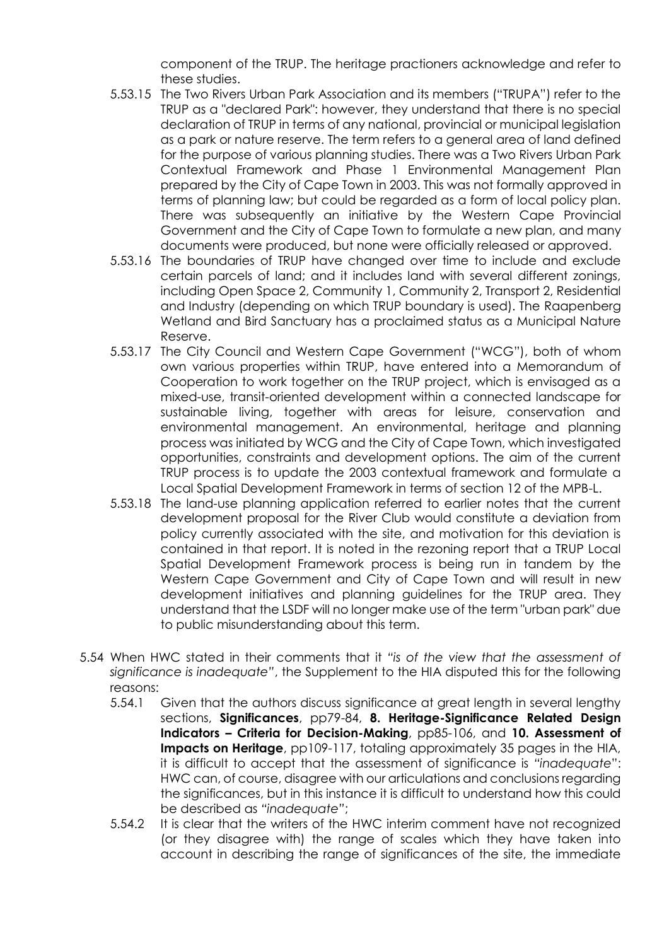component of the TRUP. The heritage practioners acknowledge and refer to these studies.

- 5.53.15 The Two Rivers Urban Park Association and its members ("TRUPA") refer to the TRUP as a "declared Park": however, they understand that there is no special declaration of TRUP in terms of any national, provincial or municipal legislation as a park or nature reserve. The term refers to a general area of land defined for the purpose of various planning studies. There was a Two Rivers Urban Park Contextual Framework and Phase 1 Environmental Management Plan prepared by the City of Cape Town in 2003. This was not formally approved in terms of planning law; but could be regarded as a form of local policy plan. There was subsequently an initiative by the Western Cape Provincial Government and the City of Cape Town to formulate a new plan, and many documents were produced, but none were officially released or approved.
- 5.53.16 The boundaries of TRUP have changed over time to include and exclude certain parcels of land; and it includes land with several different zonings, including Open Space 2, Community 1, Community 2, Transport 2, Residential and Industry (depending on which TRUP boundary is used). The Raapenberg Wetland and Bird Sanctuary has a proclaimed status as a Municipal Nature Reserve.
- 5.53.17 The City Council and Western Cape Government ("WCG"), both of whom own various properties within TRUP, have entered into a Memorandum of Cooperation to work together on the TRUP project, which is envisaged as a mixed-use, transit-oriented development within a connected landscape for sustainable living, together with areas for leisure, conservation and environmental management. An environmental, heritage and planning process was initiated by WCG and the City of Cape Town, which investigated opportunities, constraints and development options. The aim of the current TRUP process is to update the 2003 contextual framework and formulate a Local Spatial Development Framework in terms of section 12 of the MPB-L.
- 5.53.18 The land-use planning application referred to earlier notes that the current development proposal for the River Club would constitute a deviation from policy currently associated with the site, and motivation for this deviation is contained in that report. It is noted in the rezoning report that a TRUP Local Spatial Development Framework process is being run in tandem by the Western Cape Government and City of Cape Town and will result in new development initiatives and planning guidelines for the TRUP area. They understand that the LSDF will no longer make use of the term "urban park" due to public misunderstanding about this term.
- 5.54 When HWC stated in their comments that it *"is of the view that the assessment of significance is inadequate"*, the Supplement to the HIA disputed this for the following reasons:
	- 5.54.1 Given that the authors discuss significance at great length in several lengthy sections, **Significances**, pp79-84, **8. Heritage-Significance Related Design Indicators – Criteria for Decision-Making**, pp85-106, and **10. Assessment of Impacts on Heritage**, pp109-117, totaling approximately 35 pages in the HIA, it is difficult to accept that the assessment of significance is *"inadequate*": HWC can, of course, disagree with our articulations and conclusions regarding the significances, but in this instance it is difficult to understand how this could be described as *"inadequate"*;
	- 5.54.2 It is clear that the writers of the HWC interim comment have not recognized (or they disagree with) the range of scales which they have taken into account in describing the range of significances of the site, the immediate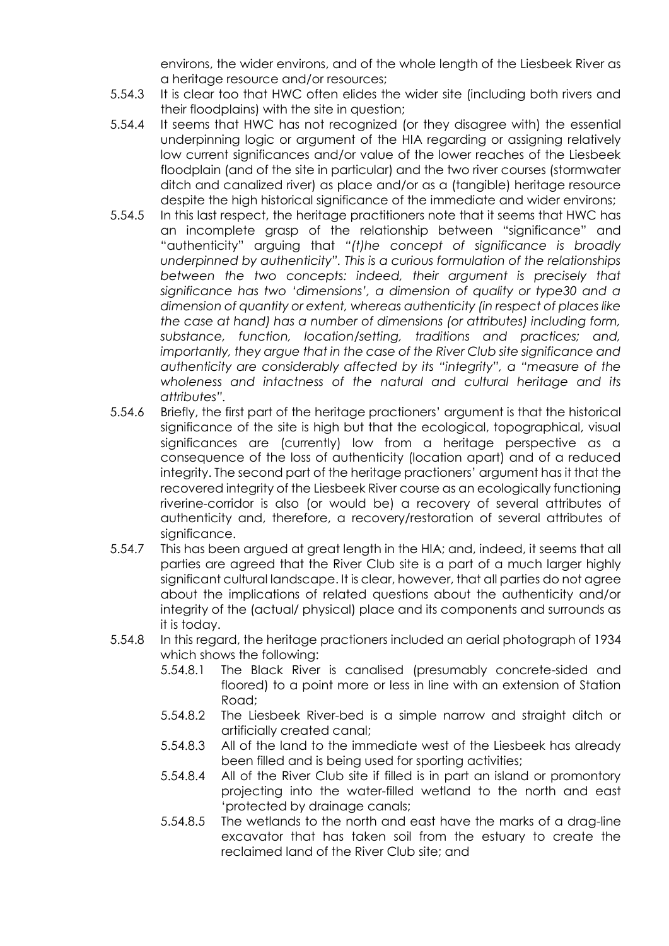environs, the wider environs, and of the whole length of the Liesbeek River as a heritage resource and/or resources;

- 5.54.3 It is clear too that HWC often elides the wider site (including both rivers and their floodplains) with the site in question;
- 5.54.4 It seems that HWC has not recognized (or they disagree with) the essential underpinning logic or argument of the HIA regarding or assigning relatively low current significances and/or value of the lower reaches of the Liesbeek floodplain (and of the site in particular) and the two river courses (stormwater ditch and canalized river) as place and/or as a (tangible) heritage resource despite the high historical significance of the immediate and wider environs;
- 5.54.5 In this last respect, the heritage practitioners note that it seems that HWC has an incomplete grasp of the relationship between "significance" and "authenticity" arguing that *"(t)he concept of significance is broadly underpinned by authenticity". This is a curious formulation of the relationships*  between the two concepts: indeed, their argument is precisely that *significance has two 'dimensions', a dimension of quality or type30 and a dimension of quantity or extent, whereas authenticity (in respect of places like the case at hand) has a number of dimensions (or attributes) including form, substance, function, location/setting, traditions and practices; and, importantly, they argue that in the case of the River Club site significance and authenticity are considerably affected by its "integrity", a "measure of the wholeness and intactness of the natural and cultural heritage and its attributes".*
- 5.54.6 Briefly, the first part of the heritage practioners' argument is that the historical significance of the site is high but that the ecological, topographical, visual significances are (currently) low from a heritage perspective as a consequence of the loss of authenticity (location apart) and of a reduced integrity. The second part of the heritage practioners' argument has it that the recovered integrity of the Liesbeek River course as an ecologically functioning riverine-corridor is also (or would be) a recovery of several attributes of authenticity and, therefore, a recovery/restoration of several attributes of significance.
- 5.54.7 This has been argued at great length in the HIA; and, indeed, it seems that all parties are agreed that the River Club site is a part of a much larger highly significant cultural landscape. It is clear, however, that all parties do not agree about the implications of related questions about the authenticity and/or integrity of the (actual/ physical) place and its components and surrounds as it is today.
- 5.54.8 In this regard, the heritage practioners included an aerial photograph of 1934 which shows the following:
	- 5.54.8.1 The Black River is canalised (presumably concrete-sided and floored) to a point more or less in line with an extension of Station Road;
	- 5.54.8.2 The Liesbeek River-bed is a simple narrow and straight ditch or artificially created canal;
	- 5.54.8.3 All of the land to the immediate west of the Liesbeek has already been filled and is being used for sporting activities;
	- 5.54.8.4 All of the River Club site if filled is in part an island or promontory projecting into the water-filled wetland to the north and east 'protected by drainage canals;
	- 5.54.8.5 The wetlands to the north and east have the marks of a drag-line excavator that has taken soil from the estuary to create the reclaimed land of the River Club site; and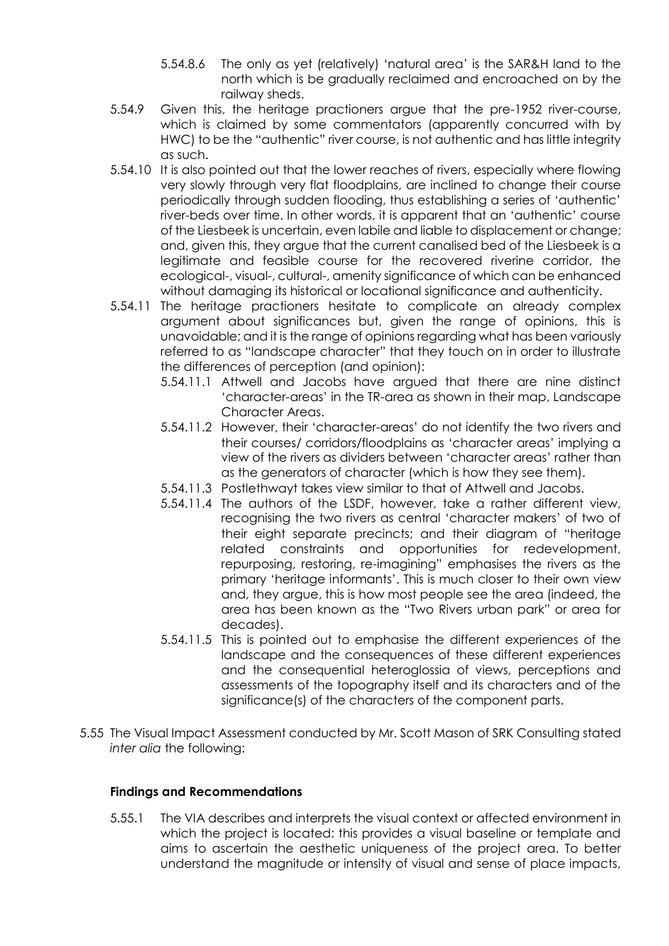- 5.54.8.6 The only as yet (relatively) 'natural area' is the SAR&H land to the north which is be gradually reclaimed and encroached on by the railway sheds.
- 5.54.9 Given this, the heritage practioners argue that the pre-1952 river-course, which is claimed by some commentators (apparently concurred with by HWC) to be the "authentic" river course, is not authentic and has little integrity as such.
- 5.54.10 It is also pointed out that the lower reaches of rivers, especially where flowing very slowly through very flat floodplains, are inclined to change their course periodically through sudden flooding, thus establishing a series of 'authentic' river-beds over time. In other words, it is apparent that an 'authentic' course of the Liesbeek is uncertain, even labile and liable to displacement or change; and, given this, they argue that the current canalised bed of the Liesbeek is a legitimate and feasible course for the recovered riverine corridor, the ecological-, visual-, cultural-, amenity significance of which can be enhanced without damaging its historical or locational significance and authenticity.
- 5.54.11 The heritage practioners hesitate to complicate an already complex argument about significances but, given the range of opinions, this is unavoidable; and it is the range of opinions regarding what has been variously referred to as "landscape character" that they touch on in order to illustrate the differences of perception (and opinion):
	- 5.54.11.1 Attwell and Jacobs have argued that there are nine distinct 'character-areas' in the TR-area as shown in their map, Landscape Character Areas.
	- 5.54.11.2 However, their 'character-areas' do not identify the two rivers and their courses/ corridors/floodplains as 'character areas' implying a view of the rivers as dividers between 'character areas' rather than as the generators of character (which is how they see them).
	- 5.54.11.3 Postlethwayt takes view similar to that of Attwell and Jacobs.
	- 5.54.11.4 The authors of the LSDF, however, take a rather different view, recognising the two rivers as central 'character makers' of two of their eight separate precincts; and their diagram of "heritage related constraints and opportunities for redevelopment, repurposing, restoring, re-imagining" emphasises the rivers as the primary 'heritage informants'. This is much closer to their own view and, they argue, this is how most people see the area (indeed, the area has been known as the "Two Rivers urban park" or area for decades).
	- 5.54.11.5 This is pointed out to emphasise the different experiences of the landscape and the consequences of these different experiences and the consequential heteroglossia of views, perceptions and assessments of the topography itself and its characters and of the significance(s) of the characters of the component parts.
- 5.55 The Visual Impact Assessment conducted by Mr. Scott Mason of SRK Consulting stated *inter alia* the following:

## **Findings and Recommendations**

5.55.1 The VIA describes and interprets the visual context or affected environment in which the project is located: this provides a visual baseline or template and aims to ascertain the aesthetic uniqueness of the project area. To better understand the magnitude or intensity of visual and sense of place impacts,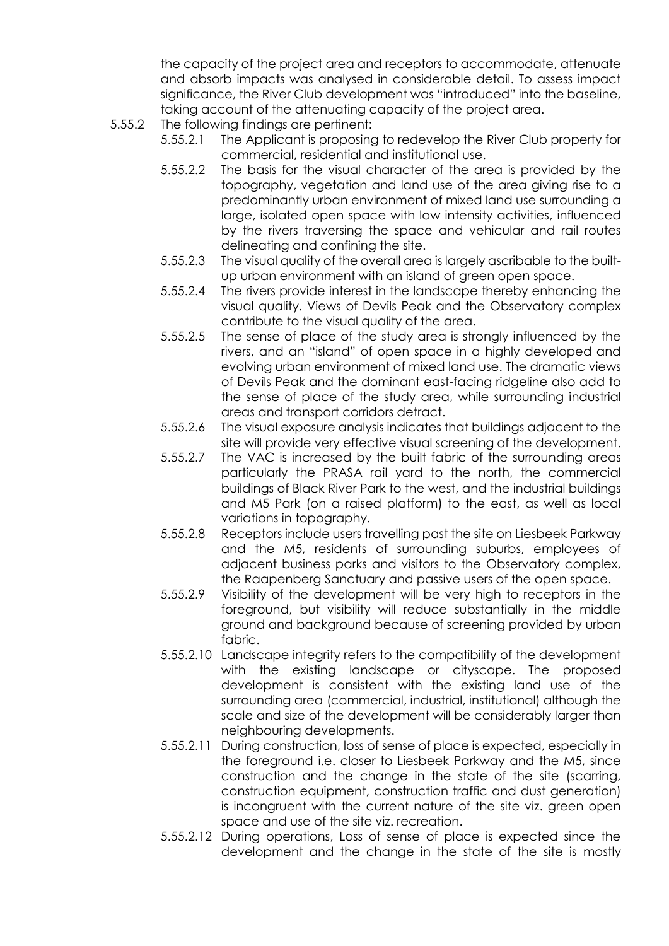the capacity of the project area and receptors to accommodate, attenuate and absorb impacts was analysed in considerable detail. To assess impact significance, the River Club development was "introduced" into the baseline, taking account of the attenuating capacity of the project area.

- 5.55.2 The following findings are pertinent:
	- 5.55.2.1 The Applicant is proposing to redevelop the River Club property for commercial, residential and institutional use.
	- 5.55.2.2 The basis for the visual character of the area is provided by the topography, vegetation and land use of the area giving rise to a predominantly urban environment of mixed land use surrounding a large, isolated open space with low intensity activities, influenced by the rivers traversing the space and vehicular and rail routes delineating and confining the site.
	- 5.55.2.3 The visual quality of the overall area is largely ascribable to the builtup urban environment with an island of green open space.
	- 5.55.2.4 The rivers provide interest in the landscape thereby enhancing the visual quality. Views of Devils Peak and the Observatory complex contribute to the visual quality of the area.
	- 5.55.2.5 The sense of place of the study area is strongly influenced by the rivers, and an "island" of open space in a highly developed and evolving urban environment of mixed land use. The dramatic views of Devils Peak and the dominant east-facing ridgeline also add to the sense of place of the study area, while surrounding industrial areas and transport corridors detract.
	- 5.55.2.6 The visual exposure analysis indicates that buildings adjacent to the site will provide very effective visual screening of the development.
	- 5.55.2.7 The VAC is increased by the built fabric of the surrounding areas particularly the PRASA rail yard to the north, the commercial buildings of Black River Park to the west, and the industrial buildings and M5 Park (on a raised platform) to the east, as well as local variations in topography.
	- 5.55.2.8 Receptors include users travelling past the site on Liesbeek Parkway and the M5, residents of surrounding suburbs, employees of adjacent business parks and visitors to the Observatory complex, the Raapenberg Sanctuary and passive users of the open space.
	- 5.55.2.9 Visibility of the development will be very high to receptors in the foreground, but visibility will reduce substantially in the middle ground and background because of screening provided by urban fabric.
	- 5.55.2.10 Landscape integrity refers to the compatibility of the development with the existing landscape or cityscape. The proposed development is consistent with the existing land use of the surrounding area (commercial, industrial, institutional) although the scale and size of the development will be considerably larger than neighbouring developments.
	- 5.55.2.11 During construction, loss of sense of place is expected, especially in the foreground i.e. closer to Liesbeek Parkway and the M5, since construction and the change in the state of the site (scarring, construction equipment, construction traffic and dust generation) is incongruent with the current nature of the site viz. green open space and use of the site viz. recreation.
	- 5.55.2.12 During operations, Loss of sense of place is expected since the development and the change in the state of the site is mostly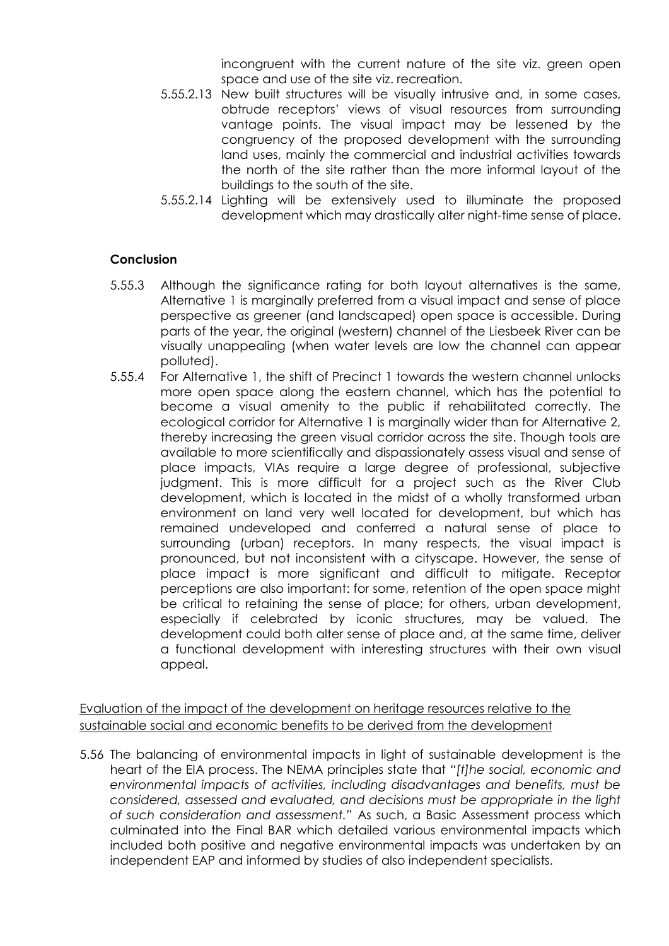incongruent with the current nature of the site viz. green open space and use of the site viz. recreation.

- 5.55.2.13 New built structures will be visually intrusive and, in some cases, obtrude receptors' views of visual resources from surrounding vantage points. The visual impact may be lessened by the congruency of the proposed development with the surrounding land uses, mainly the commercial and industrial activities towards the north of the site rather than the more informal layout of the buildings to the south of the site.
- 5.55.2.14 Lighting will be extensively used to illuminate the proposed development which may drastically alter night-time sense of place.

## **Conclusion**

- 5.55.3 Although the significance rating for both layout alternatives is the same, Alternative 1 is marginally preferred from a visual impact and sense of place perspective as greener (and landscaped) open space is accessible. During parts of the year, the original (western) channel of the Liesbeek River can be visually unappealing (when water levels are low the channel can appear polluted).
- 5.55.4 For Alternative 1, the shift of Precinct 1 towards the western channel unlocks more open space along the eastern channel, which has the potential to become a visual amenity to the public if rehabilitated correctly. The ecological corridor for Alternative 1 is marginally wider than for Alternative 2, thereby increasing the green visual corridor across the site. Though tools are available to more scientifically and dispassionately assess visual and sense of place impacts, VIAs require a large degree of professional, subjective judgment. This is more difficult for a project such as the River Club development, which is located in the midst of a wholly transformed urban environment on land very well located for development, but which has remained undeveloped and conferred a natural sense of place to surrounding (urban) receptors. In many respects, the visual impact is pronounced, but not inconsistent with a cityscape. However, the sense of place impact is more significant and difficult to mitigate. Receptor perceptions are also important: for some, retention of the open space might be critical to retaining the sense of place; for others, urban development, especially if celebrated by iconic structures, may be valued. The development could both alter sense of place and, at the same time, deliver a functional development with interesting structures with their own visual appeal.

Evaluation of the impact of the development on heritage resources relative to the sustainable social and economic benefits to be derived from the development

5.56 The balancing of environmental impacts in light of sustainable development is the heart of the EIA process. The NEMA principles state that *"[t]he social, economic and environmental impacts of activities, including disadvantages and benefits, must be considered, assessed and evaluated, and decisions must be appropriate in the light of such consideration and assessment."* As such, a Basic Assessment process which culminated into the Final BAR which detailed various environmental impacts which included both positive and negative environmental impacts was undertaken by an independent EAP and informed by studies of also independent specialists.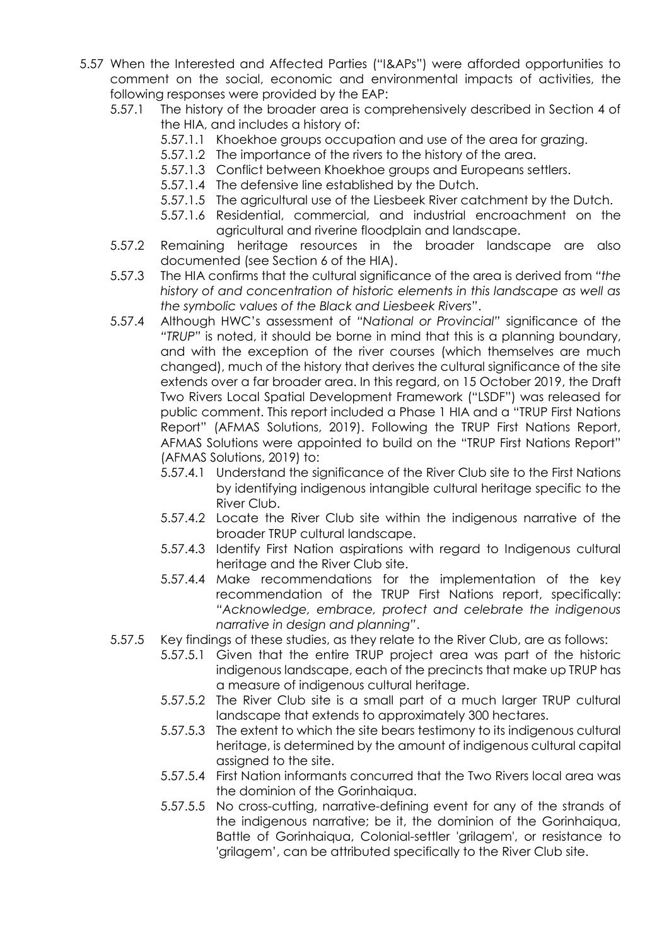- 5.57 When the Interested and Affected Parties ("I&APs") were afforded opportunities to comment on the social, economic and environmental impacts of activities, the following responses were provided by the EAP:
	- 5.57.1 The history of the broader area is comprehensively described in Section 4 of the HIA, and includes a history of:
		- 5.57.1.1 Khoekhoe groups occupation and use of the area for grazing.
		- 5.57.1.2 The importance of the rivers to the history of the area.
		- 5.57.1.3 Conflict between Khoekhoe groups and Europeans settlers.
		- 5.57.1.4 The defensive line established by the Dutch.
		- 5.57.1.5 The agricultural use of the Liesbeek River catchment by the Dutch.
		- 5.57.1.6 Residential, commercial, and industrial encroachment on the agricultural and riverine floodplain and landscape.
	- 5.57.2 Remaining heritage resources in the broader landscape are also documented (see Section 6 of the HIA).
	- 5.57.3 The HIA confirms that the cultural significance of the area is derived from *"the history of and concentration of historic elements in this landscape as well as the symbolic values of the Black and Liesbeek Rivers"*.
	- 5.57.4 Although HWC's assessment of *"National or Provincial"* significance of the *"TRUP"* is noted, it should be borne in mind that this is a planning boundary, and with the exception of the river courses (which themselves are much changed), much of the history that derives the cultural significance of the site extends over a far broader area. In this regard, on 15 October 2019, the Draft Two Rivers Local Spatial Development Framework ("LSDF") was released for public comment. This report included a Phase 1 HIA and a "TRUP First Nations Report" (AFMAS Solutions, 2019). Following the TRUP First Nations Report, AFMAS Solutions were appointed to build on the "TRUP First Nations Report" (AFMAS Solutions, 2019) to:
		- 5.57.4.1 Understand the significance of the River Club site to the First Nations by identifying indigenous intangible cultural heritage specific to the River Club.
		- 5.57.4.2 Locate the River Club site within the indigenous narrative of the broader TRUP cultural landscape.
		- 5.57.4.3 Identify First Nation aspirations with regard to Indigenous cultural heritage and the River Club site.
		- 5.57.4.4 Make recommendations for the implementation of the key recommendation of the TRUP First Nations report, specifically: *"Acknowledge, embrace, protect and celebrate the indigenous narrative in design and planning"*.
	- 5.57.5 Key findings of these studies, as they relate to the River Club, are as follows:
		- 5.57.5.1 Given that the entire TRUP project area was part of the historic indigenous landscape, each of the precincts that make up TRUP has a measure of indigenous cultural heritage.
		- 5.57.5.2 The River Club site is a small part of a much larger TRUP cultural landscape that extends to approximately 300 hectares.
		- 5.57.5.3 The extent to which the site bears testimony to its indigenous cultural heritage, is determined by the amount of indigenous cultural capital assigned to the site.
		- 5.57.5.4 First Nation informants concurred that the Two Rivers local area was the dominion of the Gorinhaiqua.
		- 5.57.5.5 No cross-cutting, narrative-defining event for any of the strands of the indigenous narrative; be it, the dominion of the Gorinhaiqua, Battle of Gorinhaiqua, Colonial-settler 'grilagem', or resistance to 'grilagem', can be attributed specifically to the River Club site.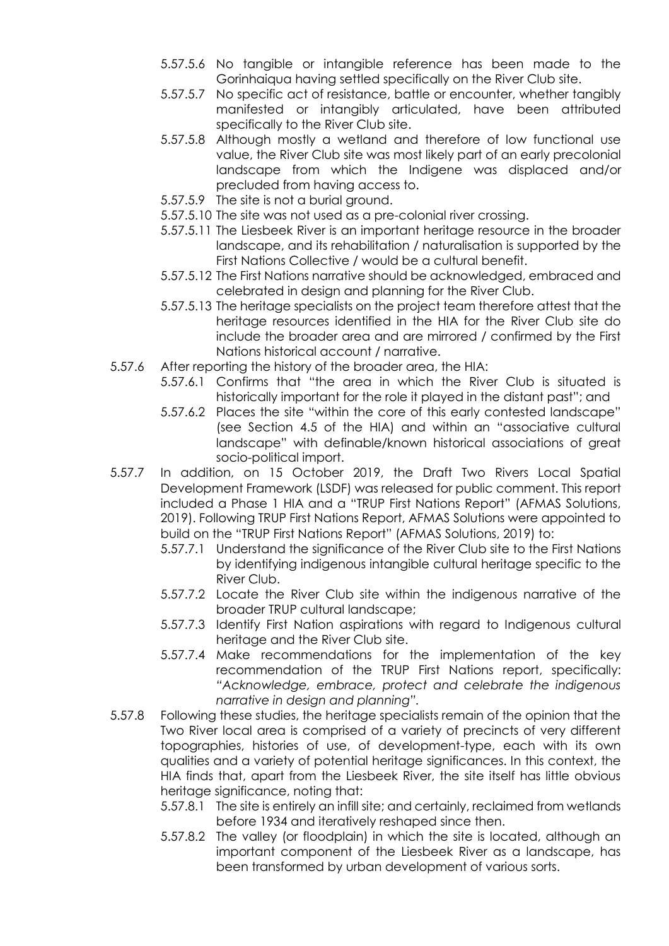- 5.57.5.6 No tangible or intangible reference has been made to the Gorinhaiqua having settled specifically on the River Club site.
- 5.57.5.7 No specific act of resistance, battle or encounter, whether tangibly manifested or intangibly articulated, have been attributed specifically to the River Club site.
- 5.57.5.8 Although mostly a wetland and therefore of low functional use value, the River Club site was most likely part of an early precolonial landscape from which the Indigene was displaced and/or precluded from having access to.
- 5.57.5.9 The site is not a burial ground.
- 5.57.5.10 The site was not used as a pre-colonial river crossing.
- 5.57.5.11 The Liesbeek River is an important heritage resource in the broader landscape, and its rehabilitation / naturalisation is supported by the First Nations Collective / would be a cultural benefit.
- 5.57.5.12 The First Nations narrative should be acknowledged, embraced and celebrated in design and planning for the River Club.
- 5.57.5.13 The heritage specialists on the project team therefore attest that the heritage resources identified in the HIA for the River Club site do include the broader area and are mirrored / confirmed by the First Nations historical account / narrative.
- 5.57.6 After reporting the history of the broader area, the HIA:
	- 5.57.6.1 Confirms that "the area in which the River Club is situated is historically important for the role it played in the distant past"; and
	- 5.57.6.2 Places the site "within the core of this early contested landscape" (see Section 4.5 of the HIA) and within an "associative cultural landscape" with definable/known historical associations of great socio-political import.
- 5.57.7 In addition, on 15 October 2019, the Draft Two Rivers Local Spatial Development Framework (LSDF) was released for public comment. This report included a Phase 1 HIA and a "TRUP First Nations Report" (AFMAS Solutions, 2019). Following TRUP First Nations Report, AFMAS Solutions were appointed to build on the "TRUP First Nations Report" (AFMAS Solutions, 2019) to:
	- 5.57.7.1 Understand the significance of the River Club site to the First Nations by identifying indigenous intangible cultural heritage specific to the River Club.
	- 5.57.7.2 Locate the River Club site within the indigenous narrative of the broader TRUP cultural landscape;
	- 5.57.7.3 Identify First Nation aspirations with regard to Indigenous cultural heritage and the River Club site.
	- 5.57.7.4 Make recommendations for the implementation of the key recommendation of the TRUP First Nations report, specifically: *"Acknowledge, embrace, protect and celebrate the indigenous narrative in design and planning".*
- 5.57.8 Following these studies, the heritage specialists remain of the opinion that the Two River local area is comprised of a variety of precincts of very different topographies, histories of use, of development-type, each with its own qualities and a variety of potential heritage significances. In this context, the HIA finds that, apart from the Liesbeek River, the site itself has little obvious heritage significance, noting that:
	- 5.57.8.1 The site is entirely an infill site; and certainly, reclaimed from wetlands before 1934 and iteratively reshaped since then.
	- 5.57.8.2 The valley (or floodplain) in which the site is located, although an important component of the Liesbeek River as a landscape, has been transformed by urban development of various sorts.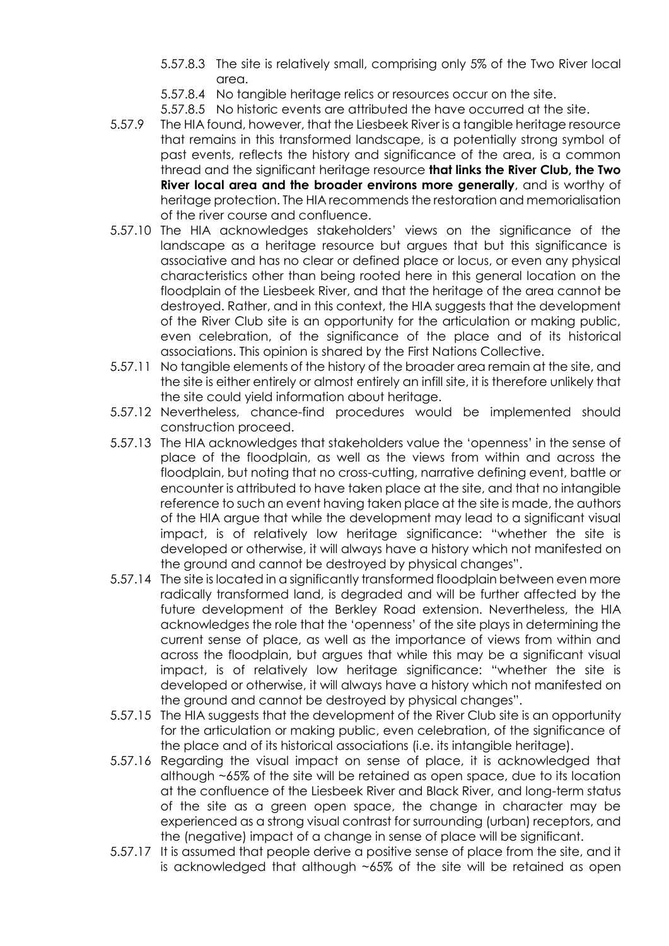- 5.57.8.3 The site is relatively small, comprising only 5% of the Two River local area.
- 5.57.8.4 No tangible heritage relics or resources occur on the site.
- 5.57.8.5 No historic events are attributed the have occurred at the site.
- 5.57.9 The HIA found, however, that the Liesbeek River is a tangible heritage resource that remains in this transformed landscape, is a potentially strong symbol of past events, reflects the history and significance of the area, is a common thread and the significant heritage resource **that links the River Club, the Two River local area and the broader environs more generally**, and is worthy of heritage protection. The HIA recommends the restoration and memorialisation of the river course and confluence.
- 5.57.10 The HIA acknowledges stakeholders' views on the significance of the landscape as a heritage resource but argues that but this significance is associative and has no clear or defined place or locus, or even any physical characteristics other than being rooted here in this general location on the floodplain of the Liesbeek River, and that the heritage of the area cannot be destroyed. Rather, and in this context, the HIA suggests that the development of the River Club site is an opportunity for the articulation or making public, even celebration, of the significance of the place and of its historical associations. This opinion is shared by the First Nations Collective.
- 5.57.11 No tangible elements of the history of the broader area remain at the site, and the site is either entirely or almost entirely an infill site, it is therefore unlikely that the site could yield information about heritage.
- 5.57.12 Nevertheless, chance-find procedures would be implemented should construction proceed.
- 5.57.13 The HIA acknowledges that stakeholders value the 'openness' in the sense of place of the floodplain, as well as the views from within and across the floodplain, but noting that no cross-cutting, narrative defining event, battle or encounter is attributed to have taken place at the site, and that no intangible reference to such an event having taken place at the site is made, the authors of the HIA argue that while the development may lead to a significant visual impact, is of relatively low heritage significance: "whether the site is developed or otherwise, it will always have a history which not manifested on the ground and cannot be destroyed by physical changes".
- 5.57.14 The site is located in a significantly transformed floodplain between even more radically transformed land, is degraded and will be further affected by the future development of the Berkley Road extension. Nevertheless, the HIA acknowledges the role that the 'openness' of the site plays in determining the current sense of place, as well as the importance of views from within and across the floodplain, but argues that while this may be a significant visual impact, is of relatively low heritage significance: "whether the site is developed or otherwise, it will always have a history which not manifested on the ground and cannot be destroyed by physical changes".
- 5.57.15 The HIA suggests that the development of the River Club site is an opportunity for the articulation or making public, even celebration, of the significance of the place and of its historical associations (i.e. its intangible heritage).
- 5.57.16 Regarding the visual impact on sense of place, it is acknowledged that although ~65% of the site will be retained as open space, due to its location at the confluence of the Liesbeek River and Black River, and long-term status of the site as a green open space, the change in character may be experienced as a strong visual contrast for surrounding (urban) receptors, and the (negative) impact of a change in sense of place will be significant.
- 5.57.17 It is assumed that people derive a positive sense of place from the site, and it is acknowledged that although ~65% of the site will be retained as open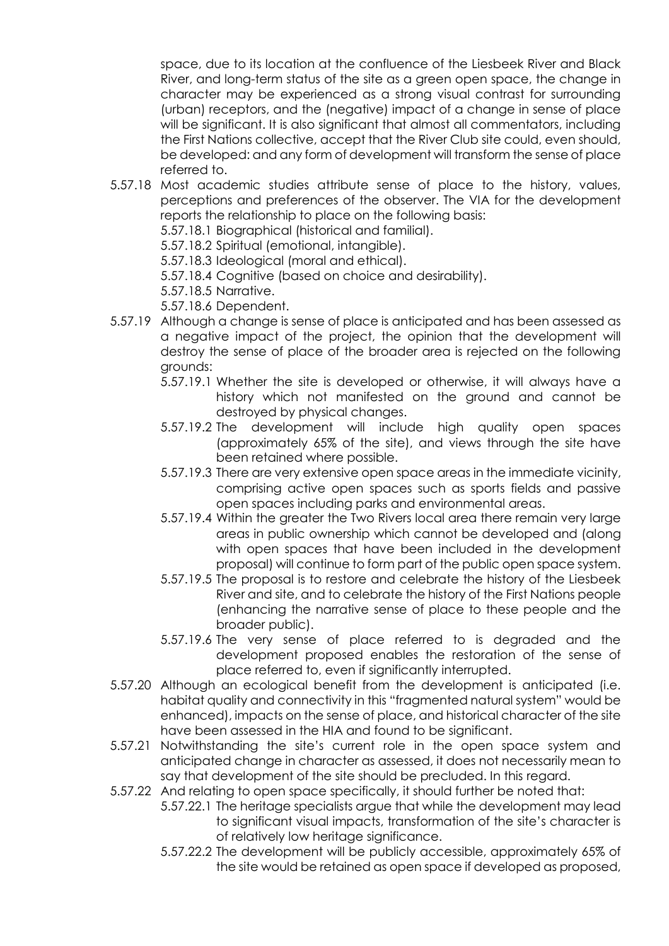space, due to its location at the confluence of the Liesbeek River and Black River, and long-term status of the site as a green open space, the change in character may be experienced as a strong visual contrast for surrounding (urban) receptors, and the (negative) impact of a change in sense of place will be significant. It is also significant that almost all commentators, including the First Nations collective, accept that the River Club site could, even should, be developed: and any form of development will transform the sense of place referred to.

5.57.18 Most academic studies attribute sense of place to the history, values, perceptions and preferences of the observer. The VIA for the development reports the relationship to place on the following basis:

5.57.18.1 Biographical (historical and familial).

5.57.18.2 Spiritual (emotional, intangible).

5.57.18.3 Ideological (moral and ethical).

5.57.18.4 Cognitive (based on choice and desirability).

5.57.18.5 Narrative.

5.57.18.6 Dependent.

- 5.57.19 Although a change is sense of place is anticipated and has been assessed as a negative impact of the project, the opinion that the development will destroy the sense of place of the broader area is rejected on the following grounds:
	- 5.57.19.1 Whether the site is developed or otherwise, it will always have a history which not manifested on the ground and cannot be destroyed by physical changes.
	- 5.57.19.2 The development will include high quality open spaces (approximately 65% of the site), and views through the site have been retained where possible.
	- 5.57.19.3 There are very extensive open space areas in the immediate vicinity, comprising active open spaces such as sports fields and passive open spaces including parks and environmental areas.
	- 5.57.19.4 Within the greater the Two Rivers local area there remain very large areas in public ownership which cannot be developed and (along with open spaces that have been included in the development proposal) will continue to form part of the public open space system.
	- 5.57.19.5 The proposal is to restore and celebrate the history of the Liesbeek River and site, and to celebrate the history of the First Nations people (enhancing the narrative sense of place to these people and the broader public).
	- 5.57.19.6 The very sense of place referred to is degraded and the development proposed enables the restoration of the sense of place referred to, even if significantly interrupted.
- 5.57.20 Although an ecological benefit from the development is anticipated (i.e. habitat quality and connectivity in this "fragmented natural system" would be enhanced), impacts on the sense of place, and historical character of the site have been assessed in the HIA and found to be significant.
- 5.57.21 Notwithstanding the site's current role in the open space system and anticipated change in character as assessed, it does not necessarily mean to say that development of the site should be precluded. In this regard.
- 5.57.22 And relating to open space specifically, it should further be noted that:
	- 5.57.22.1 The heritage specialists argue that while the development may lead to significant visual impacts, transformation of the site's character is of relatively low heritage significance.
	- 5.57.22.2 The development will be publicly accessible, approximately 65% of the site would be retained as open space if developed as proposed,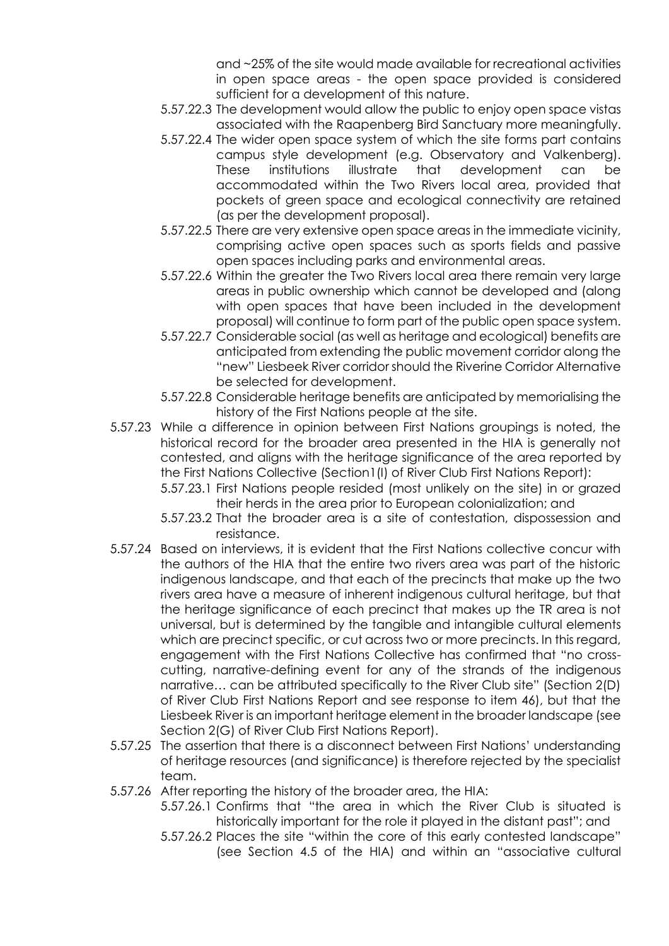and ~25% of the site would made available for recreational activities in open space areas - the open space provided is considered sufficient for a development of this nature.

- 5.57.22.3 The development would allow the public to enjoy open space vistas associated with the Raapenberg Bird Sanctuary more meaningfully.
- 5.57.22.4 The wider open space system of which the site forms part contains campus style development (e.g. Observatory and Valkenberg). These institutions illustrate that development can be accommodated within the Two Rivers local area, provided that pockets of green space and ecological connectivity are retained (as per the development proposal).
- 5.57.22.5 There are very extensive open space areas in the immediate vicinity, comprising active open spaces such as sports fields and passive open spaces including parks and environmental areas.
- 5.57.22.6 Within the greater the Two Rivers local area there remain very large areas in public ownership which cannot be developed and (along with open spaces that have been included in the development proposal) will continue to form part of the public open space system.
- 5.57.22.7 Considerable social (as well as heritage and ecological) benefits are anticipated from extending the public movement corridor along the "new" Liesbeek River corridor should the Riverine Corridor Alternative be selected for development.
- 5.57.22.8 Considerable heritage benefits are anticipated by memorialising the history of the First Nations people at the site.
- 5.57.23 While a difference in opinion between First Nations groupings is noted, the historical record for the broader area presented in the HIA is generally not contested, and aligns with the heritage significance of the area reported by the First Nations Collective (Section1(I) of River Club First Nations Report):
	- 5.57.23.1 First Nations people resided (most unlikely on the site) in or grazed their herds in the area prior to European colonialization; and
	- 5.57.23.2 That the broader area is a site of contestation, dispossession and resistance.
- 5.57.24 Based on interviews, it is evident that the First Nations collective concur with the authors of the HIA that the entire two rivers area was part of the historic indigenous landscape, and that each of the precincts that make up the two rivers area have a measure of inherent indigenous cultural heritage, but that the heritage significance of each precinct that makes up the TR area is not universal, but is determined by the tangible and intangible cultural elements which are precinct specific, or cut across two or more precincts. In this regard, engagement with the First Nations Collective has confirmed that "no crosscutting, narrative-defining event for any of the strands of the indigenous narrative… can be attributed specifically to the River Club site" (Section 2(D) of River Club First Nations Report and see response to item 46), but that the Liesbeek River is an important heritage element in the broader landscape (see Section 2(G) of River Club First Nations Report).
- 5.57.25 The assertion that there is a disconnect between First Nations' understanding of heritage resources (and significance) is therefore rejected by the specialist team.
- 5.57.26 After reporting the history of the broader area, the HIA:
	- 5.57.26.1 Confirms that "the area in which the River Club is situated is historically important for the role it played in the distant past"; and
	- 5.57.26.2 Places the site "within the core of this early contested landscape" (see Section 4.5 of the HIA) and within an "associative cultural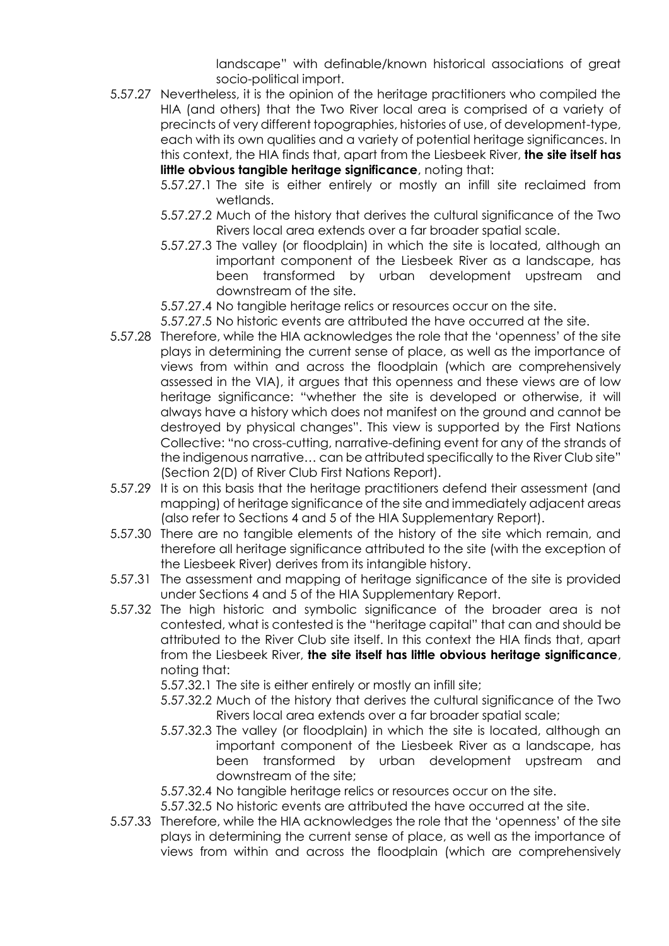landscape" with definable/known historical associations of great socio-political import.

- 5.57.27 Nevertheless, it is the opinion of the heritage practitioners who compiled the HIA (and others) that the Two River local area is comprised of a variety of precincts of very different topographies, histories of use, of development-type, each with its own qualities and a variety of potential heritage significances. In this context, the HIA finds that, apart from the Liesbeek River, **the site itself has little obvious tangible heritage significance**, noting that:
	- 5.57.27.1 The site is either entirely or mostly an infill site reclaimed from wetlands.
	- 5.57.27.2 Much of the history that derives the cultural significance of the Two Rivers local area extends over a far broader spatial scale.
	- 5.57.27.3 The valley (or floodplain) in which the site is located, although an important component of the Liesbeek River as a landscape, has been transformed by urban development upstream and downstream of the site.
	- 5.57.27.4 No tangible heritage relics or resources occur on the site.

5.57.27.5 No historic events are attributed the have occurred at the site.

- 5.57.28 Therefore, while the HIA acknowledges the role that the 'openness' of the site plays in determining the current sense of place, as well as the importance of views from within and across the floodplain (which are comprehensively assessed in the VIA), it argues that this openness and these views are of low heritage significance: "whether the site is developed or otherwise, it will always have a history which does not manifest on the ground and cannot be destroyed by physical changes". This view is supported by the First Nations Collective: "no cross-cutting, narrative-defining event for any of the strands of the indigenous narrative… can be attributed specifically to the River Club site" (Section 2(D) of River Club First Nations Report).
- 5.57.29 It is on this basis that the heritage practitioners defend their assessment (and mapping) of heritage significance of the site and immediately adjacent areas (also refer to Sections 4 and 5 of the HIA Supplementary Report).
- 5.57.30 There are no tangible elements of the history of the site which remain, and therefore all heritage significance attributed to the site (with the exception of the Liesbeek River) derives from its intangible history.
- 5.57.31 The assessment and mapping of heritage significance of the site is provided under Sections 4 and 5 of the HIA Supplementary Report.
- 5.57.32 The high historic and symbolic significance of the broader area is not contested, what is contested is the "heritage capital" that can and should be attributed to the River Club site itself. In this context the HIA finds that, apart from the Liesbeek River, **the site itself has little obvious heritage significance**, noting that:

5.57.32.1 The site is either entirely or mostly an infill site;

- 5.57.32.2 Much of the history that derives the cultural significance of the Two Rivers local area extends over a far broader spatial scale;
- 5.57.32.3 The valley (or floodplain) in which the site is located, although an important component of the Liesbeek River as a landscape, has been transformed by urban development upstream and downstream of the site;
- 5.57.32.4 No tangible heritage relics or resources occur on the site.

5.57.32.5 No historic events are attributed the have occurred at the site.

5.57.33 Therefore, while the HIA acknowledges the role that the 'openness' of the site plays in determining the current sense of place, as well as the importance of views from within and across the floodplain (which are comprehensively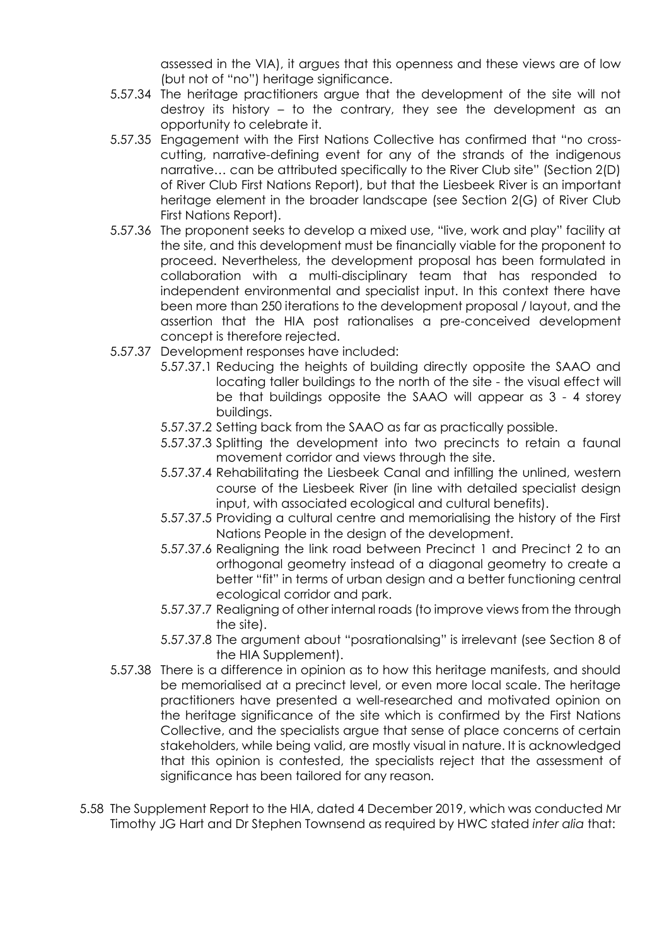assessed in the VIA), it argues that this openness and these views are of low (but not of "no") heritage significance.

- 5.57.34 The heritage practitioners argue that the development of the site will not destroy its history – to the contrary, they see the development as an opportunity to celebrate it.
- 5.57.35 Engagement with the First Nations Collective has confirmed that "no crosscutting, narrative-defining event for any of the strands of the indigenous narrative… can be attributed specifically to the River Club site" (Section 2(D) of River Club First Nations Report), but that the Liesbeek River is an important heritage element in the broader landscape (see Section 2(G) of River Club First Nations Report).
- 5.57.36 The proponent seeks to develop a mixed use, "live, work and play" facility at the site, and this development must be financially viable for the proponent to proceed. Nevertheless, the development proposal has been formulated in collaboration with a multi-disciplinary team that has responded to independent environmental and specialist input. In this context there have been more than 250 iterations to the development proposal / layout, and the assertion that the HIA post rationalises a pre-conceived development concept is therefore rejected.
- 5.57.37 Development responses have included:
	- 5.57.37.1 Reducing the heights of building directly opposite the SAAO and locating taller buildings to the north of the site - the visual effect will be that buildings opposite the SAAO will appear as 3 - 4 storey buildings.
	- 5.57.37.2 Setting back from the SAAO as far as practically possible.
	- 5.57.37.3 Splitting the development into two precincts to retain a faunal movement corridor and views through the site.
	- 5.57.37.4 Rehabilitating the Liesbeek Canal and infilling the unlined, western course of the Liesbeek River (in line with detailed specialist design input, with associated ecological and cultural benefits).
	- 5.57.37.5 Providing a cultural centre and memorialising the history of the First Nations People in the design of the development.
	- 5.57.37.6 Realigning the link road between Precinct 1 and Precinct 2 to an orthogonal geometry instead of a diagonal geometry to create a better "fit" in terms of urban design and a better functioning central ecological corridor and park.
	- 5.57.37.7 Realigning of other internal roads (to improve views from the through the site).
	- 5.57.37.8 The argument about "posrationalsing" is irrelevant (see Section 8 of the HIA Supplement).
- 5.57.38 There is a difference in opinion as to how this heritage manifests, and should be memorialised at a precinct level, or even more local scale. The heritage practitioners have presented a well-researched and motivated opinion on the heritage significance of the site which is confirmed by the First Nations Collective, and the specialists argue that sense of place concerns of certain stakeholders, while being valid, are mostly visual in nature. It is acknowledged that this opinion is contested, the specialists reject that the assessment of significance has been tailored for any reason.
- 5.58 The Supplement Report to the HIA, dated 4 December 2019, which was conducted Mr Timothy JG Hart and Dr Stephen Townsend as required by HWC stated *inter alia* that: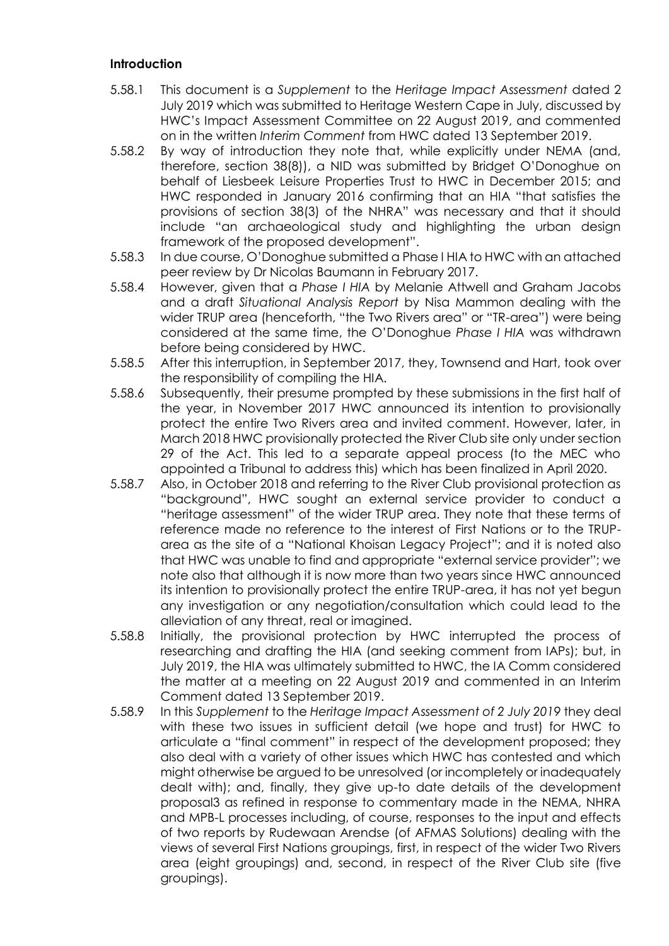### **Introduction**

- 5.58.1 This document is a *Supplement* to the *Heritage Impact Assessment* dated 2 July 2019 which was submitted to Heritage Western Cape in July, discussed by HWC's Impact Assessment Committee on 22 August 2019, and commented on in the written *Interim Comment* from HWC dated 13 September 2019.
- 5.58.2 By way of introduction they note that, while explicitly under NEMA (and, therefore, section 38(8)), a NID was submitted by Bridget O'Donoghue on behalf of Liesbeek Leisure Properties Trust to HWC in December 2015; and HWC responded in January 2016 confirming that an HIA "that satisfies the provisions of section 38(3) of the NHRA" was necessary and that it should include "an archaeological study and highlighting the urban design framework of the proposed development".
- 5.58.3 In due course, O'Donoghue submitted a Phase I HIA to HWC with an attached peer review by Dr Nicolas Baumann in February 2017.
- 5.58.4 However, given that a *Phase I HIA* by Melanie Attwell and Graham Jacobs and a draft *Situational Analysis Report* by Nisa Mammon dealing with the wider TRUP area (henceforth, "the Two Rivers area" or "TR-area") were being considered at the same time, the O'Donoghue *Phase I HIA* was withdrawn before being considered by HWC.
- 5.58.5 After this interruption, in September 2017, they, Townsend and Hart, took over the responsibility of compiling the HIA.
- 5.58.6 Subsequently, their presume prompted by these submissions in the first half of the year, in November 2017 HWC announced its intention to provisionally protect the entire Two Rivers area and invited comment. However, later, in March 2018 HWC provisionally protected the River Club site only under section 29 of the Act. This led to a separate appeal process (to the MEC who appointed a Tribunal to address this) which has been finalized in April 2020.
- 5.58.7 Also, in October 2018 and referring to the River Club provisional protection as "background", HWC sought an external service provider to conduct a "heritage assessment" of the wider TRUP area. They note that these terms of reference made no reference to the interest of First Nations or to the TRUParea as the site of a "National Khoisan Legacy Project"; and it is noted also that HWC was unable to find and appropriate "external service provider"; we note also that although it is now more than two years since HWC announced its intention to provisionally protect the entire TRUP-area, it has not yet begun any investigation or any negotiation/consultation which could lead to the alleviation of any threat, real or imagined.
- 5.58.8 Initially, the provisional protection by HWC interrupted the process of researching and drafting the HIA (and seeking comment from IAPs); but, in July 2019, the HIA was ultimately submitted to HWC, the IA Comm considered the matter at a meeting on 22 August 2019 and commented in an Interim Comment dated 13 September 2019.
- 5.58.9 In this *Supplement* to the *Heritage Impact Assessment of 2 July 2019* they deal with these two issues in sufficient detail (we hope and trust) for HWC to articulate a "final comment" in respect of the development proposed; they also deal with a variety of other issues which HWC has contested and which might otherwise be argued to be unresolved (or incompletely or inadequately dealt with); and, finally, they give up-to date details of the development proposal3 as refined in response to commentary made in the NEMA, NHRA and MPB-L processes including, of course, responses to the input and effects of two reports by Rudewaan Arendse (of AFMAS Solutions) dealing with the views of several First Nations groupings, first, in respect of the wider Two Rivers area (eight groupings) and, second, in respect of the River Club site (five groupings).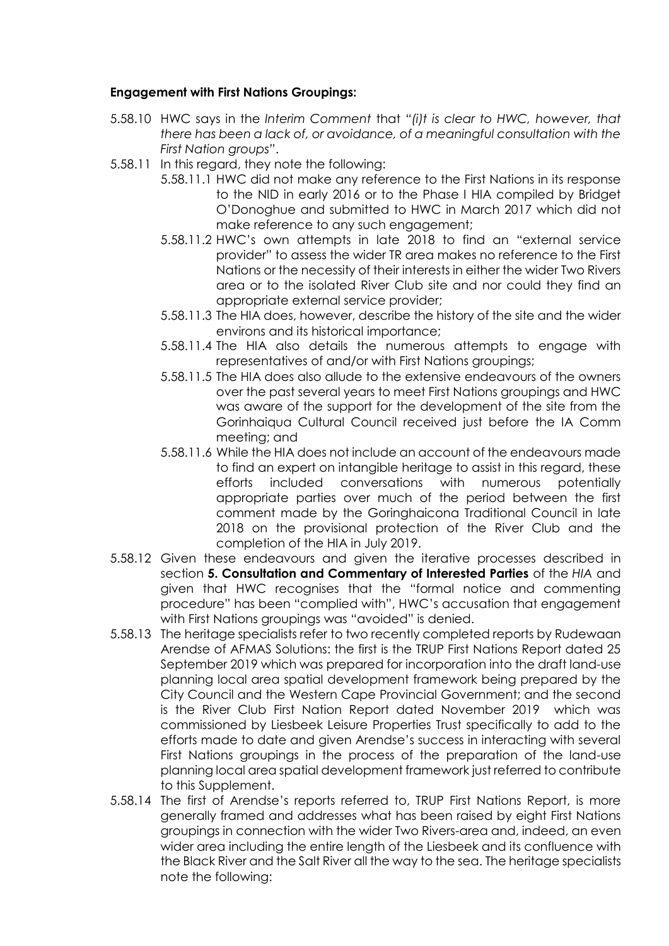## **Engagement with First Nations Groupings:**

- 5.58.10 HWC says in the *Interim Comment* that *"(i)t is clear to HWC, however, that there has been a lack of, or avoidance, of a meaningful consultation with the First Nation groups"*.
- 5.58.11 In this regard, they note the following:
	- 5.58.11.1 HWC did not make any reference to the First Nations in its response to the NID in early 2016 or to the Phase I HIA compiled by Bridget O'Donoghue and submitted to HWC in March 2017 which did not make reference to any such engagement;
	- 5.58.11.2 HWC's own attempts in late 2018 to find an "external service provider" to assess the wider TR area makes no reference to the First Nations or the necessity of their interests in either the wider Two Rivers area or to the isolated River Club site and nor could they find an appropriate external service provider;
	- 5.58.11.3 The HIA does, however, describe the history of the site and the wider environs and its historical importance;
	- 5.58.11.4 The HIA also details the numerous attempts to engage with representatives of and/or with First Nations groupings;
	- 5.58.11.5 The HIA does also allude to the extensive endeavours of the owners over the past several years to meet First Nations groupings and HWC was aware of the support for the development of the site from the Gorinhaiqua Cultural Council received just before the IA Comm meeting; and
	- 5.58.11.6 While the HIA does not include an account of the endeavours made to find an expert on intangible heritage to assist in this regard, these efforts included conversations with numerous potentially appropriate parties over much of the period between the first comment made by the Goringhaicona Traditional Council in late 2018 on the provisional protection of the River Club and the completion of the HIA in July 2019.
- 5.58.12 Given these endeavours and given the iterative processes described in section **5. Consultation and Commentary of Interested Parties** of the *HIA* and given that HWC recognises that the "formal notice and commenting procedure" has been "complied with", HWC's accusation that engagement with First Nations groupings was "avoided" is denied.
- 5.58.13 The heritage specialists refer to two recently completed reports by Rudewaan Arendse of AFMAS Solutions: the first is the TRUP First Nations Report dated 25 September 2019 which was prepared for incorporation into the draft land-use planning local area spatial development framework being prepared by the City Council and the Western Cape Provincial Government; and the second is the River Club First Nation Report dated November 2019 which was commissioned by Liesbeek Leisure Properties Trust specifically to add to the efforts made to date and given Arendse's success in interacting with several First Nations groupings in the process of the preparation of the land-use planning local area spatial development framework just referred to contribute to this Supplement.
- 5.58.14 The first of Arendse's reports referred to, TRUP First Nations Report, is more generally framed and addresses what has been raised by eight First Nations groupings in connection with the wider Two Rivers-area and, indeed, an even wider area including the entire length of the Liesbeek and its confluence with the Black River and the Salt River all the way to the sea. The heritage specialists note the following: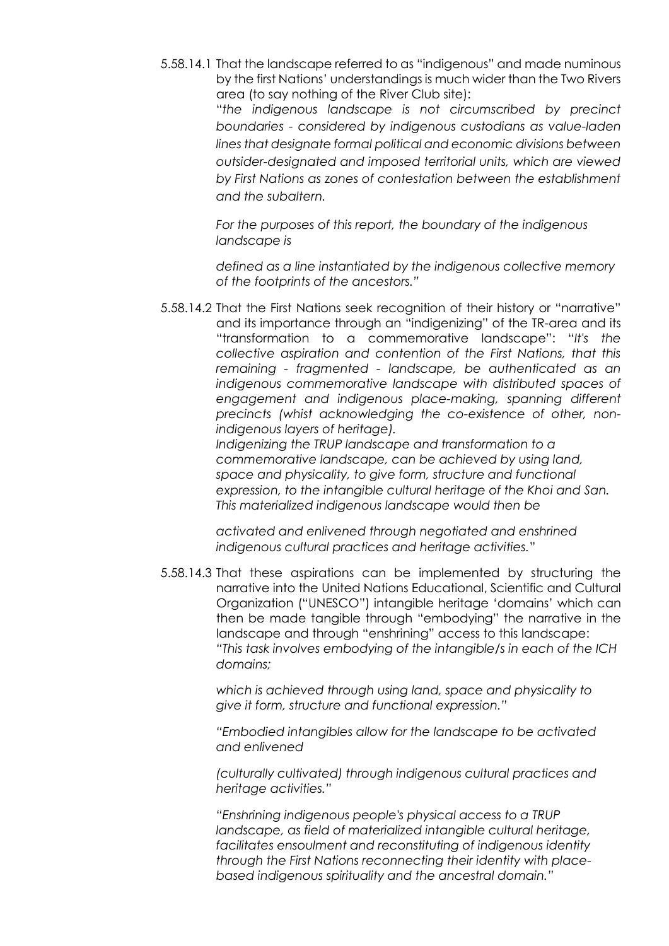5.58.14.1 That the landscape referred to as "indigenous" and made numinous by the first Nations' understandings is much wider than the Two Rivers area (to say nothing of the River Club site):

> "*the indigenous landscape is not circumscribed by precinct boundaries - considered by indigenous custodians as value-laden lines that designate formal political and economic divisions between outsider-designated and imposed territorial units, which are viewed by First Nations as zones of contestation between the establishment and the subaltern.*

*For the purposes of this report, the boundary of the indigenous landscape is*

*defined as a line instantiated by the indigenous collective memory of the footprints of the ancestors."*

5.58.14.2 That the First Nations seek recognition of their history or "narrative" and its importance through an "indigenizing" of the TR-area and its "transformation to a commemorative landscape": "*It's the collective aspiration and contention of the First Nations, that this remaining - fragmented - landscape, be authenticated as an indigenous commemorative landscape with distributed spaces of*  engagement and indigenous place-making, spanning different *precincts (whist acknowledging the co-existence of other, nonindigenous layers of heritage).*

*Indigenizing the TRUP landscape and transformation to a commemorative landscape, can be achieved by using land, space and physicality, to give form, structure and functional expression, to the intangible cultural heritage of the Khoi and San. This materialized indigenous landscape would then be*

*activated and enlivened through negotiated and enshrined indigenous cultural practices and heritage activities.*"

5.58.14.3 That these aspirations can be implemented by structuring the narrative into the United Nations Educational, Scientific and Cultural Organization ("UNESCO") intangible heritage 'domains' which can then be made tangible through "embodying" the narrative in the landscape and through "enshrining" access to this landscape: *"This task involves embodying of the intangible/s in each of the ICH domains;*

> *which is achieved through using land, space and physicality to give it form, structure and functional expression."*

*"Embodied intangibles allow for the landscape to be activated and enlivened*

*(culturally cultivated) through indigenous cultural practices and heritage activities."*

*"Enshrining indigenous people's physical access to a TRUP landscape, as field of materialized intangible cultural heritage, facilitates ensoulment and reconstituting of indigenous identity through the First Nations reconnecting their identity with placebased indigenous spirituality and the ancestral domain."*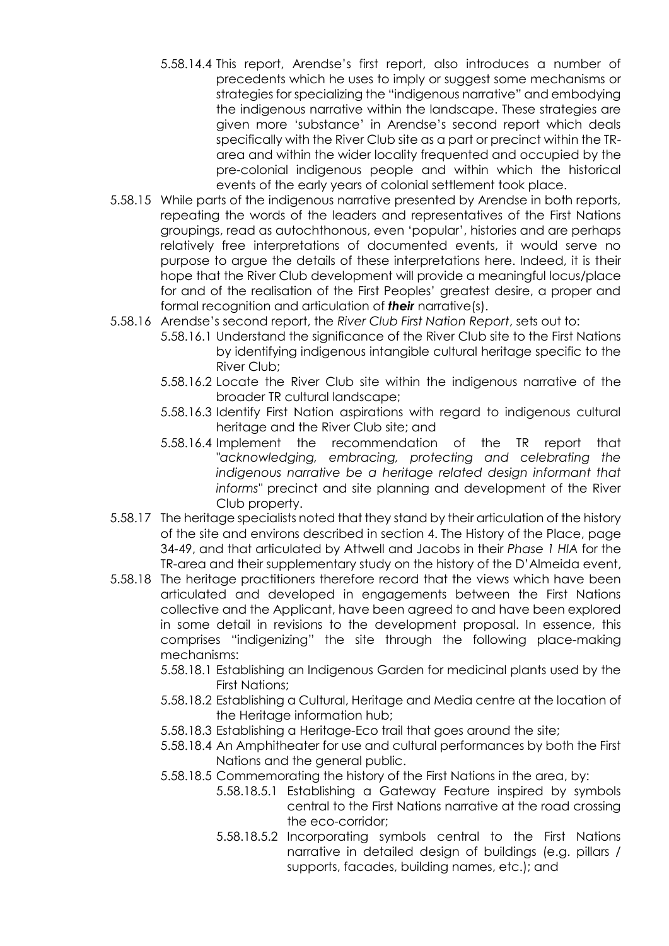- 5.58.14.4 This report, Arendse's first report, also introduces a number of precedents which he uses to imply or suggest some mechanisms or strategies for specializing the "indigenous narrative" and embodying the indigenous narrative within the landscape. These strategies are given more 'substance' in Arendse's second report which deals specifically with the River Club site as a part or precinct within the TRarea and within the wider locality frequented and occupied by the pre-colonial indigenous people and within which the historical events of the early years of colonial settlement took place.
- 5.58.15 While parts of the indigenous narrative presented by Arendse in both reports, repeating the words of the leaders and representatives of the First Nations groupings, read as autochthonous, even 'popular', histories and are perhaps relatively free interpretations of documented events, it would serve no purpose to argue the details of these interpretations here. Indeed, it is their hope that the River Club development will provide a meaningful locus/place for and of the realisation of the First Peoples' greatest desire, a proper and formal recognition and articulation of *their* narrative(s).
- 5.58.16 Arendse's second report, the *River Club First Nation Report*, sets out to:
	- 5.58.16.1 Understand the significance of the River Club site to the First Nations by identifying indigenous intangible cultural heritage specific to the River Club;
	- 5.58.16.2 Locate the River Club site within the indigenous narrative of the broader TR cultural landscape;
	- 5.58.16.3 Identify First Nation aspirations with regard to indigenous cultural heritage and the River Club site; and
	- 5.58.16.4 Implement the recommendation of the TR report that *"acknowledging, embracing, protecting and celebrating the indigenous narrative be a heritage related design informant that informs"* precinct and site planning and development of the River Club property.
- 5.58.17 The heritage specialists noted that they stand by their articulation of the history of the site and environs described in section 4. The History of the Place, page 34-49, and that articulated by Attwell and Jacobs in their *Phase 1 HIA* for the TR-area and their supplementary study on the history of the D'Almeida event,
- 5.58.18 The heritage practitioners therefore record that the views which have been articulated and developed in engagements between the First Nations collective and the Applicant, have been agreed to and have been explored in some detail in revisions to the development proposal. In essence, this comprises "indigenizing" the site through the following place-making mechanisms:
	- 5.58.18.1 Establishing an Indigenous Garden for medicinal plants used by the First Nations;
	- 5.58.18.2 Establishing a Cultural, Heritage and Media centre at the location of the Heritage information hub;
	- 5.58.18.3 Establishing a Heritage-Eco trail that goes around the site;
	- 5.58.18.4 An Amphitheater for use and cultural performances by both the First Nations and the general public.
	- 5.58.18.5 Commemorating the history of the First Nations in the area, by:
		- 5.58.18.5.1 Establishing a Gateway Feature inspired by symbols central to the First Nations narrative at the road crossing the eco-corridor;
		- 5.58.18.5.2 Incorporating symbols central to the First Nations narrative in detailed design of buildings (e.g. pillars / supports, facades, building names, etc.); and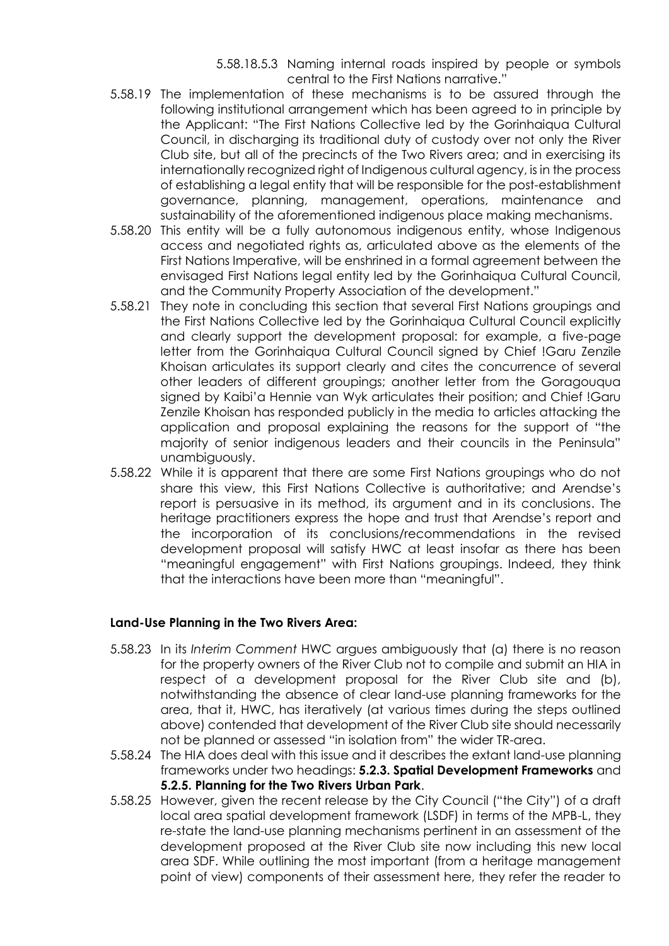5.58.18.5.3 Naming internal roads inspired by people or symbols central to the First Nations narrative."

- 5.58.19 The implementation of these mechanisms is to be assured through the following institutional arrangement which has been agreed to in principle by the Applicant: "The First Nations Collective led by the Gorinhaiqua Cultural Council, in discharging its traditional duty of custody over not only the River Club site, but all of the precincts of the Two Rivers area; and in exercising its internationally recognized right of Indigenous cultural agency, is in the process of establishing a legal entity that will be responsible for the post-establishment governance, planning, management, operations, maintenance and sustainability of the aforementioned indigenous place making mechanisms.
- 5.58.20 This entity will be a fully autonomous indigenous entity, whose Indigenous access and negotiated rights as, articulated above as the elements of the First Nations Imperative, will be enshrined in a formal agreement between the envisaged First Nations legal entity led by the Gorinhaiqua Cultural Council, and the Community Property Association of the development."
- 5.58.21 They note in concluding this section that several First Nations groupings and the First Nations Collective led by the Gorinhaiqua Cultural Council explicitly and clearly support the development proposal: for example, a five-page letter from the Gorinhaiqua Cultural Council signed by Chief !Garu Zenzile Khoisan articulates its support clearly and cites the concurrence of several other leaders of different groupings; another letter from the Goragouqua signed by Kaibi'a Hennie van Wyk articulates their position; and Chief !Garu Zenzile Khoisan has responded publicly in the media to articles attacking the application and proposal explaining the reasons for the support of "the majority of senior indigenous leaders and their councils in the Peninsula" unambiguously.
- 5.58.22 While it is apparent that there are some First Nations groupings who do not share this view, this First Nations Collective is authoritative; and Arendse's report is persuasive in its method, its argument and in its conclusions. The heritage practitioners express the hope and trust that Arendse's report and the incorporation of its conclusions/recommendations in the revised development proposal will satisfy HWC at least insofar as there has been "meaningful engagement" with First Nations groupings. Indeed, they think that the interactions have been more than "meaningful".

## **Land-Use Planning in the Two Rivers Area:**

- 5.58.23 In its *Interim Comment* HWC argues ambiguously that (a) there is no reason for the property owners of the River Club not to compile and submit an HIA in respect of a development proposal for the River Club site and (b), notwithstanding the absence of clear land-use planning frameworks for the area, that it, HWC, has iteratively (at various times during the steps outlined above) contended that development of the River Club site should necessarily not be planned or assessed "in isolation from" the wider TR-area.
- 5.58.24 The HIA does deal with this issue and it describes the extant land-use planning frameworks under two headings: **5.2.3. Spatial Development Frameworks** and **5.2.5. Planning for the Two Rivers Urban Park**.
- 5.58.25 However, given the recent release by the City Council ("the City") of a draft local area spatial development framework (LSDF) in terms of the MPB-L, they re-state the land-use planning mechanisms pertinent in an assessment of the development proposed at the River Club site now including this new local area SDF. While outlining the most important (from a heritage management point of view) components of their assessment here, they refer the reader to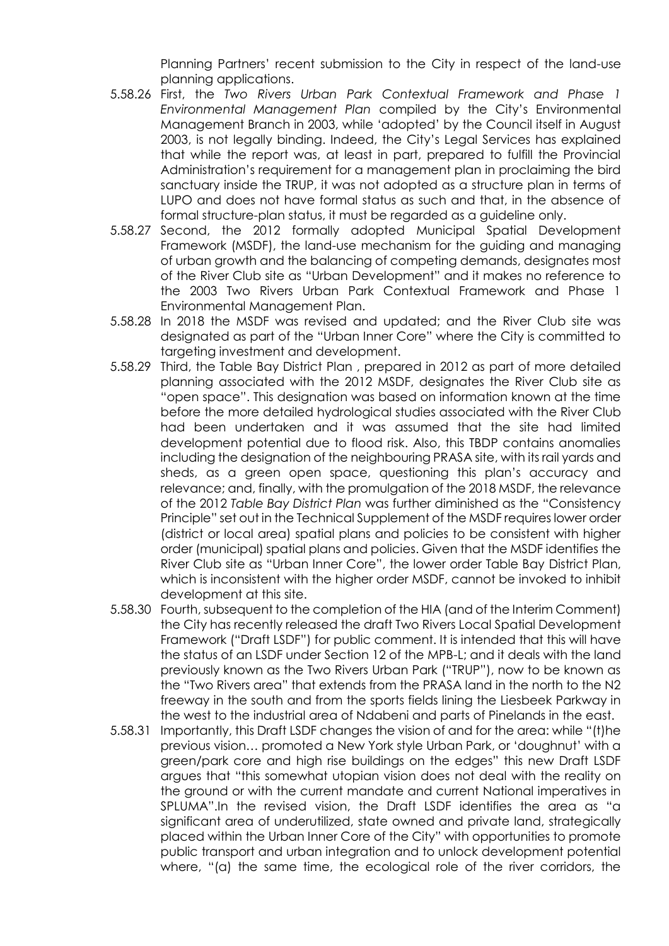Planning Partners' recent submission to the City in respect of the land-use planning applications.

- 5.58.26 First, the *Two Rivers Urban Park Contextual Framework and Phase 1 Environmental Management Plan* compiled by the City's Environmental Management Branch in 2003, while 'adopted' by the Council itself in August 2003, is not legally binding. Indeed, the City's Legal Services has explained that while the report was, at least in part, prepared to fulfill the Provincial Administration's requirement for a management plan in proclaiming the bird sanctuary inside the TRUP, it was not adopted as a structure plan in terms of LUPO and does not have formal status as such and that, in the absence of formal structure-plan status, it must be regarded as a guideline only.
- 5.58.27 Second, the 2012 formally adopted Municipal Spatial Development Framework (MSDF), the land-use mechanism for the guiding and managing of urban growth and the balancing of competing demands, designates most of the River Club site as "Urban Development" and it makes no reference to the 2003 Two Rivers Urban Park Contextual Framework and Phase 1 Environmental Management Plan.
- 5.58.28 In 2018 the MSDF was revised and updated; and the River Club site was designated as part of the "Urban Inner Core" where the City is committed to targeting investment and development.
- 5.58.29 Third, the Table Bay District Plan , prepared in 2012 as part of more detailed planning associated with the 2012 MSDF, designates the River Club site as "open space". This designation was based on information known at the time before the more detailed hydrological studies associated with the River Club had been undertaken and it was assumed that the site had limited development potential due to flood risk. Also, this TBDP contains anomalies including the designation of the neighbouring PRASA site, with its rail yards and sheds, as a green open space, questioning this plan's accuracy and relevance; and, finally, with the promulgation of the 2018 MSDF, the relevance of the 2012 *Table Bay District Plan* was further diminished as the "Consistency Principle" set out in the Technical Supplement of the MSDF requires lower order (district or local area) spatial plans and policies to be consistent with higher order (municipal) spatial plans and policies. Given that the MSDF identifies the River Club site as "Urban Inner Core", the lower order Table Bay District Plan, which is inconsistent with the higher order MSDF, cannot be invoked to inhibit development at this site.
- 5.58.30 Fourth, subsequent to the completion of the HIA (and of the Interim Comment) the City has recently released the draft Two Rivers Local Spatial Development Framework ("Draft LSDF") for public comment. It is intended that this will have the status of an LSDF under Section 12 of the MPB-L; and it deals with the land previously known as the Two Rivers Urban Park ("TRUP"), now to be known as the "Two Rivers area" that extends from the PRASA land in the north to the N2 freeway in the south and from the sports fields lining the Liesbeek Parkway in the west to the industrial area of Ndabeni and parts of Pinelands in the east.
- 5.58.31 Importantly, this Draft LSDF changes the vision of and for the area: while "(t)he previous vision… promoted a New York style Urban Park, or 'doughnut' with a green/park core and high rise buildings on the edges" this new Draft LSDF argues that "this somewhat utopian vision does not deal with the reality on the ground or with the current mandate and current National imperatives in SPLUMA".In the revised vision, the Draft LSDF identifies the area as "a significant area of underutilized, state owned and private land, strategically placed within the Urban Inner Core of the City" with opportunities to promote public transport and urban integration and to unlock development potential where, "(a) the same time, the ecological role of the river corridors, the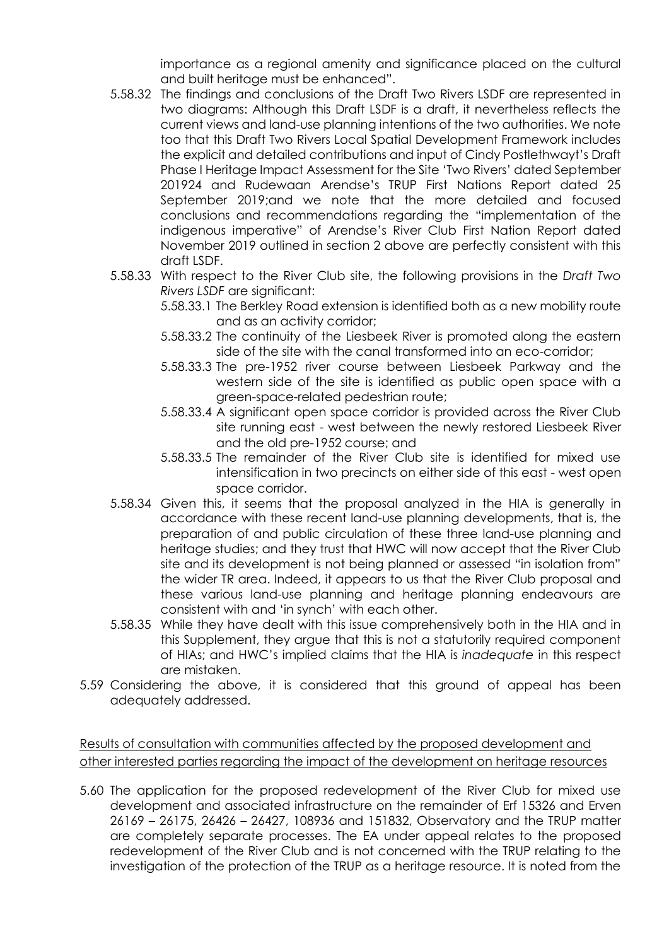importance as a regional amenity and significance placed on the cultural and built heritage must be enhanced".

- 5.58.32 The findings and conclusions of the Draft Two Rivers LSDF are represented in two diagrams: Although this Draft LSDF is a draft, it nevertheless reflects the current views and land-use planning intentions of the two authorities. We note too that this Draft Two Rivers Local Spatial Development Framework includes the explicit and detailed contributions and input of Cindy Postlethwayt's Draft Phase I Heritage Impact Assessment for the Site 'Two Rivers' dated September 201924 and Rudewaan Arendse's TRUP First Nations Report dated 25 September 2019;and we note that the more detailed and focused conclusions and recommendations regarding the "implementation of the indigenous imperative" of Arendse's River Club First Nation Report dated November 2019 outlined in section 2 above are perfectly consistent with this draft LSDF.
- 5.58.33 With respect to the River Club site, the following provisions in the *Draft Two Rivers LSDF* are significant:
	- 5.58.33.1 The Berkley Road extension is identified both as a new mobility route and as an activity corridor;
	- 5.58.33.2 The continuity of the Liesbeek River is promoted along the eastern side of the site with the canal transformed into an eco-corridor;
	- 5.58.33.3 The pre-1952 river course between Liesbeek Parkway and the western side of the site is identified as public open space with a green-space-related pedestrian route;
	- 5.58.33.4 A significant open space corridor is provided across the River Club site running east - west between the newly restored Liesbeek River and the old pre-1952 course; and
	- 5.58.33.5 The remainder of the River Club site is identified for mixed use intensification in two precincts on either side of this east - west open space corridor.
- 5.58.34 Given this, it seems that the proposal analyzed in the HIA is generally in accordance with these recent land-use planning developments, that is, the preparation of and public circulation of these three land-use planning and heritage studies; and they trust that HWC will now accept that the River Club site and its development is not being planned or assessed "in isolation from" the wider TR area. Indeed, it appears to us that the River Club proposal and these various land-use planning and heritage planning endeavours are consistent with and 'in synch' with each other.
- 5.58.35 While they have dealt with this issue comprehensively both in the HIA and in this Supplement, they argue that this is not a statutorily required component of HIAs; and HWC's implied claims that the HIA is *inadequate* in this respect are mistaken.
- 5.59 Considering the above, it is considered that this ground of appeal has been adequately addressed.

Results of consultation with communities affected by the proposed development and other interested parties regarding the impact of the development on heritage resources

5.60 The application for the proposed redevelopment of the River Club for mixed use development and associated infrastructure on the remainder of Erf 15326 and Erven 26169 – 26175, 26426 – 26427, 108936 and 151832, Observatory and the TRUP matter are completely separate processes. The EA under appeal relates to the proposed redevelopment of the River Club and is not concerned with the TRUP relating to the investigation of the protection of the TRUP as a heritage resource. It is noted from the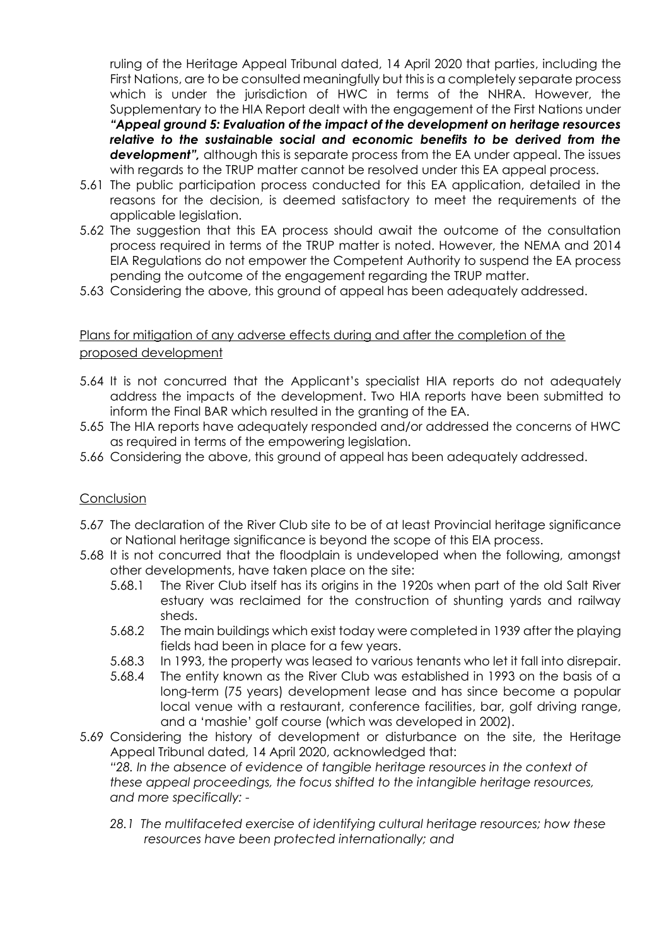ruling of the Heritage Appeal Tribunal dated, 14 April 2020 that parties, including the First Nations, are to be consulted meaningfully but this is a completely separate process which is under the jurisdiction of HWC in terms of the NHRA. However, the Supplementary to the HIA Report dealt with the engagement of the First Nations under *"Appeal ground 5: Evaluation of the impact of the development on heritage resources relative to the sustainable social and economic benefits to be derived from the*  **development"**, although this is separate process from the EA under appeal. The issues with regards to the TRUP matter cannot be resolved under this EA appeal process.

- 5.61 The public participation process conducted for this EA application, detailed in the reasons for the decision, is deemed satisfactory to meet the requirements of the applicable legislation.
- 5.62 The suggestion that this EA process should await the outcome of the consultation process required in terms of the TRUP matter is noted. However, the NEMA and 2014 EIA Regulations do not empower the Competent Authority to suspend the EA process pending the outcome of the engagement regarding the TRUP matter.
- 5.63 Considering the above, this ground of appeal has been adequately addressed.

# Plans for mitigation of any adverse effects during and after the completion of the proposed development

- 5.64 It is not concurred that the Applicant's specialist HIA reports do not adequately address the impacts of the development. Two HIA reports have been submitted to inform the Final BAR which resulted in the granting of the EA.
- 5.65 The HIA reports have adequately responded and/or addressed the concerns of HWC as required in terms of the empowering legislation.
- 5.66 Considering the above, this ground of appeal has been adequately addressed.

#### Conclusion

- 5.67 The declaration of the River Club site to be of at least Provincial heritage significance or National heritage significance is beyond the scope of this EIA process.
- 5.68 It is not concurred that the floodplain is undeveloped when the following, amongst other developments, have taken place on the site:
	- 5.68.1 The River Club itself has its origins in the 1920s when part of the old Salt River estuary was reclaimed for the construction of shunting yards and railway sheds.
	- 5.68.2 The main buildings which exist today were completed in 1939 after the playing fields had been in place for a few years.
	- 5.68.3 In 1993, the property was leased to various tenants who let it fall into disrepair.
	- 5.68.4 The entity known as the River Club was established in 1993 on the basis of a long-term (75 years) development lease and has since become a popular local venue with a restaurant, conference facilities, bar, golf driving range, and a 'mashie' golf course (which was developed in 2002).
- 5.69 Considering the history of development or disturbance on the site, the Heritage Appeal Tribunal dated, 14 April 2020, acknowledged that: *"28. In the absence of evidence of tangible heritage resources in the context of these appeal proceedings, the focus shifted to the intangible heritage resources, and more specifically: -*
	- *28.1 The multifaceted exercise of identifying cultural heritage resources; how these resources have been protected internationally; and*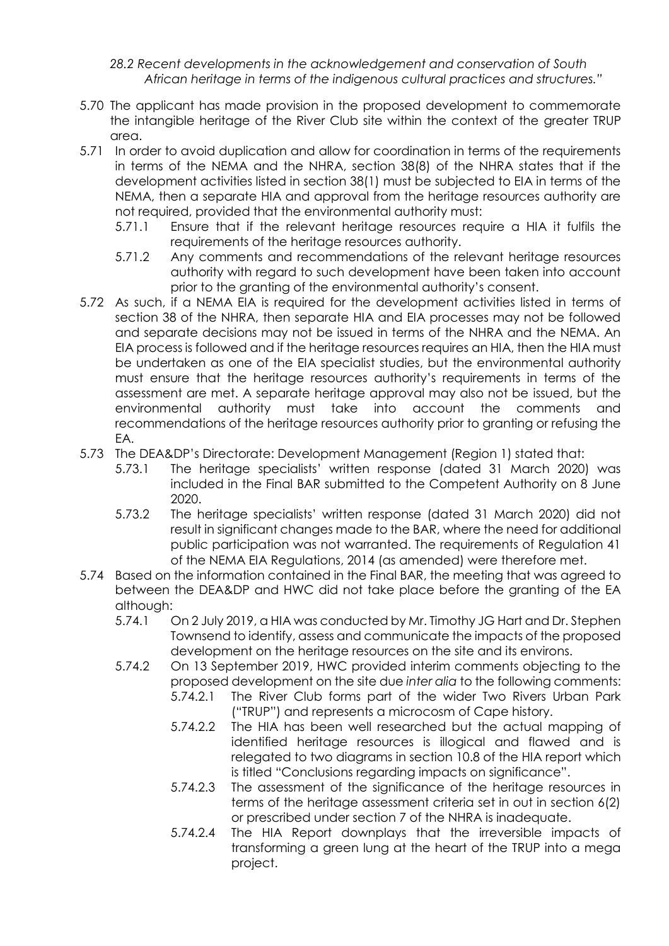*28.2 Recent developments in the acknowledgement and conservation of South African heritage in terms of the indigenous cultural practices and structures."*

- 5.70 The applicant has made provision in the proposed development to commemorate the intangible heritage of the River Club site within the context of the greater TRUP area.
- 5.71 In order to avoid duplication and allow for coordination in terms of the requirements in terms of the NEMA and the NHRA, section 38(8) of the NHRA states that if the development activities listed in section 38(1) must be subjected to EIA in terms of the NEMA, then a separate HIA and approval from the heritage resources authority are not required, provided that the environmental authority must:
	- 5.71.1 Ensure that if the relevant heritage resources require a HIA it fulfils the requirements of the heritage resources authority.
	- 5.71.2 Any comments and recommendations of the relevant heritage resources authority with regard to such development have been taken into account prior to the granting of the environmental authority's consent.
- 5.72 As such, if a NEMA EIA is required for the development activities listed in terms of section 38 of the NHRA, then separate HIA and EIA processes may not be followed and separate decisions may not be issued in terms of the NHRA and the NEMA. An EIA process is followed and if the heritage resources requires an HIA, then the HIA must be undertaken as one of the EIA specialist studies, but the environmental authority must ensure that the heritage resources authority's requirements in terms of the assessment are met. A separate heritage approval may also not be issued, but the environmental authority must take into account the comments and recommendations of the heritage resources authority prior to granting or refusing the EA.
- 5.73 The DEA&DP's Directorate: Development Management (Region 1) stated that:
	- 5.73.1 The heritage specialists' written response (dated 31 March 2020) was included in the Final BAR submitted to the Competent Authority on 8 June 2020.
	- 5.73.2 The heritage specialists' written response (dated 31 March 2020) did not result in significant changes made to the BAR, where the need for additional public participation was not warranted. The requirements of Regulation 41 of the NEMA EIA Regulations, 2014 (as amended) were therefore met.
- 5.74 Based on the information contained in the Final BAR, the meeting that was agreed to between the DEA&DP and HWC did not take place before the granting of the EA although:
	- 5.74.1 On 2 July 2019, a HIA was conducted by Mr. Timothy JG Hart and Dr. Stephen Townsend to identify, assess and communicate the impacts of the proposed development on the heritage resources on the site and its environs.
	- 5.74.2 On 13 September 2019, HWC provided interim comments objecting to the proposed development on the site due *inter alia* to the following comments:
		- 5.74.2.1 The River Club forms part of the wider Two Rivers Urban Park ("TRUP") and represents a microcosm of Cape history.
		- 5.74.2.2 The HIA has been well researched but the actual mapping of identified heritage resources is illogical and flawed and is relegated to two diagrams in section 10.8 of the HIA report which is titled "Conclusions regarding impacts on significance".
		- 5.74.2.3 The assessment of the significance of the heritage resources in terms of the heritage assessment criteria set in out in section 6(2) or prescribed under section 7 of the NHRA is inadequate.
		- 5.74.2.4 The HIA Report downplays that the irreversible impacts of transforming a green lung at the heart of the TRUP into a mega project.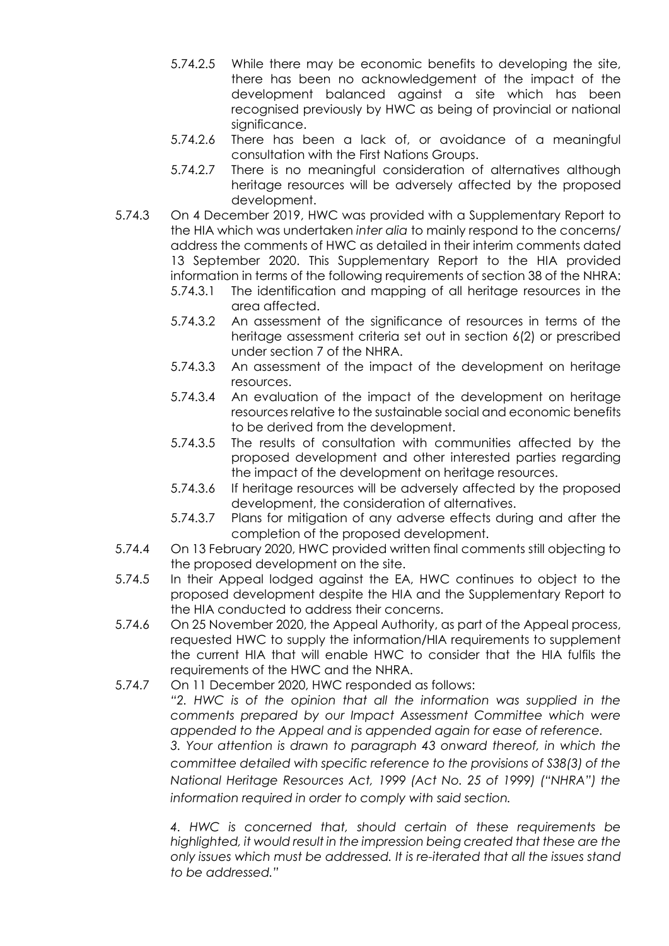- 5.74.2.5 While there may be economic benefits to developing the site, there has been no acknowledgement of the impact of the development balanced against a site which has been recognised previously by HWC as being of provincial or national significance.
- 5.74.2.6 There has been a lack of, or avoidance of a meaningful consultation with the First Nations Groups.
- 5.74.2.7 There is no meaningful consideration of alternatives although heritage resources will be adversely affected by the proposed development.
- 5.74.3 On 4 December 2019, HWC was provided with a Supplementary Report to the HIA which was undertaken *inter alia* to mainly respond to the concerns/ address the comments of HWC as detailed in their interim comments dated 13 September 2020. This Supplementary Report to the HIA provided information in terms of the following requirements of section 38 of the NHRA:
	- 5.74.3.1 The identification and mapping of all heritage resources in the area affected.
	- 5.74.3.2 An assessment of the significance of resources in terms of the heritage assessment criteria set out in section 6(2) or prescribed under section 7 of the NHRA.
	- 5.74.3.3 An assessment of the impact of the development on heritage resources.
	- 5.74.3.4 An evaluation of the impact of the development on heritage resources relative to the sustainable social and economic benefits to be derived from the development.
	- 5.74.3.5 The results of consultation with communities affected by the proposed development and other interested parties regarding the impact of the development on heritage resources.
	- 5.74.3.6 If heritage resources will be adversely affected by the proposed development, the consideration of alternatives.
	- 5.74.3.7 Plans for mitigation of any adverse effects during and after the completion of the proposed development.
- 5.74.4 On 13 February 2020, HWC provided written final comments still objecting to the proposed development on the site.
- 5.74.5 In their Appeal lodged against the EA, HWC continues to object to the proposed development despite the HIA and the Supplementary Report to the HIA conducted to address their concerns.
- 5.74.6 On 25 November 2020, the Appeal Authority, as part of the Appeal process, requested HWC to supply the information/HIA requirements to supplement the current HIA that will enable HWC to consider that the HIA fulfils the requirements of the HWC and the NHRA.
- 5.74.7 On 11 December 2020, HWC responded as follows:

*"2. HWC is of the opinion that all the information was supplied in the comments prepared by our Impact Assessment Committee which were appended to the Appeal and is appended again for ease of reference.* 

*3. Your attention is drawn to paragraph 43 onward thereof, in which the committee detailed with specific reference to the provisions of S38(3) of the National Heritage Resources Act, 1999 (Act No. 25 of 1999) ("NHRA") the information required in order to comply with said section.* 

*4. HWC is concerned that, should certain of these requirements be highlighted, it would result in the impression being created that these are the only issues which must be addressed. It is re-iterated that all the issues stand to be addressed."*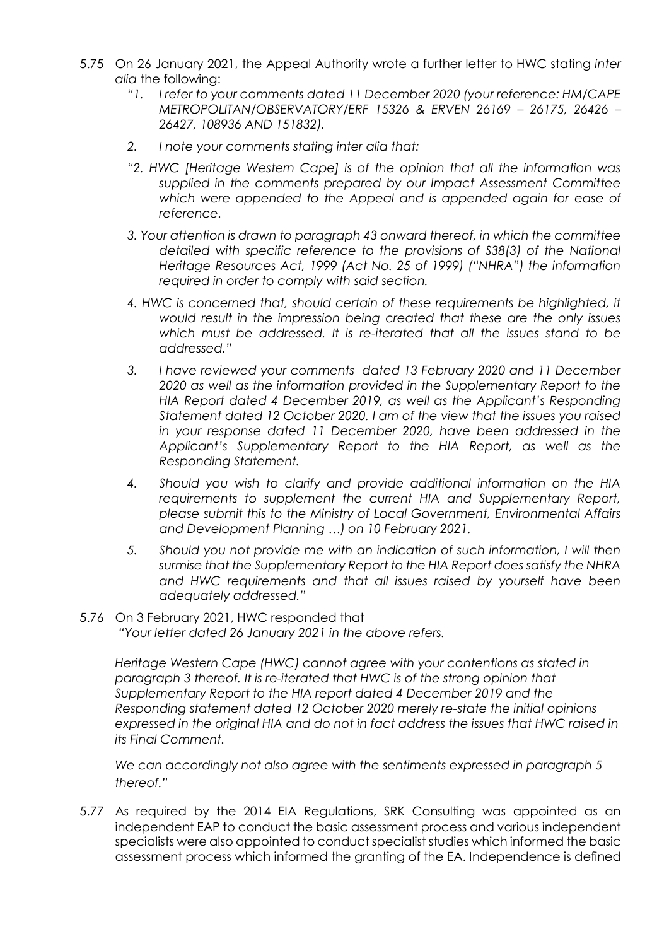- 5.75 On 26 January 2021, the Appeal Authority wrote a further letter to HWC stating *inter alia* the following:
	- *"1. I refer to your comments dated 11 December 2020 (your reference: HM/CAPE METROPOLITAN/OBSERVATORY/ERF 15326 & ERVEN 26169 – 26175, 26426 – 26427, 108936 AND 151832).*
	- *2. I note your comments stating inter alia that:*
	- *"2. HWC [Heritage Western Cape] is of the opinion that all the information was supplied in the comments prepared by our Impact Assessment Committee which were appended to the Appeal and is appended again for ease of reference.*
	- *3. Your attention is drawn to paragraph 43 onward thereof, in which the committee detailed with specific reference to the provisions of S38(3) of the National Heritage Resources Act, 1999 (Act No. 25 of 1999) ("NHRA") the information required in order to comply with said section.*
	- *4. HWC is concerned that, should certain of these requirements be highlighted, it would result in the impression being created that these are the only issues which must be addressed. It is re-iterated that all the issues stand to be addressed."*
	- *3. I have reviewed your comments dated 13 February 2020 and 11 December 2020 as well as the information provided in the Supplementary Report to the HIA Report dated 4 December 2019, as well as the Applicant's Responding Statement dated 12 October 2020. I am of the view that the issues you raised in your response dated 11 December 2020, have been addressed in the Applicant's Supplementary Report to the HIA Report, as well as the Responding Statement.*
	- *4. Should you wish to clarify and provide additional information on the HIA requirements to supplement the current HIA and Supplementary Report, please submit this to the Ministry of Local Government, Environmental Affairs and Development Planning …) on 10 February 2021.*
	- *5. Should you not provide me with an indication of such information, I will then surmise that the Supplementary Report to the HIA Report does satisfy the NHRA and HWC requirements and that all issues raised by yourself have been adequately addressed."*
- 5.76 On 3 February 2021, HWC responded that *"Your letter dated 26 January 2021 in the above refers.*

*Heritage Western Cape (HWC) cannot agree with your contentions as stated in paragraph 3 thereof. It is re-iterated that HWC is of the strong opinion that Supplementary Report to the HIA report dated 4 December 2019 and the Responding statement dated 12 October 2020 merely re-state the initial opinions expressed in the original HIA and do not in fact address the issues that HWC raised in its Final Comment.* 

*We can accordingly not also agree with the sentiments expressed in paragraph 5 thereof."*

5.77 As required by the 2014 EIA Regulations, SRK Consulting was appointed as an independent EAP to conduct the basic assessment process and various independent specialists were also appointed to conduct specialist studies which informed the basic assessment process which informed the granting of the EA. Independence is defined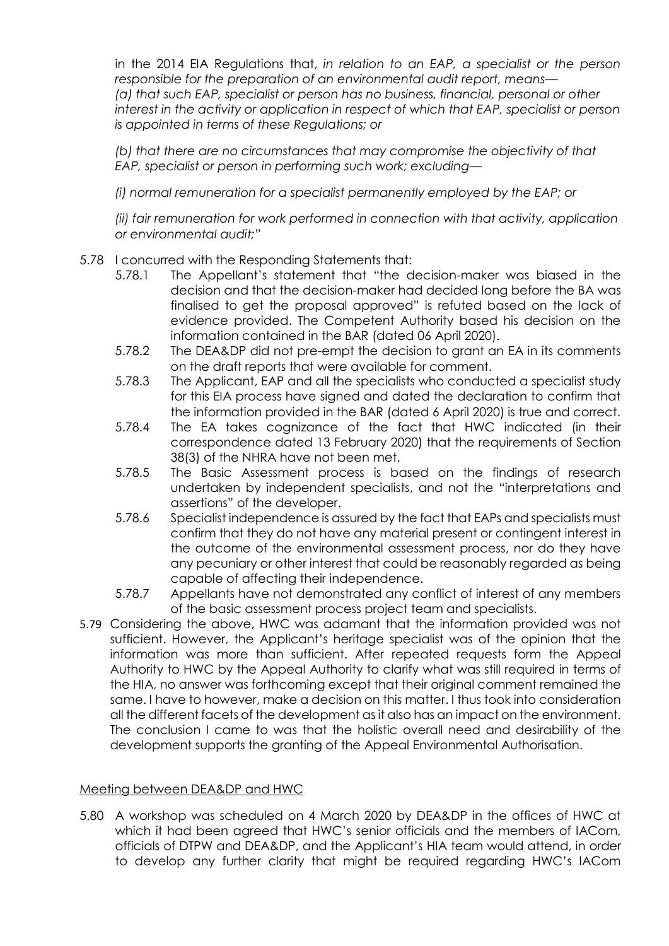in the 2014 EIA Regulations that, *in relation to an EAP, a specialist or the person responsible for the preparation of an environmental audit report, means— (a) that such EAP, specialist or person has no business, financial, personal or other interest in the activity or application in respect of which that EAP, specialist or person is appointed in terms of these Regulations; or*

*(b) that there are no circumstances that may compromise the objectivity of that EAP, specialist or person in performing such work; excluding—*

*(i) normal remuneration for a specialist permanently employed by the EAP; or*

*(ii) fair remuneration for work performed in connection with that activity, application or environmental audit;"*

## 5.78 I concurred with the Responding Statements that:

- 5.78.1 The Appellant's statement that "the decision-maker was biased in the decision and that the decision-maker had decided long before the BA was finalised to get the proposal approved" is refuted based on the lack of evidence provided. The Competent Authority based his decision on the information contained in the BAR (dated 06 April 2020).
- 5.78.2 The DEA&DP did not pre-empt the decision to grant an EA in its comments on the draft reports that were available for comment.
- 5.78.3 The Applicant, EAP and all the specialists who conducted a specialist study for this EIA process have signed and dated the declaration to confirm that the information provided in the BAR (dated 6 April 2020) is true and correct.
- 5.78.4 The EA takes cognizance of the fact that HWC indicated (in their correspondence dated 13 February 2020) that the requirements of Section 38(3) of the NHRA have not been met.
- 5.78.5 The Basic Assessment process is based on the findings of research undertaken by independent specialists, and not the "interpretations and assertions" of the developer.
- 5.78.6 Specialist independence is assured by the fact that EAPs and specialists must confirm that they do not have any material present or contingent interest in the outcome of the environmental assessment process, nor do they have any pecuniary or other interest that could be reasonably regarded as being capable of affecting their independence.
- 5.78.7 Appellants have not demonstrated any conflict of interest of any members of the basic assessment process project team and specialists.
- 5.79 Considering the above, HWC was adamant that the information provided was not sufficient. However, the Applicant's heritage specialist was of the opinion that the information was more than sufficient. After repeated requests form the Appeal Authority to HWC by the Appeal Authority to clarify what was still required in terms of the HIA, no answer was forthcoming except that their original comment remained the same. I have to however, make a decision on this matter. I thus took into consideration all the different facets of the development as it also has an impact on the environment. The conclusion I came to was that the holistic overall need and desirability of the development supports the granting of the Appeal Environmental Authorisation.

#### Meeting between DEA&DP and HWC

5.80 A workshop was scheduled on 4 March 2020 by DEA&DP in the offices of HWC at which it had been agreed that HWC's senior officials and the members of IACom, officials of DTPW and DEA&DP, and the Applicant's HIA team would attend, in order to develop any further clarity that might be required regarding HWC's IACom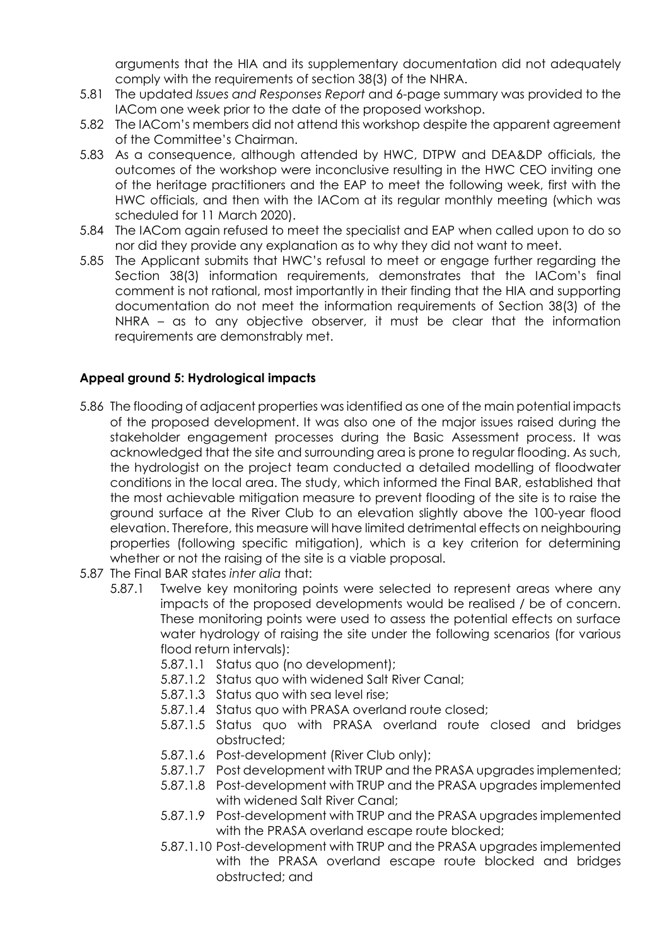arguments that the HIA and its supplementary documentation did not adequately comply with the requirements of section 38(3) of the NHRA.

- 5.81 The updated *Issues and Responses Report* and 6-page summary was provided to the IACom one week prior to the date of the proposed workshop.
- 5.82 The IACom's members did not attend this workshop despite the apparent agreement of the Committee's Chairman.
- 5.83 As a consequence, although attended by HWC, DTPW and DEA&DP officials, the outcomes of the workshop were inconclusive resulting in the HWC CEO inviting one of the heritage practitioners and the EAP to meet the following week, first with the HWC officials, and then with the IACom at its regular monthly meeting (which was scheduled for 11 March 2020).
- 5.84 The IACom again refused to meet the specialist and EAP when called upon to do so nor did they provide any explanation as to why they did not want to meet.
- 5.85 The Applicant submits that HWC's refusal to meet or engage further regarding the Section 38(3) information requirements, demonstrates that the IACom's final comment is not rational, most importantly in their finding that the HIA and supporting documentation do not meet the information requirements of Section 38(3) of the NHRA – as to any objective observer, it must be clear that the information requirements are demonstrably met.

## **Appeal ground 5: Hydrological impacts**

- 5.86 The flooding of adjacent properties was identified as one of the main potential impacts of the proposed development. It was also one of the major issues raised during the stakeholder engagement processes during the Basic Assessment process. It was acknowledged that the site and surrounding area is prone to regular flooding. As such, the hydrologist on the project team conducted a detailed modelling of floodwater conditions in the local area. The study, which informed the Final BAR, established that the most achievable mitigation measure to prevent flooding of the site is to raise the ground surface at the River Club to an elevation slightly above the 100-year flood elevation. Therefore, this measure will have limited detrimental effects on neighbouring properties (following specific mitigation), which is a key criterion for determining whether or not the raising of the site is a viable proposal.
- 5.87 The Final BAR states *inter alia* that:
	- 5.87.1 Twelve key monitoring points were selected to represent areas where any impacts of the proposed developments would be realised / be of concern. These monitoring points were used to assess the potential effects on surface water hydrology of raising the site under the following scenarios (for various flood return intervals):
		- 5.87.1.1 Status quo (no development);
		- 5.87.1.2 Status quo with widened Salt River Canal;
		- 5.87.1.3 Status quo with sea level rise;
		- 5.87.1.4 Status quo with PRASA overland route closed;
		- 5.87.1.5 Status quo with PRASA overland route closed and bridges obstructed;
		- 5.87.1.6 Post-development (River Club only);
		- 5.87.1.7 Post development with TRUP and the PRASA upgrades implemented;
		- 5.87.1.8 Post-development with TRUP and the PRASA upgrades implemented with widened Salt River Canal;
		- 5.87.1.9 Post-development with TRUP and the PRASA upgrades implemented with the PRASA overland escape route blocked;
		- 5.87.1.10 Post-development with TRUP and the PRASA upgrades implemented with the PRASA overland escape route blocked and bridges obstructed; and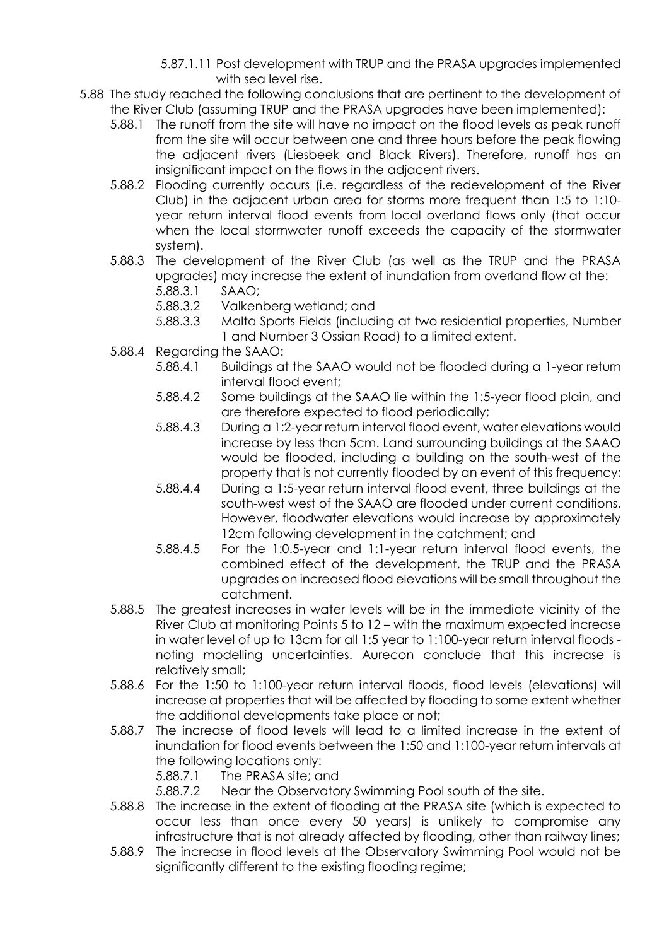- 5.87.1.11 Post development with TRUP and the PRASA upgrades implemented with sea level rise.
- 5.88 The study reached the following conclusions that are pertinent to the development of the River Club (assuming TRUP and the PRASA upgrades have been implemented):
	- 5.88.1 The runoff from the site will have no impact on the flood levels as peak runoff from the site will occur between one and three hours before the peak flowing the adjacent rivers (Liesbeek and Black Rivers). Therefore, runoff has an insignificant impact on the flows in the adjacent rivers.
	- 5.88.2 Flooding currently occurs (i.e. regardless of the redevelopment of the River Club) in the adjacent urban area for storms more frequent than 1:5 to 1:10 year return interval flood events from local overland flows only (that occur when the local stormwater runoff exceeds the capacity of the stormwater system).
	- 5.88.3 The development of the River Club (as well as the TRUP and the PRASA upgrades) may increase the extent of inundation from overland flow at the: 5.88.3.1 SAAO;
		- 5.88.3.2 Valkenberg wetland; and
		- 5.88.3.3 Malta Sports Fields (including at two residential properties, Number 1 and Number 3 Ossian Road) to a limited extent.
	- 5.88.4 Regarding the SAAO:
		- 5.88.4.1 Buildings at the SAAO would not be flooded during a 1-year return interval flood event;
		- 5.88.4.2 Some buildings at the SAAO lie within the 1:5-year flood plain, and are therefore expected to flood periodically;
		- 5.88.4.3 During a 1:2-year return interval flood event, water elevations would increase by less than 5cm. Land surrounding buildings at the SAAO would be flooded, including a building on the south-west of the property that is not currently flooded by an event of this frequency;
		- 5.88.4.4 During a 1:5-year return interval flood event, three buildings at the south-west west of the SAAO are flooded under current conditions. However, floodwater elevations would increase by approximately 12cm following development in the catchment; and
		- 5.88.4.5 For the 1:0.5-year and 1:1-year return interval flood events, the combined effect of the development, the TRUP and the PRASA upgrades on increased flood elevations will be small throughout the catchment.
	- 5.88.5 The greatest increases in water levels will be in the immediate vicinity of the River Club at monitoring Points 5 to 12 – with the maximum expected increase in water level of up to 13cm for all 1:5 year to 1:100-year return interval floods noting modelling uncertainties. Aurecon conclude that this increase is relatively small;
	- 5.88.6 For the 1:50 to 1:100-year return interval floods, flood levels (elevations) will increase at properties that will be affected by flooding to some extent whether the additional developments take place or not;
	- 5.88.7 The increase of flood levels will lead to a limited increase in the extent of inundation for flood events between the 1:50 and 1:100-year return intervals at the following locations only:
		- 5.88.7.1 The PRASA site; and
		- 5.88.7.2 Near the Observatory Swimming Pool south of the site.
	- 5.88.8 The increase in the extent of flooding at the PRASA site (which is expected to occur less than once every 50 years) is unlikely to compromise any infrastructure that is not already affected by flooding, other than railway lines;
	- 5.88.9 The increase in flood levels at the Observatory Swimming Pool would not be significantly different to the existing flooding regime;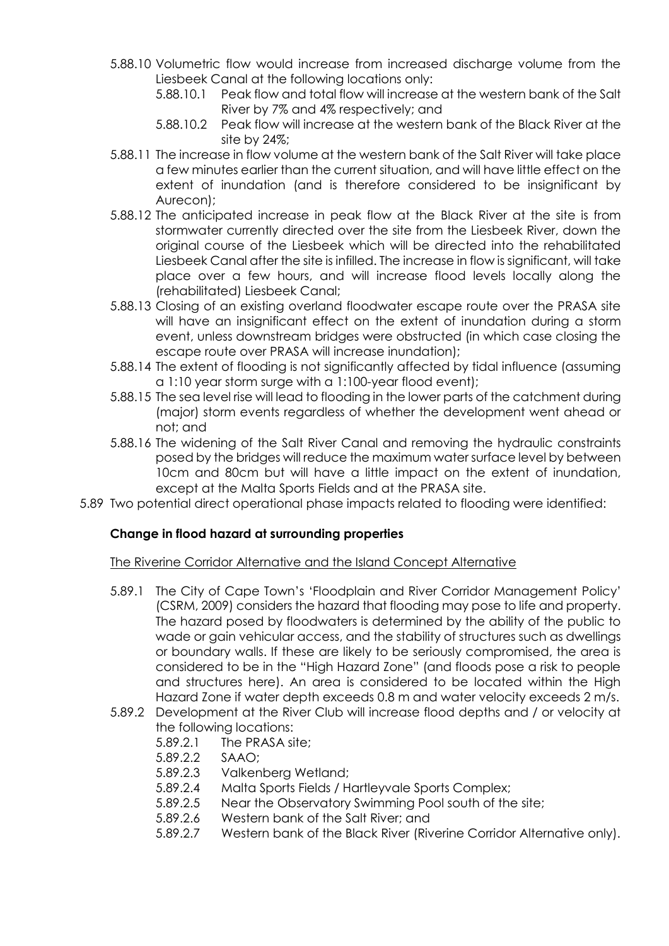- 5.88.10 Volumetric flow would increase from increased discharge volume from the Liesbeek Canal at the following locations only:
	- 5.88.10.1 Peak flow and total flow will increase at the western bank of the Salt River by 7% and 4% respectively; and
	- 5.88.10.2 Peak flow will increase at the western bank of the Black River at the site by 24%;
- 5.88.11 The increase in flow volume at the western bank of the Salt River will take place a few minutes earlier than the current situation, and will have little effect on the extent of inundation (and is therefore considered to be insignificant by Aurecon);
- 5.88.12 The anticipated increase in peak flow at the Black River at the site is from stormwater currently directed over the site from the Liesbeek River, down the original course of the Liesbeek which will be directed into the rehabilitated Liesbeek Canal after the site is infilled. The increase in flow is significant, will take place over a few hours, and will increase flood levels locally along the (rehabilitated) Liesbeek Canal;
- 5.88.13 Closing of an existing overland floodwater escape route over the PRASA site will have an insignificant effect on the extent of inundation during a storm event, unless downstream bridges were obstructed (in which case closing the escape route over PRASA will increase inundation);
- 5.88.14 The extent of flooding is not significantly affected by tidal influence (assuming a 1:10 year storm surge with a 1:100-year flood event);
- 5.88.15 The sea level rise will lead to flooding in the lower parts of the catchment during (major) storm events regardless of whether the development went ahead or not; and
- 5.88.16 The widening of the Salt River Canal and removing the hydraulic constraints posed by the bridges will reduce the maximum water surface level by between 10cm and 80cm but will have a little impact on the extent of inundation, except at the Malta Sports Fields and at the PRASA site.
- 5.89 Two potential direct operational phase impacts related to flooding were identified:

## **Change in flood hazard at surrounding properties**

## The Riverine Corridor Alternative and the Island Concept Alternative

- 5.89.1 The City of Cape Town's 'Floodplain and River Corridor Management Policy' (CSRM, 2009) considers the hazard that flooding may pose to life and property. The hazard posed by floodwaters is determined by the ability of the public to wade or gain vehicular access, and the stability of structures such as dwellings or boundary walls. If these are likely to be seriously compromised, the area is considered to be in the "High Hazard Zone" (and floods pose a risk to people and structures here). An area is considered to be located within the High Hazard Zone if water depth exceeds 0.8 m and water velocity exceeds 2 m/s.
- 5.89.2 Development at the River Club will increase flood depths and / or velocity at the following locations:
	- 5.89.2.1 The PRASA site;
	- 5.89.2.2 SAAO;
	- 5.89.2.3 Valkenberg Wetland;
	- 5.89.2.4 Malta Sports Fields / Hartleyvale Sports Complex;
	- 5.89.2.5 Near the Observatory Swimming Pool south of the site;
	- 5.89.2.6 Western bank of the Salt River; and
	- 5.89.2.7 Western bank of the Black River (Riverine Corridor Alternative only).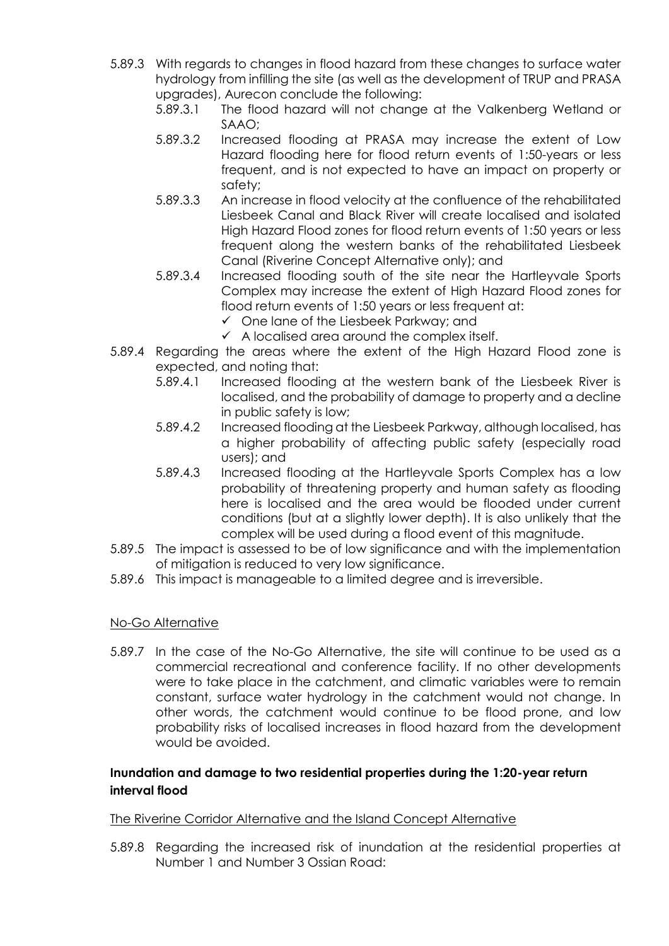- 5.89.3 With regards to changes in flood hazard from these changes to surface water hydrology from infilling the site (as well as the development of TRUP and PRASA upgrades), Aurecon conclude the following:
	- 5.89.3.1 The flood hazard will not change at the Valkenberg Wetland or SAAO;
	- 5.89.3.2 Increased flooding at PRASA may increase the extent of Low Hazard flooding here for flood return events of 1:50-years or less frequent, and is not expected to have an impact on property or safety;
	- 5.89.3.3 An increase in flood velocity at the confluence of the rehabilitated Liesbeek Canal and Black River will create localised and isolated High Hazard Flood zones for flood return events of 1:50 years or less frequent along the western banks of the rehabilitated Liesbeek Canal (Riverine Concept Alternative only); and
	- 5.89.3.4 Increased flooding south of the site near the Hartleyvale Sports Complex may increase the extent of High Hazard Flood zones for flood return events of 1:50 years or less frequent at:
		- ✓ One lane of the Liesbeek Parkway; and
		- $\checkmark$  A localised area around the complex itself.
- 5.89.4 Regarding the areas where the extent of the High Hazard Flood zone is expected, and noting that:
	- 5.89.4.1 Increased flooding at the western bank of the Liesbeek River is localised, and the probability of damage to property and a decline in public safety is low;
	- 5.89.4.2 Increased flooding at the Liesbeek Parkway, although localised, has a higher probability of affecting public safety (especially road users); and
	- 5.89.4.3 Increased flooding at the Hartleyvale Sports Complex has a low probability of threatening property and human safety as flooding here is localised and the area would be flooded under current conditions (but at a slightly lower depth). It is also unlikely that the complex will be used during a flood event of this magnitude.
- 5.89.5 The impact is assessed to be of low significance and with the implementation of mitigation is reduced to very low significance.
- 5.89.6 This impact is manageable to a limited degree and is irreversible.

#### No-Go Alternative

5.89.7 In the case of the No-Go Alternative, the site will continue to be used as a commercial recreational and conference facility. If no other developments were to take place in the catchment, and climatic variables were to remain constant, surface water hydrology in the catchment would not change. In other words, the catchment would continue to be flood prone, and low probability risks of localised increases in flood hazard from the development would be avoided.

## **Inundation and damage to two residential properties during the 1:20-year return interval flood**

#### The Riverine Corridor Alternative and the Island Concept Alternative

5.89.8 Regarding the increased risk of inundation at the residential properties at Number 1 and Number 3 Ossian Road: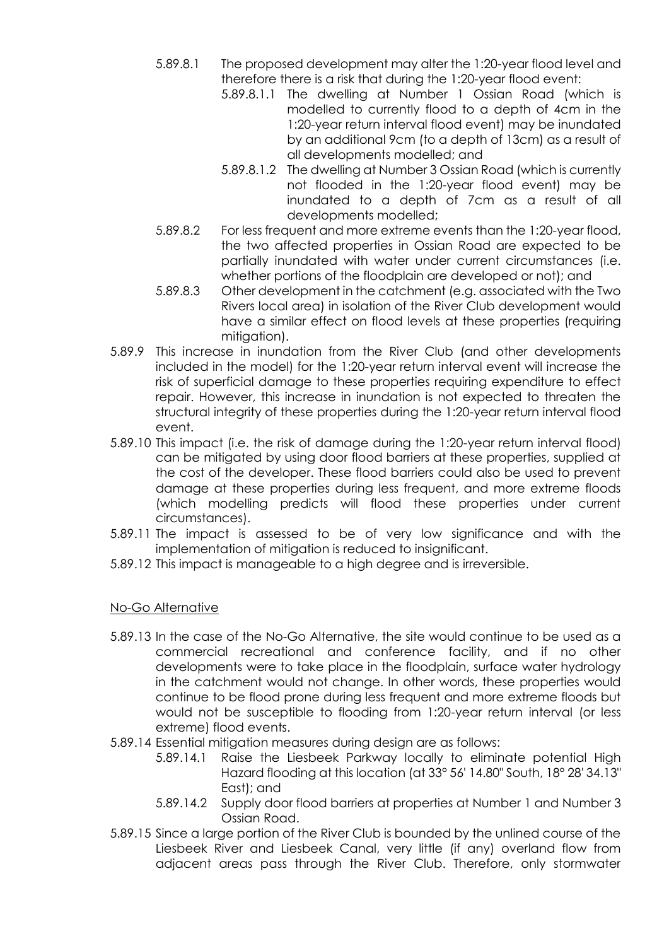- 5.89.8.1 The proposed development may alter the 1:20-year flood level and therefore there is a risk that during the 1:20-year flood event:
	- 5.89.8.1.1 The dwelling at Number 1 Ossian Road (which is modelled to currently flood to a depth of 4cm in the 1:20-year return interval flood event) may be inundated by an additional 9cm (to a depth of 13cm) as a result of all developments modelled; and
	- 5.89.8.1.2 The dwelling at Number 3 Ossian Road (which is currently not flooded in the 1:20-year flood event) may be inundated to a depth of 7cm as a result of all developments modelled;
- 5.89.8.2 For less frequent and more extreme events than the 1:20-year flood, the two affected properties in Ossian Road are expected to be partially inundated with water under current circumstances (i.e. whether portions of the floodplain are developed or not); and
- 5.89.8.3 Other development in the catchment (e.g. associated with the Two Rivers local area) in isolation of the River Club development would have a similar effect on flood levels at these properties (requiring mitigation).
- 5.89.9 This increase in inundation from the River Club (and other developments included in the model) for the 1:20-year return interval event will increase the risk of superficial damage to these properties requiring expenditure to effect repair. However, this increase in inundation is not expected to threaten the structural integrity of these properties during the 1:20-year return interval flood event.
- 5.89.10 This impact (i.e. the risk of damage during the 1:20-year return interval flood) can be mitigated by using door flood barriers at these properties, supplied at the cost of the developer. These flood barriers could also be used to prevent damage at these properties during less frequent, and more extreme floods (which modelling predicts will flood these properties under current circumstances).
- 5.89.11 The impact is assessed to be of very low significance and with the implementation of mitigation is reduced to insignificant.
- 5.89.12 This impact is manageable to a high degree and is irreversible.

# No-Go Alternative

- 5.89.13 In the case of the No-Go Alternative, the site would continue to be used as a commercial recreational and conference facility, and if no other developments were to take place in the floodplain, surface water hydrology in the catchment would not change. In other words, these properties would continue to be flood prone during less frequent and more extreme floods but would not be susceptible to flooding from 1:20-year return interval (or less extreme) flood events.
- 5.89.14 Essential mitigation measures during design are as follows:
	- 5.89.14.1 Raise the Liesbeek Parkway locally to eliminate potential High Hazard flooding at this location (at 33° 56' 14.80" South, 18° 28' 34.13" East); and
	- 5.89.14.2 Supply door flood barriers at properties at Number 1 and Number 3 Ossian Road.
- 5.89.15 Since a large portion of the River Club is bounded by the unlined course of the Liesbeek River and Liesbeek Canal, very little (if any) overland flow from adjacent areas pass through the River Club. Therefore, only stormwater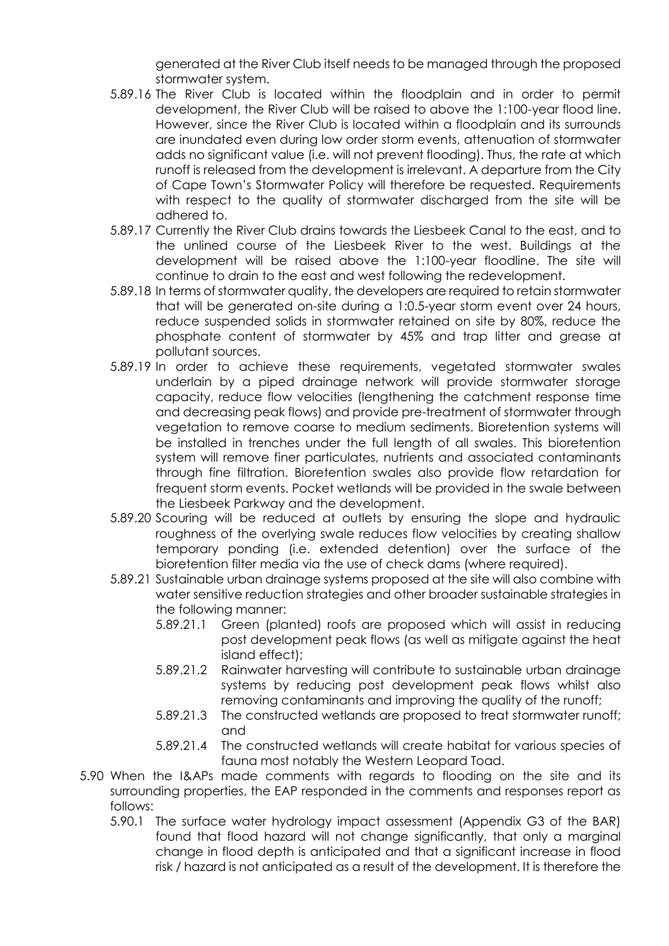generated at the River Club itself needs to be managed through the proposed stormwater system.

- 5.89.16 The River Club is located within the floodplain and in order to permit development, the River Club will be raised to above the 1:100-year flood line. However, since the River Club is located within a floodplain and its surrounds are inundated even during low order storm events, attenuation of stormwater adds no significant value (i.e. will not prevent flooding). Thus, the rate at which runoff is released from the development is irrelevant. A departure from the City of Cape Town's Stormwater Policy will therefore be requested. Requirements with respect to the quality of stormwater discharged from the site will be adhered to.
- 5.89.17 Currently the River Club drains towards the Liesbeek Canal to the east, and to the unlined course of the Liesbeek River to the west. Buildings at the development will be raised above the 1:100-year floodline. The site will continue to drain to the east and west following the redevelopment.
- 5.89.18 In terms of stormwater quality, the developers are required to retain stormwater that will be generated on-site during a 1:0.5-year storm event over 24 hours, reduce suspended solids in stormwater retained on site by 80%, reduce the phosphate content of stormwater by 45% and trap litter and grease at pollutant sources.
- 5.89.19 In order to achieve these requirements, vegetated stormwater swales underlain by a piped drainage network will provide stormwater storage capacity, reduce flow velocities (lengthening the catchment response time and decreasing peak flows) and provide pre-treatment of stormwater through vegetation to remove coarse to medium sediments. Bioretention systems will be installed in trenches under the full length of all swales. This bioretention system will remove finer particulates, nutrients and associated contaminants through fine filtration. Bioretention swales also provide flow retardation for frequent storm events. Pocket wetlands will be provided in the swale between the Liesbeek Parkway and the development.
- 5.89.20 Scouring will be reduced at outlets by ensuring the slope and hydraulic roughness of the overlying swale reduces flow velocities by creating shallow temporary ponding (i.e. extended detention) over the surface of the bioretention filter media via the use of check dams (where required).
- 5.89.21 Sustainable urban drainage systems proposed at the site will also combine with water sensitive reduction strategies and other broader sustainable strategies in the following manner:
	- 5.89.21.1 Green (planted) roofs are proposed which will assist in reducing post development peak flows (as well as mitigate against the heat island effect);
	- 5.89.21.2 Rainwater harvesting will contribute to sustainable urban drainage systems by reducing post development peak flows whilst also removing contaminants and improving the quality of the runoff;
	- 5.89.21.3 The constructed wetlands are proposed to treat stormwater runoff; and
	- 5.89.21.4 The constructed wetlands will create habitat for various species of fauna most notably the Western Leopard Toad.
- 5.90 When the I&APs made comments with regards to flooding on the site and its surrounding properties, the EAP responded in the comments and responses report as follows:
	- 5.90.1 The surface water hydrology impact assessment (Appendix G3 of the BAR) found that flood hazard will not change significantly, that only a marginal change in flood depth is anticipated and that a significant increase in flood risk / hazard is not anticipated as a result of the development. It is therefore the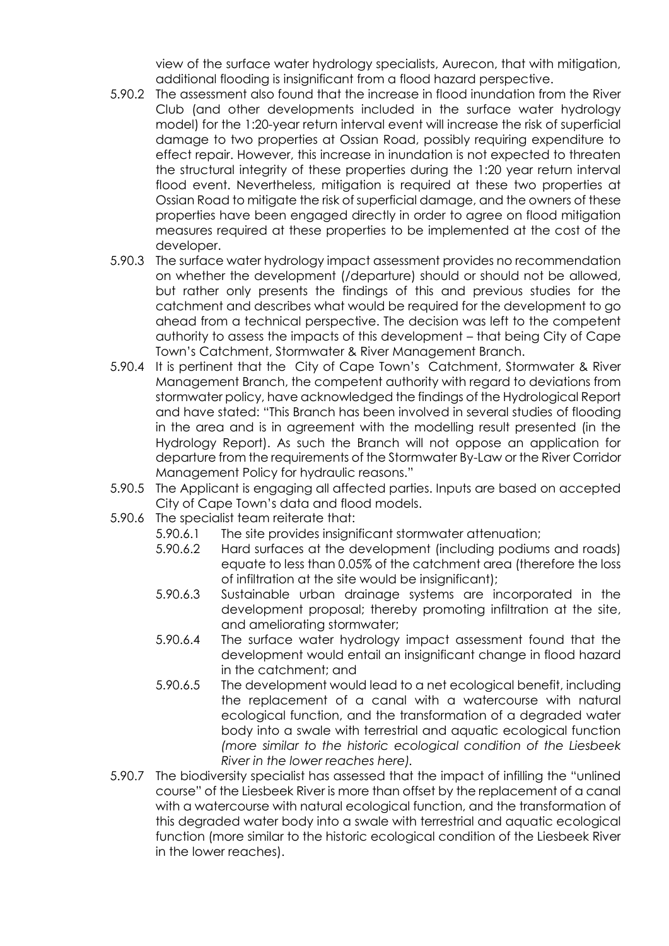view of the surface water hydrology specialists, Aurecon, that with mitigation, additional flooding is insignificant from a flood hazard perspective.

- 5.90.2 The assessment also found that the increase in flood inundation from the River Club (and other developments included in the surface water hydrology model) for the 1:20-year return interval event will increase the risk of superficial damage to two properties at Ossian Road, possibly requiring expenditure to effect repair. However, this increase in inundation is not expected to threaten the structural integrity of these properties during the 1:20 year return interval flood event. Nevertheless, mitigation is required at these two properties at Ossian Road to mitigate the risk of superficial damage, and the owners of these properties have been engaged directly in order to agree on flood mitigation measures required at these properties to be implemented at the cost of the developer.
- 5.90.3 The surface water hydrology impact assessment provides no recommendation on whether the development (/departure) should or should not be allowed, but rather only presents the findings of this and previous studies for the catchment and describes what would be required for the development to go ahead from a technical perspective. The decision was left to the competent authority to assess the impacts of this development – that being City of Cape Town's Catchment, Stormwater & River Management Branch.
- 5.90.4 It is pertinent that the City of Cape Town's Catchment, Stormwater & River Management Branch, the competent authority with regard to deviations from stormwater policy, have acknowledged the findings of the Hydrological Report and have stated: "This Branch has been involved in several studies of flooding in the area and is in agreement with the modelling result presented (in the Hydrology Report). As such the Branch will not oppose an application for departure from the requirements of the Stormwater By-Law or the River Corridor Management Policy for hydraulic reasons."
- 5.90.5 The Applicant is engaging all affected parties. Inputs are based on accepted City of Cape Town's data and flood models.
- 5.90.6 The specialist team reiterate that:
	- 5.90.6.1 The site provides insignificant stormwater attenuation;
	- 5.90.6.2 Hard surfaces at the development (including podiums and roads) equate to less than 0.05% of the catchment area (therefore the loss of infiltration at the site would be insignificant);
	- 5.90.6.3 Sustainable urban drainage systems are incorporated in the development proposal; thereby promoting infiltration at the site, and ameliorating stormwater;
	- 5.90.6.4 The surface water hydrology impact assessment found that the development would entail an insignificant change in flood hazard in the catchment; and
	- 5.90.6.5 The development would lead to a net ecological benefit, including the replacement of a canal with a watercourse with natural ecological function, and the transformation of a degraded water body into a swale with terrestrial and aquatic ecological function *(more similar to the historic ecological condition of the Liesbeek River in the lower reaches here).*
- 5.90.7 The biodiversity specialist has assessed that the impact of infilling the "unlined course" of the Liesbeek River is more than offset by the replacement of a canal with a watercourse with natural ecological function, and the transformation of this degraded water body into a swale with terrestrial and aquatic ecological function (more similar to the historic ecological condition of the Liesbeek River in the lower reaches).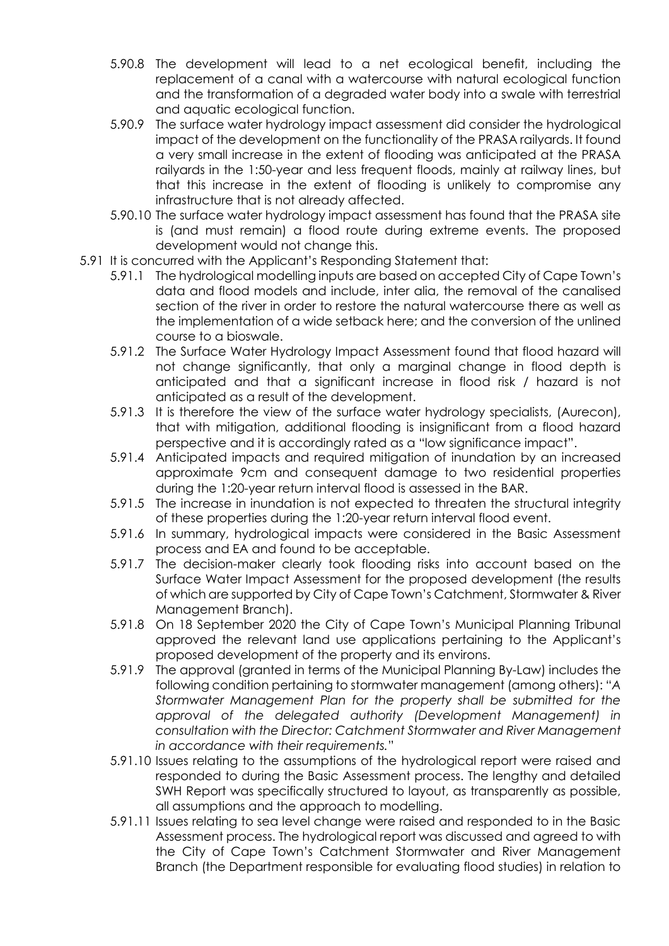- 5.90.8 The development will lead to a net ecological benefit, including the replacement of a canal with a watercourse with natural ecological function and the transformation of a degraded water body into a swale with terrestrial and aquatic ecological function.
- 5.90.9 The surface water hydrology impact assessment did consider the hydrological impact of the development on the functionality of the PRASA railyards. It found a very small increase in the extent of flooding was anticipated at the PRASA railyards in the 1:50-year and less frequent floods, mainly at railway lines, but that this increase in the extent of flooding is unlikely to compromise any infrastructure that is not already affected.
- 5.90.10 The surface water hydrology impact assessment has found that the PRASA site is (and must remain) a flood route during extreme events. The proposed development would not change this.
- 5.91 It is concurred with the Applicant's Responding Statement that:
	- 5.91.1 The hydrological modelling inputs are based on accepted City of Cape Town's data and flood models and include, inter alia, the removal of the canalised section of the river in order to restore the natural watercourse there as well as the implementation of a wide setback here; and the conversion of the unlined course to a bioswale.
	- 5.91.2 The Surface Water Hydrology Impact Assessment found that flood hazard will not change significantly, that only a marginal change in flood depth is anticipated and that a significant increase in flood risk / hazard is not anticipated as a result of the development.
	- 5.91.3 It is therefore the view of the surface water hydrology specialists, (Aurecon), that with mitigation, additional flooding is insignificant from a flood hazard perspective and it is accordingly rated as a "low significance impact".
	- 5.91.4 Anticipated impacts and required mitigation of inundation by an increased approximate 9cm and consequent damage to two residential properties during the 1:20-year return interval flood is assessed in the BAR.
	- 5.91.5 The increase in inundation is not expected to threaten the structural integrity of these properties during the 1:20-year return interval flood event.
	- 5.91.6 In summary, hydrological impacts were considered in the Basic Assessment process and EA and found to be acceptable.
	- 5.91.7 The decision-maker clearly took flooding risks into account based on the Surface Water Impact Assessment for the proposed development (the results of which are supported by City of Cape Town's Catchment, Stormwater & River Management Branch).
	- 5.91.8 On 18 September 2020 the City of Cape Town's Municipal Planning Tribunal approved the relevant land use applications pertaining to the Applicant's proposed development of the property and its environs.
	- 5.91.9 The approval (granted in terms of the Municipal Planning By-Law) includes the following condition pertaining to stormwater management (among others): "*A Stormwater Management Plan for the property shall be submitted for the approval of the delegated authority (Development Management) in consultation with the Director: Catchment Stormwater and River Management in accordance with their requirements.*"
	- 5.91.10 Issues relating to the assumptions of the hydrological report were raised and responded to during the Basic Assessment process. The lengthy and detailed SWH Report was specifically structured to layout, as transparently as possible, all assumptions and the approach to modelling.
	- 5.91.11 Issues relating to sea level change were raised and responded to in the Basic Assessment process. The hydrological report was discussed and agreed to with the City of Cape Town's Catchment Stormwater and River Management Branch (the Department responsible for evaluating flood studies) in relation to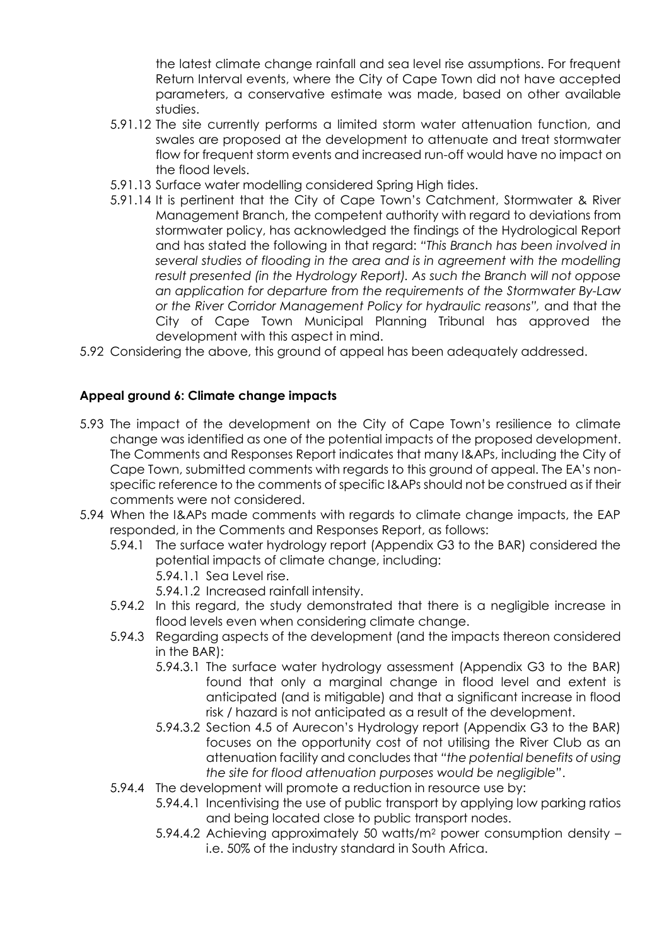the latest climate change rainfall and sea level rise assumptions. For frequent Return Interval events, where the City of Cape Town did not have accepted parameters, a conservative estimate was made, based on other available studies.

- 5.91.12 The site currently performs a limited storm water attenuation function, and swales are proposed at the development to attenuate and treat stormwater flow for frequent storm events and increased run-off would have no impact on the flood levels.
- 5.91.13 Surface water modelling considered Spring High tides.
- 5.91.14 It is pertinent that the City of Cape Town's Catchment, Stormwater & River Management Branch, the competent authority with regard to deviations from stormwater policy, has acknowledged the findings of the Hydrological Report and has stated the following in that regard: *"This Branch has been involved in several studies of flooding in the area and is in agreement with the modelling result presented (in the Hydrology Report). As such the Branch will not oppose an application for departure from the requirements of the Stormwater By-Law or the River Corridor Management Policy for hydraulic reasons",* and that the City of Cape Town Municipal Planning Tribunal has approved the development with this aspect in mind.
- 5.92 Considering the above, this ground of appeal has been adequately addressed.

## **Appeal ground 6: Climate change impacts**

- 5.93 The impact of the development on the City of Cape Town's resilience to climate change was identified as one of the potential impacts of the proposed development. The Comments and Responses Report indicates that many I&APs, including the City of Cape Town, submitted comments with regards to this ground of appeal. The EA's nonspecific reference to the comments of specific I&APs should not be construed as if their comments were not considered.
- 5.94 When the I&APs made comments with regards to climate change impacts, the EAP responded, in the Comments and Responses Report, as follows:
	- 5.94.1 The surface water hydrology report (Appendix G3 to the BAR) considered the potential impacts of climate change, including:
		- 5.94.1.1 Sea Level rise.

5.94.1.2 Increased rainfall intensity.

- 5.94.2 In this regard, the study demonstrated that there is a negligible increase in flood levels even when considering climate change.
- 5.94.3 Regarding aspects of the development (and the impacts thereon considered in the BAR):
	- 5.94.3.1 The surface water hydrology assessment (Appendix G3 to the BAR) found that only a marginal change in flood level and extent is anticipated (and is mitigable) and that a significant increase in flood risk / hazard is not anticipated as a result of the development.
	- 5.94.3.2 Section 4.5 of Aurecon's Hydrology report (Appendix G3 to the BAR) focuses on the opportunity cost of not utilising the River Club as an attenuation facility and concludes that *"the potential benefits of using the site for flood attenuation purposes would be negligible"*.
- 5.94.4 The development will promote a reduction in resource use by:
	- 5.94.4.1 Incentivising the use of public transport by applying low parking ratios and being located close to public transport nodes.
	- 5.94.4.2 Achieving approximately 50 watts/m<sup>2</sup> power consumption density i.e. 50% of the industry standard in South Africa.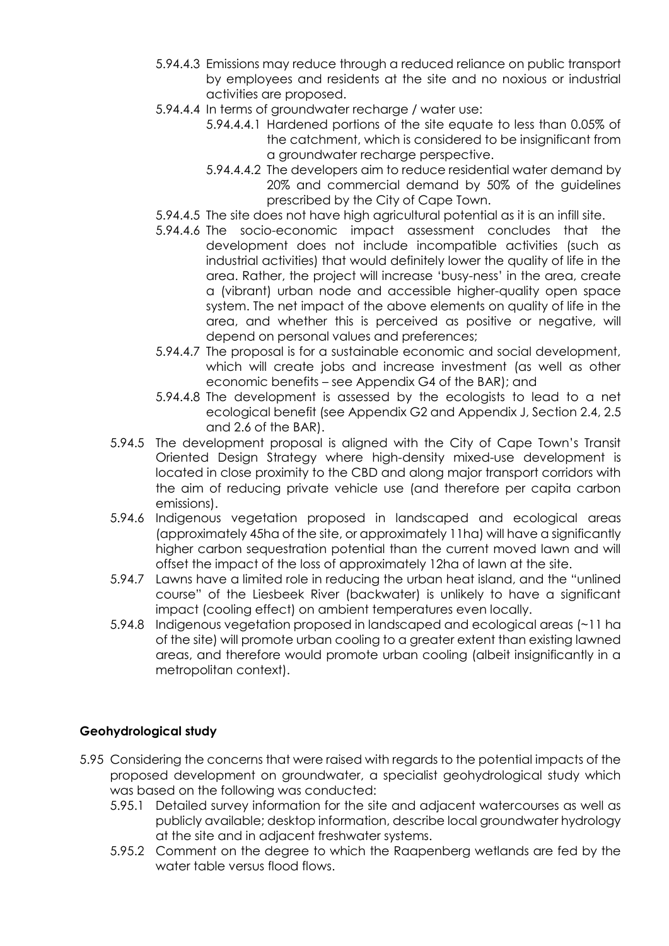- 5.94.4.3 Emissions may reduce through a reduced reliance on public transport by employees and residents at the site and no noxious or industrial activities are proposed.
- 5.94.4.4 In terms of groundwater recharge / water use:
	- 5.94.4.4.1 Hardened portions of the site equate to less than 0.05% of the catchment, which is considered to be insignificant from a groundwater recharge perspective.
	- 5.94.4.4.2 The developers aim to reduce residential water demand by 20% and commercial demand by 50% of the guidelines prescribed by the City of Cape Town.
- 5.94.4.5 The site does not have high agricultural potential as it is an infill site.
- 5.94.4.6 The socio-economic impact assessment concludes that the development does not include incompatible activities (such as industrial activities) that would definitely lower the quality of life in the area. Rather, the project will increase 'busy-ness' in the area, create a (vibrant) urban node and accessible higher-quality open space system. The net impact of the above elements on quality of life in the area, and whether this is perceived as positive or negative, will depend on personal values and preferences;
- 5.94.4.7 The proposal is for a sustainable economic and social development, which will create jobs and increase investment (as well as other economic benefits – see Appendix G4 of the BAR); and
- 5.94.4.8 The development is assessed by the ecologists to lead to a net ecological benefit (see Appendix G2 and Appendix J, Section 2.4, 2.5 and 2.6 of the BAR).
- 5.94.5 The development proposal is aligned with the City of Cape Town's Transit Oriented Design Strategy where high-density mixed-use development is located in close proximity to the CBD and along major transport corridors with the aim of reducing private vehicle use (and therefore per capita carbon emissions).
- 5.94.6 Indigenous vegetation proposed in landscaped and ecological areas (approximately 45ha of the site, or approximately 11ha) will have a significantly higher carbon sequestration potential than the current moved lawn and will offset the impact of the loss of approximately 12ha of lawn at the site.
- 5.94.7 Lawns have a limited role in reducing the urban heat island, and the "unlined course" of the Liesbeek River (backwater) is unlikely to have a significant impact (cooling effect) on ambient temperatures even locally.
- 5.94.8 Indigenous vegetation proposed in landscaped and ecological areas (~11 ha of the site) will promote urban cooling to a greater extent than existing lawned areas, and therefore would promote urban cooling (albeit insignificantly in a metropolitan context).

# **Geohydrological study**

- 5.95 Considering the concerns that were raised with regards to the potential impacts of the proposed development on groundwater, a specialist geohydrological study which was based on the following was conducted:
	- 5.95.1 Detailed survey information for the site and adjacent watercourses as well as publicly available; desktop information, describe local groundwater hydrology at the site and in adjacent freshwater systems.
	- 5.95.2 Comment on the degree to which the Raapenberg wetlands are fed by the water table versus flood flows.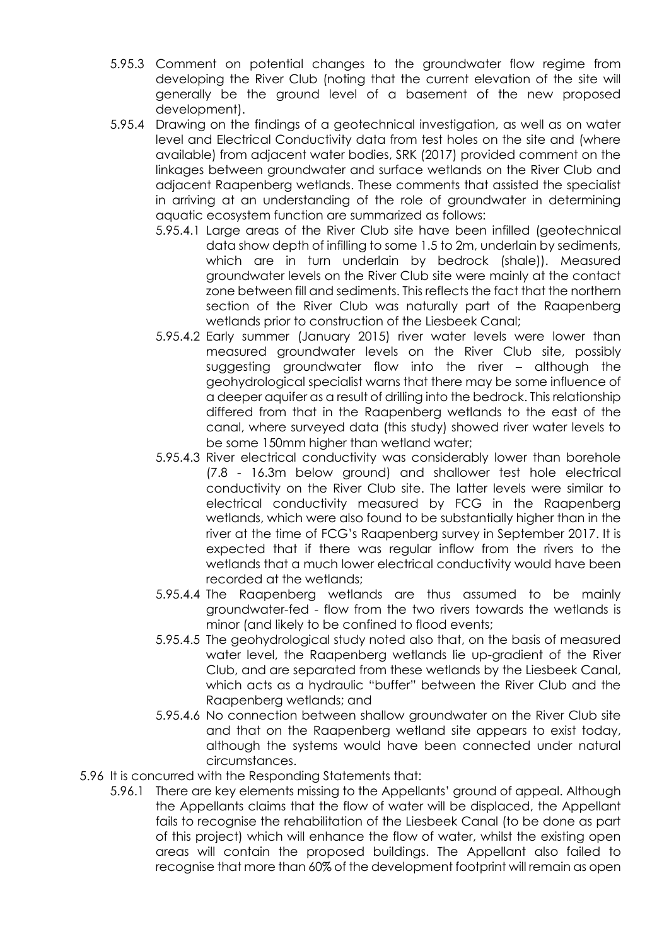- 5.95.3 Comment on potential changes to the groundwater flow regime from developing the River Club (noting that the current elevation of the site will generally be the ground level of a basement of the new proposed development).
- 5.95.4 Drawing on the findings of a geotechnical investigation, as well as on water level and Electrical Conductivity data from test holes on the site and (where available) from adjacent water bodies, SRK (2017) provided comment on the linkages between groundwater and surface wetlands on the River Club and adjacent Raapenberg wetlands. These comments that assisted the specialist in arriving at an understanding of the role of groundwater in determining aquatic ecosystem function are summarized as follows:
	- 5.95.4.1 Large areas of the River Club site have been infilled (geotechnical data show depth of infilling to some 1.5 to 2m, underlain by sediments, which are in turn underlain by bedrock (shale)). Measured groundwater levels on the River Club site were mainly at the contact zone between fill and sediments. This reflects the fact that the northern section of the River Club was naturally part of the Raapenberg wetlands prior to construction of the Liesbeek Canal;
	- 5.95.4.2 Early summer (January 2015) river water levels were lower than measured groundwater levels on the River Club site, possibly suggesting groundwater flow into the river – although the geohydrological specialist warns that there may be some influence of a deeper aquifer as a result of drilling into the bedrock. This relationship differed from that in the Raapenberg wetlands to the east of the canal, where surveyed data (this study) showed river water levels to be some 150mm higher than wetland water;
	- 5.95.4.3 River electrical conductivity was considerably lower than borehole (7.8 - 16.3m below ground) and shallower test hole electrical conductivity on the River Club site. The latter levels were similar to electrical conductivity measured by FCG in the Raapenberg wetlands, which were also found to be substantially higher than in the river at the time of FCG's Raapenberg survey in September 2017. It is expected that if there was regular inflow from the rivers to the wetlands that a much lower electrical conductivity would have been recorded at the wetlands;
	- 5.95.4.4 The Raapenberg wetlands are thus assumed to be mainly groundwater-fed - flow from the two rivers towards the wetlands is minor (and likely to be confined to flood events;
	- 5.95.4.5 The geohydrological study noted also that, on the basis of measured water level, the Raapenberg wetlands lie up-gradient of the River Club, and are separated from these wetlands by the Liesbeek Canal, which acts as a hydraulic "buffer" between the River Club and the Raapenberg wetlands; and
	- 5.95.4.6 No connection between shallow groundwater on the River Club site and that on the Raapenberg wetland site appears to exist today, although the systems would have been connected under natural circumstances.
- 5.96 It is concurred with the Responding Statements that:
	- 5.96.1 There are key elements missing to the Appellants' ground of appeal. Although the Appellants claims that the flow of water will be displaced, the Appellant fails to recognise the rehabilitation of the Liesbeek Canal (to be done as part of this project) which will enhance the flow of water, whilst the existing open areas will contain the proposed buildings. The Appellant also failed to recognise that more than 60% of the development footprint will remain as open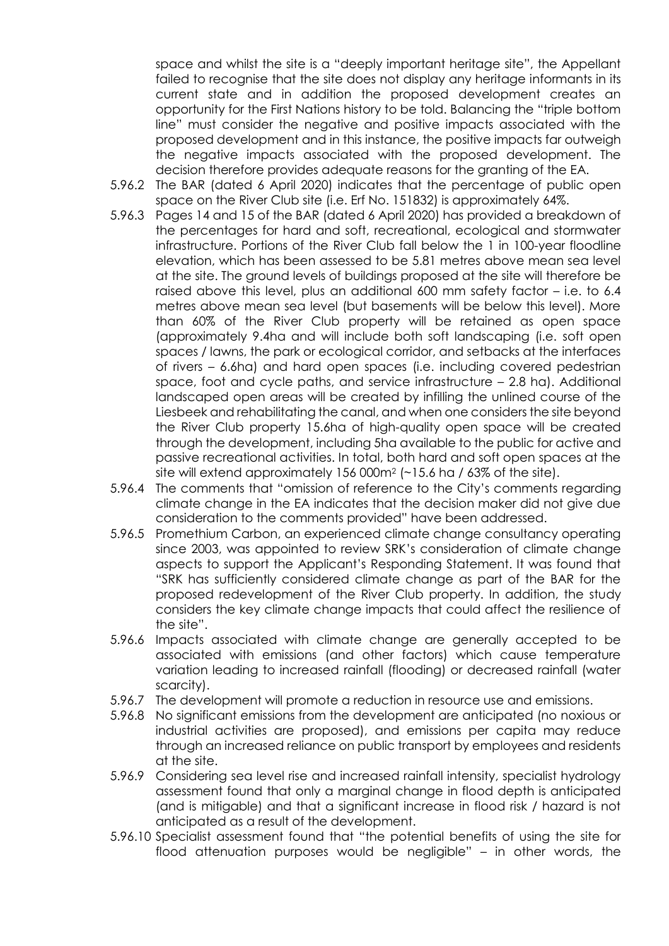space and whilst the site is a "deeply important heritage site", the Appellant failed to recognise that the site does not display any heritage informants in its current state and in addition the proposed development creates an opportunity for the First Nations history to be told. Balancing the "triple bottom line" must consider the negative and positive impacts associated with the proposed development and in this instance, the positive impacts far outweigh the negative impacts associated with the proposed development. The decision therefore provides adequate reasons for the granting of the EA.

- 5.96.2 The BAR (dated 6 April 2020) indicates that the percentage of public open space on the River Club site (i.e. Erf No. 151832) is approximately 64%.
- 5.96.3 Pages 14 and 15 of the BAR (dated 6 April 2020) has provided a breakdown of the percentages for hard and soft, recreational, ecological and stormwater infrastructure. Portions of the River Club fall below the 1 in 100-year floodline elevation, which has been assessed to be 5.81 metres above mean sea level at the site. The ground levels of buildings proposed at the site will therefore be raised above this level, plus an additional 600 mm safety factor – i.e. to 6.4 metres above mean sea level (but basements will be below this level). More than 60% of the River Club property will be retained as open space (approximately 9.4ha and will include both soft landscaping (i.e. soft open spaces / lawns, the park or ecological corridor, and setbacks at the interfaces of rivers – 6.6ha) and hard open spaces (i.e. including covered pedestrian space, foot and cycle paths, and service infrastructure – 2.8 ha). Additional landscaped open areas will be created by infilling the unlined course of the Liesbeek and rehabilitating the canal, and when one considers the site beyond the River Club property 15.6ha of high-quality open space will be created through the development, including 5ha available to the public for active and passive recreational activities. In total, both hard and soft open spaces at the site will extend approximately 156 000m<sup>2</sup> (~15.6 ha / 63% of the site).
- 5.96.4 The comments that "omission of reference to the City's comments regarding climate change in the EA indicates that the decision maker did not give due consideration to the comments provided" have been addressed.
- 5.96.5 Promethium Carbon, an experienced climate change consultancy operating since 2003, was appointed to review SRK's consideration of climate change aspects to support the Applicant's Responding Statement. It was found that "SRK has sufficiently considered climate change as part of the BAR for the proposed redevelopment of the River Club property. In addition, the study considers the key climate change impacts that could affect the resilience of the site".
- 5.96.6 Impacts associated with climate change are generally accepted to be associated with emissions (and other factors) which cause temperature variation leading to increased rainfall (flooding) or decreased rainfall (water scarcity).
- 5.96.7 The development will promote a reduction in resource use and emissions.
- 5.96.8 No significant emissions from the development are anticipated (no noxious or industrial activities are proposed), and emissions per capita may reduce through an increased reliance on public transport by employees and residents at the site.
- 5.96.9 Considering sea level rise and increased rainfall intensity, specialist hydrology assessment found that only a marginal change in flood depth is anticipated (and is mitigable) and that a significant increase in flood risk / hazard is not anticipated as a result of the development.
- 5.96.10 Specialist assessment found that "the potential benefits of using the site for flood attenuation purposes would be negligible" – in other words, the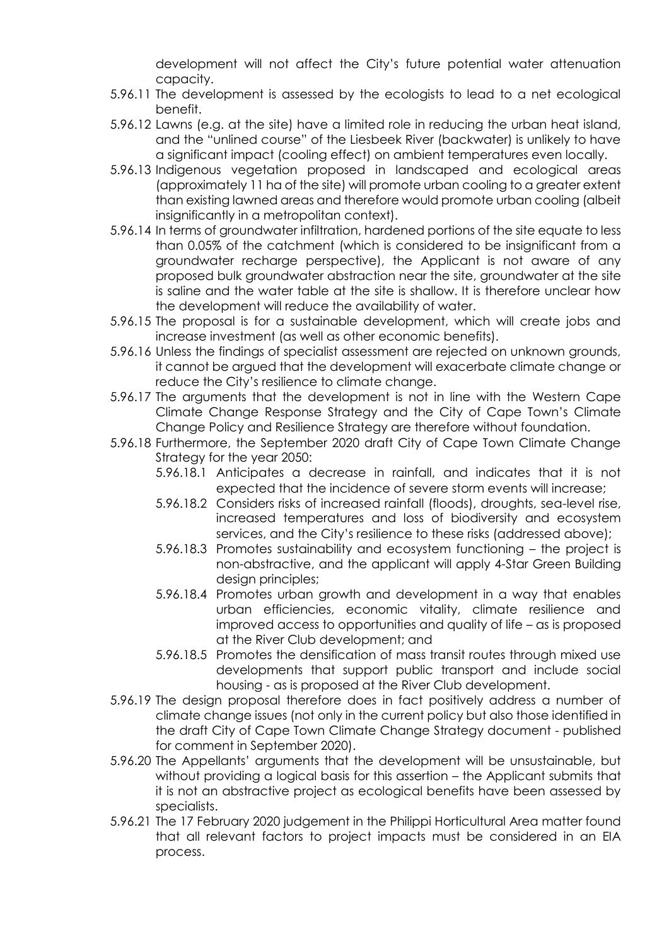development will not affect the City's future potential water attenuation capacity.

- 5.96.11 The development is assessed by the ecologists to lead to a net ecological benefit.
- 5.96.12 Lawns (e.g. at the site) have a limited role in reducing the urban heat island, and the "unlined course" of the Liesbeek River (backwater) is unlikely to have a significant impact (cooling effect) on ambient temperatures even locally.
- 5.96.13 Indigenous vegetation proposed in landscaped and ecological areas (approximately 11 ha of the site) will promote urban cooling to a greater extent than existing lawned areas and therefore would promote urban cooling (albeit insignificantly in a metropolitan context).
- 5.96.14 In terms of groundwater infiltration, hardened portions of the site equate to less than 0.05% of the catchment (which is considered to be insignificant from a groundwater recharge perspective), the Applicant is not aware of any proposed bulk groundwater abstraction near the site, groundwater at the site is saline and the water table at the site is shallow. It is therefore unclear how the development will reduce the availability of water.
- 5.96.15 The proposal is for a sustainable development, which will create jobs and increase investment (as well as other economic benefits).
- 5.96.16 Unless the findings of specialist assessment are rejected on unknown grounds, it cannot be argued that the development will exacerbate climate change or reduce the City's resilience to climate change.
- 5.96.17 The arguments that the development is not in line with the Western Cape Climate Change Response Strategy and the City of Cape Town's Climate Change Policy and Resilience Strategy are therefore without foundation.
- 5.96.18 Furthermore, the September 2020 draft City of Cape Town Climate Change Strategy for the year 2050:
	- 5.96.18.1 Anticipates a decrease in rainfall, and indicates that it is not expected that the incidence of severe storm events will increase;
	- 5.96.18.2 Considers risks of increased rainfall (floods), droughts, sea-level rise, increased temperatures and loss of biodiversity and ecosystem services, and the City's resilience to these risks (addressed above);
	- 5.96.18.3 Promotes sustainability and ecosystem functioning the project is non-abstractive, and the applicant will apply 4-Star Green Building design principles;
	- 5.96.18.4 Promotes urban growth and development in a way that enables urban efficiencies, economic vitality, climate resilience and improved access to opportunities and quality of life – as is proposed at the River Club development; and
	- 5.96.18.5 Promotes the densification of mass transit routes through mixed use developments that support public transport and include social housing - as is proposed at the River Club development.
- 5.96.19 The design proposal therefore does in fact positively address a number of climate change issues (not only in the current policy but also those identified in the draft City of Cape Town Climate Change Strategy document - published for comment in September 2020).
- 5.96.20 The Appellants' arguments that the development will be unsustainable, but without providing a logical basis for this assertion – the Applicant submits that it is not an abstractive project as ecological benefits have been assessed by specialists.
- 5.96.21 The 17 February 2020 judgement in the Philippi Horticultural Area matter found that all relevant factors to project impacts must be considered in an EIA process.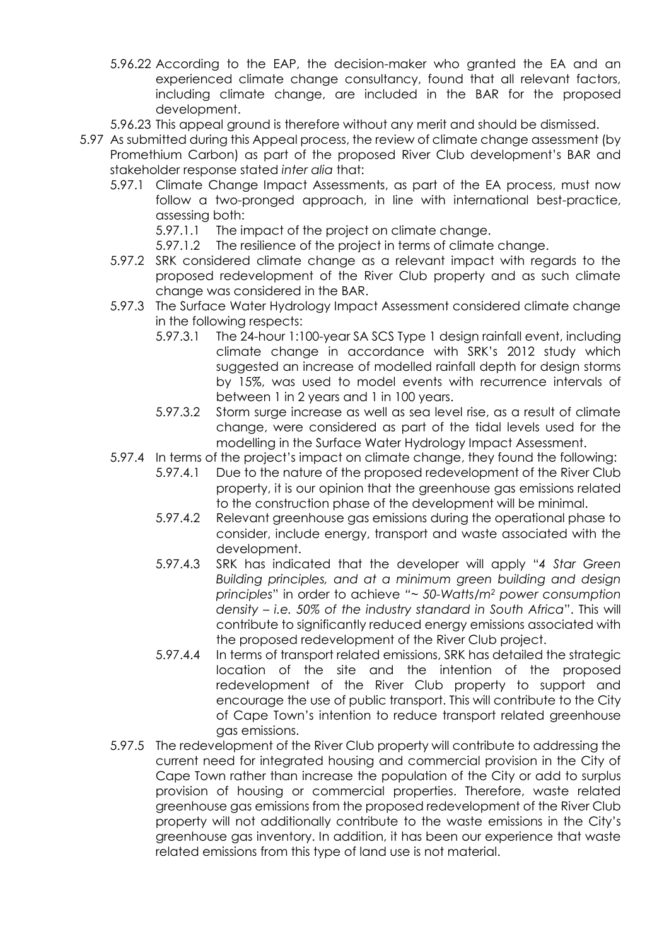- 5.96.22 According to the EAP, the decision-maker who granted the EA and an experienced climate change consultancy, found that all relevant factors, including climate change, are included in the BAR for the proposed development.
- 5.96.23 This appeal ground is therefore without any merit and should be dismissed.
- 5.97 As submitted during this Appeal process, the review of climate change assessment (by Promethium Carbon) as part of the proposed River Club development's BAR and stakeholder response stated *inter alia* that:
	- 5.97.1 Climate Change Impact Assessments, as part of the EA process, must now follow a two-pronged approach, in line with international best-practice, assessing both:
		- 5.97.1.1 The impact of the project on climate change.
		- 5.97.1.2 The resilience of the project in terms of climate change.
	- 5.97.2 SRK considered climate change as a relevant impact with regards to the proposed redevelopment of the River Club property and as such climate change was considered in the BAR.
	- 5.97.3 The Surface Water Hydrology Impact Assessment considered climate change in the following respects:
		- 5.97.3.1 The 24-hour 1:100-year SA SCS Type 1 design rainfall event, including climate change in accordance with SRK's 2012 study which suggested an increase of modelled rainfall depth for design storms by 15%, was used to model events with recurrence intervals of between 1 in 2 years and 1 in 100 years.
		- 5.97.3.2 Storm surge increase as well as sea level rise, as a result of climate change, were considered as part of the tidal levels used for the modelling in the Surface Water Hydrology Impact Assessment.
	- 5.97.4 In terms of the project's impact on climate change, they found the following:
		- 5.97.4.1 Due to the nature of the proposed redevelopment of the River Club property, it is our opinion that the greenhouse gas emissions related to the construction phase of the development will be minimal.
		- 5.97.4.2 Relevant greenhouse gas emissions during the operational phase to consider, include energy, transport and waste associated with the development.
		- 5.97.4.3 SRK has indicated that the developer will apply "*4 Star Green Building principles, and at a minimum green building and design principles*" in order to achieve *"~ 50-Watts/m<sup>2</sup> power consumption density – i.e. 50% of the industry standard in South Africa*". This will contribute to significantly reduced energy emissions associated with the proposed redevelopment of the River Club project.
		- 5.97.4.4 In terms of transport related emissions, SRK has detailed the strategic location of the site and the intention of the proposed redevelopment of the River Club property to support and encourage the use of public transport. This will contribute to the City of Cape Town's intention to reduce transport related greenhouse gas emissions.
	- 5.97.5 The redevelopment of the River Club property will contribute to addressing the current need for integrated housing and commercial provision in the City of Cape Town rather than increase the population of the City or add to surplus provision of housing or commercial properties. Therefore, waste related greenhouse gas emissions from the proposed redevelopment of the River Club property will not additionally contribute to the waste emissions in the City's greenhouse gas inventory. In addition, it has been our experience that waste related emissions from this type of land use is not material.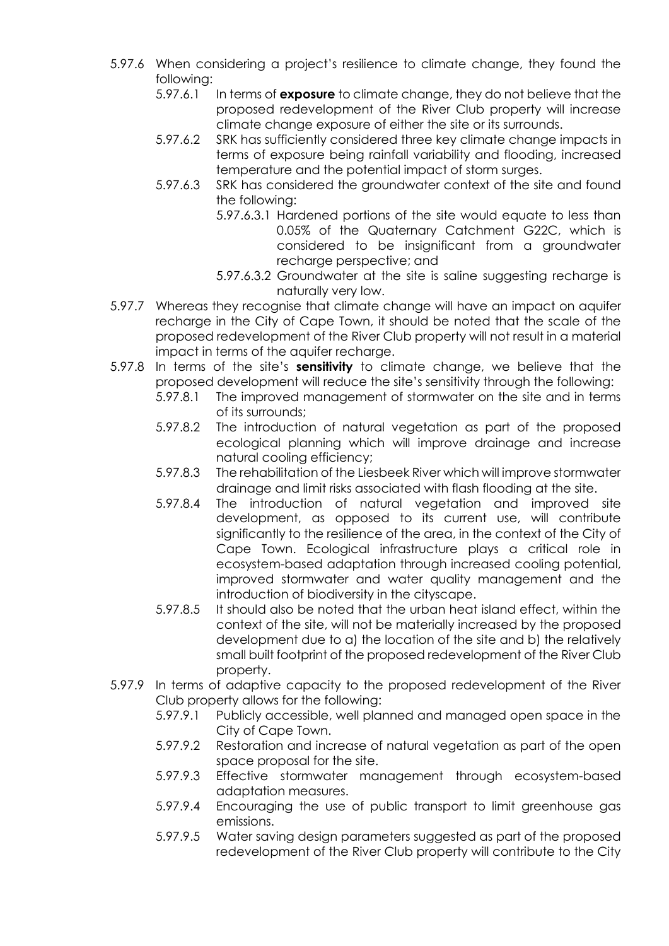- 5.97.6 When considering a project's resilience to climate change, they found the following:
	- 5.97.6.1 In terms of **exposure** to climate change, they do not believe that the proposed redevelopment of the River Club property will increase climate change exposure of either the site or its surrounds.
	- 5.97.6.2 SRK has sufficiently considered three key climate change impacts in terms of exposure being rainfall variability and flooding, increased temperature and the potential impact of storm surges.
	- 5.97.6.3 SRK has considered the groundwater context of the site and found the following:
		- 5.97.6.3.1 Hardened portions of the site would equate to less than 0.05% of the Quaternary Catchment G22C, which is considered to be insignificant from a groundwater recharge perspective; and
		- 5.97.6.3.2 Groundwater at the site is saline suggesting recharge is naturally very low.
- 5.97.7 Whereas they recognise that climate change will have an impact on aquifer recharge in the City of Cape Town, it should be noted that the scale of the proposed redevelopment of the River Club property will not result in a material impact in terms of the aquifer recharge.
- 5.97.8 In terms of the site's **sensitivity** to climate change, we believe that the proposed development will reduce the site's sensitivity through the following:
	- 5.97.8.1 The improved management of stormwater on the site and in terms of its surrounds;
	- 5.97.8.2 The introduction of natural vegetation as part of the proposed ecological planning which will improve drainage and increase natural cooling efficiency;
	- 5.97.8.3 The rehabilitation of the Liesbeek River which will improve stormwater drainage and limit risks associated with flash flooding at the site.
	- 5.97.8.4 The introduction of natural vegetation and improved site development, as opposed to its current use, will contribute significantly to the resilience of the area, in the context of the City of Cape Town. Ecological infrastructure plays a critical role in ecosystem-based adaptation through increased cooling potential, improved stormwater and water quality management and the introduction of biodiversity in the cityscape.
	- 5.97.8.5 It should also be noted that the urban heat island effect, within the context of the site, will not be materially increased by the proposed development due to a) the location of the site and b) the relatively small built footprint of the proposed redevelopment of the River Club property.
- 5.97.9 In terms of adaptive capacity to the proposed redevelopment of the River Club property allows for the following:
	- 5.97.9.1 Publicly accessible, well planned and managed open space in the City of Cape Town.
	- 5.97.9.2 Restoration and increase of natural vegetation as part of the open space proposal for the site.
	- 5.97.9.3 Effective stormwater management through ecosystem-based adaptation measures.
	- 5.97.9.4 Encouraging the use of public transport to limit greenhouse gas emissions.
	- 5.97.9.5 Water saving design parameters suggested as part of the proposed redevelopment of the River Club property will contribute to the City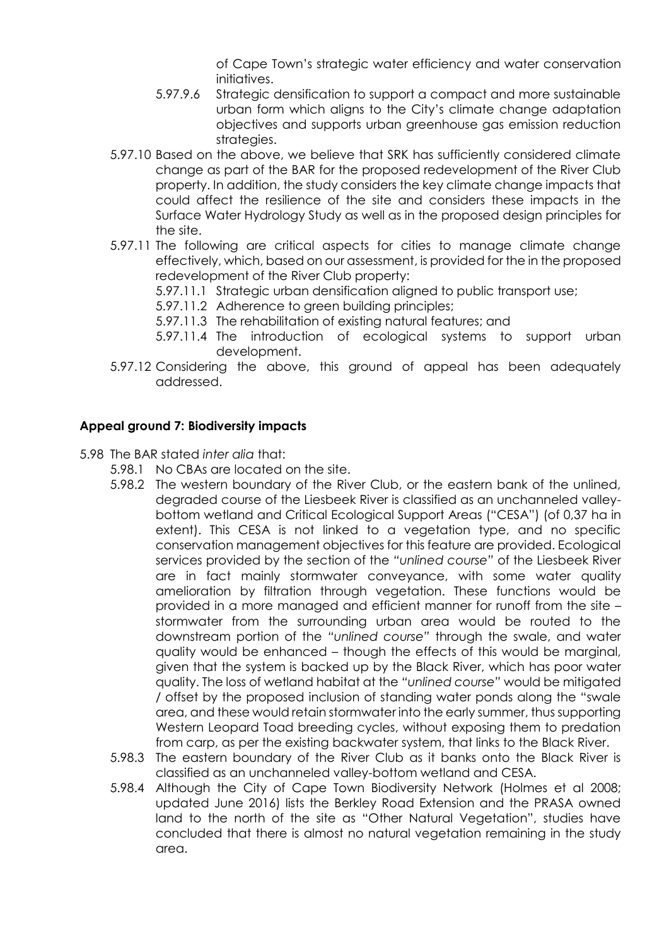of Cape Town's strategic water efficiency and water conservation initiatives.

- 5.97.9.6 Strategic densification to support a compact and more sustainable urban form which aligns to the City's climate change adaptation objectives and supports urban greenhouse gas emission reduction strategies.
- 5.97.10 Based on the above, we believe that SRK has sufficiently considered climate change as part of the BAR for the proposed redevelopment of the River Club property. In addition, the study considers the key climate change impacts that could affect the resilience of the site and considers these impacts in the Surface Water Hydrology Study as well as in the proposed design principles for the site.
- 5.97.11 The following are critical aspects for cities to manage climate change effectively, which, based on our assessment, is provided for the in the proposed redevelopment of the River Club property:

5.97.11.1 Strategic urban densification aligned to public transport use;

- 5.97.11.2 Adherence to green building principles;
- 5.97.11.3 The rehabilitation of existing natural features; and
- 5.97.11.4 The introduction of ecological systems to support urban development.
- 5.97.12 Considering the above, this ground of appeal has been adequately addressed.

## **Appeal ground 7: Biodiversity impacts**

- 5.98 The BAR stated *inter alia* that:
	- 5.98.1 No CBAs are located on the site.
	- 5.98.2 The western boundary of the River Club, or the eastern bank of the unlined, degraded course of the Liesbeek River is classified as an unchanneled valleybottom wetland and Critical Ecological Support Areas ("CESA") (of 0,37 ha in extent). This CESA is not linked to a vegetation type, and no specific conservation management objectives for this feature are provided. Ecological services provided by the section of the *"unlined course"* of the Liesbeek River are in fact mainly stormwater conveyance, with some water quality amelioration by filtration through vegetation. These functions would be provided in a more managed and efficient manner for runoff from the site – stormwater from the surrounding urban area would be routed to the downstream portion of the *"unlined course"* through the swale, and water quality would be enhanced – though the effects of this would be marginal, given that the system is backed up by the Black River, which has poor water quality. The loss of wetland habitat at the *"unlined course"* would be mitigated / offset by the proposed inclusion of standing water ponds along the "swale area, and these would retain stormwater into the early summer, thus supporting Western Leopard Toad breeding cycles, without exposing them to predation from carp, as per the existing backwater system, that links to the Black River.
	- 5.98.3 The eastern boundary of the River Club as it banks onto the Black River is classified as an unchanneled valley-bottom wetland and CESA.
	- 5.98.4 Although the City of Cape Town Biodiversity Network (Holmes et al 2008; updated June 2016) lists the Berkley Road Extension and the PRASA owned land to the north of the site as "Other Natural Vegetation", studies have concluded that there is almost no natural vegetation remaining in the study area.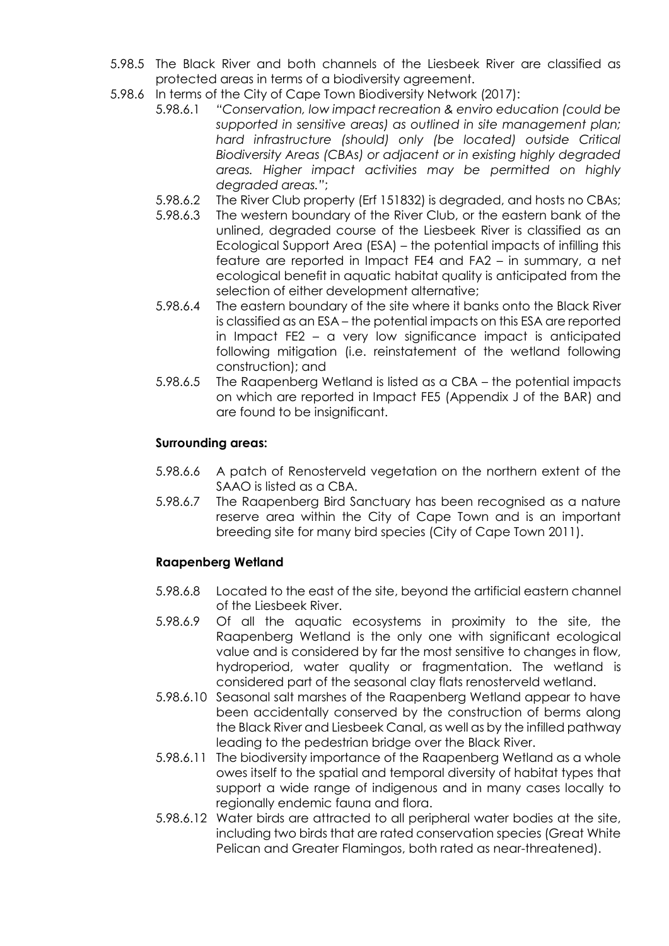- 5.98.5 The Black River and both channels of the Liesbeek River are classified as protected areas in terms of a biodiversity agreement.
- 5.98.6 In terms of the City of Cape Town Biodiversity Network (2017):
	- 5.98.6.1 *"Conservation, low impact recreation & enviro education (could be supported in sensitive areas) as outlined in site management plan; hard infrastructure (should) only (be located) outside Critical Biodiversity Areas (CBAs) or adjacent or in existing highly degraded areas. Higher impact activities may be permitted on highly degraded areas."*;
	- 5.98.6.2 The River Club property (Erf 151832) is degraded, and hosts no CBAs;
	- 5.98.6.3 The western boundary of the River Club, or the eastern bank of the unlined, degraded course of the Liesbeek River is classified as an Ecological Support Area (ESA) – the potential impacts of infilling this feature are reported in Impact FE4 and FA2 – in summary, a net ecological benefit in aquatic habitat quality is anticipated from the selection of either development alternative;
	- 5.98.6.4 The eastern boundary of the site where it banks onto the Black River is classified as an ESA – the potential impacts on this ESA are reported in Impact FE2 – a very low significance impact is anticipated following mitigation (i.e. reinstatement of the wetland following construction); and
	- 5.98.6.5 The Raapenberg Wetland is listed as a CBA the potential impacts on which are reported in Impact FE5 (Appendix J of the BAR) and are found to be insignificant.

## **Surrounding areas:**

- 5.98.6.6 A patch of Renosterveld vegetation on the northern extent of the SAAO is listed as a CBA.
- 5.98.6.7 The Raapenberg Bird Sanctuary has been recognised as a nature reserve area within the City of Cape Town and is an important breeding site for many bird species (City of Cape Town 2011).

# **Raapenberg Wetland**

- 5.98.6.8 Located to the east of the site, beyond the artificial eastern channel of the Liesbeek River.
- 5.98.6.9 Of all the aquatic ecosystems in proximity to the site, the Raapenberg Wetland is the only one with significant ecological value and is considered by far the most sensitive to changes in flow, hydroperiod, water quality or fragmentation. The wetland is considered part of the seasonal clay flats renosterveld wetland.
- 5.98.6.10 Seasonal salt marshes of the Raapenberg Wetland appear to have been accidentally conserved by the construction of berms along the Black River and Liesbeek Canal, as well as by the infilled pathway leading to the pedestrian bridge over the Black River.
- 5.98.6.11 The biodiversity importance of the Raapenberg Wetland as a whole owes itself to the spatial and temporal diversity of habitat types that support a wide range of indigenous and in many cases locally to regionally endemic fauna and flora.
- 5.98.6.12 Water birds are attracted to all peripheral water bodies at the site, including two birds that are rated conservation species (Great White Pelican and Greater Flamingos, both rated as near-threatened).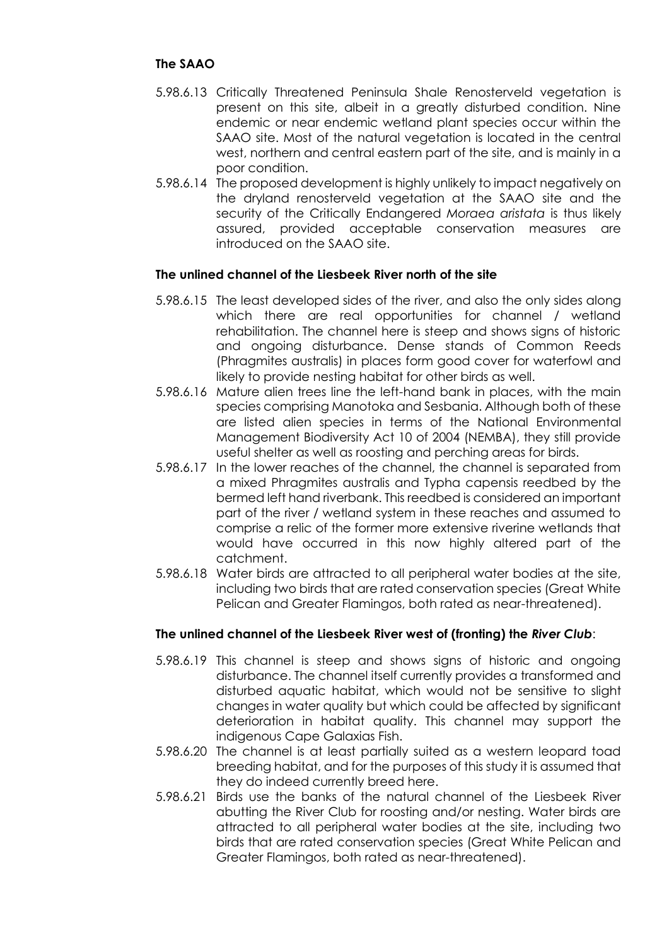- 5.98.6.13 Critically Threatened Peninsula Shale Renosterveld vegetation is present on this site, albeit in a greatly disturbed condition. Nine endemic or near endemic wetland plant species occur within the SAAO site. Most of the natural vegetation is located in the central west, northern and central eastern part of the site, and is mainly in a poor condition.
- 5.98.6.14 The proposed development is highly unlikely to impact negatively on the dryland renosterveld vegetation at the SAAO site and the security of the Critically Endangered *Moraea aristata* is thus likely assured, provided acceptable conservation measures are introduced on the SAAO site.

## **The unlined channel of the Liesbeek River north of the site**

- 5.98.6.15 The least developed sides of the river, and also the only sides along which there are real opportunities for channel / wetland rehabilitation. The channel here is steep and shows signs of historic and ongoing disturbance. Dense stands of Common Reeds (Phragmites australis) in places form good cover for waterfowl and likely to provide nesting habitat for other birds as well.
- 5.98.6.16 Mature alien trees line the left-hand bank in places, with the main species comprising Manotoka and Sesbania. Although both of these are listed alien species in terms of the National Environmental Management Biodiversity Act 10 of 2004 (NEMBA), they still provide useful shelter as well as roosting and perching areas for birds.
- 5.98.6.17 In the lower reaches of the channel, the channel is separated from a mixed Phragmites australis and Typha capensis reedbed by the bermed left hand riverbank. This reedbed is considered an important part of the river / wetland system in these reaches and assumed to comprise a relic of the former more extensive riverine wetlands that would have occurred in this now highly altered part of the catchment.
- 5.98.6.18 Water birds are attracted to all peripheral water bodies at the site, including two birds that are rated conservation species (Great White Pelican and Greater Flamingos, both rated as near-threatened).

## **The unlined channel of the Liesbeek River west of (fronting) the** *River Club*:

- 5.98.6.19 This channel is steep and shows signs of historic and ongoing disturbance. The channel itself currently provides a transformed and disturbed aquatic habitat, which would not be sensitive to slight changes in water quality but which could be affected by significant deterioration in habitat quality. This channel may support the indigenous Cape Galaxias Fish.
- 5.98.6.20 The channel is at least partially suited as a western leopard toad breeding habitat, and for the purposes of this study it is assumed that they do indeed currently breed here.
- 5.98.6.21 Birds use the banks of the natural channel of the Liesbeek River abutting the River Club for roosting and/or nesting. Water birds are attracted to all peripheral water bodies at the site, including two birds that are rated conservation species (Great White Pelican and Greater Flamingos, both rated as near-threatened).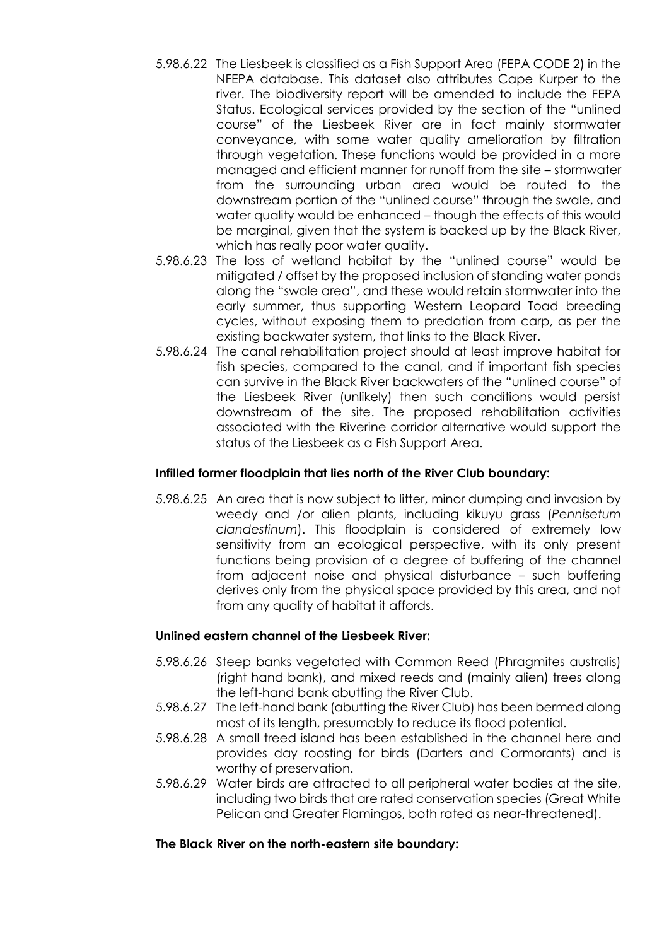- 5.98.6.22 The Liesbeek is classified as a Fish Support Area (FEPA CODE 2) in the NFEPA database. This dataset also attributes Cape Kurper to the river. The biodiversity report will be amended to include the FEPA Status. Ecological services provided by the section of the "unlined course" of the Liesbeek River are in fact mainly stormwater conveyance, with some water quality amelioration by filtration through vegetation. These functions would be provided in a more managed and efficient manner for runoff from the site – stormwater from the surrounding urban area would be routed to the downstream portion of the "unlined course" through the swale, and water quality would be enhanced – though the effects of this would be marginal, given that the system is backed up by the Black River, which has really poor water quality.
- 5.98.6.23 The loss of wetland habitat by the "unlined course" would be mitigated / offset by the proposed inclusion of standing water ponds along the "swale area", and these would retain stormwater into the early summer, thus supporting Western Leopard Toad breeding cycles, without exposing them to predation from carp, as per the existing backwater system, that links to the Black River.
- 5.98.6.24 The canal rehabilitation project should at least improve habitat for fish species, compared to the canal, and if important fish species can survive in the Black River backwaters of the "unlined course" of the Liesbeek River (unlikely) then such conditions would persist downstream of the site. The proposed rehabilitation activities associated with the Riverine corridor alternative would support the status of the Liesbeek as a Fish Support Area.

## **Infilled former floodplain that lies north of the River Club boundary:**

5.98.6.25 An area that is now subject to litter, minor dumping and invasion by weedy and /or alien plants, including kikuyu grass (*Pennisetum clandestinum*). This floodplain is considered of extremely low sensitivity from an ecological perspective, with its only present functions being provision of a degree of buffering of the channel from adjacent noise and physical disturbance – such buffering derives only from the physical space provided by this area, and not from any quality of habitat it affords.

#### **Unlined eastern channel of the Liesbeek River:**

- 5.98.6.26 Steep banks vegetated with Common Reed (Phragmites australis) (right hand bank), and mixed reeds and (mainly alien) trees along the left-hand bank abutting the River Club.
- 5.98.6.27 The left-hand bank (abutting the River Club) has been bermed along most of its length, presumably to reduce its flood potential.
- 5.98.6.28 A small treed island has been established in the channel here and provides day roosting for birds (Darters and Cormorants) and is worthy of preservation.
- 5.98.6.29 Water birds are attracted to all peripheral water bodies at the site, including two birds that are rated conservation species (Great White Pelican and Greater Flamingos, both rated as near-threatened).

#### **The Black River on the north-eastern site boundary:**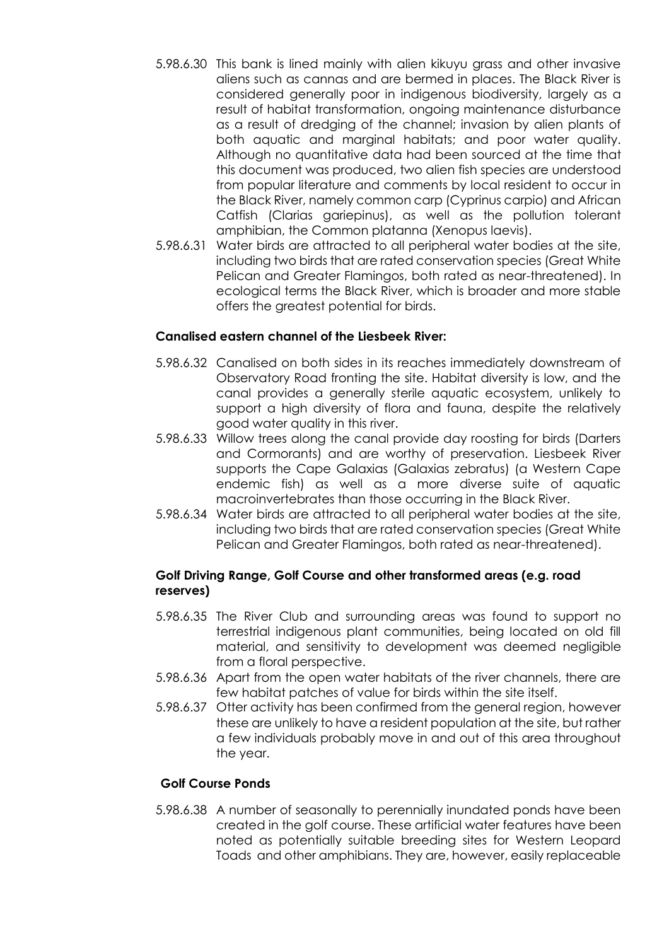- 5.98.6.30 This bank is lined mainly with alien kikuyu grass and other invasive aliens such as cannas and are bermed in places. The Black River is considered generally poor in indigenous biodiversity, largely as a result of habitat transformation, ongoing maintenance disturbance as a result of dredging of the channel; invasion by alien plants of both aquatic and marginal habitats; and poor water quality. Although no quantitative data had been sourced at the time that this document was produced, two alien fish species are understood from popular literature and comments by local resident to occur in the Black River, namely common carp (Cyprinus carpio) and African Catfish (Clarias gariepinus), as well as the pollution tolerant amphibian, the Common platanna (Xenopus laevis).
- 5.98.6.31 Water birds are attracted to all peripheral water bodies at the site, including two birds that are rated conservation species (Great White Pelican and Greater Flamingos, both rated as near-threatened). In ecological terms the Black River, which is broader and more stable offers the greatest potential for birds.

### **Canalised eastern channel of the Liesbeek River:**

- 5.98.6.32 Canalised on both sides in its reaches immediately downstream of Observatory Road fronting the site. Habitat diversity is low, and the canal provides a generally sterile aquatic ecosystem, unlikely to support a high diversity of flora and fauna, despite the relatively good water quality in this river.
- 5.98.6.33 Willow trees along the canal provide day roosting for birds (Darters and Cormorants) and are worthy of preservation. Liesbeek River supports the Cape Galaxias (Galaxias zebratus) (a Western Cape endemic fish) as well as a more diverse suite of aquatic macroinvertebrates than those occurring in the Black River.
- 5.98.6.34 Water birds are attracted to all peripheral water bodies at the site, including two birds that are rated conservation species (Great White Pelican and Greater Flamingos, both rated as near-threatened).

## **Golf Driving Range, Golf Course and other transformed areas (e.g. road reserves)**

- 5.98.6.35 The River Club and surrounding areas was found to support no terrestrial indigenous plant communities, being located on old fill material, and sensitivity to development was deemed negligible from a floral perspective.
- 5.98.6.36 Apart from the open water habitats of the river channels, there are few habitat patches of value for birds within the site itself.
- 5.98.6.37 Otter activity has been confirmed from the general region, however these are unlikely to have a resident population at the site, but rather a few individuals probably move in and out of this area throughout the year.

#### **Golf Course Ponds**

5.98.6.38 A number of seasonally to perennially inundated ponds have been created in the golf course. These artificial water features have been noted as potentially suitable breeding sites for Western Leopard Toads and other amphibians. They are, however, easily replaceable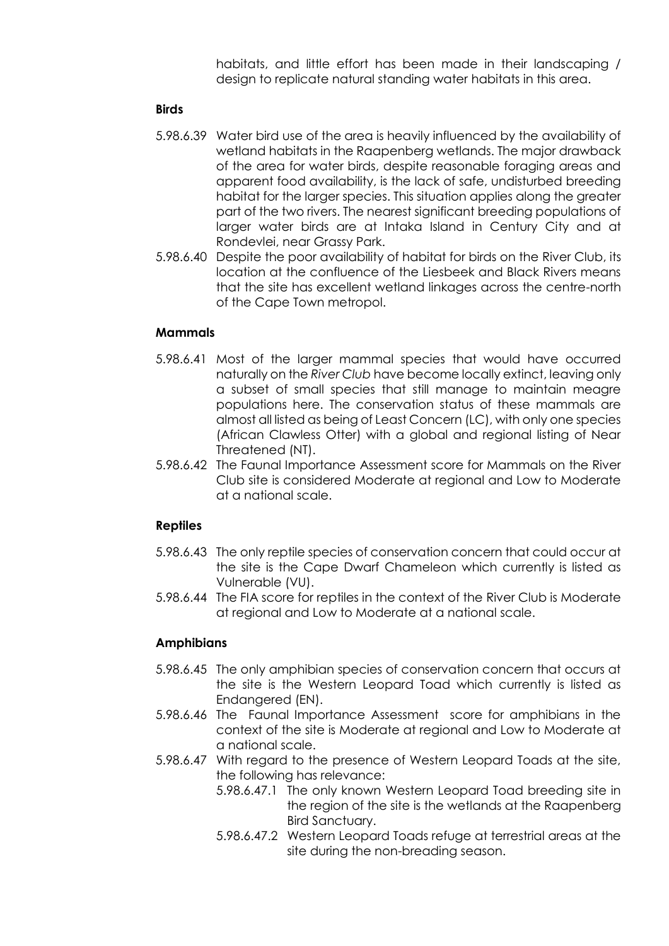habitats, and little effort has been made in their landscaping / design to replicate natural standing water habitats in this area.

## **Birds**

- 5.98.6.39 Water bird use of the area is heavily influenced by the availability of wetland habitats in the Raapenberg wetlands. The major drawback of the area for water birds, despite reasonable foraging areas and apparent food availability, is the lack of safe, undisturbed breeding habitat for the larger species. This situation applies along the greater part of the two rivers. The nearest significant breeding populations of larger water birds are at Intaka Island in Century City and at Rondevlei, near Grassy Park.
- 5.98.6.40 Despite the poor availability of habitat for birds on the River Club, its location at the confluence of the Liesbeek and Black Rivers means that the site has excellent wetland linkages across the centre-north of the Cape Town metropol.

## **Mammals**

- 5.98.6.41 Most of the larger mammal species that would have occurred naturally on the *River Club* have become locally extinct, leaving only a subset of small species that still manage to maintain meagre populations here. The conservation status of these mammals are almost all listed as being of Least Concern (LC), with only one species (African Clawless Otter) with a global and regional listing of Near Threatened (NT).
- 5.98.6.42 The Faunal Importance Assessment score for Mammals on the River Club site is considered Moderate at regional and Low to Moderate at a national scale.

## **Reptiles**

- 5.98.6.43 The only reptile species of conservation concern that could occur at the site is the Cape Dwarf Chameleon which currently is listed as Vulnerable (VU).
- 5.98.6.44 The FIA score for reptiles in the context of the River Club is Moderate at regional and Low to Moderate at a national scale.

## **Amphibians**

- 5.98.6.45 The only amphibian species of conservation concern that occurs at the site is the Western Leopard Toad which currently is listed as Endangered (EN).
- 5.98.6.46 The Faunal Importance Assessment score for amphibians in the context of the site is Moderate at regional and Low to Moderate at a national scale.
- 5.98.6.47 With regard to the presence of Western Leopard Toads at the site, the following has relevance:
	- 5.98.6.47.1 The only known Western Leopard Toad breeding site in the region of the site is the wetlands at the Raapenberg Bird Sanctuary.
	- 5.98.6.47.2 Western Leopard Toads refuge at terrestrial areas at the site during the non-breading season.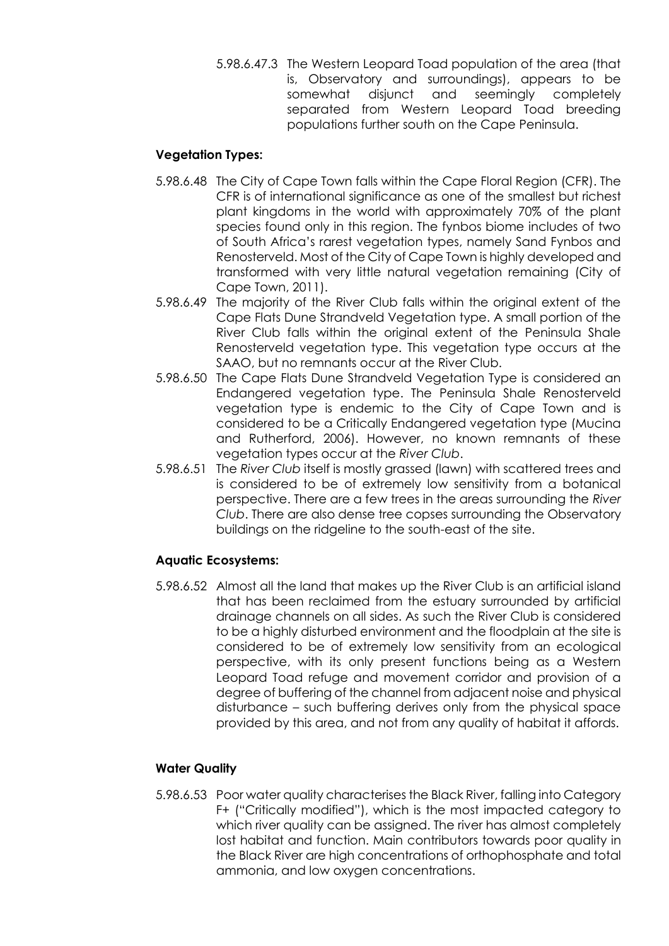5.98.6.47.3 The Western Leopard Toad population of the area (that is, Observatory and surroundings), appears to be somewhat disjunct and seemingly completely separated from Western Leopard Toad breeding populations further south on the Cape Peninsula.

# **Vegetation Types:**

- 5.98.6.48 The City of Cape Town falls within the Cape Floral Region (CFR). The CFR is of international significance as one of the smallest but richest plant kingdoms in the world with approximately 70% of the plant species found only in this region. The fynbos biome includes of two of South Africa's rarest vegetation types, namely Sand Fynbos and Renosterveld. Most of the City of Cape Town is highly developed and transformed with very little natural vegetation remaining (City of Cape Town, 2011).
- 5.98.6.49 The majority of the River Club falls within the original extent of the Cape Flats Dune Strandveld Vegetation type. A small portion of the River Club falls within the original extent of the Peninsula Shale Renosterveld vegetation type. This vegetation type occurs at the SAAO, but no remnants occur at the River Club.
- 5.98.6.50 The Cape Flats Dune Strandveld Vegetation Type is considered an Endangered vegetation type. The Peninsula Shale Renosterveld vegetation type is endemic to the City of Cape Town and is considered to be a Critically Endangered vegetation type (Mucina and Rutherford, 2006). However, no known remnants of these vegetation types occur at the *River Club*.
- 5.98.6.51 The *River Club* itself is mostly grassed (lawn) with scattered trees and is considered to be of extremely low sensitivity from a botanical perspective. There are a few trees in the areas surrounding the *River Club*. There are also dense tree copses surrounding the Observatory buildings on the ridgeline to the south-east of the site.

# **Aquatic Ecosystems:**

5.98.6.52 Almost all the land that makes up the River Club is an artificial island that has been reclaimed from the estuary surrounded by artificial drainage channels on all sides. As such the River Club is considered to be a highly disturbed environment and the floodplain at the site is considered to be of extremely low sensitivity from an ecological perspective, with its only present functions being as a Western Leopard Toad refuge and movement corridor and provision of a degree of buffering of the channel from adjacent noise and physical disturbance – such buffering derives only from the physical space provided by this area, and not from any quality of habitat it affords.

# **Water Quality**

5.98.6.53 Poor water quality characterises the Black River, falling into Category F+ ("Critically modified"), which is the most impacted category to which river quality can be assigned. The river has almost completely lost habitat and function. Main contributors towards poor quality in the Black River are high concentrations of orthophosphate and total ammonia, and low oxygen concentrations.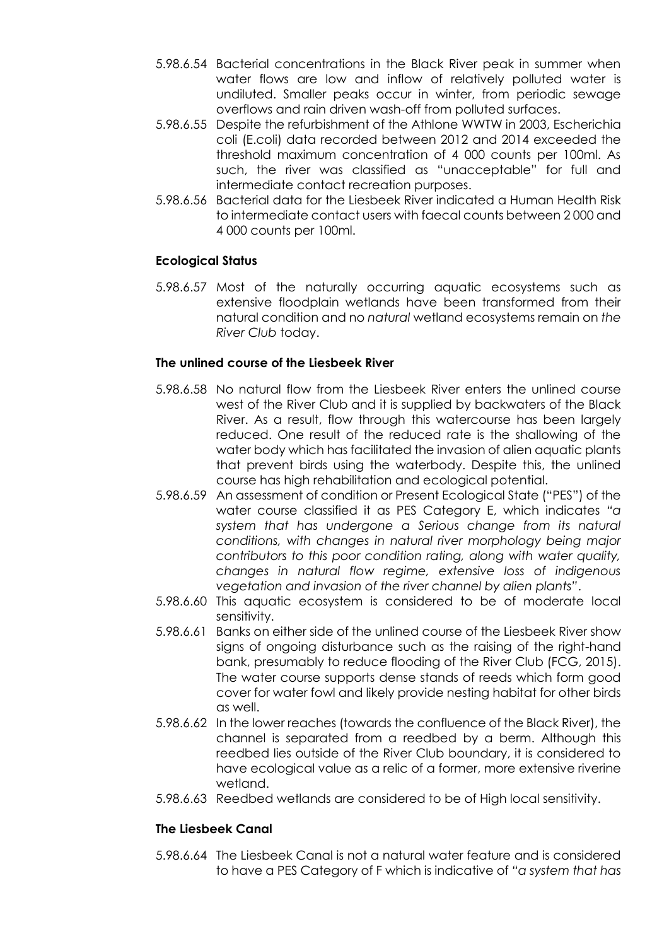- 5.98.6.54 Bacterial concentrations in the Black River peak in summer when water flows are low and inflow of relatively polluted water is undiluted. Smaller peaks occur in winter, from periodic sewage overflows and rain driven wash-off from polluted surfaces.
- 5.98.6.55 Despite the refurbishment of the Athlone WWTW in 2003, Escherichia coli (E.coli) data recorded between 2012 and 2014 exceeded the threshold maximum concentration of 4 000 counts per 100ml. As such, the river was classified as "unacceptable" for full and intermediate contact recreation purposes.
- 5.98.6.56 Bacterial data for the Liesbeek River indicated a Human Health Risk to intermediate contact users with faecal counts between 2 000 and 4 000 counts per 100ml.

## **Ecological Status**

5.98.6.57 Most of the naturally occurring aquatic ecosystems such as extensive floodplain wetlands have been transformed from their natural condition and no *natural* wetland ecosystems remain on *the River Club* today.

### **The unlined course of the Liesbeek River**

- 5.98.6.58 No natural flow from the Liesbeek River enters the unlined course west of the River Club and it is supplied by backwaters of the Black River. As a result, flow through this watercourse has been largely reduced. One result of the reduced rate is the shallowing of the water body which has facilitated the invasion of alien aquatic plants that prevent birds using the waterbody. Despite this, the unlined course has high rehabilitation and ecological potential.
- 5.98.6.59 An assessment of condition or Present Ecological State ("PES") of the water course classified it as PES Category E, which indicates *"a system that has undergone a Serious change from its natural conditions, with changes in natural river morphology being major contributors to this poor condition rating, along with water quality, changes in natural flow regime, extensive loss of indigenous vegetation and invasion of the river channel by alien plants"*.
- 5.98.6.60 This aquatic ecosystem is considered to be of moderate local sensitivity.
- 5.98.6.61 Banks on either side of the unlined course of the Liesbeek River show signs of ongoing disturbance such as the raising of the right-hand bank, presumably to reduce flooding of the River Club (FCG, 2015). The water course supports dense stands of reeds which form good cover for water fowl and likely provide nesting habitat for other birds as well.
- 5.98.6.62 In the lower reaches (towards the confluence of the Black River), the channel is separated from a reedbed by a berm. Although this reedbed lies outside of the River Club boundary, it is considered to have ecological value as a relic of a former, more extensive riverine wetland.
- 5.98.6.63 Reedbed wetlands are considered to be of High local sensitivity.

## **The Liesbeek Canal**

5.98.6.64 The Liesbeek Canal is not a natural water feature and is considered to have a PES Category of F which is indicative of *"a system that has*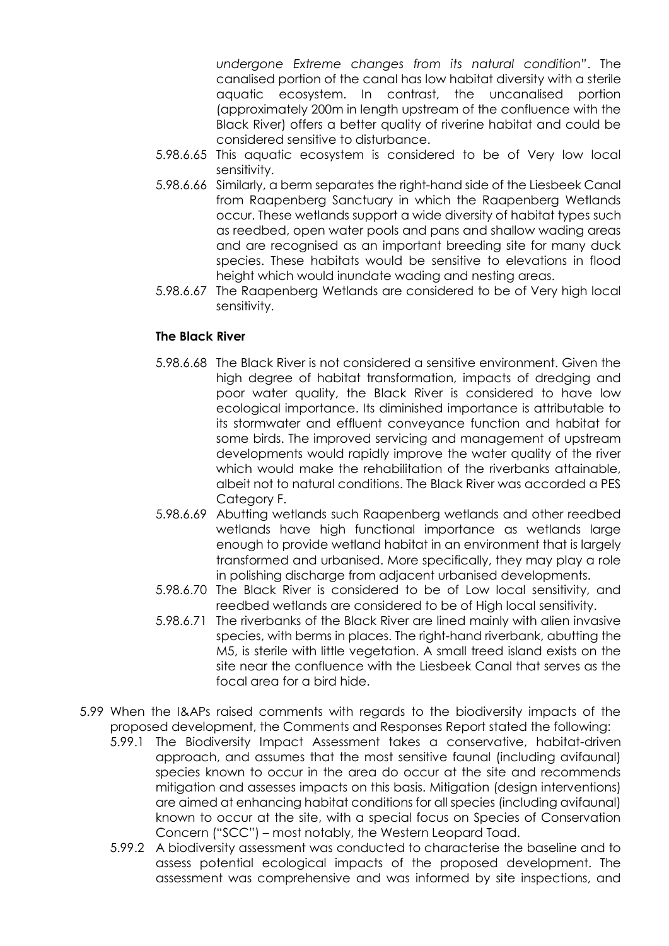*undergone Extreme changes from its natural condition"*. The canalised portion of the canal has low habitat diversity with a sterile aquatic ecosystem. In contrast, the uncanalised portion (approximately 200m in length upstream of the confluence with the Black River) offers a better quality of riverine habitat and could be considered sensitive to disturbance.

- 5.98.6.65 This aquatic ecosystem is considered to be of Very low local sensitivity.
- 5.98.6.66 Similarly, a berm separates the right-hand side of the Liesbeek Canal from Raapenberg Sanctuary in which the Raapenberg Wetlands occur. These wetlands support a wide diversity of habitat types such as reedbed, open water pools and pans and shallow wading areas and are recognised as an important breeding site for many duck species. These habitats would be sensitive to elevations in flood height which would inundate wading and nesting areas.
- 5.98.6.67 The Raapenberg Wetlands are considered to be of Very high local sensitivity.

## **The Black River**

- 5.98.6.68 The Black River is not considered a sensitive environment. Given the high degree of habitat transformation, impacts of dredging and poor water quality, the Black River is considered to have low ecological importance. Its diminished importance is attributable to its stormwater and effluent conveyance function and habitat for some birds. The improved servicing and management of upstream developments would rapidly improve the water quality of the river which would make the rehabilitation of the riverbanks attainable, albeit not to natural conditions. The Black River was accorded a PES Category F.
- 5.98.6.69 Abutting wetlands such Raapenberg wetlands and other reedbed wetlands have high functional importance as wetlands large enough to provide wetland habitat in an environment that is largely transformed and urbanised. More specifically, they may play a role in polishing discharge from adjacent urbanised developments.
- 5.98.6.70 The Black River is considered to be of Low local sensitivity, and reedbed wetlands are considered to be of High local sensitivity.
- 5.98.6.71 The riverbanks of the Black River are lined mainly with alien invasive species, with berms in places. The right-hand riverbank, abutting the M5, is sterile with little vegetation. A small treed island exists on the site near the confluence with the Liesbeek Canal that serves as the focal area for a bird hide.
- 5.99 When the I&APs raised comments with regards to the biodiversity impacts of the proposed development, the Comments and Responses Report stated the following:
	- 5.99.1 The Biodiversity Impact Assessment takes a conservative, habitat-driven approach, and assumes that the most sensitive faunal (including avifaunal) species known to occur in the area do occur at the site and recommends mitigation and assesses impacts on this basis. Mitigation (design interventions) are aimed at enhancing habitat conditions for all species (including avifaunal) known to occur at the site, with a special focus on Species of Conservation Concern ("SCC") – most notably, the Western Leopard Toad.
	- 5.99.2 A biodiversity assessment was conducted to characterise the baseline and to assess potential ecological impacts of the proposed development. The assessment was comprehensive and was informed by site inspections, and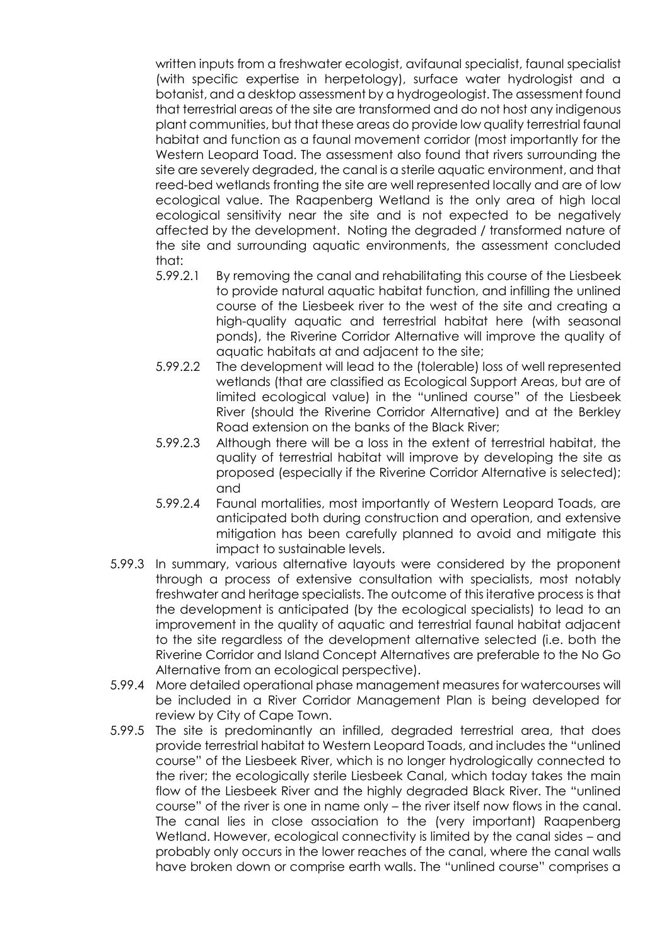written inputs from a freshwater ecologist, avifaunal specialist, faunal specialist (with specific expertise in herpetology), surface water hydrologist and a botanist, and a desktop assessment by a hydrogeologist. The assessment found that terrestrial areas of the site are transformed and do not host any indigenous plant communities, but that these areas do provide low quality terrestrial faunal habitat and function as a faunal movement corridor (most importantly for the Western Leopard Toad. The assessment also found that rivers surrounding the site are severely degraded, the canal is a sterile aquatic environment, and that reed-bed wetlands fronting the site are well represented locally and are of low ecological value. The Raapenberg Wetland is the only area of high local ecological sensitivity near the site and is not expected to be negatively affected by the development. Noting the degraded / transformed nature of the site and surrounding aquatic environments, the assessment concluded that:

- 5.99.2.1 By removing the canal and rehabilitating this course of the Liesbeek to provide natural aquatic habitat function, and infilling the unlined course of the Liesbeek river to the west of the site and creating a high-quality aquatic and terrestrial habitat here (with seasonal ponds), the Riverine Corridor Alternative will improve the quality of aquatic habitats at and adjacent to the site;
- 5.99.2.2 The development will lead to the (tolerable) loss of well represented wetlands (that are classified as Ecological Support Areas, but are of limited ecological value) in the "unlined course" of the Liesbeek River (should the Riverine Corridor Alternative) and at the Berkley Road extension on the banks of the Black River;
- 5.99.2.3 Although there will be a loss in the extent of terrestrial habitat, the quality of terrestrial habitat will improve by developing the site as proposed (especially if the Riverine Corridor Alternative is selected); and
- 5.99.2.4 Faunal mortalities, most importantly of Western Leopard Toads, are anticipated both during construction and operation, and extensive mitigation has been carefully planned to avoid and mitigate this impact to sustainable levels.
- 5.99.3 In summary, various alternative layouts were considered by the proponent through a process of extensive consultation with specialists, most notably freshwater and heritage specialists. The outcome of this iterative process is that the development is anticipated (by the ecological specialists) to lead to an improvement in the quality of aquatic and terrestrial faunal habitat adjacent to the site regardless of the development alternative selected (i.e. both the Riverine Corridor and Island Concept Alternatives are preferable to the No Go Alternative from an ecological perspective).
- 5.99.4 More detailed operational phase management measures for watercourses will be included in a River Corridor Management Plan is being developed for review by City of Cape Town.
- 5.99.5 The site is predominantly an infilled, degraded terrestrial area, that does provide terrestrial habitat to Western Leopard Toads, and includes the "unlined course" of the Liesbeek River, which is no longer hydrologically connected to the river; the ecologically sterile Liesbeek Canal, which today takes the main flow of the Liesbeek River and the highly degraded Black River. The "unlined course" of the river is one in name only – the river itself now flows in the canal. The canal lies in close association to the (very important) Raapenberg Wetland. However, ecological connectivity is limited by the canal sides – and probably only occurs in the lower reaches of the canal, where the canal walls have broken down or comprise earth walls. The "unlined course" comprises a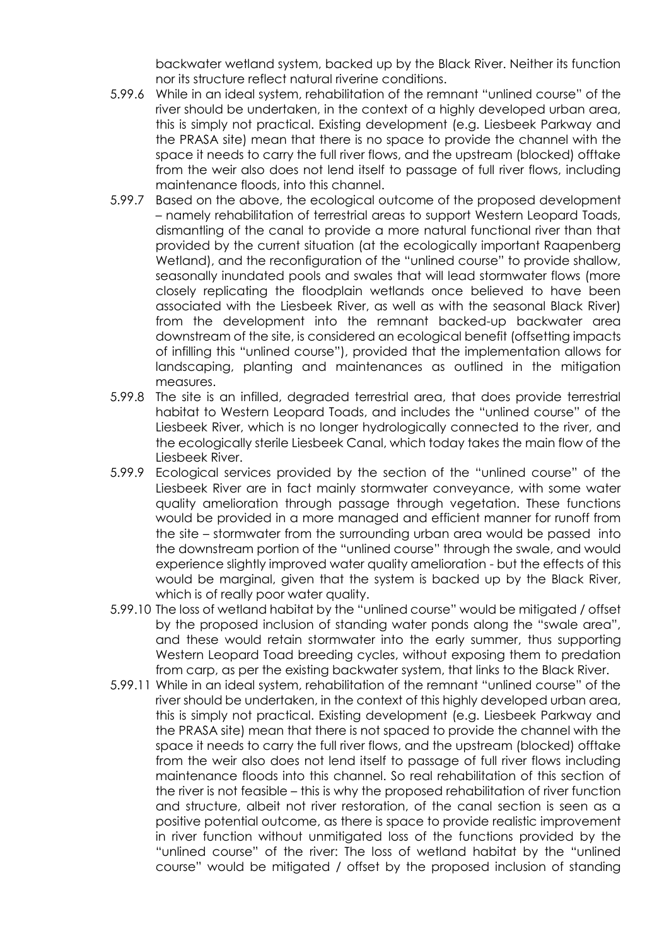backwater wetland system, backed up by the Black River. Neither its function nor its structure reflect natural riverine conditions.

- 5.99.6 While in an ideal system, rehabilitation of the remnant "unlined course" of the river should be undertaken, in the context of a highly developed urban area, this is simply not practical. Existing development (e.g. Liesbeek Parkway and the PRASA site) mean that there is no space to provide the channel with the space it needs to carry the full river flows, and the upstream (blocked) offtake from the weir also does not lend itself to passage of full river flows, including maintenance floods, into this channel.
- 5.99.7 Based on the above, the ecological outcome of the proposed development – namely rehabilitation of terrestrial areas to support Western Leopard Toads, dismantling of the canal to provide a more natural functional river than that provided by the current situation (at the ecologically important Raapenberg Wetland), and the reconfiguration of the "unlined course" to provide shallow, seasonally inundated pools and swales that will lead stormwater flows (more closely replicating the floodplain wetlands once believed to have been associated with the Liesbeek River, as well as with the seasonal Black River) from the development into the remnant backed-up backwater area downstream of the site, is considered an ecological benefit (offsetting impacts of infilling this "unlined course"), provided that the implementation allows for landscaping, planting and maintenances as outlined in the mitigation measures.
- 5.99.8 The site is an infilled, degraded terrestrial area, that does provide terrestrial habitat to Western Leopard Toads, and includes the "unlined course" of the Liesbeek River, which is no longer hydrologically connected to the river, and the ecologically sterile Liesbeek Canal, which today takes the main flow of the Liesbeek River.
- 5.99.9 Ecological services provided by the section of the "unlined course" of the Liesbeek River are in fact mainly stormwater conveyance, with some water quality amelioration through passage through vegetation. These functions would be provided in a more managed and efficient manner for runoff from the site – stormwater from the surrounding urban area would be passed into the downstream portion of the "unlined course" through the swale, and would experience slightly improved water quality amelioration - but the effects of this would be marginal, given that the system is backed up by the Black River, which is of really poor water quality.
- 5.99.10 The loss of wetland habitat by the "unlined course" would be mitigated / offset by the proposed inclusion of standing water ponds along the "swale area", and these would retain stormwater into the early summer, thus supporting Western Leopard Toad breeding cycles, without exposing them to predation from carp, as per the existing backwater system, that links to the Black River.
- 5.99.11 While in an ideal system, rehabilitation of the remnant "unlined course" of the river should be undertaken, in the context of this highly developed urban area, this is simply not practical. Existing development (e.g. Liesbeek Parkway and the PRASA site) mean that there is not spaced to provide the channel with the space it needs to carry the full river flows, and the upstream (blocked) offtake from the weir also does not lend itself to passage of full river flows including maintenance floods into this channel. So real rehabilitation of this section of the river is not feasible – this is why the proposed rehabilitation of river function and structure, albeit not river restoration, of the canal section is seen as a positive potential outcome, as there is space to provide realistic improvement in river function without unmitigated loss of the functions provided by the "unlined course" of the river: The loss of wetland habitat by the "unlined course" would be mitigated / offset by the proposed inclusion of standing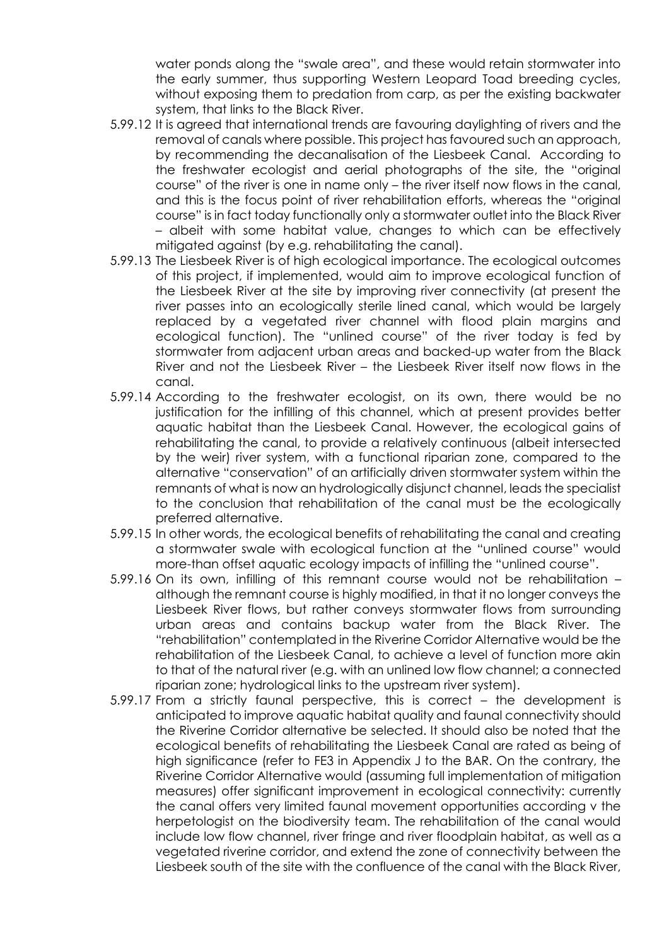water ponds along the "swale area", and these would retain stormwater into the early summer, thus supporting Western Leopard Toad breeding cycles, without exposing them to predation from carp, as per the existing backwater system, that links to the Black River.

- 5.99.12 It is agreed that international trends are favouring daylighting of rivers and the removal of canals where possible. This project has favoured such an approach, by recommending the decanalisation of the Liesbeek Canal. According to the freshwater ecologist and aerial photographs of the site, the "original course" of the river is one in name only – the river itself now flows in the canal, and this is the focus point of river rehabilitation efforts, whereas the "original course" is in fact today functionally only a stormwater outlet into the Black River – albeit with some habitat value, changes to which can be effectively mitigated against (by e.g. rehabilitating the canal).
- 5.99.13 The Liesbeek River is of high ecological importance. The ecological outcomes of this project, if implemented, would aim to improve ecological function of the Liesbeek River at the site by improving river connectivity (at present the river passes into an ecologically sterile lined canal, which would be largely replaced by a vegetated river channel with flood plain margins and ecological function). The "unlined course" of the river today is fed by stormwater from adjacent urban areas and backed-up water from the Black River and not the Liesbeek River – the Liesbeek River itself now flows in the canal.
- 5.99.14 According to the freshwater ecologist, on its own, there would be no justification for the infilling of this channel, which at present provides better aquatic habitat than the Liesbeek Canal. However, the ecological gains of rehabilitating the canal, to provide a relatively continuous (albeit intersected by the weir) river system, with a functional riparian zone, compared to the alternative "conservation" of an artificially driven stormwater system within the remnants of what is now an hydrologically disjunct channel, leads the specialist to the conclusion that rehabilitation of the canal must be the ecologically preferred alternative.
- 5.99.15 In other words, the ecological benefits of rehabilitating the canal and creating a stormwater swale with ecological function at the "unlined course" would more-than offset aquatic ecology impacts of infilling the "unlined course".
- 5.99.16 On its own, infilling of this remnant course would not be rehabilitation although the remnant course is highly modified, in that it no longer conveys the Liesbeek River flows, but rather conveys stormwater flows from surrounding urban areas and contains backup water from the Black River. The "rehabilitation" contemplated in the Riverine Corridor Alternative would be the rehabilitation of the Liesbeek Canal, to achieve a level of function more akin to that of the natural river (e.g. with an unlined low flow channel; a connected riparian zone; hydrological links to the upstream river system).
- 5.99.17 From a strictly faunal perspective, this is correct the development is anticipated to improve aquatic habitat quality and faunal connectivity should the Riverine Corridor alternative be selected. It should also be noted that the ecological benefits of rehabilitating the Liesbeek Canal are rated as being of high significance (refer to FE3 in Appendix J to the BAR. On the contrary, the Riverine Corridor Alternative would (assuming full implementation of mitigation measures) offer significant improvement in ecological connectivity: currently the canal offers very limited faunal movement opportunities according v the herpetologist on the biodiversity team. The rehabilitation of the canal would include low flow channel, river fringe and river floodplain habitat, as well as a vegetated riverine corridor, and extend the zone of connectivity between the Liesbeek south of the site with the confluence of the canal with the Black River,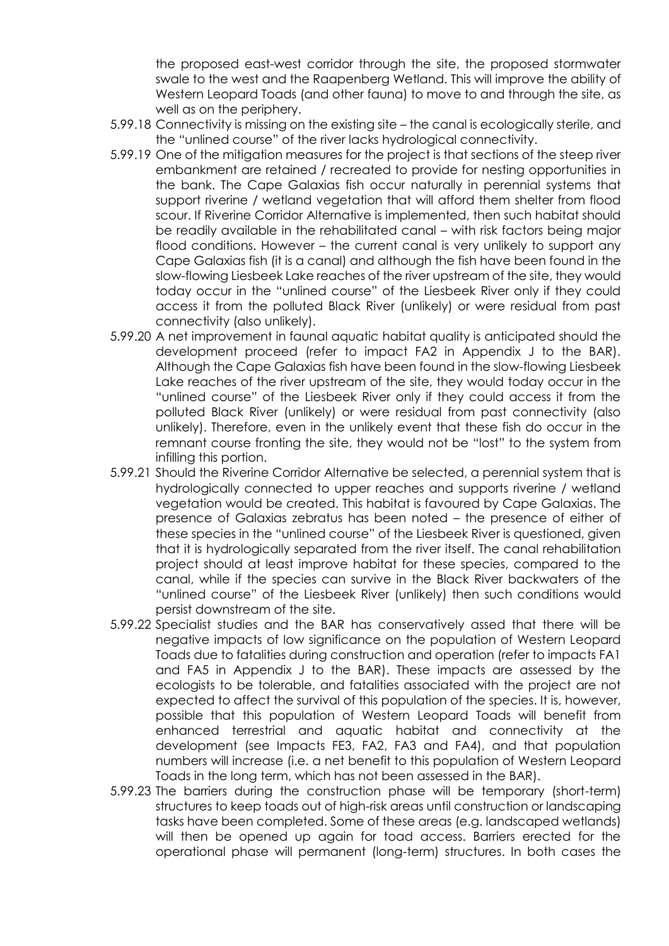the proposed east-west corridor through the site, the proposed stormwater swale to the west and the Raapenberg Wetland. This will improve the ability of Western Leopard Toads (and other fauna) to move to and through the site, as well as on the periphery.

- 5.99.18 Connectivity is missing on the existing site the canal is ecologically sterile, and the "unlined course" of the river lacks hydrological connectivity.
- 5.99.19 One of the mitigation measures for the project is that sections of the steep river embankment are retained / recreated to provide for nesting opportunities in the bank. The Cape Galaxias fish occur naturally in perennial systems that support riverine / wetland vegetation that will afford them shelter from flood scour. If Riverine Corridor Alternative is implemented, then such habitat should be readily available in the rehabilitated canal – with risk factors being major flood conditions. However – the current canal is very unlikely to support any Cape Galaxias fish (it is a canal) and although the fish have been found in the slow-flowing Liesbeek Lake reaches of the river upstream of the site, they would today occur in the "unlined course" of the Liesbeek River only if they could access it from the polluted Black River (unlikely) or were residual from past connectivity (also unlikely).
- 5.99.20 A net improvement in faunal aquatic habitat quality is anticipated should the development proceed (refer to impact FA2 in Appendix J to the BAR). Although the Cape Galaxias fish have been found in the slow-flowing Liesbeek Lake reaches of the river upstream of the site, they would today occur in the "unlined course" of the Liesbeek River only if they could access it from the polluted Black River (unlikely) or were residual from past connectivity (also unlikely). Therefore, even in the unlikely event that these fish do occur in the remnant course fronting the site, they would not be "lost" to the system from infilling this portion.
- 5.99.21 Should the Riverine Corridor Alternative be selected, a perennial system that is hydrologically connected to upper reaches and supports riverine / wetland vegetation would be created. This habitat is favoured by Cape Galaxias. The presence of Galaxias zebratus has been noted – the presence of either of these species in the "unlined course" of the Liesbeek River is questioned, given that it is hydrologically separated from the river itself. The canal rehabilitation project should at least improve habitat for these species, compared to the canal, while if the species can survive in the Black River backwaters of the "unlined course" of the Liesbeek River (unlikely) then such conditions would persist downstream of the site.
- 5.99.22 Specialist studies and the BAR has conservatively assed that there will be negative impacts of low significance on the population of Western Leopard Toads due to fatalities during construction and operation (refer to impacts FA1 and FA5 in Appendix J to the BAR). These impacts are assessed by the ecologists to be tolerable, and fatalities associated with the project are not expected to affect the survival of this population of the species. It is, however, possible that this population of Western Leopard Toads will benefit from enhanced terrestrial and aquatic habitat and connectivity at the development (see Impacts FE3, FA2, FA3 and FA4), and that population numbers will increase (i.e. a net benefit to this population of Western Leopard Toads in the long term, which has not been assessed in the BAR).
- 5.99.23 The barriers during the construction phase will be temporary (short-term) structures to keep toads out of high-risk areas until construction or landscaping tasks have been completed. Some of these areas (e.g. landscaped wetlands) will then be opened up again for toad access. Barriers erected for the operational phase will permanent (long-term) structures. In both cases the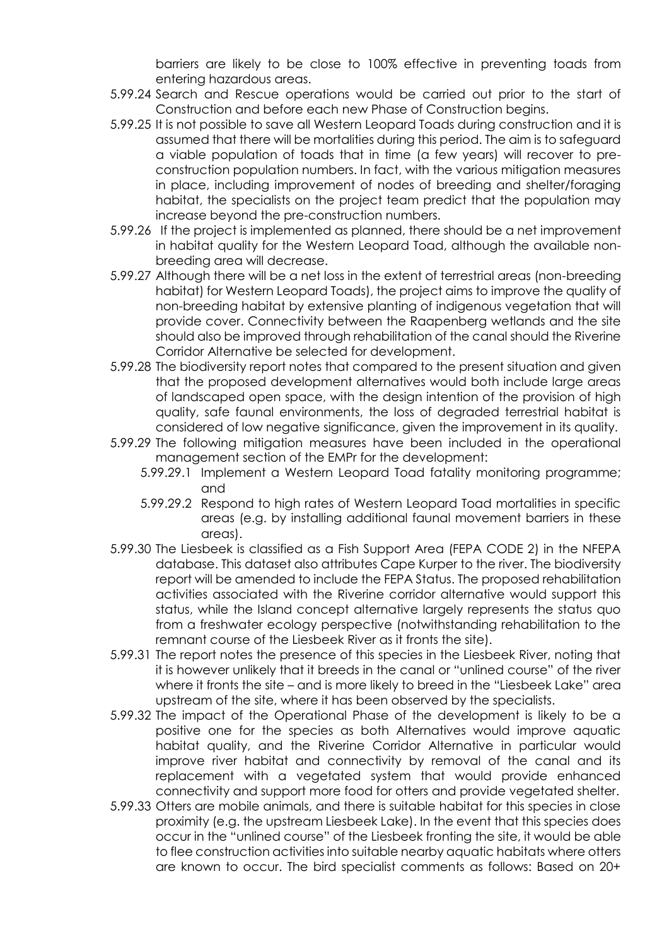barriers are likely to be close to 100% effective in preventing toads from entering hazardous areas.

- 5.99.24 Search and Rescue operations would be carried out prior to the start of Construction and before each new Phase of Construction begins.
- 5.99.25 It is not possible to save all Western Leopard Toads during construction and it is assumed that there will be mortalities during this period. The aim is to safeguard a viable population of toads that in time (a few years) will recover to preconstruction population numbers. In fact, with the various mitigation measures in place, including improvement of nodes of breeding and shelter/foraging habitat, the specialists on the project team predict that the population may increase beyond the pre-construction numbers.
- 5.99.26 If the project is implemented as planned, there should be a net improvement in habitat quality for the Western Leopard Toad, although the available nonbreeding area will decrease.
- 5.99.27 Although there will be a net loss in the extent of terrestrial areas (non-breeding habitat) for Western Leopard Toads), the project aims to improve the quality of non-breeding habitat by extensive planting of indigenous vegetation that will provide cover. Connectivity between the Raapenberg wetlands and the site should also be improved through rehabilitation of the canal should the Riverine Corridor Alternative be selected for development.
- 5.99.28 The biodiversity report notes that compared to the present situation and given that the proposed development alternatives would both include large areas of landscaped open space, with the design intention of the provision of high quality, safe faunal environments, the loss of degraded terrestrial habitat is considered of low negative significance, given the improvement in its quality.
- 5.99.29 The following mitigation measures have been included in the operational management section of the EMPr for the development:
	- 5.99.29.1 Implement a Western Leopard Toad fatality monitoring programme; and
	- 5.99.29.2 Respond to high rates of Western Leopard Toad mortalities in specific areas (e.g. by installing additional faunal movement barriers in these areas).
- 5.99.30 The Liesbeek is classified as a Fish Support Area (FEPA CODE 2) in the NFEPA database. This dataset also attributes Cape Kurper to the river. The biodiversity report will be amended to include the FEPA Status. The proposed rehabilitation activities associated with the Riverine corridor alternative would support this status, while the Island concept alternative largely represents the status quo from a freshwater ecology perspective (notwithstanding rehabilitation to the remnant course of the Liesbeek River as it fronts the site).
- 5.99.31 The report notes the presence of this species in the Liesbeek River, noting that it is however unlikely that it breeds in the canal or "unlined course" of the river where it fronts the site – and is more likely to breed in the "Liesbeek Lake" area upstream of the site, where it has been observed by the specialists.
- 5.99.32 The impact of the Operational Phase of the development is likely to be a positive one for the species as both Alternatives would improve aquatic habitat quality, and the Riverine Corridor Alternative in particular would improve river habitat and connectivity by removal of the canal and its replacement with a vegetated system that would provide enhanced connectivity and support more food for otters and provide vegetated shelter.
- 5.99.33 Otters are mobile animals, and there is suitable habitat for this species in close proximity (e.g. the upstream Liesbeek Lake). In the event that this species does occur in the "unlined course" of the Liesbeek fronting the site, it would be able to flee construction activities into suitable nearby aquatic habitats where otters are known to occur. The bird specialist comments as follows: Based on 20+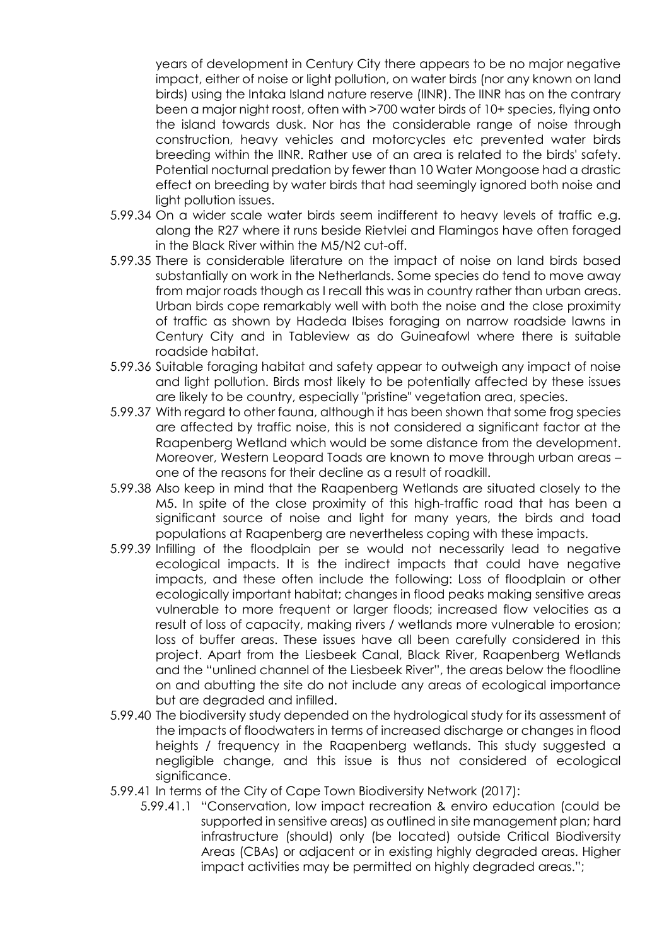years of development in Century City there appears to be no major negative impact, either of noise or light pollution, on water birds (nor any known on land birds) using the Intaka Island nature reserve (IINR). The IINR has on the contrary been a major night roost, often with >700 water birds of 10+ species, flying onto the island towards dusk. Nor has the considerable range of noise through construction, heavy vehicles and motorcycles etc prevented water birds breeding within the IINR. Rather use of an area is related to the birds' safety. Potential nocturnal predation by fewer than 10 Water Mongoose had a drastic effect on breeding by water birds that had seemingly ignored both noise and light pollution issues.

- 5.99.34 On a wider scale water birds seem indifferent to heavy levels of traffic e.g. along the R27 where it runs beside Rietvlei and Flamingos have often foraged in the Black River within the M5/N2 cut-off.
- 5.99.35 There is considerable literature on the impact of noise on land birds based substantially on work in the Netherlands. Some species do tend to move away from major roads though as I recall this was in country rather than urban areas. Urban birds cope remarkably well with both the noise and the close proximity of traffic as shown by Hadeda Ibises foraging on narrow roadside lawns in Century City and in Tableview as do Guineafowl where there is suitable roadside habitat.
- 5.99.36 Suitable foraging habitat and safety appear to outweigh any impact of noise and light pollution. Birds most likely to be potentially affected by these issues are likely to be country, especially "pristine" vegetation area, species.
- 5.99.37 With regard to other fauna, although it has been shown that some frog species are affected by traffic noise, this is not considered a significant factor at the Raapenberg Wetland which would be some distance from the development. Moreover, Western Leopard Toads are known to move through urban areas – one of the reasons for their decline as a result of roadkill.
- 5.99.38 Also keep in mind that the Raapenberg Wetlands are situated closely to the M5. In spite of the close proximity of this high-traffic road that has been a significant source of noise and light for many years, the birds and toad populations at Raapenberg are nevertheless coping with these impacts.
- 5.99.39 Infilling of the floodplain per se would not necessarily lead to negative ecological impacts. It is the indirect impacts that could have negative impacts, and these often include the following: Loss of floodplain or other ecologically important habitat; changes in flood peaks making sensitive areas vulnerable to more frequent or larger floods; increased flow velocities as a result of loss of capacity, making rivers / wetlands more vulnerable to erosion; loss of buffer areas. These issues have all been carefully considered in this project. Apart from the Liesbeek Canal, Black River, Raapenberg Wetlands and the "unlined channel of the Liesbeek River", the areas below the floodline on and abutting the site do not include any areas of ecological importance but are degraded and infilled.
- 5.99.40 The biodiversity study depended on the hydrological study for its assessment of the impacts of floodwaters in terms of increased discharge or changes in flood heights / frequency in the Raapenberg wetlands. This study suggested a negligible change, and this issue is thus not considered of ecological significance.
- 5.99.41 In terms of the City of Cape Town Biodiversity Network (2017):
	- 5.99.41.1 "Conservation, low impact recreation & enviro education (could be supported in sensitive areas) as outlined in site management plan; hard infrastructure (should) only (be located) outside Critical Biodiversity Areas (CBAs) or adjacent or in existing highly degraded areas. Higher impact activities may be permitted on highly degraded areas.";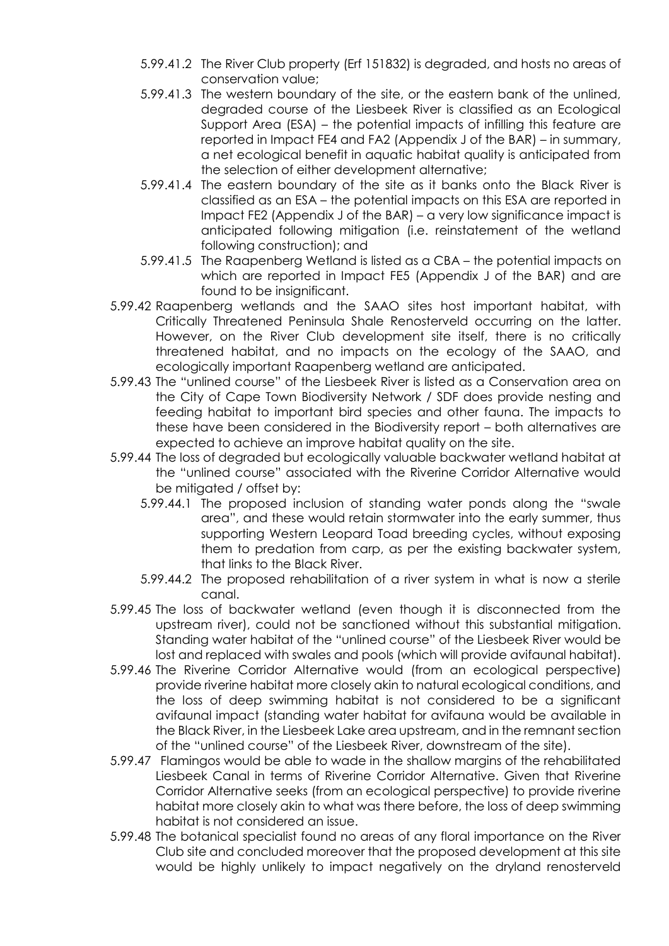- 5.99.41.2 The River Club property (Erf 151832) is degraded, and hosts no areas of conservation value;
- 5.99.41.3 The western boundary of the site, or the eastern bank of the unlined, degraded course of the Liesbeek River is classified as an Ecological Support Area (ESA) – the potential impacts of infilling this feature are reported in Impact FE4 and FA2 (Appendix J of the BAR) – in summary, a net ecological benefit in aquatic habitat quality is anticipated from the selection of either development alternative;
- 5.99.41.4 The eastern boundary of the site as it banks onto the Black River is classified as an ESA – the potential impacts on this ESA are reported in Impact FE2 (Appendix J of the BAR) – a very low significance impact is anticipated following mitigation (i.e. reinstatement of the wetland following construction); and
- 5.99.41.5 The Raapenberg Wetland is listed as a CBA the potential impacts on which are reported in Impact FE5 (Appendix J of the BAR) and are found to be insignificant.
- 5.99.42 Raapenberg wetlands and the SAAO sites host important habitat, with Critically Threatened Peninsula Shale Renosterveld occurring on the latter. However, on the River Club development site itself, there is no critically threatened habitat, and no impacts on the ecology of the SAAO, and ecologically important Raapenberg wetland are anticipated.
- 5.99.43 The "unlined course" of the Liesbeek River is listed as a Conservation area on the City of Cape Town Biodiversity Network / SDF does provide nesting and feeding habitat to important bird species and other fauna. The impacts to these have been considered in the Biodiversity report – both alternatives are expected to achieve an improve habitat quality on the site.
- 5.99.44 The loss of degraded but ecologically valuable backwater wetland habitat at the "unlined course" associated with the Riverine Corridor Alternative would be mitigated / offset by:
	- 5.99.44.1 The proposed inclusion of standing water ponds along the "swale area", and these would retain stormwater into the early summer, thus supporting Western Leopard Toad breeding cycles, without exposing them to predation from carp, as per the existing backwater system, that links to the Black River.
	- 5.99.44.2 The proposed rehabilitation of a river system in what is now a sterile canal.
- 5.99.45 The loss of backwater wetland (even though it is disconnected from the upstream river), could not be sanctioned without this substantial mitigation. Standing water habitat of the "unlined course" of the Liesbeek River would be lost and replaced with swales and pools (which will provide avifaunal habitat).
- 5.99.46 The Riverine Corridor Alternative would (from an ecological perspective) provide riverine habitat more closely akin to natural ecological conditions, and the loss of deep swimming habitat is not considered to be a significant avifaunal impact (standing water habitat for avifauna would be available in the Black River, in the Liesbeek Lake area upstream, and in the remnant section of the "unlined course" of the Liesbeek River, downstream of the site).
- 5.99.47 Flamingos would be able to wade in the shallow margins of the rehabilitated Liesbeek Canal in terms of Riverine Corridor Alternative. Given that Riverine Corridor Alternative seeks (from an ecological perspective) to provide riverine habitat more closely akin to what was there before, the loss of deep swimming habitat is not considered an issue.
- 5.99.48 The botanical specialist found no areas of any floral importance on the River Club site and concluded moreover that the proposed development at this site would be highly unlikely to impact negatively on the dryland renosterveld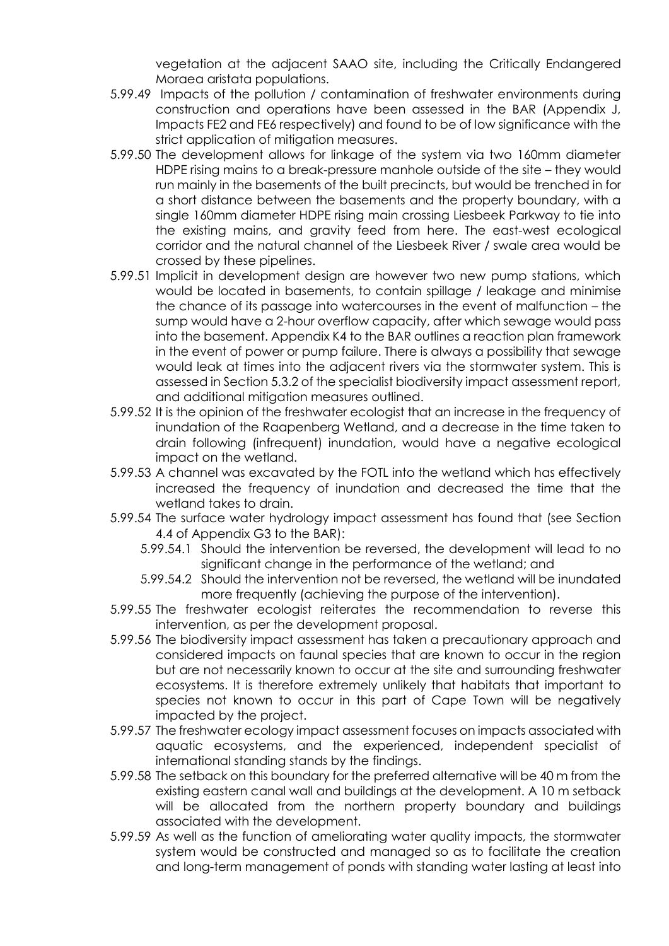vegetation at the adjacent SAAO site, including the Critically Endangered Moraea aristata populations.

- 5.99.49 Impacts of the pollution / contamination of freshwater environments during construction and operations have been assessed in the BAR (Appendix J, Impacts FE2 and FE6 respectively) and found to be of low significance with the strict application of mitigation measures.
- 5.99.50 The development allows for linkage of the system via two 160mm diameter HDPE rising mains to a break-pressure manhole outside of the site – they would run mainly in the basements of the built precincts, but would be trenched in for a short distance between the basements and the property boundary, with a single 160mm diameter HDPE rising main crossing Liesbeek Parkway to tie into the existing mains, and gravity feed from here. The east-west ecological corridor and the natural channel of the Liesbeek River / swale area would be crossed by these pipelines.
- 5.99.51 Implicit in development design are however two new pump stations, which would be located in basements, to contain spillage / leakage and minimise the chance of its passage into watercourses in the event of malfunction – the sump would have a 2-hour overflow capacity, after which sewage would pass into the basement. Appendix K4 to the BAR outlines a reaction plan framework in the event of power or pump failure. There is always a possibility that sewage would leak at times into the adjacent rivers via the stormwater system. This is assessed in Section 5.3.2 of the specialist biodiversity impact assessment report, and additional mitigation measures outlined.
- 5.99.52 It is the opinion of the freshwater ecologist that an increase in the frequency of inundation of the Raapenberg Wetland, and a decrease in the time taken to drain following (infrequent) inundation, would have a negative ecological impact on the wetland.
- 5.99.53 A channel was excavated by the FOTL into the wetland which has effectively increased the frequency of inundation and decreased the time that the wetland takes to drain.
- 5.99.54 The surface water hydrology impact assessment has found that (see Section 4.4 of Appendix G3 to the BAR):
	- 5.99.54.1 Should the intervention be reversed, the development will lead to no significant change in the performance of the wetland; and
	- 5.99.54.2 Should the intervention not be reversed, the wetland will be inundated more frequently (achieving the purpose of the intervention).
- 5.99.55 The freshwater ecologist reiterates the recommendation to reverse this intervention, as per the development proposal.
- 5.99.56 The biodiversity impact assessment has taken a precautionary approach and considered impacts on faunal species that are known to occur in the region but are not necessarily known to occur at the site and surrounding freshwater ecosystems. It is therefore extremely unlikely that habitats that important to species not known to occur in this part of Cape Town will be negatively impacted by the project.
- 5.99.57 The freshwater ecology impact assessment focuses on impacts associated with aquatic ecosystems, and the experienced, independent specialist of international standing stands by the findings.
- 5.99.58 The setback on this boundary for the preferred alternative will be 40 m from the existing eastern canal wall and buildings at the development. A 10 m setback will be allocated from the northern property boundary and buildings associated with the development.
- 5.99.59 As well as the function of ameliorating water quality impacts, the stormwater system would be constructed and managed so as to facilitate the creation and long-term management of ponds with standing water lasting at least into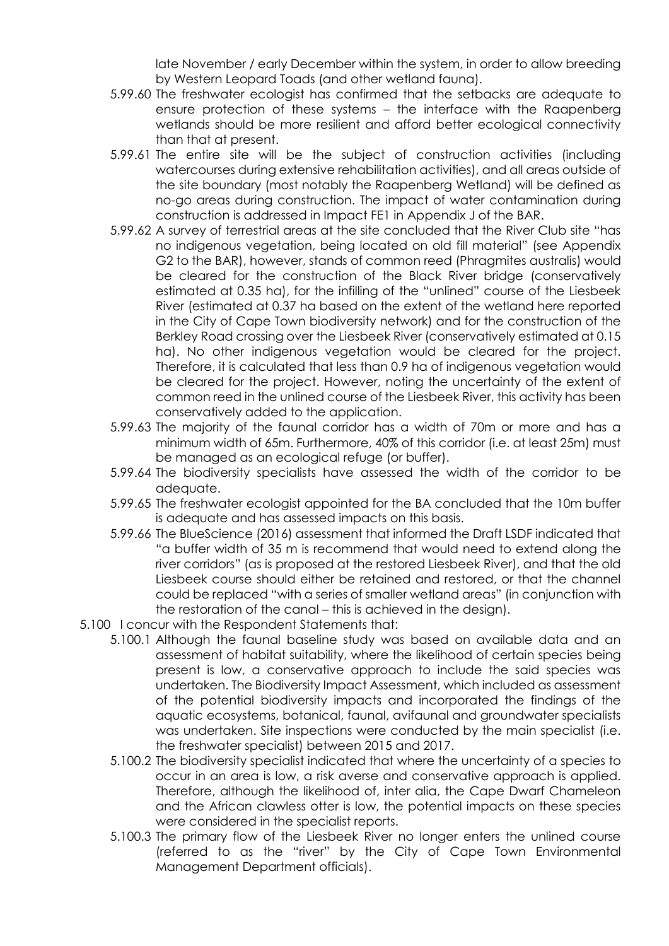late November / early December within the system, in order to allow breeding by Western Leopard Toads (and other wetland fauna).

- 5.99.60 The freshwater ecologist has confirmed that the setbacks are adequate to ensure protection of these systems – the interface with the Raapenberg wetlands should be more resilient and afford better ecological connectivity than that at present.
- 5.99.61 The entire site will be the subject of construction activities (including watercourses during extensive rehabilitation activities), and all areas outside of the site boundary (most notably the Raapenberg Wetland) will be defined as no-go areas during construction. The impact of water contamination during construction is addressed in Impact FE1 in Appendix J of the BAR.
- 5.99.62 A survey of terrestrial areas at the site concluded that the River Club site "has no indigenous vegetation, being located on old fill material" (see Appendix G2 to the BAR), however, stands of common reed (Phragmites australis) would be cleared for the construction of the Black River bridge (conservatively estimated at 0.35 ha), for the infilling of the "unlined" course of the Liesbeek River (estimated at 0.37 ha based on the extent of the wetland here reported in the City of Cape Town biodiversity network) and for the construction of the Berkley Road crossing over the Liesbeek River (conservatively estimated at 0.15 ha). No other indigenous vegetation would be cleared for the project. Therefore, it is calculated that less than 0.9 ha of indigenous vegetation would be cleared for the project. However, noting the uncertainty of the extent of common reed in the unlined course of the Liesbeek River, this activity has been conservatively added to the application.
- 5.99.63 The majority of the faunal corridor has a width of 70m or more and has a minimum width of 65m. Furthermore, 40% of this corridor (i.e. at least 25m) must be managed as an ecological refuge (or buffer).
- 5.99.64 The biodiversity specialists have assessed the width of the corridor to be adequate.
- 5.99.65 The freshwater ecologist appointed for the BA concluded that the 10m buffer is adequate and has assessed impacts on this basis.
- 5.99.66 The BlueScience (2016) assessment that informed the Draft LSDF indicated that "a buffer width of 35 m is recommend that would need to extend along the river corridors" (as is proposed at the restored Liesbeek River), and that the old Liesbeek course should either be retained and restored, or that the channel could be replaced "with a series of smaller wetland areas" (in conjunction with the restoration of the canal – this is achieved in the design).
- 5.100 I concur with the Respondent Statements that:
	- 5.100.1 Although the faunal baseline study was based on available data and an assessment of habitat suitability, where the likelihood of certain species being present is low, a conservative approach to include the said species was undertaken. The Biodiversity Impact Assessment, which included as assessment of the potential biodiversity impacts and incorporated the findings of the aquatic ecosystems, botanical, faunal, avifaunal and groundwater specialists was undertaken. Site inspections were conducted by the main specialist (i.e. the freshwater specialist) between 2015 and 2017.
	- 5.100.2 The biodiversity specialist indicated that where the uncertainty of a species to occur in an area is low, a risk averse and conservative approach is applied. Therefore, although the likelihood of, inter alia, the Cape Dwarf Chameleon and the African clawless otter is low, the potential impacts on these species were considered in the specialist reports.
	- 5.100.3 The primary flow of the Liesbeek River no longer enters the unlined course (referred to as the "river" by the City of Cape Town Environmental Management Department officials).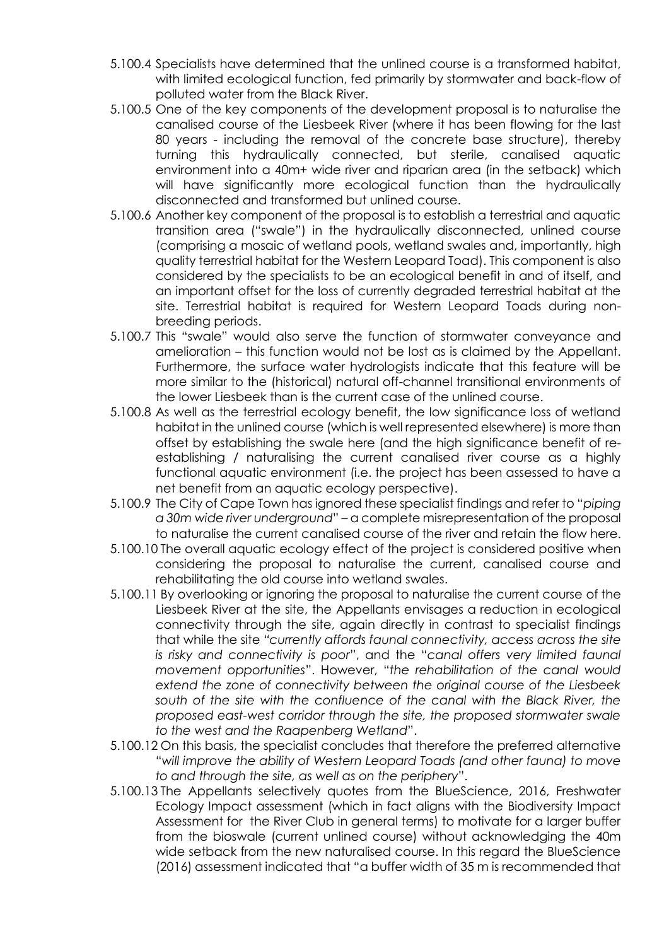- 5.100.4 Specialists have determined that the unlined course is a transformed habitat, with limited ecological function, fed primarily by stormwater and back-flow of polluted water from the Black River.
- 5.100.5 One of the key components of the development proposal is to naturalise the canalised course of the Liesbeek River (where it has been flowing for the last 80 years - including the removal of the concrete base structure), thereby turning this hydraulically connected, but sterile, canalised aquatic environment into a 40m+ wide river and riparian area (in the setback) which will have significantly more ecological function than the hydraulically disconnected and transformed but unlined course.
- 5.100.6 Another key component of the proposal is to establish a terrestrial and aquatic transition area ("swale") in the hydraulically disconnected, unlined course (comprising a mosaic of wetland pools, wetland swales and, importantly, high quality terrestrial habitat for the Western Leopard Toad). This component is also considered by the specialists to be an ecological benefit in and of itself, and an important offset for the loss of currently degraded terrestrial habitat at the site. Terrestrial habitat is required for Western Leopard Toads during nonbreeding periods.
- 5.100.7 This "swale" would also serve the function of stormwater conveyance and amelioration – this function would not be lost as is claimed by the Appellant. Furthermore, the surface water hydrologists indicate that this feature will be more similar to the (historical) natural off-channel transitional environments of the lower Liesbeek than is the current case of the unlined course.
- 5.100.8 As well as the terrestrial ecology benefit, the low significance loss of wetland habitat in the unlined course (which is well represented elsewhere) is more than offset by establishing the swale here (and the high significance benefit of reestablishing / naturalising the current canalised river course as a highly functional aquatic environment (i.e. the project has been assessed to have a net benefit from an aquatic ecology perspective).
- 5.100.9 The City of Cape Town has ignored these specialist findings and refer to "*piping a 30m wide river underground*" – a complete misrepresentation of the proposal to naturalise the current canalised course of the river and retain the flow here.
- 5.100.10 The overall aquatic ecology effect of the project is considered positive when considering the proposal to naturalise the current, canalised course and rehabilitating the old course into wetland swales.
- 5.100.11 By overlooking or ignoring the proposal to naturalise the current course of the Liesbeek River at the site, the Appellants envisages a reduction in ecological connectivity through the site, again directly in contrast to specialist findings that while the site *"currently affords faunal connectivity, access across the site is risky and connectivity is poor*", and the "*canal offers very limited faunal movement opportunities*". However, "*the rehabilitation of the canal would extend the zone of connectivity between the original course of the Liesbeek south of the site with the confluence of the canal with the Black River, the proposed east-west corridor through the site, the proposed stormwater swale to the west and the Raapenberg Wetland*".
- 5.100.12 On this basis, the specialist concludes that therefore the preferred alternative "*will improve the ability of Western Leopard Toads (and other fauna) to move to and through the site, as well as on the periphery*".
- 5.100.13 The Appellants selectively quotes from the BlueScience, 2016, Freshwater Ecology Impact assessment (which in fact aligns with the Biodiversity Impact Assessment for the River Club in general terms) to motivate for a larger buffer from the bioswale (current unlined course) without acknowledging the 40m wide setback from the new naturalised course. In this regard the BlueScience (2016) assessment indicated that "a buffer width of 35 m is recommended that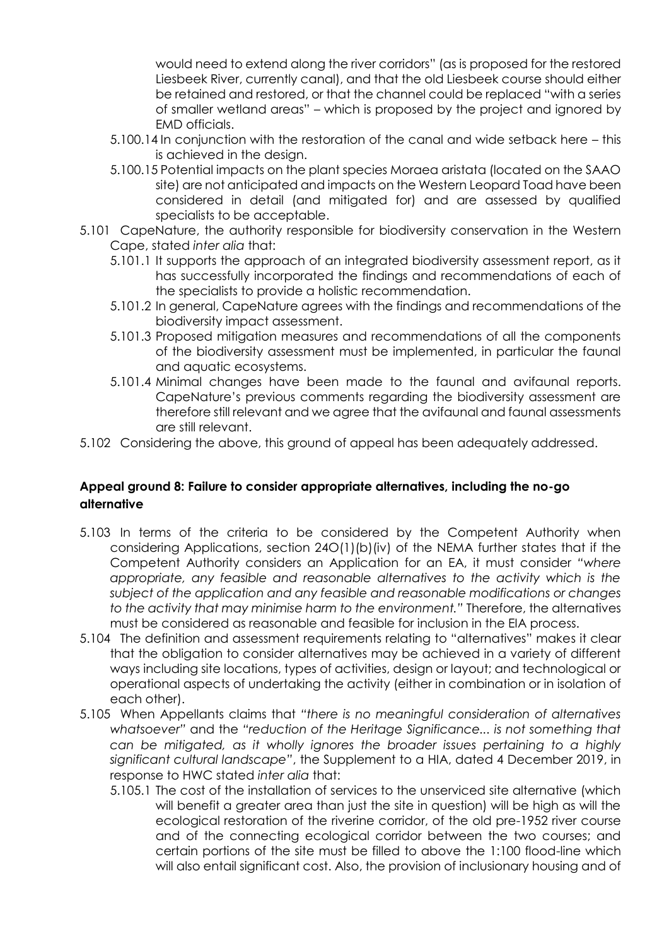would need to extend along the river corridors" (as is proposed for the restored Liesbeek River, currently canal), and that the old Liesbeek course should either be retained and restored, or that the channel could be replaced "with a series of smaller wetland areas" – which is proposed by the project and ignored by EMD officials.

- 5.100.14 In conjunction with the restoration of the canal and wide setback here this is achieved in the design.
- 5.100.15 Potential impacts on the plant species Moraea aristata (located on the SAAO site) are not anticipated and impacts on the Western Leopard Toad have been considered in detail (and mitigated for) and are assessed by qualified specialists to be acceptable.
- 5.101 CapeNature, the authority responsible for biodiversity conservation in the Western Cape, stated *inter alia* that:
	- 5.101.1 It supports the approach of an integrated biodiversity assessment report, as it has successfully incorporated the findings and recommendations of each of the specialists to provide a holistic recommendation.
	- 5.101.2 In general, CapeNature agrees with the findings and recommendations of the biodiversity impact assessment.
	- 5.101.3 Proposed mitigation measures and recommendations of all the components of the biodiversity assessment must be implemented, in particular the faunal and aquatic ecosystems.
	- 5.101.4 Minimal changes have been made to the faunal and avifaunal reports. CapeNature's previous comments regarding the biodiversity assessment are therefore still relevant and we agree that the avifaunal and faunal assessments are still relevant.
- 5.102 Considering the above, this ground of appeal has been adequately addressed.

# **Appeal ground 8: Failure to consider appropriate alternatives, including the no-go alternative**

- 5.103 In terms of the criteria to be considered by the Competent Authority when considering Applications, section 24O(1)(b)(iv) of the NEMA further states that if the Competent Authority considers an Application for an EA, it must consider *"where appropriate, any feasible and reasonable alternatives to the activity which is the subject of the application and any feasible and reasonable modifications or changes to the activity that may minimise harm to the environment."* Therefore, the alternatives must be considered as reasonable and feasible for inclusion in the EIA process.
- 5.104 The definition and assessment requirements relating to "alternatives" makes it clear that the obligation to consider alternatives may be achieved in a variety of different ways including site locations, types of activities, design or layout; and technological or operational aspects of undertaking the activity (either in combination or in isolation of each other).
- 5.105 When Appellants claims that *"there is no meaningful consideration of alternatives whatsoever"* and the *"reduction of the Heritage Significance... is not something that can be mitigated, as it wholly ignores the broader issues pertaining to a highly significant cultural landscape"*, the Supplement to a HIA, dated 4 December 2019, in response to HWC stated *inter alia* that:
	- 5.105.1 The cost of the installation of services to the unserviced site alternative (which will benefit a greater area than just the site in question) will be high as will the ecological restoration of the riverine corridor, of the old pre-1952 river course and of the connecting ecological corridor between the two courses; and certain portions of the site must be filled to above the 1:100 flood-line which will also entail significant cost. Also, the provision of inclusionary housing and of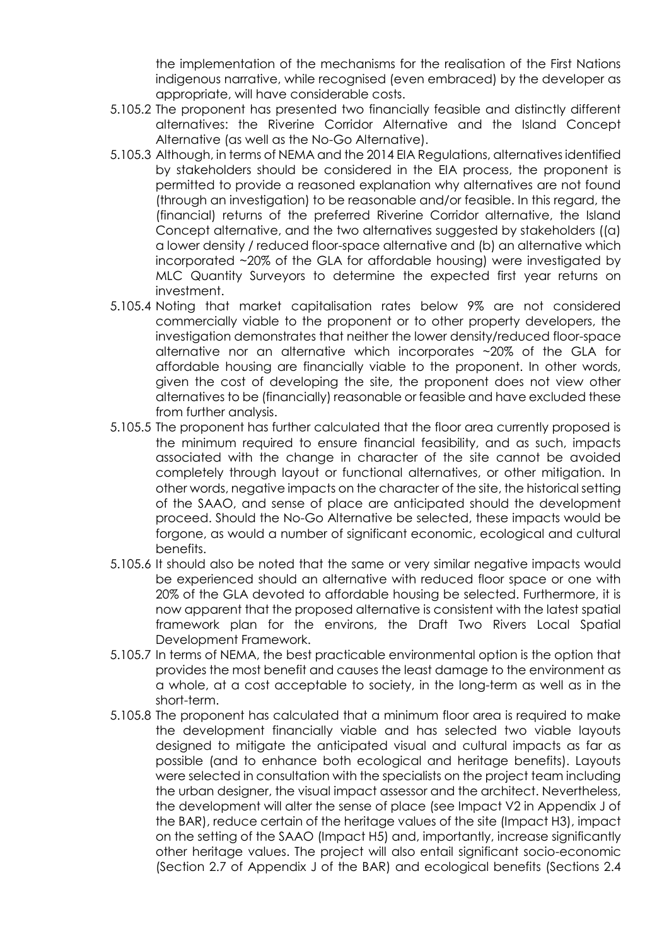the implementation of the mechanisms for the realisation of the First Nations indigenous narrative, while recognised (even embraced) by the developer as appropriate, will have considerable costs.

- 5.105.2 The proponent has presented two financially feasible and distinctly different alternatives: the Riverine Corridor Alternative and the Island Concept Alternative (as well as the No-Go Alternative).
- 5.105.3 Although, in terms of NEMA and the 2014 EIA Regulations, alternatives identified by stakeholders should be considered in the EIA process, the proponent is permitted to provide a reasoned explanation why alternatives are not found (through an investigation) to be reasonable and/or feasible. In this regard, the (financial) returns of the preferred Riverine Corridor alternative, the Island Concept alternative, and the two alternatives suggested by stakeholders ((a) a lower density / reduced floor-space alternative and (b) an alternative which incorporated ~20% of the GLA for affordable housing) were investigated by MLC Quantity Surveyors to determine the expected first year returns on investment.
- 5.105.4 Noting that market capitalisation rates below 9% are not considered commercially viable to the proponent or to other property developers, the investigation demonstrates that neither the lower density/reduced floor-space alternative nor an alternative which incorporates ~20% of the GLA for affordable housing are financially viable to the proponent. In other words, given the cost of developing the site, the proponent does not view other alternatives to be (financially) reasonable or feasible and have excluded these from further analysis.
- 5.105.5 The proponent has further calculated that the floor area currently proposed is the minimum required to ensure financial feasibility, and as such, impacts associated with the change in character of the site cannot be avoided completely through layout or functional alternatives, or other mitigation. In other words, negative impacts on the character of the site, the historical setting of the SAAO, and sense of place are anticipated should the development proceed. Should the No-Go Alternative be selected, these impacts would be forgone, as would a number of significant economic, ecological and cultural benefits.
- 5.105.6 It should also be noted that the same or very similar negative impacts would be experienced should an alternative with reduced floor space or one with 20% of the GLA devoted to affordable housing be selected. Furthermore, it is now apparent that the proposed alternative is consistent with the latest spatial framework plan for the environs, the Draft Two Rivers Local Spatial Development Framework.
- 5.105.7 In terms of NEMA, the best practicable environmental option is the option that provides the most benefit and causes the least damage to the environment as a whole, at a cost acceptable to society, in the long-term as well as in the short-term.
- 5.105.8 The proponent has calculated that a minimum floor area is required to make the development financially viable and has selected two viable layouts designed to mitigate the anticipated visual and cultural impacts as far as possible (and to enhance both ecological and heritage benefits). Layouts were selected in consultation with the specialists on the project team including the urban designer, the visual impact assessor and the architect. Nevertheless, the development will alter the sense of place (see Impact V2 in Appendix J of the BAR), reduce certain of the heritage values of the site (Impact H3), impact on the setting of the SAAO (Impact H5) and, importantly, increase significantly other heritage values. The project will also entail significant socio-economic (Section 2.7 of Appendix J of the BAR) and ecological benefits (Sections 2.4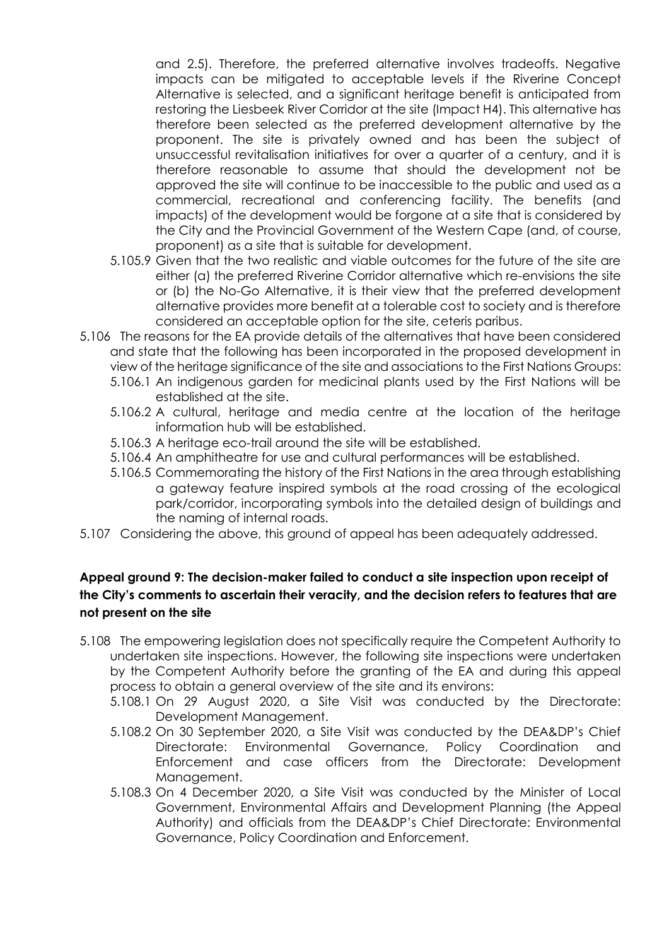and 2.5). Therefore, the preferred alternative involves tradeoffs. Negative impacts can be mitigated to acceptable levels if the Riverine Concept Alternative is selected, and a significant heritage benefit is anticipated from restoring the Liesbeek River Corridor at the site (Impact H4). This alternative has therefore been selected as the preferred development alternative by the proponent. The site is privately owned and has been the subject of unsuccessful revitalisation initiatives for over a quarter of a century, and it is therefore reasonable to assume that should the development not be approved the site will continue to be inaccessible to the public and used as a commercial, recreational and conferencing facility. The benefits (and impacts) of the development would be forgone at a site that is considered by the City and the Provincial Government of the Western Cape (and, of course, proponent) as a site that is suitable for development.

- 5.105.9 Given that the two realistic and viable outcomes for the future of the site are either (a) the preferred Riverine Corridor alternative which re-envisions the site or (b) the No-Go Alternative, it is their view that the preferred development alternative provides more benefit at a tolerable cost to society and is therefore considered an acceptable option for the site, ceteris paribus.
- 5.106 The reasons for the EA provide details of the alternatives that have been considered and state that the following has been incorporated in the proposed development in view of the heritage significance of the site and associations to the First Nations Groups:
	- 5.106.1 An indigenous garden for medicinal plants used by the First Nations will be established at the site.
	- 5.106.2 A cultural, heritage and media centre at the location of the heritage information hub will be established.
	- 5.106.3 A heritage eco-trail around the site will be established.
	- 5.106.4 An amphitheatre for use and cultural performances will be established.
	- 5.106.5 Commemorating the history of the First Nations in the area through establishing a gateway feature inspired symbols at the road crossing of the ecological park/corridor, incorporating symbols into the detailed design of buildings and the naming of internal roads.
- 5.107 Considering the above, this ground of appeal has been adequately addressed.

# **Appeal ground 9: The decision-maker failed to conduct a site inspection upon receipt of the City's comments to ascertain their veracity, and the decision refers to features that are not present on the site**

- 5.108 The empowering legislation does not specifically require the Competent Authority to undertaken site inspections. However, the following site inspections were undertaken by the Competent Authority before the granting of the EA and during this appeal process to obtain a general overview of the site and its environs:
	- 5.108.1 On 29 August 2020, a Site Visit was conducted by the Directorate: Development Management.
	- 5.108.2 On 30 September 2020, a Site Visit was conducted by the DEA&DP's Chief Directorate: Environmental Governance, Policy Coordination and Enforcement and case officers from the Directorate: Development Management.
	- 5.108.3 On 4 December 2020, a Site Visit was conducted by the Minister of Local Government, Environmental Affairs and Development Planning (the Appeal Authority) and officials from the DEA&DP's Chief Directorate: Environmental Governance, Policy Coordination and Enforcement.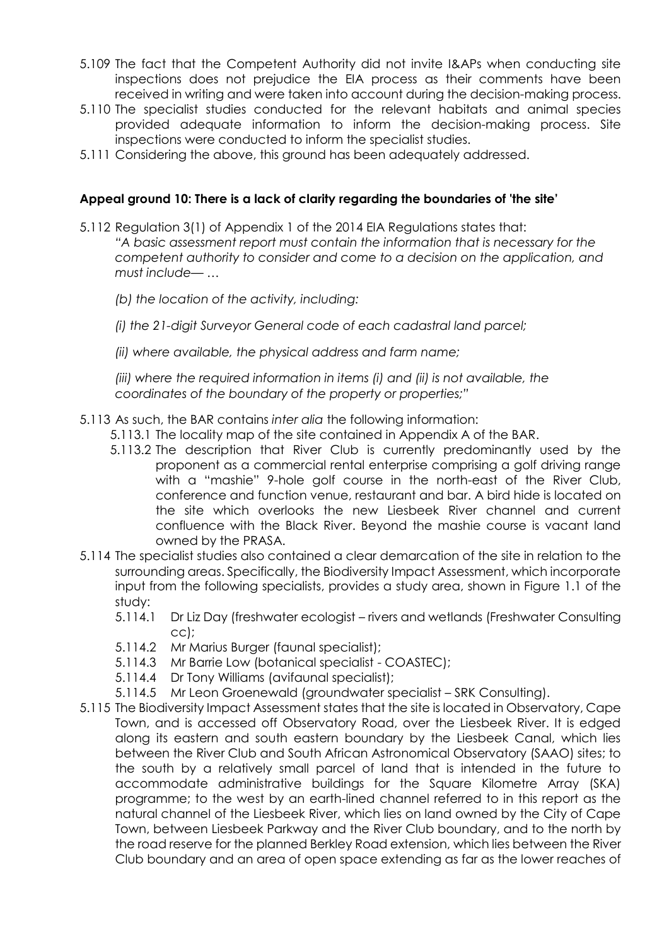- 5.109 The fact that the Competent Authority did not invite I&APs when conducting site inspections does not prejudice the EIA process as their comments have been received in writing and were taken into account during the decision-making process.
- 5.110 The specialist studies conducted for the relevant habitats and animal species provided adequate information to inform the decision-making process. Site inspections were conducted to inform the specialist studies.
- 5.111 Considering the above, this ground has been adequately addressed.

#### **Appeal ground 10: There is a lack of clarity regarding the boundaries of 'the site'**

- 5.112 Regulation 3(1) of Appendix 1 of the 2014 EIA Regulations states that: *"A basic assessment report must contain the information that is necessary for the competent authority to consider and come to a decision on the application, and must include— …*
	- *(b) the location of the activity, including:*
	- *(i) the 21-digit Surveyor General code of each cadastral land parcel;*
	- *(ii) where available, the physical address and farm name;*

*(iii) where the required information in items (i) and (ii) is not available, the coordinates of the boundary of the property or properties;"*

- 5.113 As such, the BAR contains *inter alia* the following information:
	- 5.113.1 The locality map of the site contained in Appendix A of the BAR.
	- 5.113.2 The description that River Club is currently predominantly used by the proponent as a commercial rental enterprise comprising a golf driving range with a "mashie" 9-hole golf course in the north-east of the River Club, conference and function venue, restaurant and bar. A bird hide is located on the site which overlooks the new Liesbeek River channel and current confluence with the Black River. Beyond the mashie course is vacant land owned by the PRASA.
- 5.114 The specialist studies also contained a clear demarcation of the site in relation to the surrounding areas. Specifically, the Biodiversity Impact Assessment, which incorporate input from the following specialists, provides a study area, shown in Figure 1.1 of the study:
	- 5.114.1 Dr Liz Day (freshwater ecologist rivers and wetlands (Freshwater Consulting cc);
	- 5.114.2 Mr Marius Burger (faunal specialist);
	- 5.114.3 Mr Barrie Low (botanical specialist COASTEC);
	- 5.114.4 Dr Tony Williams (avifaunal specialist);
	- 5.114.5 Mr Leon Groenewald (groundwater specialist SRK Consulting).
- 5.115 The Biodiversity Impact Assessment states that the site is located in Observatory, Cape Town, and is accessed off Observatory Road, over the Liesbeek River. It is edged along its eastern and south eastern boundary by the Liesbeek Canal, which lies between the River Club and South African Astronomical Observatory (SAAO) sites; to the south by a relatively small parcel of land that is intended in the future to accommodate administrative buildings for the Square Kilometre Array (SKA) programme; to the west by an earth-lined channel referred to in this report as the natural channel of the Liesbeek River, which lies on land owned by the City of Cape Town, between Liesbeek Parkway and the River Club boundary, and to the north by the road reserve for the planned Berkley Road extension, which lies between the River Club boundary and an area of open space extending as far as the lower reaches of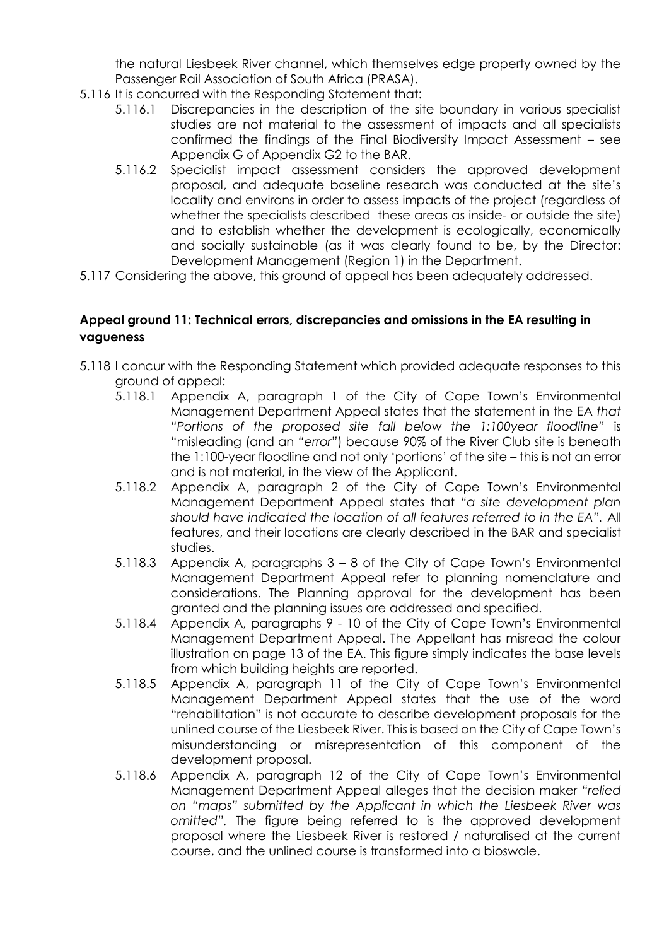the natural Liesbeek River channel, which themselves edge property owned by the Passenger Rail Association of South Africa (PRASA).

- 5.116 It is concurred with the Responding Statement that:
	- 5.116.1 Discrepancies in the description of the site boundary in various specialist studies are not material to the assessment of impacts and all specialists confirmed the findings of the Final Biodiversity Impact Assessment – see Appendix G of Appendix G2 to the BAR.
	- 5.116.2 Specialist impact assessment considers the approved development proposal, and adequate baseline research was conducted at the site's locality and environs in order to assess impacts of the project (regardless of whether the specialists described these areas as inside- or outside the site) and to establish whether the development is ecologically, economically and socially sustainable (as it was clearly found to be, by the Director: Development Management (Region 1) in the Department.
- 5.117 Considering the above, this ground of appeal has been adequately addressed.

# **Appeal ground 11: Technical errors, discrepancies and omissions in the EA resulting in vagueness**

- 5.118 I concur with the Responding Statement which provided adequate responses to this ground of appeal:
	- 5.118.1 Appendix A, paragraph 1 of the City of Cape Town's Environmental Management Department Appeal states that the statement in the EA *that "Portions of the proposed site fall below the 1:100year floodline"* is "misleading (and an *"error"*) because 90% of the River Club site is beneath the 1:100-year floodline and not only 'portions' of the site – this is not an error and is not material, in the view of the Applicant.
	- 5.118.2 Appendix A, paragraph 2 of the City of Cape Town's Environmental Management Department Appeal states that *"a site development plan*  should have indicated the location of all features referred to in the EA". All features, and their locations are clearly described in the BAR and specialist studies.
	- 5.118.3 Appendix A, paragraphs 3 8 of the City of Cape Town's Environmental Management Department Appeal refer to planning nomenclature and considerations. The Planning approval for the development has been granted and the planning issues are addressed and specified.
	- 5.118.4 Appendix A, paragraphs 9 10 of the City of Cape Town's Environmental Management Department Appeal. The Appellant has misread the colour illustration on page 13 of the EA. This figure simply indicates the base levels from which building heights are reported.
	- 5.118.5 Appendix A, paragraph 11 of the City of Cape Town's Environmental Management Department Appeal states that the use of the word "rehabilitation" is not accurate to describe development proposals for the unlined course of the Liesbeek River. This is based on the City of Cape Town's misunderstanding or misrepresentation of this component of the development proposal.
	- 5.118.6 Appendix A, paragraph 12 of the City of Cape Town's Environmental Management Department Appeal alleges that the decision maker *"relied on "maps" submitted by the Applicant in which the Liesbeek River was omitted".* The figure being referred to is the approved development proposal where the Liesbeek River is restored / naturalised at the current course, and the unlined course is transformed into a bioswale.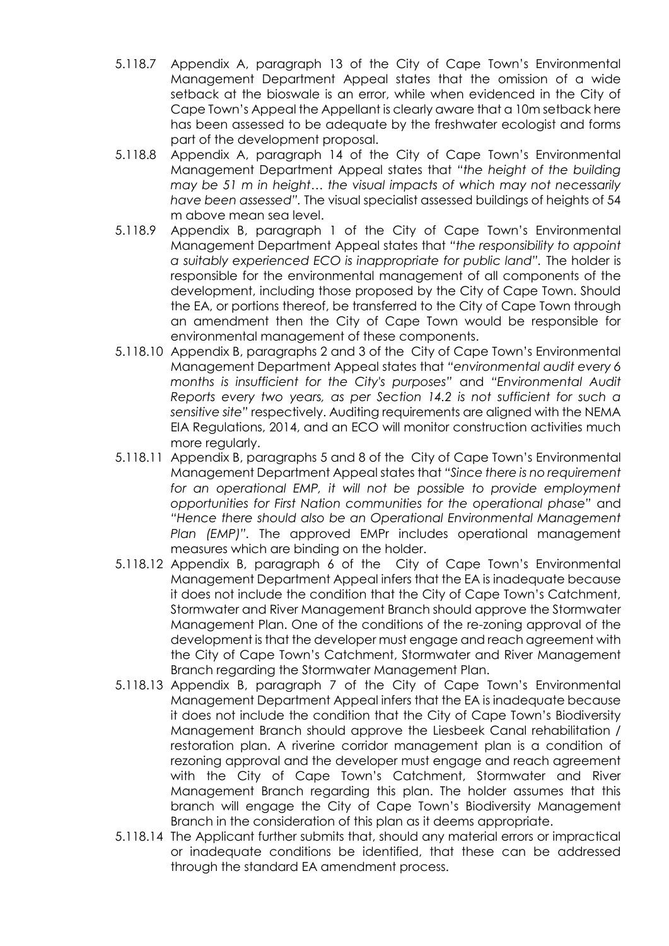- 5.118.7 Appendix A, paragraph 13 of the City of Cape Town's Environmental Management Department Appeal states that the omission of a wide setback at the bioswale is an error, while when evidenced in the City of Cape Town's Appeal the Appellant is clearly aware that a 10m setback here has been assessed to be adequate by the freshwater ecologist and forms part of the development proposal.
- 5.118.8 Appendix A, paragraph 14 of the City of Cape Town's Environmental Management Department Appeal states that *"the height of the building may be 51 m in height… the visual impacts of which may not necessarily have been assessed".* The visual specialist assessed buildings of heights of 54 m above mean sea level.
- 5.118.9 Appendix B, paragraph 1 of the City of Cape Town's Environmental Management Department Appeal states that *"the responsibility to appoint a suitably experienced ECO is inappropriate for public land".* The holder is responsible for the environmental management of all components of the development, including those proposed by the City of Cape Town. Should the EA, or portions thereof, be transferred to the City of Cape Town through an amendment then the City of Cape Town would be responsible for environmental management of these components.
- 5.118.10 Appendix B, paragraphs 2 and 3 of the City of Cape Town's Environmental Management Department Appeal states that *"environmental audit every 6 months is insufficient for the City's purposes"* and *"Environmental Audit Reports every two years, as per Section 14.2 is not sufficient for such a sensitive site"* respectively. Auditing requirements are aligned with the NEMA EIA Regulations, 2014, and an ECO will monitor construction activities much more regularly.
- 5.118.11 Appendix B, paragraphs 5 and 8 of the City of Cape Town's Environmental Management Department Appeal states that *"Since there is no requirement*  for an operational EMP, it will not be possible to provide employment *opportunities for First Nation communities for the operational phase"* and *"Hence there should also be an Operational Environmental Management Plan (EMP)".* The approved EMPr includes operational management measures which are binding on the holder.
- 5.118.12 Appendix B, paragraph 6 of the City of Cape Town's Environmental Management Department Appeal infers that the EA is inadequate because it does not include the condition that the City of Cape Town's Catchment, Stormwater and River Management Branch should approve the Stormwater Management Plan. One of the conditions of the re-zoning approval of the development is that the developer must engage and reach agreement with the City of Cape Town's Catchment, Stormwater and River Management Branch regarding the Stormwater Management Plan.
- 5.118.13 Appendix B, paragraph 7 of the City of Cape Town's Environmental Management Department Appeal infers that the EA is inadequate because it does not include the condition that the City of Cape Town's Biodiversity Management Branch should approve the Liesbeek Canal rehabilitation / restoration plan. A riverine corridor management plan is a condition of rezoning approval and the developer must engage and reach agreement with the City of Cape Town's Catchment, Stormwater and River Management Branch regarding this plan. The holder assumes that this branch will engage the City of Cape Town's Biodiversity Management Branch in the consideration of this plan as it deems appropriate.
- 5.118.14 The Applicant further submits that, should any material errors or impractical or inadequate conditions be identified, that these can be addressed through the standard EA amendment process.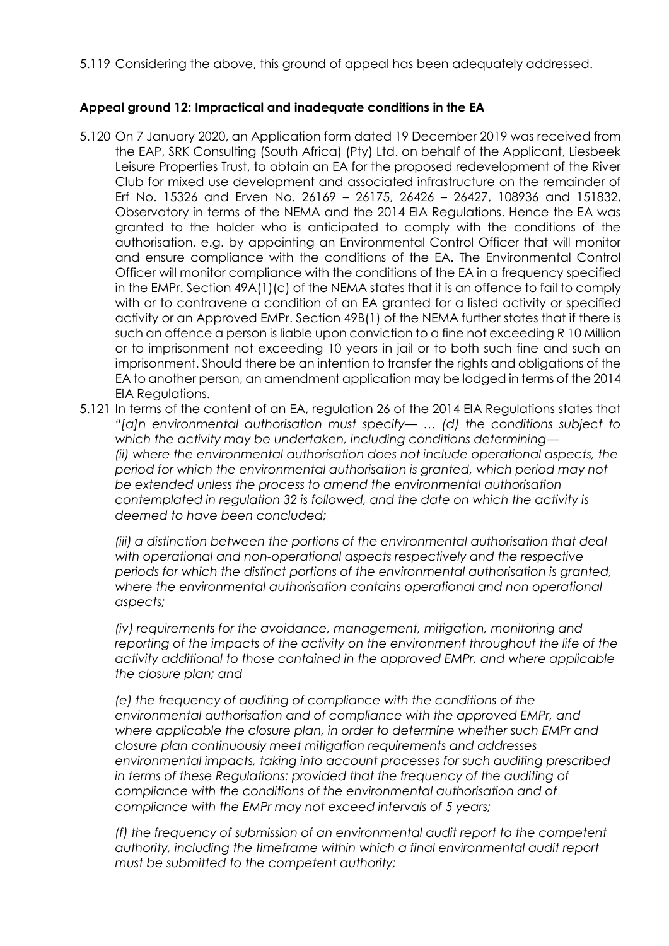5.119 Considering the above, this ground of appeal has been adequately addressed.

#### **Appeal ground 12: Impractical and inadequate conditions in the EA**

- 5.120 On 7 January 2020, an Application form dated 19 December 2019 was received from the EAP, SRK Consulting (South Africa) (Pty) Ltd. on behalf of the Applicant, Liesbeek Leisure Properties Trust, to obtain an EA for the proposed redevelopment of the River Club for mixed use development and associated infrastructure on the remainder of Erf No. 15326 and Erven No. 26169 – 26175, 26426 – 26427, 108936 and 151832, Observatory in terms of the NEMA and the 2014 EIA Regulations. Hence the EA was granted to the holder who is anticipated to comply with the conditions of the authorisation, e.g. by appointing an Environmental Control Officer that will monitor and ensure compliance with the conditions of the EA. The Environmental Control Officer will monitor compliance with the conditions of the EA in a frequency specified in the EMPr. Section 49A(1)(c) of the NEMA states that it is an offence to fail to comply with or to contravene a condition of an EA granted for a listed activity or specified activity or an Approved EMPr. Section 49B(1) of the NEMA further states that if there is such an offence a person is liable upon conviction to a fine not exceeding R 10 Million or to imprisonment not exceeding 10 years in jail or to both such fine and such an imprisonment. Should there be an intention to transfer the rights and obligations of the EA to another person, an amendment application may be lodged in terms of the 2014 EIA Regulations.
- 5.121 In terms of the content of an EA, regulation 26 of the 2014 EIA Regulations states that *"[a]n environmental authorisation must specify— … (d) the conditions subject to which the activity may be undertaken, including conditions determining— (ii) where the environmental authorisation does not include operational aspects, the period for which the environmental authorisation is granted, which period may not be extended unless the process to amend the environmental authorisation contemplated in regulation 32 is followed, and the date on which the activity is deemed to have been concluded;*

*(iii) a distinction between the portions of the environmental authorisation that deal with operational and non-operational aspects respectively and the respective periods for which the distinct portions of the environmental authorisation is granted,*  where the environmental authorisation contains operational and non operational *aspects;*

*(iv) requirements for the avoidance, management, mitigation, monitoring and reporting of the impacts of the activity on the environment throughout the life of the activity additional to those contained in the approved EMPr, and where applicable the closure plan; and*

*(e) the frequency of auditing of compliance with the conditions of the environmental authorisation and of compliance with the approved EMPr, and where applicable the closure plan, in order to determine whether such EMPr and closure plan continuously meet mitigation requirements and addresses environmental impacts, taking into account processes for such auditing prescribed in terms of these Regulations: provided that the frequency of the auditing of compliance with the conditions of the environmental authorisation and of compliance with the EMPr may not exceed intervals of 5 years;*

*(f) the frequency of submission of an environmental audit report to the competent authority, including the timeframe within which a final environmental audit report must be submitted to the competent authority;*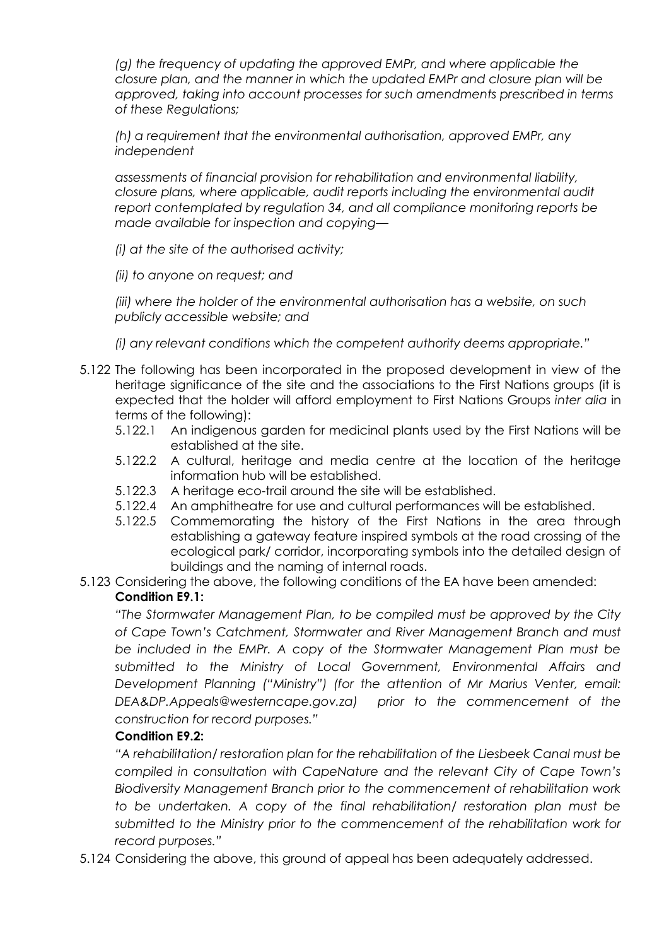*(g)* the frequency of updating the approved EMPr, and where applicable the *closure plan, and the manner in which the updated EMPr and closure plan will be approved, taking into account processes for such amendments prescribed in terms of these Regulations;*

*(h) a requirement that the environmental authorisation, approved EMPr, any independent*

*assessments of financial provision for rehabilitation and environmental liability, closure plans, where applicable, audit reports including the environmental audit report contemplated by regulation 34, and all compliance monitoring reports be made available for inspection and copying—*

*(i) at the site of the authorised activity;*

*(ii) to anyone on request; and*

*(iii) where the holder of the environmental authorisation has a website, on such publicly accessible website; and*

*(i) any relevant conditions which the competent authority deems appropriate."*

- 5.122 The following has been incorporated in the proposed development in view of the heritage significance of the site and the associations to the First Nations groups (it is expected that the holder will afford employment to First Nations Groups *inter alia* in terms of the following):
	- 5.122.1 An indigenous garden for medicinal plants used by the First Nations will be established at the site.
	- 5.122.2 A cultural, heritage and media centre at the location of the heritage information hub will be established.
	- 5.122.3 A heritage eco-trail around the site will be established.
	- 5.122.4 An amphitheatre for use and cultural performances will be established.
	- 5.122.5 Commemorating the history of the First Nations in the area through establishing a gateway feature inspired symbols at the road crossing of the ecological park/ corridor, incorporating symbols into the detailed design of buildings and the naming of internal roads.
- 5.123 Considering the above, the following conditions of the EA have been amended: **Condition E9.1:**

*"The Stormwater Management Plan, to be compiled must be approved by the City of Cape Town's Catchment, Stormwater and River Management Branch and must be included in the EMPr. A copy of the Stormwater Management Plan must be submitted to the Ministry of Local Government, Environmental Affairs and Development Planning ("Ministry") (for the attention of Mr Marius Venter, email: DEA&DP.Appeals@westerncape.gov.za) prior to the commencement of the construction for record purposes."*

### **Condition E9.2:**

*"A rehabilitation/ restoration plan for the rehabilitation of the Liesbeek Canal must be compiled in consultation with CapeNature and the relevant City of Cape Town's Biodiversity Management Branch prior to the commencement of rehabilitation work to be undertaken. A copy of the final rehabilitation/ restoration plan must be submitted to the Ministry prior to the commencement of the rehabilitation work for record purposes."*

5.124 Considering the above, this ground of appeal has been adequately addressed.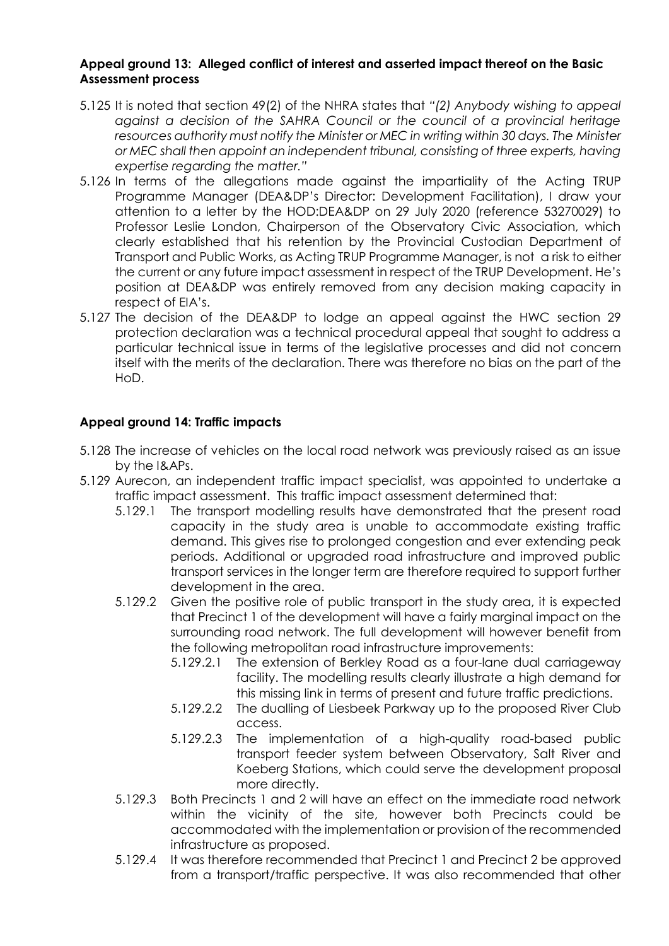#### **Appeal ground 13: Alleged conflict of interest and asserted impact thereof on the Basic Assessment process**

- 5.125 It is noted that section 49(2) of the NHRA states that *"(2) Anybody wishing to appeal against a decision of the SAHRA Council or the council of a provincial heritage resources authority must notify the Minister or MEC in writing within 30 days. The Minister or MEC shall then appoint an independent tribunal, consisting of three experts, having expertise regarding the matter."*
- 5.126 In terms of the allegations made against the impartiality of the Acting TRUP Programme Manager (DEA&DP's Director: Development Facilitation), I draw your attention to a letter by the HOD:DEA&DP on 29 July 2020 (reference 53270029) to Professor Leslie London, Chairperson of the Observatory Civic Association, which clearly established that his retention by the Provincial Custodian Department of Transport and Public Works, as Acting TRUP Programme Manager, is not a risk to either the current or any future impact assessment in respect of the TRUP Development. He's position at DEA&DP was entirely removed from any decision making capacity in respect of EIA's.
- 5.127 The decision of the DEA&DP to lodge an appeal against the HWC section 29 protection declaration was a technical procedural appeal that sought to address a particular technical issue in terms of the legislative processes and did not concern itself with the merits of the declaration. There was therefore no bias on the part of the HoD.

# **Appeal ground 14: Traffic impacts**

- 5.128 The increase of vehicles on the local road network was previously raised as an issue by the I&APs.
- 5.129 Aurecon, an independent traffic impact specialist, was appointed to undertake a traffic impact assessment. This traffic impact assessment determined that:
	- 5.129.1 The transport modelling results have demonstrated that the present road capacity in the study area is unable to accommodate existing traffic demand. This gives rise to prolonged congestion and ever extending peak periods. Additional or upgraded road infrastructure and improved public transport services in the longer term are therefore required to support further development in the area.
	- 5.129.2 Given the positive role of public transport in the study area, it is expected that Precinct 1 of the development will have a fairly marginal impact on the surrounding road network. The full development will however benefit from the following metropolitan road infrastructure improvements:
		- 5.129.2.1 The extension of Berkley Road as a four-lane dual carriageway facility. The modelling results clearly illustrate a high demand for this missing link in terms of present and future traffic predictions.
		- 5.129.2.2 The dualling of Liesbeek Parkway up to the proposed River Club access.
		- 5.129.2.3 The implementation of a high-quality road-based public transport feeder system between Observatory, Salt River and Koeberg Stations, which could serve the development proposal more directly.
	- 5.129.3 Both Precincts 1 and 2 will have an effect on the immediate road network within the vicinity of the site, however both Precincts could be accommodated with the implementation or provision of the recommended infrastructure as proposed.
	- 5.129.4 It was therefore recommended that Precinct 1 and Precinct 2 be approved from a transport/traffic perspective. It was also recommended that other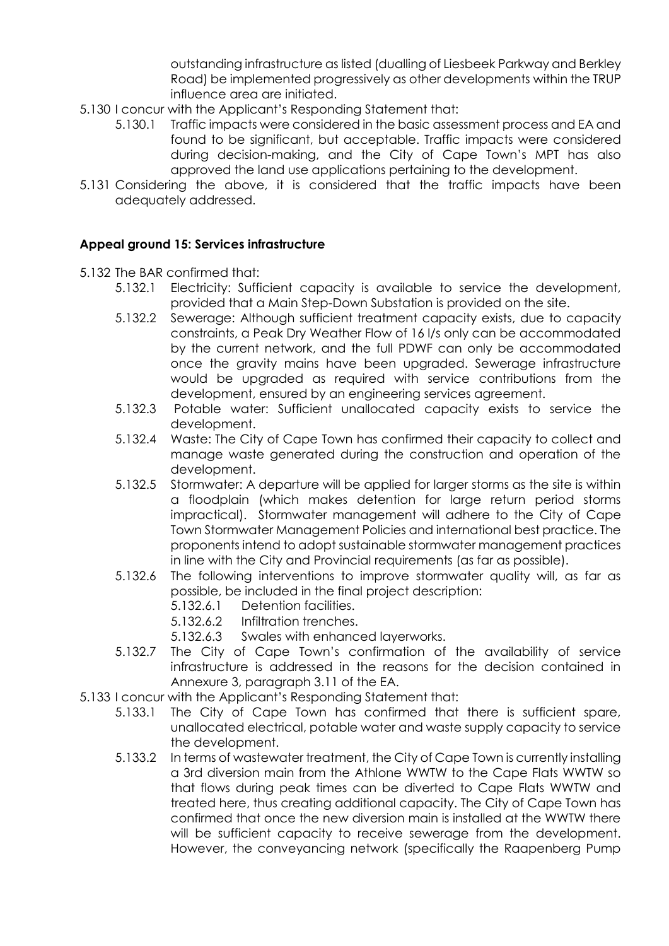outstanding infrastructure as listed (dualling of Liesbeek Parkway and Berkley Road) be implemented progressively as other developments within the TRUP influence area are initiated.

- 5.130 I concur with the Applicant's Responding Statement that:
	- 5.130.1 Traffic impacts were considered in the basic assessment process and EA and found to be significant, but acceptable. Traffic impacts were considered during decision-making, and the City of Cape Town's MPT has also approved the land use applications pertaining to the development.
- 5.131 Considering the above, it is considered that the traffic impacts have been adequately addressed.

### **Appeal ground 15: Services infrastructure**

- 5.132 The BAR confirmed that:
	- 5.132.1 Electricity: Sufficient capacity is available to service the development, provided that a Main Step-Down Substation is provided on the site.
	- 5.132.2 Sewerage: Although sufficient treatment capacity exists, due to capacity constraints, a Peak Dry Weather Flow of 16 l/s only can be accommodated by the current network, and the full PDWF can only be accommodated once the gravity mains have been upgraded. Sewerage infrastructure would be upgraded as required with service contributions from the development, ensured by an engineering services agreement.
	- 5.132.3 Potable water: Sufficient unallocated capacity exists to service the development.
	- 5.132.4 Waste: The City of Cape Town has confirmed their capacity to collect and manage waste generated during the construction and operation of the development.
	- 5.132.5 Stormwater: A departure will be applied for larger storms as the site is within a floodplain (which makes detention for large return period storms impractical). Stormwater management will adhere to the City of Cape Town Stormwater Management Policies and international best practice. The proponents intend to adopt sustainable stormwater management practices in line with the City and Provincial requirements (as far as possible).
	- 5.132.6 The following interventions to improve stormwater quality will, as far as possible, be included in the final project description:
		- 5.132.6.1 Detention facilities.
		- 5.132.6.2 Infiltration trenches.
		- 5.132.6.3 Swales with enhanced layerworks.
	- 5.132.7 The City of Cape Town's confirmation of the availability of service infrastructure is addressed in the reasons for the decision contained in Annexure 3, paragraph 3.11 of the EA.
- 5.133 I concur with the Applicant's Responding Statement that:
	- 5.133.1 The City of Cape Town has confirmed that there is sufficient spare, unallocated electrical, potable water and waste supply capacity to service the development.
	- 5.133.2 In terms of wastewater treatment, the City of Cape Town is currently installing a 3rd diversion main from the Athlone WWTW to the Cape Flats WWTW so that flows during peak times can be diverted to Cape Flats WWTW and treated here, thus creating additional capacity. The City of Cape Town has confirmed that once the new diversion main is installed at the WWTW there will be sufficient capacity to receive sewerage from the development. However, the conveyancing network (specifically the Raapenberg Pump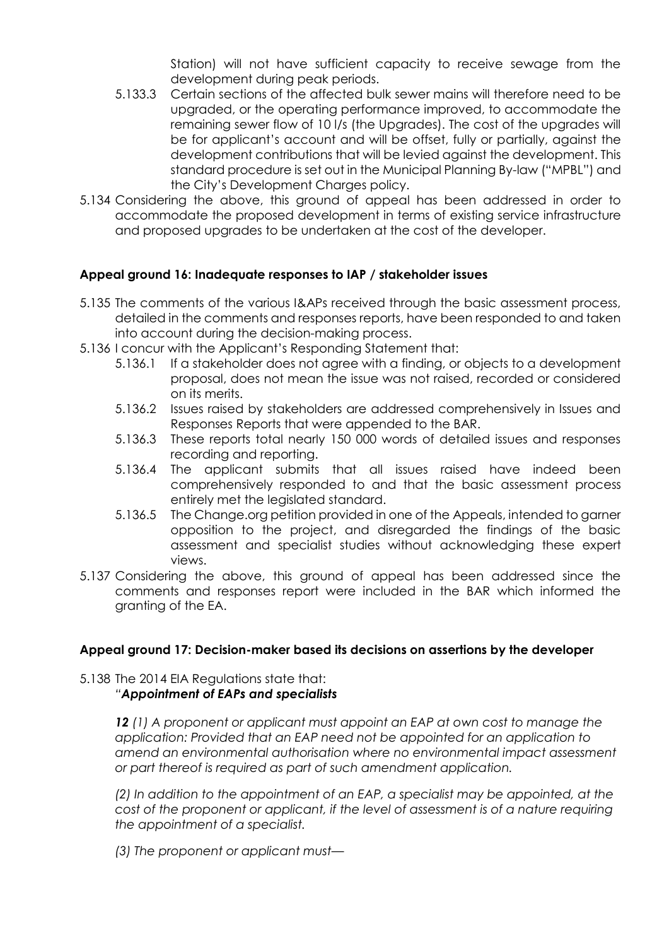Station) will not have sufficient capacity to receive sewage from the development during peak periods.

- 5.133.3 Certain sections of the affected bulk sewer mains will therefore need to be upgraded, or the operating performance improved, to accommodate the remaining sewer flow of 10 l/s (the Upgrades). The cost of the upgrades will be for applicant's account and will be offset, fully or partially, against the development contributions that will be levied against the development. This standard procedure is set out in the Municipal Planning By-law ("MPBL") and the City's Development Charges policy.
- 5.134 Considering the above, this ground of appeal has been addressed in order to accommodate the proposed development in terms of existing service infrastructure and proposed upgrades to be undertaken at the cost of the developer.

# **Appeal ground 16: Inadequate responses to IAP / stakeholder issues**

- 5.135 The comments of the various I&APs received through the basic assessment process, detailed in the comments and responses reports, have been responded to and taken into account during the decision-making process.
- 5.136 I concur with the Applicant's Responding Statement that:
	- 5.136.1 If a stakeholder does not agree with a finding, or objects to a development proposal, does not mean the issue was not raised, recorded or considered on its merits.
	- 5.136.2 Issues raised by stakeholders are addressed comprehensively in Issues and Responses Reports that were appended to the BAR.
	- 5.136.3 These reports total nearly 150 000 words of detailed issues and responses recording and reporting.
	- 5.136.4 The applicant submits that all issues raised have indeed been comprehensively responded to and that the basic assessment process entirely met the legislated standard.
	- 5.136.5 The Change.org petition provided in one of the Appeals, intended to garner opposition to the project, and disregarded the findings of the basic assessment and specialist studies without acknowledging these expert views.
- 5.137 Considering the above, this ground of appeal has been addressed since the comments and responses report were included in the BAR which informed the granting of the EA.

### **Appeal ground 17: Decision-maker based its decisions on assertions by the developer**

# 5.138 The 2014 EIA Regulations state that:

# *"Appointment of EAPs and specialists*

*12 (1) A proponent or applicant must appoint an EAP at own cost to manage the application: Provided that an EAP need not be appointed for an application to amend an environmental authorisation where no environmental impact assessment or part thereof is required as part of such amendment application.*

*(2) In addition to the appointment of an EAP, a specialist may be appointed, at the cost of the proponent or applicant, if the level of assessment is of a nature requiring the appointment of a specialist.*

*(3) The proponent or applicant must—*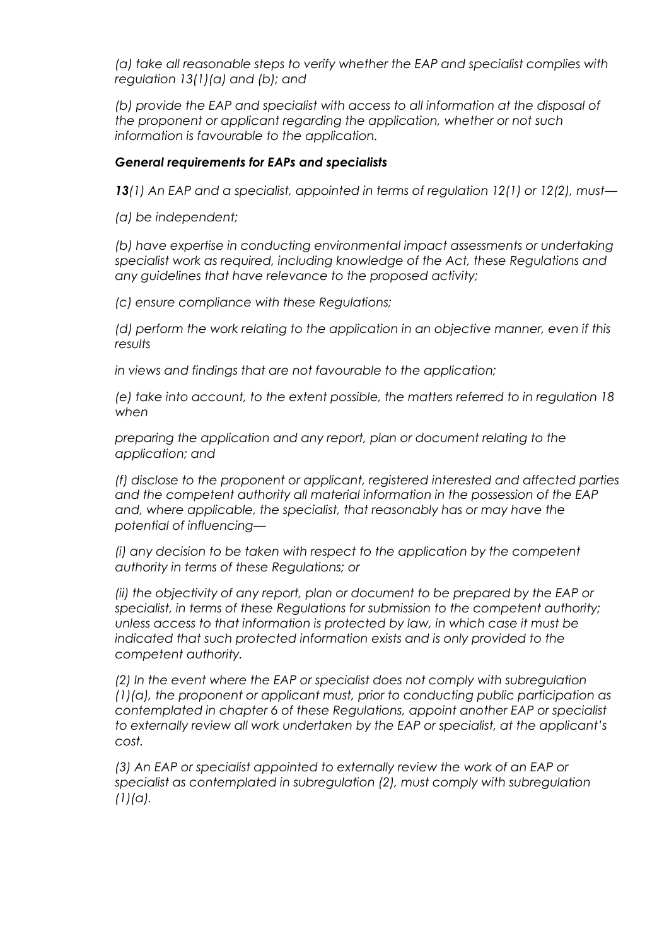*(a) take all reasonable steps to verify whether the EAP and specialist complies with regulation 13(1)(a) and (b); and*

*(b) provide the EAP and specialist with access to all information at the disposal of the proponent or applicant regarding the application, whether or not such information is favourable to the application.*

#### *General requirements for EAPs and specialists*

*13(1) An EAP and a specialist, appointed in terms of regulation 12(1) or 12(2), must—*

*(a) be independent;*

*(b) have expertise in conducting environmental impact assessments or undertaking specialist work as required, including knowledge of the Act, these Regulations and any guidelines that have relevance to the proposed activity;*

*(c) ensure compliance with these Regulations;*

*(d) perform the work relating to the application in an objective manner, even if this results*

*in views and findings that are not favourable to the application;*

*(e) take into account, to the extent possible, the matters referred to in regulation 18 when*

*preparing the application and any report, plan or document relating to the application; and*

*(f) disclose to the proponent or applicant, registered interested and affected parties and the competent authority all material information in the possession of the EAP and, where applicable, the specialist, that reasonably has or may have the potential of influencing—*

*(i) any decision to be taken with respect to the application by the competent authority in terms of these Regulations; or*

*(ii) the objectivity of any report, plan or document to be prepared by the EAP or specialist, in terms of these Regulations for submission to the competent authority; unless access to that information is protected by law, in which case it must be indicated that such protected information exists and is only provided to the competent authority.*

*(2) In the event where the EAP or specialist does not comply with subregulation (1)(a), the proponent or applicant must, prior to conducting public participation as contemplated in chapter 6 of these Regulations, appoint another EAP or specialist to externally review all work undertaken by the EAP or specialist, at the applicant's cost.*

*(3) An EAP or specialist appointed to externally review the work of an EAP or specialist as contemplated in subregulation (2), must comply with subregulation (1)(a).*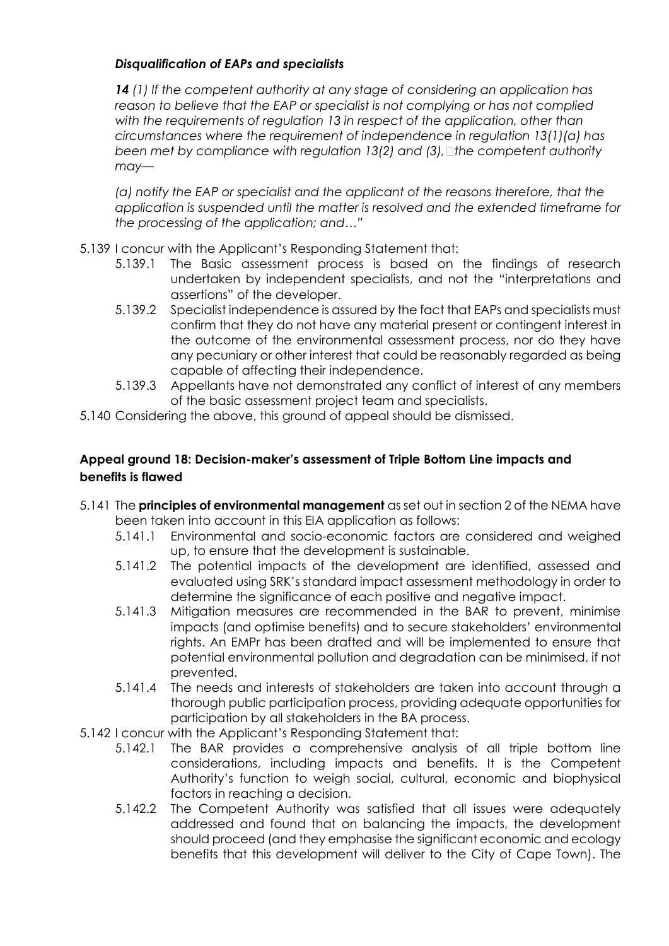# *Disqualification of EAPs and specialists*

*14 (1) If the competent authority at any stage of considering an application has reason to believe that the EAP or specialist is not complying or has not complied with the requirements of regulation 13 in respect of the application, other than circumstances where the requirement of independence in regulation 13(1)(a) has been met by compliance with regulation 13(2) and (3), the competent authority may—*

*(a) notify the EAP or specialist and the applicant of the reasons therefore, that the application is suspended until the matter is resolved and the extended timeframe for the processing of the application; and…"*

- 5.139 I concur with the Applicant's Responding Statement that:
	- 5.139.1 The Basic assessment process is based on the findings of research undertaken by independent specialists, and not the "interpretations and assertions" of the developer.
	- 5.139.2 Specialist independence is assured by the fact that EAPs and specialists must confirm that they do not have any material present or contingent interest in the outcome of the environmental assessment process, nor do they have any pecuniary or other interest that could be reasonably regarded as being capable of affecting their independence.
	- 5.139.3 Appellants have not demonstrated any conflict of interest of any members of the basic assessment project team and specialists.
- 5.140 Considering the above, this ground of appeal should be dismissed.

# **Appeal ground 18: Decision-maker's assessment of Triple Bottom Line impacts and benefits is flawed**

- 5.141 The **principles of environmental management** as set out in section 2 of the NEMA have been taken into account in this EIA application as follows:
	- 5.141.1 Environmental and socio-economic factors are considered and weighed up, to ensure that the development is sustainable.
	- 5.141.2 The potential impacts of the development are identified, assessed and evaluated using SRK's standard impact assessment methodology in order to determine the significance of each positive and negative impact.
	- 5.141.3 Mitigation measures are recommended in the BAR to prevent, minimise impacts (and optimise benefits) and to secure stakeholders' environmental rights. An EMPr has been drafted and will be implemented to ensure that potential environmental pollution and degradation can be minimised, if not prevented.
	- 5.141.4 The needs and interests of stakeholders are taken into account through a thorough public participation process, providing adequate opportunities for participation by all stakeholders in the BA process.
- 5.142 I concur with the Applicant's Responding Statement that:
	- 5.142.1 The BAR provides a comprehensive analysis of all triple bottom line considerations, including impacts and benefits. It is the Competent Authority's function to weigh social, cultural, economic and biophysical factors in reaching a decision.
	- 5.142.2 The Competent Authority was satisfied that all issues were adequately addressed and found that on balancing the impacts, the development should proceed (and they emphasise the significant economic and ecology benefits that this development will deliver to the City of Cape Town). The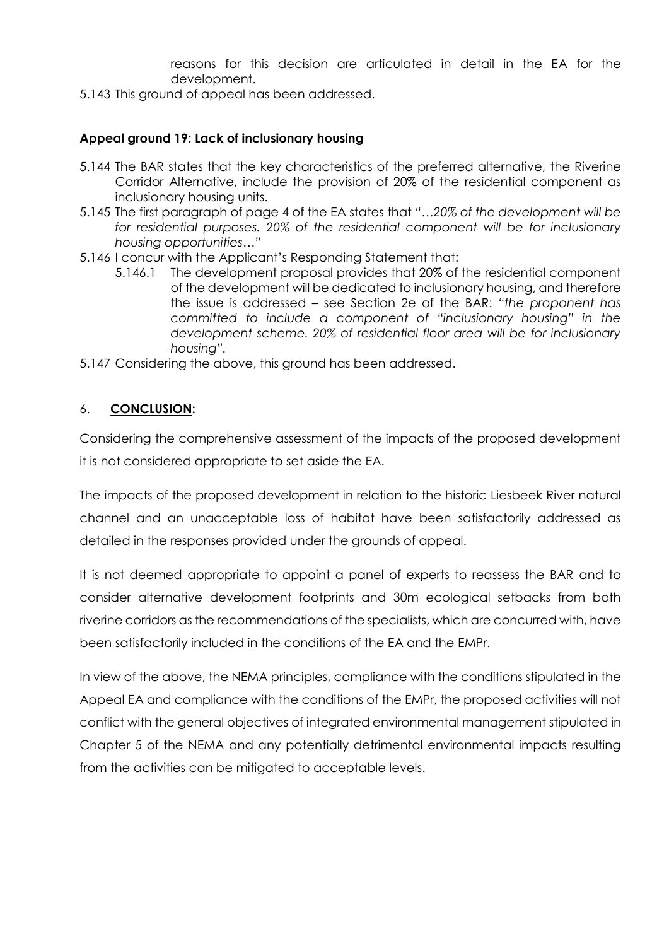reasons for this decision are articulated in detail in the EA for the development.

5.143 This ground of appeal has been addressed.

# **Appeal ground 19: Lack of inclusionary housing**

- 5.144 The BAR states that the key characteristics of the preferred alternative, the Riverine Corridor Alternative, include the provision of 20% of the residential component as inclusionary housing units.
- 5.145 The first paragraph of page 4 of the EA states that *"…20% of the development will be for residential purposes. 20% of the residential component will be for inclusionary housing opportunities…"*
- 5.146 I concur with the Applicant's Responding Statement that:
	- 5.146.1 The development proposal provides that 20% of the residential component of the development will be dedicated to inclusionary housing, and therefore the issue is addressed – see Section 2e of the BAR: *"the proponent has committed to include a component of "inclusionary housing" in the development scheme. 20% of residential floor area will be for inclusionary housing".*
- 5.147 Considering the above, this ground has been addressed.

### 6. **CONCLUSION:**

Considering the comprehensive assessment of the impacts of the proposed development it is not considered appropriate to set aside the EA.

The impacts of the proposed development in relation to the historic Liesbeek River natural channel and an unacceptable loss of habitat have been satisfactorily addressed as detailed in the responses provided under the grounds of appeal.

It is not deemed appropriate to appoint a panel of experts to reassess the BAR and to consider alternative development footprints and 30m ecological setbacks from both riverine corridors as the recommendations of the specialists, which are concurred with, have been satisfactorily included in the conditions of the EA and the EMPr.

In view of the above, the NEMA principles, compliance with the conditions stipulated in the Appeal EA and compliance with the conditions of the EMPr, the proposed activities will not conflict with the general objectives of integrated environmental management stipulated in Chapter 5 of the NEMA and any potentially detrimental environmental impacts resulting from the activities can be mitigated to acceptable levels.